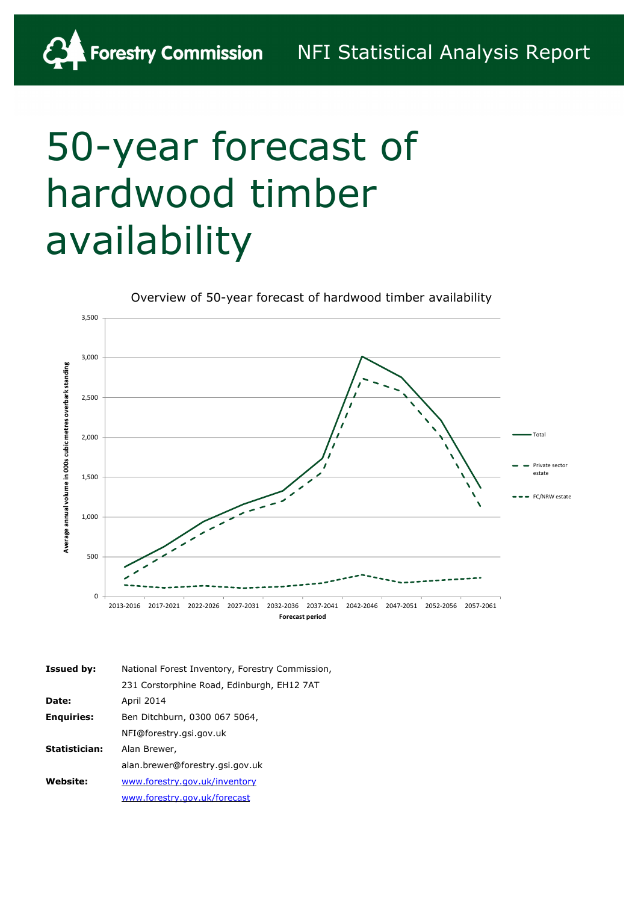# 50-year forecast of hardwood timber availability



| Issued by:        | National Forest Inventory, Forestry Commission, |  |  |  |
|-------------------|-------------------------------------------------|--|--|--|
|                   | 231 Corstorphine Road, Edinburgh, EH12 7AT      |  |  |  |
| Date:             | April 2014                                      |  |  |  |
| <b>Enguiries:</b> | Ben Ditchburn, 0300 067 5064,                   |  |  |  |
|                   | NFI@forestry.gsi.gov.uk                         |  |  |  |
| Statistician:     | Alan Brewer,                                    |  |  |  |
|                   | alan.brewer@forestry.gsi.gov.uk                 |  |  |  |
| Website:          | www.forestry.gov.uk/inventory                   |  |  |  |
|                   | www.forestry.gov.uk/forecast                    |  |  |  |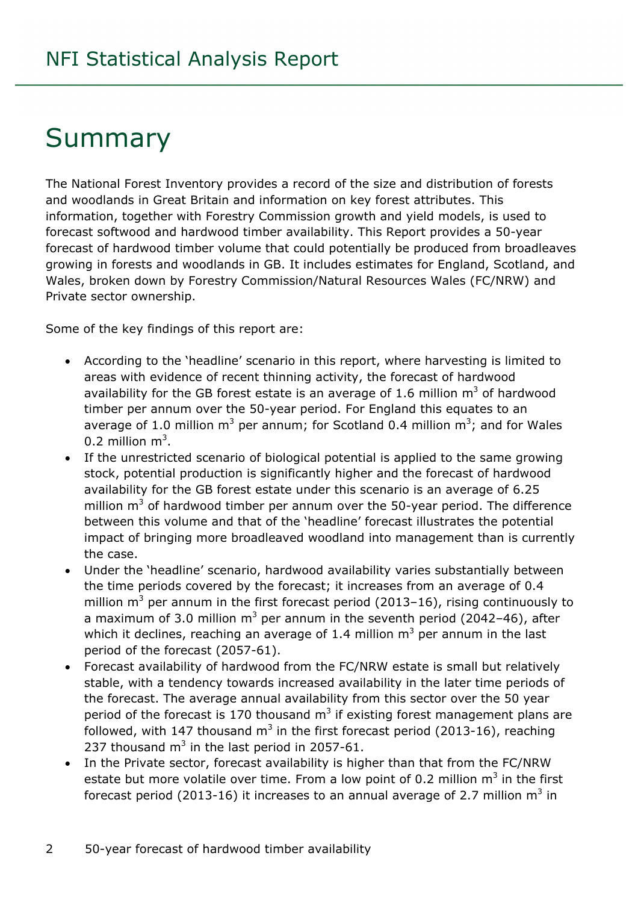## Summary

The National Forest Inventory provides a record of the size and distribution of forests and woodlands in Great Britain and information on key forest attributes. This information, together with Forestry Commission growth and yield models, is used to forecast softwood and hardwood timber availability. This Report provides a 50-year forecast of hardwood timber volume that could potentially be produced from broadleaves growing in forests and woodlands in GB. It includes estimates for England, Scotland, and Wales, broken down by Forestry Commission/Natural Resources Wales (FC/NRW) and Private sector ownership.

Some of the key findings of this report are:

- According to the 'headline' scenario in this report, where harvesting is limited to areas with evidence of recent thinning activity, the forecast of hardwood availability for the GB forest estate is an average of 1.6 million  $m^3$  of hardwood timber per annum over the 50-year period. For England this equates to an average of 1.0 million m<sup>3</sup> per annum; for Scotland 0.4 million m<sup>3</sup>; and for Wales 0.2 million  $m^3$ .
- If the unrestricted scenario of biological potential is applied to the same growing stock, potential production is significantly higher and the forecast of hardwood availability for the GB forest estate under this scenario is an average of 6.25 million  $m^3$  of hardwood timber per annum over the 50-year period. The difference between this volume and that of the 'headline' forecast illustrates the potential impact of bringing more broadleaved woodland into management than is currently the case.
- Under the 'headline' scenario, hardwood availability varies substantially between the time periods covered by the forecast; it increases from an average of 0.4 million  $m^3$  per annum in the first forecast period (2013–16), rising continuously to a maximum of 3.0 million m<sup>3</sup> per annum in the seventh period (2042-46), after which it declines, reaching an average of 1.4 million  $m^3$  per annum in the last period of the forecast (2057-61).
- Forecast availability of hardwood from the FC/NRW estate is small but relatively stable, with a tendency towards increased availability in the later time periods of the forecast. The average annual availability from this sector over the 50 year period of the forecast is 170 thousand  $m^3$  if existing forest management plans are followed, with 147 thousand m<sup>3</sup> in the first forecast period (2013-16), reaching 237 thousand  $m^3$  in the last period in 2057-61.
- In the Private sector, forecast availability is higher than that from the FC/NRW estate but more volatile over time. From a low point of 0.2 million  $m^3$  in the first forecast period (2013-16) it increases to an annual average of 2.7 million  $m^3$  in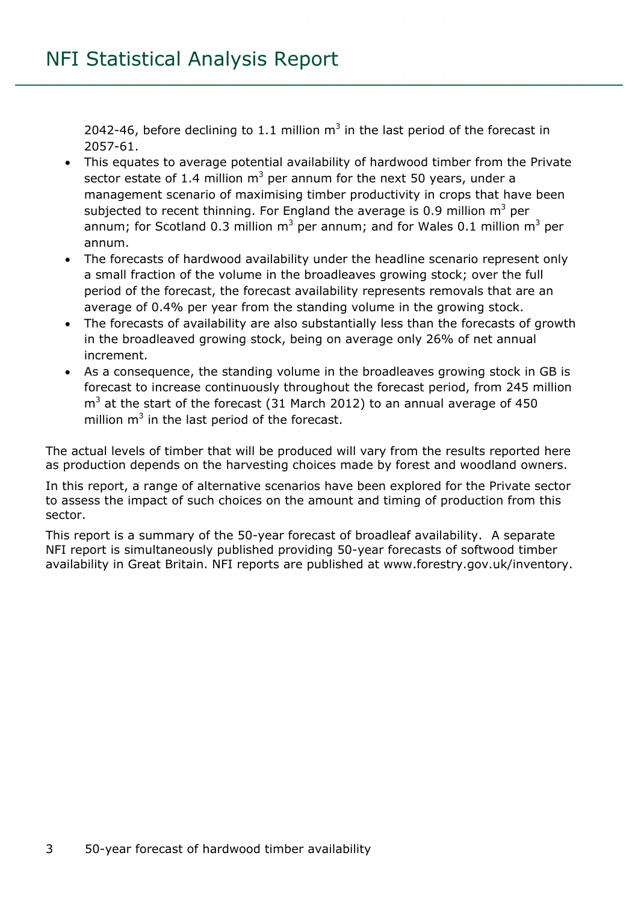2042-46, before declining to 1.1 million  $m^3$  in the last period of the forecast in 2057-61.

- This equates to average potential availability of hardwood timber from the Private sector estate of 1.4 million m<sup>3</sup> per annum for the next 50 years, under a management scenario of maximising timber productivity in crops that have been subjected to recent thinning. For England the average is 0.9 million  $m^3$  per annum; for Scotland 0.3 million m<sup>3</sup> per annum; and for Wales 0.1 million m<sup>3</sup> per annum.
- The forecasts of hardwood availability under the headline scenario represent only a small fraction of the volume in the broadleaves growing stock; over the full period of the forecast, the forecast availability represents removals that are an average of 0.4% per year from the standing volume in the growing stock.
- The forecasts of availability are also substantially less than the forecasts of growth in the broadleaved growing stock, being on average only 26% of net annual increment.
- As a consequence, the standing volume in the broadleaves growing stock in GB is forecast to increase continuously throughout the forecast period, from 245 million  $m<sup>3</sup>$  at the start of the forecast (31 March 2012) to an annual average of 450 million  $m^3$  in the last period of the forecast.

The actual levels of timber that will be produced will vary from the results reported here as production depends on the harvesting choices made by forest and woodland owners.

In this report, a range of alternative scenarios have been explored for the Private sector to assess the impact of such choices on the amount and timing of production from this sector.

This report is a summary of the 50-year forecast of broadleaf availability. A separate NFI report is simultaneously published providing 50-year forecasts of softwood timber availability in Great Britain. NFI reports are published at www.forestry.gov.uk/inventory.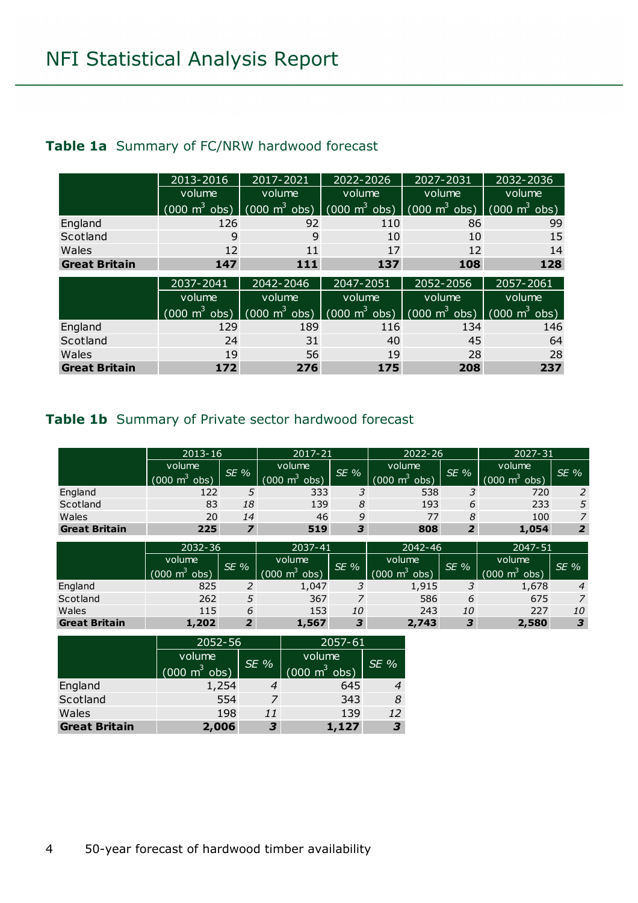|                      | 2013-2016 | 2017-2021 | 2022-2026                                                                                                                                                       | 2027-2031 | 2032-2036 |
|----------------------|-----------|-----------|-----------------------------------------------------------------------------------------------------------------------------------------------------------------|-----------|-----------|
|                      | volume    | volume    | volume                                                                                                                                                          | volume    | volume    |
|                      |           |           | $(000 \text{ m}^3 \text{ obs})$ $(000 \text{ m}^3 \text{ obs})$ $(000 \text{ m}^3 \text{ obs})$ $(000 \text{ m}^3 \text{ obs})$ $(000 \text{ m}^3 \text{ obs})$ |           |           |
| England              | 126       | 92        | 110                                                                                                                                                             | 86        | 99        |
| Scotland             | 9         | 9         | 10                                                                                                                                                              | 10        | 15        |
| Wales                | 12        | 11        | 17                                                                                                                                                              | 12        | 14        |
| <b>Great Britain</b> | 147       | 111       | 137                                                                                                                                                             | 108       | 128       |
|                      |           |           |                                                                                                                                                                 |           |           |
|                      | 2037-2041 | 2042-2046 | 2047-2051                                                                                                                                                       | 2052-2056 | 2057-2061 |
|                      | volume    | volume    | volume                                                                                                                                                          | volume    | volume    |
|                      |           |           | $(000 \text{ m}^3 \text{ obs})$ $(000 \text{ m}^3 \text{ obs})$ $(000 \text{ m}^3 \text{ obs})$ $(000 \text{ m}^3 \text{ obs})$ $(000 \text{ m}^3 \text{ obs})$ |           |           |
| England              | 129       | 189       | 116                                                                                                                                                             | 134       | 146       |
| Scotland             | 24        | 31        | 40                                                                                                                                                              | 45        | 64        |
| Wales                | 19        | 56        | 19                                                                                                                                                              | 28        | 28        |

#### **Table 1a** Summary of FC/NRW hardwood forecast

#### **Table 1b** Summary of Private sector hardwood forecast

|                      | $2013 - 16$                               |                | 2017-21                                   |        | $2022 - 26$                               |                | 2027-31                                   |                  |
|----------------------|-------------------------------------------|----------------|-------------------------------------------|--------|-------------------------------------------|----------------|-------------------------------------------|------------------|
|                      | volume<br>$(000 \text{ m}^3 \text{ obs})$ | $SE\%$         | volume<br>$(000 \text{ m}^3 \text{ obs})$ | $SE\%$ | volume<br>$(000 \text{ m}^3 \text{ obs})$ | $SE\%$         | volume<br>$(000 \text{ m}^3 \text{ obs})$ | $SE\%$           |
| England              | 122                                       | 5              | 333                                       | 3      | 538                                       | 3              | 720                                       | $\overline{2}$   |
| Scotland             | 83                                        | 18             | 139                                       | 8      | 193                                       | 6              | 233                                       | 5                |
| Wales                | 20                                        | 14             | 46                                        | 9      | 77                                        | 8              | 100                                       | 7                |
| <b>Great Britain</b> | 225                                       | $\overline{z}$ | 519                                       | 3      | 808                                       | $\overline{2}$ | 1,054                                     | 2                |
| 2032-36              |                                           |                | 2037-41                                   |        | 2042-46                                   |                | 2047-51                                   |                  |
|                      | volume                                    |                | volume                                    |        | volume                                    |                | volume                                    |                  |
|                      |                                           |                |                                           |        |                                           |                |                                           |                  |
|                      | $(000 \; \text{m}^3)$<br>obs)             | $SE\%$         | (000)<br>$m^3$<br>obs)                    | $SE\%$ | $(000 \text{ m}^3 \text{ obs})$           | $SE\%$         | $m^3$<br>(000)<br>obs)                    | $SE\%$           |
| England              | 825                                       | $\overline{2}$ | 1,047                                     | 3      | 1,915                                     | 3              | 1,678                                     | $\boldsymbol{4}$ |
| Scotland             | 262                                       | 5              | 367                                       | 7      | 586                                       | 6              | 675                                       | 7                |
| Wales                | 115                                       | 6              | 153                                       | 10     | 243                                       | 10             | 227                                       | 10<br>3          |

|                      | $2052 - 56$                               |        | 2057-61                                   |                         |  |  |
|----------------------|-------------------------------------------|--------|-------------------------------------------|-------------------------|--|--|
|                      | volume<br>$(000 \text{ m}^3 \text{ obs})$ | $SE\%$ | volume<br>$(000 \text{ m}^3 \text{ obs})$ | $SE\%$                  |  |  |
| England              | 1,254                                     |        | 645                                       |                         |  |  |
| Scotland             | 554                                       |        | 343                                       |                         |  |  |
| Wales                | 198                                       | 11     | 139                                       | 12                      |  |  |
| <b>Great Britain</b> | 2,006                                     | 3      | 1,127                                     | $\overline{\mathbf{3}}$ |  |  |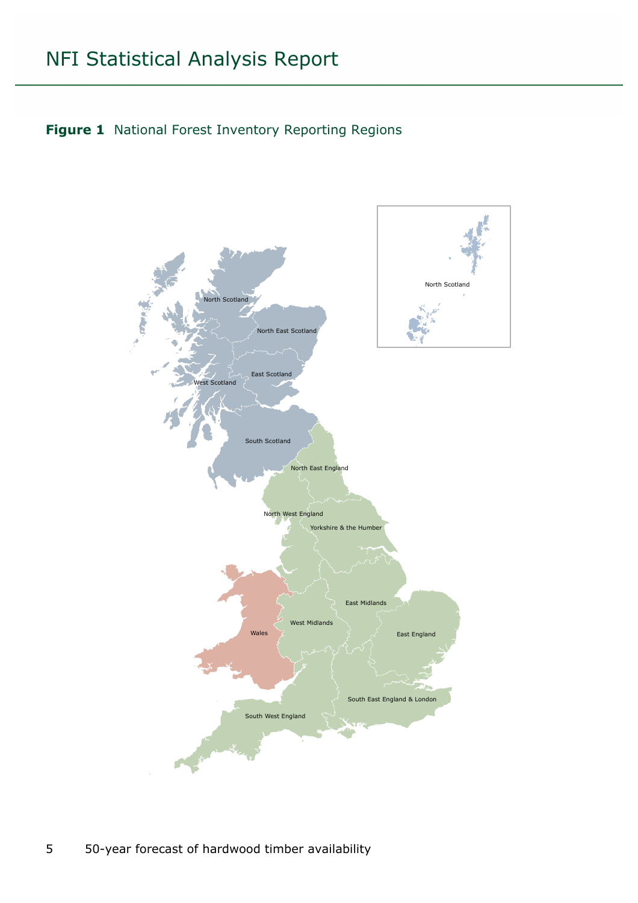

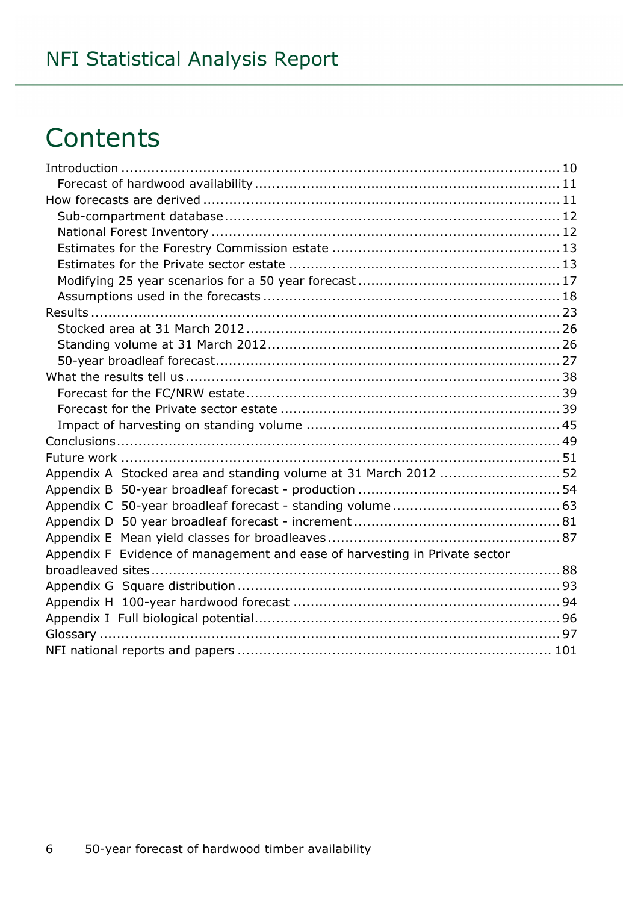## **Contents**

| Appendix A Stocked area and standing volume at 31 March 2012 52            |  |
|----------------------------------------------------------------------------|--|
|                                                                            |  |
|                                                                            |  |
|                                                                            |  |
|                                                                            |  |
| Appendix F Evidence of management and ease of harvesting in Private sector |  |
|                                                                            |  |
|                                                                            |  |
|                                                                            |  |
|                                                                            |  |
|                                                                            |  |
|                                                                            |  |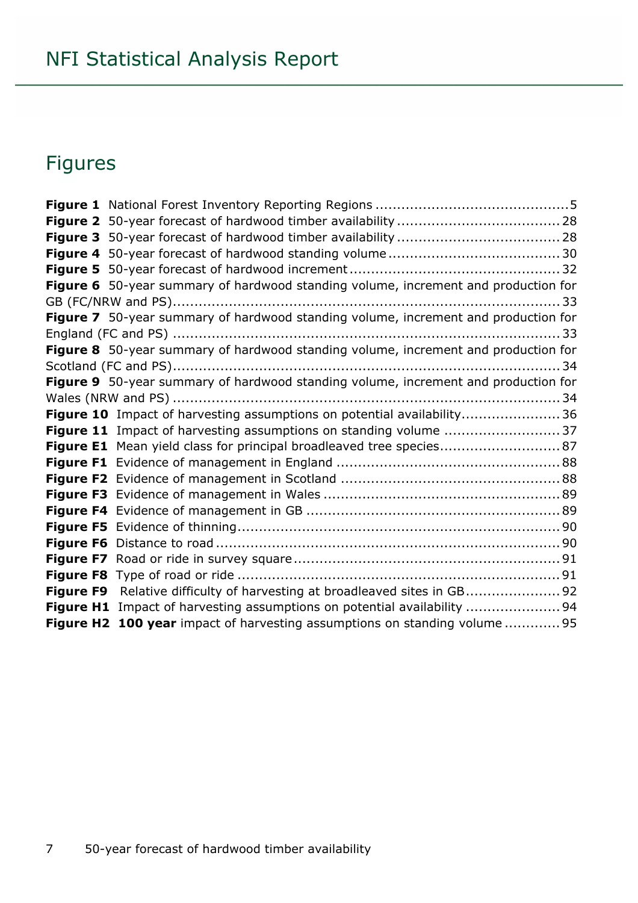## Figures

| Figure 6 50-year summary of hardwood standing volume, increment and production for |
|------------------------------------------------------------------------------------|
|                                                                                    |
| Figure 7 50-year summary of hardwood standing volume, increment and production for |
|                                                                                    |
| Figure 8 50-year summary of hardwood standing volume, increment and production for |
|                                                                                    |
| Figure 9 50-year summary of hardwood standing volume, increment and production for |
|                                                                                    |
| Figure 10 Impact of harvesting assumptions on potential availability 36            |
| Figure 11 Impact of harvesting assumptions on standing volume  37                  |
| Figure E1 Mean yield class for principal broadleaved tree species 87               |
|                                                                                    |
|                                                                                    |
|                                                                                    |
|                                                                                    |
|                                                                                    |
|                                                                                    |
|                                                                                    |
|                                                                                    |
| Figure F9 Relative difficulty of harvesting at broadleaved sites in GB92           |
| Figure H1 Impact of harvesting assumptions on potential availability  94           |
| Figure H2 100 year impact of harvesting assumptions on standing volume  95         |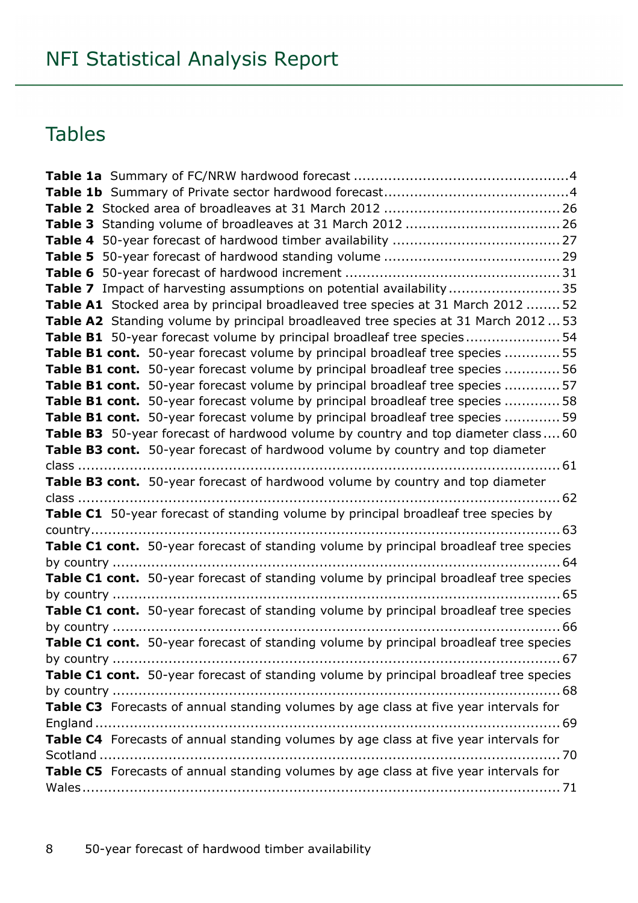## Tables

| Table 7 Impact of harvesting assumptions on potential availability 35                  |
|----------------------------------------------------------------------------------------|
| Table A1 Stocked area by principal broadleaved tree species at 31 March 2012  52       |
| Table A2 Standing volume by principal broadleaved tree species at 31 March 201253      |
| Table B1 50-year forecast volume by principal broadleaf tree species54                 |
| Table B1 cont. 50-year forecast volume by principal broadleaf tree species  55         |
| Table B1 cont. 50-year forecast volume by principal broadleaf tree species  56         |
| Table B1 cont. 50-year forecast volume by principal broadleaf tree species 57          |
| Table B1 cont. 50-year forecast volume by principal broadleaf tree species 58          |
| Table B1 cont. 50-year forecast volume by principal broadleaf tree species  59         |
| Table B3 50-year forecast of hardwood volume by country and top diameter class 60      |
| Table B3 cont. 50-year forecast of hardwood volume by country and top diameter         |
|                                                                                        |
| Table B3 cont. 50-year forecast of hardwood volume by country and top diameter         |
|                                                                                        |
| Table C1 50-year forecast of standing volume by principal broadleaf tree species by    |
|                                                                                        |
| Table C1 cont. 50-year forecast of standing volume by principal broadleaf tree species |
|                                                                                        |
| Table C1 cont. 50-year forecast of standing volume by principal broadleaf tree species |
|                                                                                        |
| Table C1 cont. 50-year forecast of standing volume by principal broadleaf tree species |
|                                                                                        |
| Table C1 cont. 50-year forecast of standing volume by principal broadleaf tree species |
|                                                                                        |
| Table C1 cont. 50-year forecast of standing volume by principal broadleaf tree species |
|                                                                                        |
| Table C3 Forecasts of annual standing volumes by age class at five year intervals for  |
|                                                                                        |
| Table C4 Forecasts of annual standing volumes by age class at five year intervals for  |
|                                                                                        |
| Table C5 Forecasts of annual standing volumes by age class at five year intervals for  |
|                                                                                        |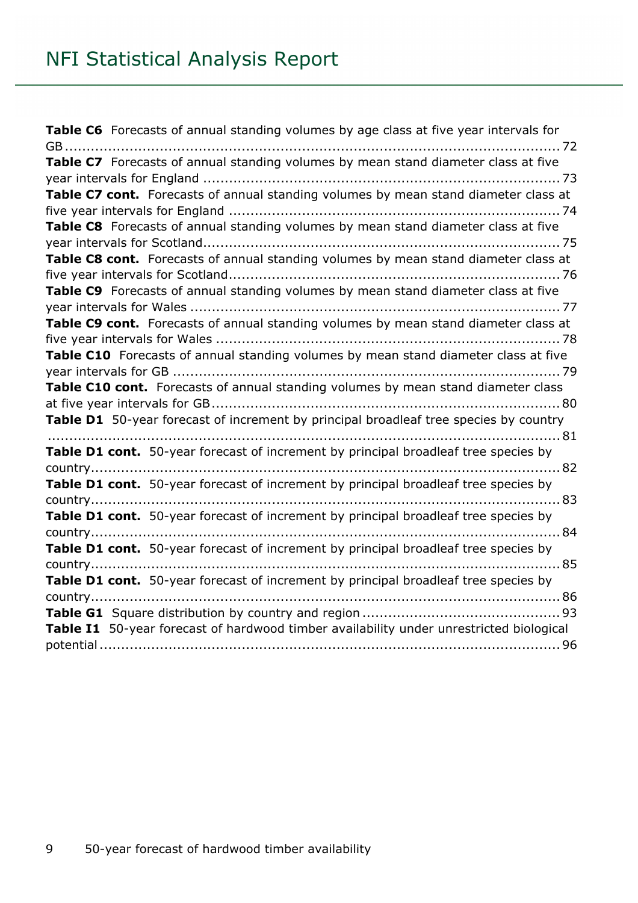| <b>Table C6</b> Forecasts of annual standing volumes by age class at five year intervals for |
|----------------------------------------------------------------------------------------------|
|                                                                                              |
| Table C7 Forecasts of annual standing volumes by mean stand diameter class at five           |
|                                                                                              |
| Table C7 cont. Forecasts of annual standing volumes by mean stand diameter class at          |
| Table C8 Forecasts of annual standing volumes by mean stand diameter class at five           |
|                                                                                              |
| Table C8 cont. Forecasts of annual standing volumes by mean stand diameter class at          |
|                                                                                              |
| Table C9 Forecasts of annual standing volumes by mean stand diameter class at five           |
|                                                                                              |
| Table C9 cont. Forecasts of annual standing volumes by mean stand diameter class at          |
|                                                                                              |
| Table C10 Forecasts of annual standing volumes by mean stand diameter class at five          |
|                                                                                              |
| Table C10 cont. Forecasts of annual standing volumes by mean stand diameter class            |
|                                                                                              |
| Table D1 50-year forecast of increment by principal broadleaf tree species by country        |
| Table D1 cont. 50-year forecast of increment by principal broadleaf tree species by          |
|                                                                                              |
| Table D1 cont. 50-year forecast of increment by principal broadleaf tree species by          |
| Table D1 cont. 50-year forecast of increment by principal broadleaf tree species by          |
|                                                                                              |
| Table D1 cont. 50-year forecast of increment by principal broadleaf tree species by          |
|                                                                                              |
| Table D1 cont. 50-year forecast of increment by principal broadleaf tree species by          |
|                                                                                              |
|                                                                                              |
|                                                                                              |
| Table I1 50-year forecast of hardwood timber availability under unrestricted biological      |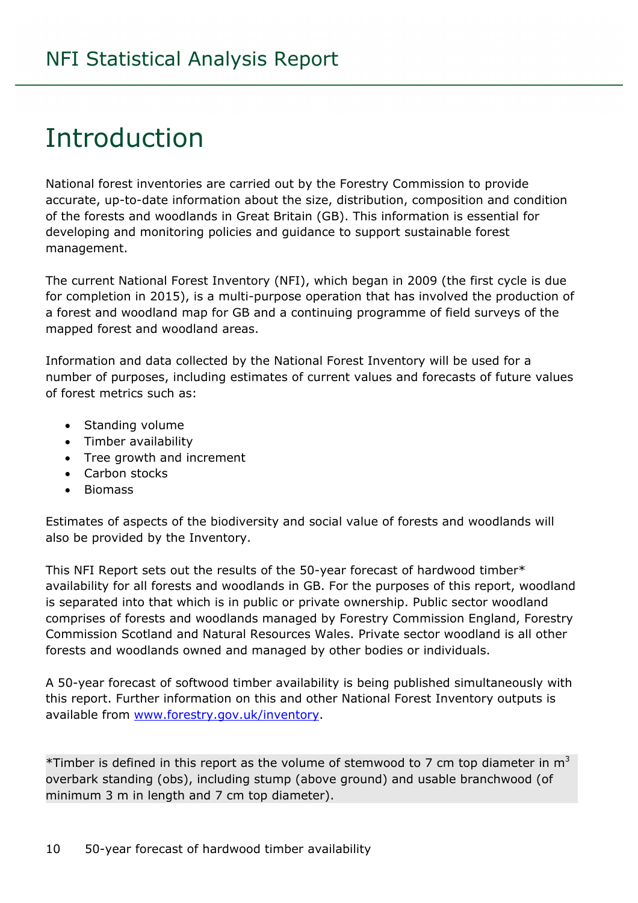## Introduction

National forest inventories are carried out by the Forestry Commission to provide accurate, up-to-date information about the size, distribution, composition and condition of the forests and woodlands in Great Britain (GB). This information is essential for developing and monitoring policies and guidance to support sustainable forest management.

The current National Forest Inventory (NFI), which began in 2009 (the first cycle is due for completion in 2015), is a multi-purpose operation that has involved the production of a forest and woodland map for GB and a continuing programme of field surveys of the mapped forest and woodland areas.

Information and data collected by the National Forest Inventory will be used for a number of purposes, including estimates of current values and forecasts of future values of forest metrics such as:

- Standing volume
- Timber availability
- Tree growth and increment
- Carbon stocks
- Biomass

Estimates of aspects of the biodiversity and social value of forests and woodlands will also be provided by the Inventory.

This NFI Report sets out the results of the 50-year forecast of hardwood timber\* availability for all forests and woodlands in GB. For the purposes of this report, woodland is separated into that which is in public or private ownership. Public sector woodland comprises of forests and woodlands managed by Forestry Commission England, Forestry Commission Scotland and Natural Resources Wales. Private sector woodland is all other forests and woodlands owned and managed by other bodies or individuals.

A 50-year forecast of softwood timber availability is being published simultaneously with this report. Further information on this and other National Forest Inventory outputs is available from www.forestry.gov.uk/inventory.

\*Timber is defined in this report as the volume of stemwood to 7 cm top diameter in  $m<sup>3</sup>$ overbark standing (obs), including stump (above ground) and usable branchwood (of minimum 3 m in length and 7 cm top diameter).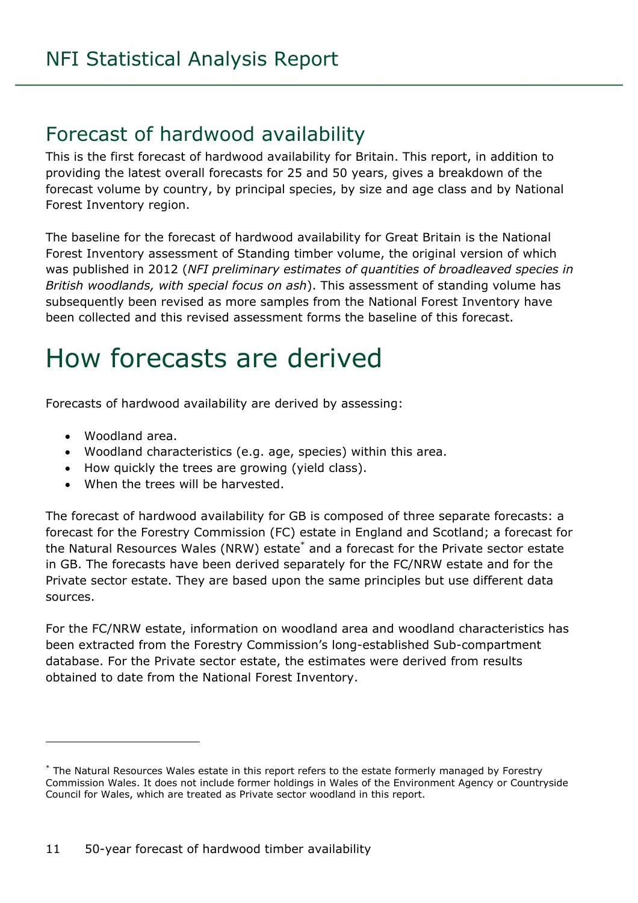## Forecast of hardwood availability

This is the first forecast of hardwood availability for Britain. This report, in addition to providing the latest overall forecasts for 25 and 50 years, gives a breakdown of the forecast volume by country, by principal species, by size and age class and by National Forest Inventory region.

The baseline for the forecast of hardwood availability for Great Britain is the National Forest Inventory assessment of Standing timber volume, the original version of which was published in 2012 (*NFI preliminary estimates of quantities of broadleaved species in British woodlands, with special focus on ash*). This assessment of standing volume has subsequently been revised as more samples from the National Forest Inventory have been collected and this revised assessment forms the baseline of this forecast.

## How forecasts are derived

Forecasts of hardwood availability are derived by assessing:

• Woodland area.

j

- Woodland characteristics (e.g. age, species) within this area.
- How quickly the trees are growing (yield class).
- When the trees will be harvested.

The forecast of hardwood availability for GB is composed of three separate forecasts: a forecast for the Forestry Commission (FC) estate in England and Scotland; a forecast for the Natural Resources Wales (NRW) estate<sup>\*</sup> and a forecast for the Private sector estate in GB. The forecasts have been derived separately for the FC/NRW estate and for the Private sector estate. They are based upon the same principles but use different data sources.

For the FC/NRW estate, information on woodland area and woodland characteristics has been extracted from the Forestry Commission's long-established Sub-compartment database. For the Private sector estate, the estimates were derived from results obtained to date from the National Forest Inventory.

<sup>\*</sup> The Natural Resources Wales estate in this report refers to the estate formerly managed by Forestry Commission Wales. It does not include former holdings in Wales of the Environment Agency or Countryside Council for Wales, which are treated as Private sector woodland in this report.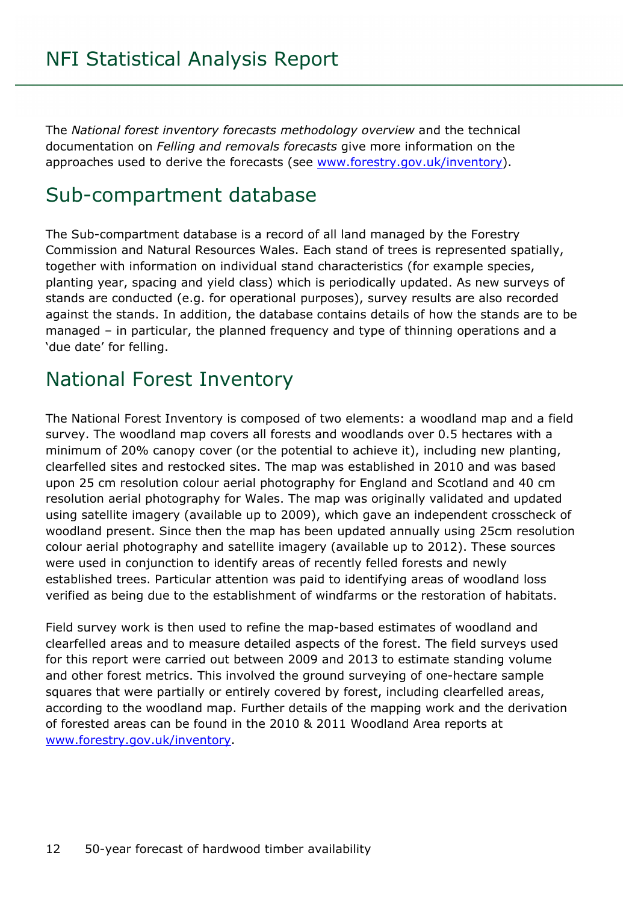The *National forest inventory forecasts methodology overview* and the technical documentation on *Felling and removals forecasts* give more information on the approaches used to derive the forecasts (see www.forestry.gov.uk/inventory).

### Sub-compartment database

The Sub-compartment database is a record of all land managed by the Forestry Commission and Natural Resources Wales. Each stand of trees is represented spatially, together with information on individual stand characteristics (for example species, planting year, spacing and yield class) which is periodically updated. As new surveys of stands are conducted (e.g. for operational purposes), survey results are also recorded against the stands. In addition, the database contains details of how the stands are to be managed – in particular, the planned frequency and type of thinning operations and a 'due date' for felling.

### National Forest Inventory

The National Forest Inventory is composed of two elements: a woodland map and a field survey. The woodland map covers all forests and woodlands over 0.5 hectares with a minimum of 20% canopy cover (or the potential to achieve it), including new planting, clearfelled sites and restocked sites. The map was established in 2010 and was based upon 25 cm resolution colour aerial photography for England and Scotland and 40 cm resolution aerial photography for Wales. The map was originally validated and updated using satellite imagery (available up to 2009), which gave an independent crosscheck of woodland present. Since then the map has been updated annually using 25cm resolution colour aerial photography and satellite imagery (available up to 2012). These sources were used in conjunction to identify areas of recently felled forests and newly established trees. Particular attention was paid to identifying areas of woodland loss verified as being due to the establishment of windfarms or the restoration of habitats.

Field survey work is then used to refine the map-based estimates of woodland and clearfelled areas and to measure detailed aspects of the forest. The field surveys used for this report were carried out between 2009 and 2013 to estimate standing volume and other forest metrics. This involved the ground surveying of one-hectare sample squares that were partially or entirely covered by forest, including clearfelled areas, according to the woodland map. Further details of the mapping work and the derivation of forested areas can be found in the 2010 & 2011 Woodland Area reports at www.forestry.gov.uk/inventory.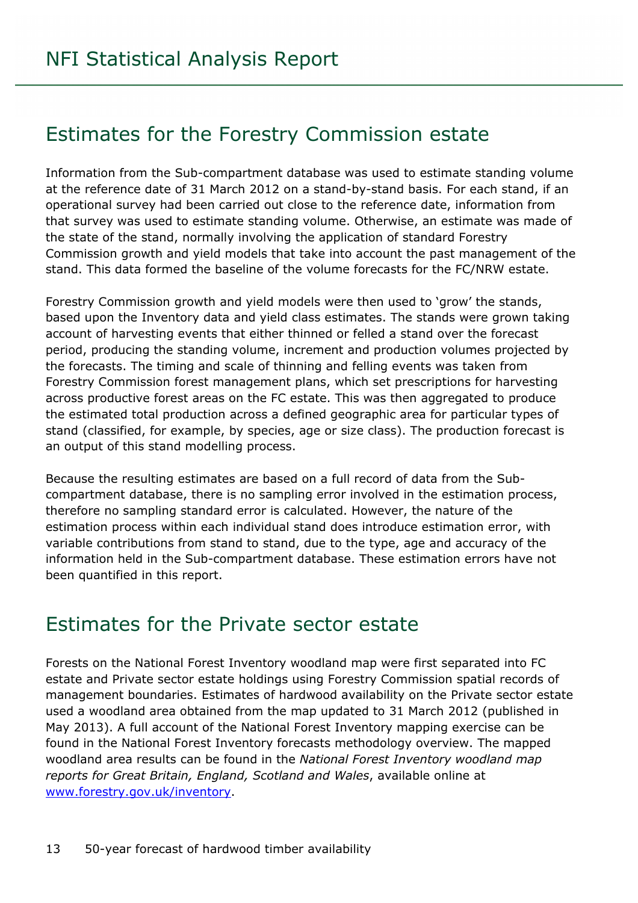## Estimates for the Forestry Commission estate

Information from the Sub-compartment database was used to estimate standing volume at the reference date of 31 March 2012 on a stand-by-stand basis. For each stand, if an operational survey had been carried out close to the reference date, information from that survey was used to estimate standing volume. Otherwise, an estimate was made of the state of the stand, normally involving the application of standard Forestry Commission growth and yield models that take into account the past management of the stand. This data formed the baseline of the volume forecasts for the FC/NRW estate.

Forestry Commission growth and yield models were then used to 'grow' the stands, based upon the Inventory data and yield class estimates. The stands were grown taking account of harvesting events that either thinned or felled a stand over the forecast period, producing the standing volume, increment and production volumes projected by the forecasts. The timing and scale of thinning and felling events was taken from Forestry Commission forest management plans, which set prescriptions for harvesting across productive forest areas on the FC estate. This was then aggregated to produce the estimated total production across a defined geographic area for particular types of stand (classified, for example, by species, age or size class). The production forecast is an output of this stand modelling process.

Because the resulting estimates are based on a full record of data from the Subcompartment database, there is no sampling error involved in the estimation process, therefore no sampling standard error is calculated. However, the nature of the estimation process within each individual stand does introduce estimation error, with variable contributions from stand to stand, due to the type, age and accuracy of the information held in the Sub-compartment database. These estimation errors have not been quantified in this report.

### Estimates for the Private sector estate

Forests on the National Forest Inventory woodland map were first separated into FC estate and Private sector estate holdings using Forestry Commission spatial records of management boundaries. Estimates of hardwood availability on the Private sector estate used a woodland area obtained from the map updated to 31 March 2012 (published in May 2013). A full account of the National Forest Inventory mapping exercise can be found in the National Forest Inventory forecasts methodology overview. The mapped woodland area results can be found in the *National Forest Inventory woodland map reports for Great Britain, England, Scotland and Wales*, available online at www.forestry.gov.uk/inventory.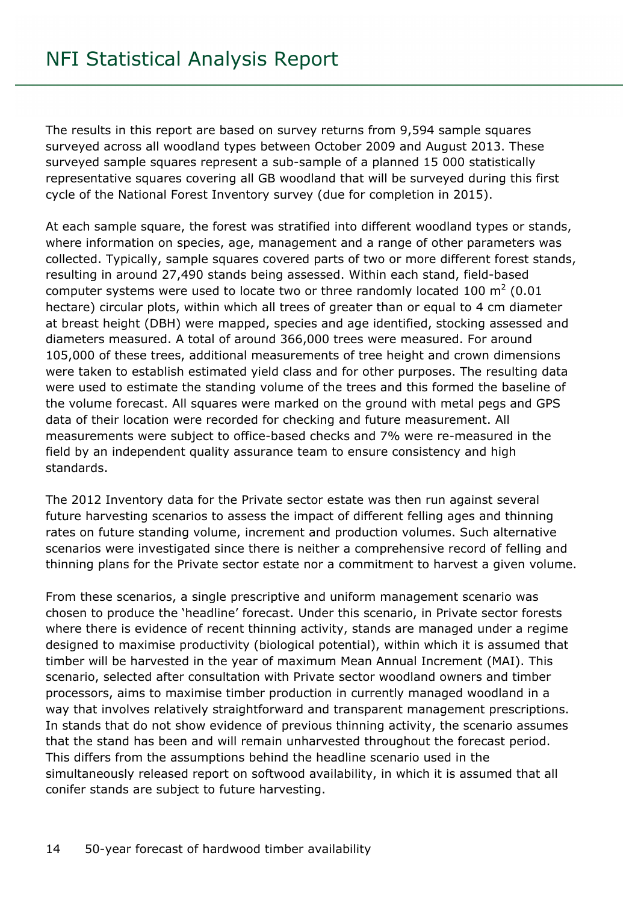The results in this report are based on survey returns from 9,594 sample squares surveyed across all woodland types between October 2009 and August 2013. These surveyed sample squares represent a sub-sample of a planned 15 000 statistically representative squares covering all GB woodland that will be surveyed during this first cycle of the National Forest Inventory survey (due for completion in 2015).

At each sample square, the forest was stratified into different woodland types or stands, where information on species, age, management and a range of other parameters was collected. Typically, sample squares covered parts of two or more different forest stands, resulting in around 27,490 stands being assessed. Within each stand, field-based computer systems were used to locate two or three randomly located 100  $m^2$  (0.01 hectare) circular plots, within which all trees of greater than or equal to 4 cm diameter at breast height (DBH) were mapped, species and age identified, stocking assessed and diameters measured. A total of around 366,000 trees were measured. For around 105,000 of these trees, additional measurements of tree height and crown dimensions were taken to establish estimated yield class and for other purposes. The resulting data were used to estimate the standing volume of the trees and this formed the baseline of the volume forecast. All squares were marked on the ground with metal pegs and GPS data of their location were recorded for checking and future measurement. All measurements were subject to office-based checks and 7% were re-measured in the field by an independent quality assurance team to ensure consistency and high standards.

The 2012 Inventory data for the Private sector estate was then run against several future harvesting scenarios to assess the impact of different felling ages and thinning rates on future standing volume, increment and production volumes. Such alternative scenarios were investigated since there is neither a comprehensive record of felling and thinning plans for the Private sector estate nor a commitment to harvest a given volume.

From these scenarios, a single prescriptive and uniform management scenario was chosen to produce the 'headline' forecast. Under this scenario, in Private sector forests where there is evidence of recent thinning activity, stands are managed under a regime designed to maximise productivity (biological potential), within which it is assumed that timber will be harvested in the year of maximum Mean Annual Increment (MAI). This scenario, selected after consultation with Private sector woodland owners and timber processors, aims to maximise timber production in currently managed woodland in a way that involves relatively straightforward and transparent management prescriptions. In stands that do not show evidence of previous thinning activity, the scenario assumes that the stand has been and will remain unharvested throughout the forecast period. This differs from the assumptions behind the headline scenario used in the simultaneously released report on softwood availability, in which it is assumed that all conifer stands are subject to future harvesting.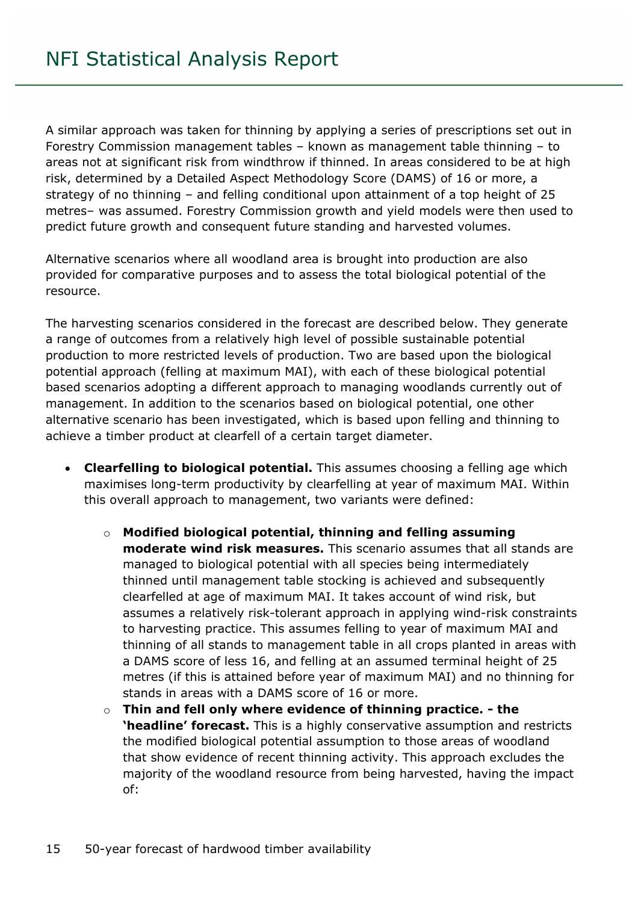A similar approach was taken for thinning by applying a series of prescriptions set out in Forestry Commission management tables – known as management table thinning – to areas not at significant risk from windthrow if thinned. In areas considered to be at high risk, determined by a Detailed Aspect Methodology Score (DAMS) of 16 or more, a strategy of no thinning – and felling conditional upon attainment of a top height of 25 metres– was assumed. Forestry Commission growth and yield models were then used to predict future growth and consequent future standing and harvested volumes.

Alternative scenarios where all woodland area is brought into production are also provided for comparative purposes and to assess the total biological potential of the resource.

The harvesting scenarios considered in the forecast are described below. They generate a range of outcomes from a relatively high level of possible sustainable potential production to more restricted levels of production. Two are based upon the biological potential approach (felling at maximum MAI), with each of these biological potential based scenarios adopting a different approach to managing woodlands currently out of management. In addition to the scenarios based on biological potential, one other alternative scenario has been investigated, which is based upon felling and thinning to achieve a timber product at clearfell of a certain target diameter.

- **Clearfelling to biological potential.** This assumes choosing a felling age which maximises long-term productivity by clearfelling at year of maximum MAI. Within this overall approach to management, two variants were defined:
	- o **Modified biological potential, thinning and felling assuming moderate wind risk measures.** This scenario assumes that all stands are managed to biological potential with all species being intermediately thinned until management table stocking is achieved and subsequently clearfelled at age of maximum MAI. It takes account of wind risk, but assumes a relatively risk-tolerant approach in applying wind-risk constraints to harvesting practice. This assumes felling to year of maximum MAI and thinning of all stands to management table in all crops planted in areas with a DAMS score of less 16, and felling at an assumed terminal height of 25 metres (if this is attained before year of maximum MAI) and no thinning for stands in areas with a DAMS score of 16 or more.
	- o **Thin and fell only where evidence of thinning practice. the 'headline' forecast.** This is a highly conservative assumption and restricts the modified biological potential assumption to those areas of woodland that show evidence of recent thinning activity. This approach excludes the majority of the woodland resource from being harvested, having the impact of: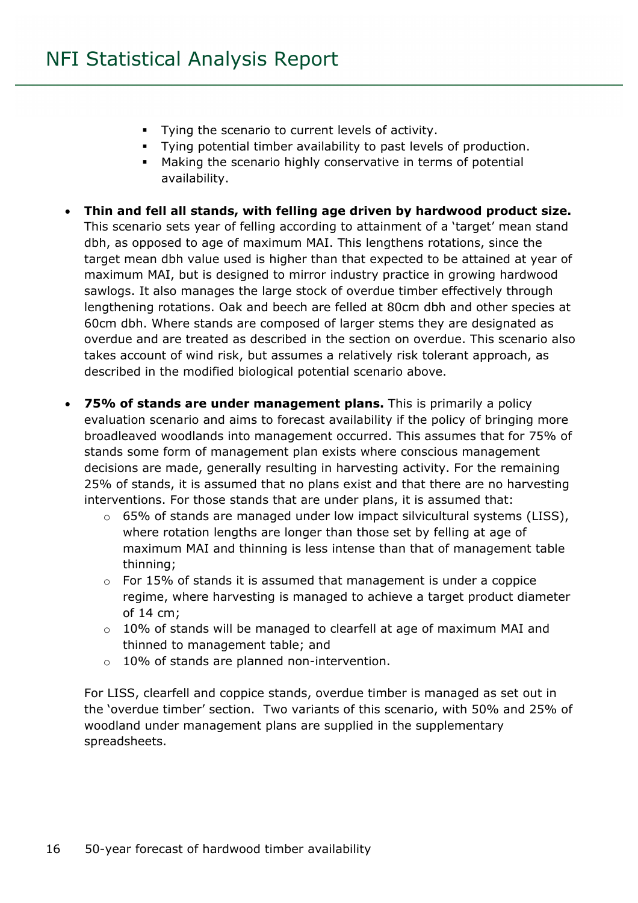- Tying the scenario to current levels of activity.
- Tying potential timber availability to past levels of production.
- Making the scenario highly conservative in terms of potential availability.
- **Thin and fell all stands, with felling age driven by hardwood product size.**  This scenario sets year of felling according to attainment of a 'target' mean stand dbh, as opposed to age of maximum MAI. This lengthens rotations, since the target mean dbh value used is higher than that expected to be attained at year of maximum MAI, but is designed to mirror industry practice in growing hardwood sawlogs. It also manages the large stock of overdue timber effectively through lengthening rotations. Oak and beech are felled at 80cm dbh and other species at 60cm dbh. Where stands are composed of larger stems they are designated as overdue and are treated as described in the section on overdue. This scenario also takes account of wind risk, but assumes a relatively risk tolerant approach, as described in the modified biological potential scenario above.
- **75% of stands are under management plans.** This is primarily a policy evaluation scenario and aims to forecast availability if the policy of bringing more broadleaved woodlands into management occurred. This assumes that for 75% of stands some form of management plan exists where conscious management decisions are made, generally resulting in harvesting activity. For the remaining 25% of stands, it is assumed that no plans exist and that there are no harvesting interventions. For those stands that are under plans, it is assumed that:
	- o 65% of stands are managed under low impact silvicultural systems (LISS), where rotation lengths are longer than those set by felling at age of maximum MAI and thinning is less intense than that of management table thinning;
	- o For 15% of stands it is assumed that management is under a coppice regime, where harvesting is managed to achieve a target product diameter of 14 cm;
	- o 10% of stands will be managed to clearfell at age of maximum MAI and thinned to management table; and
	- o 10% of stands are planned non-intervention.

For LISS, clearfell and coppice stands, overdue timber is managed as set out in the 'overdue timber' section. Two variants of this scenario, with 50% and 25% of woodland under management plans are supplied in the supplementary spreadsheets.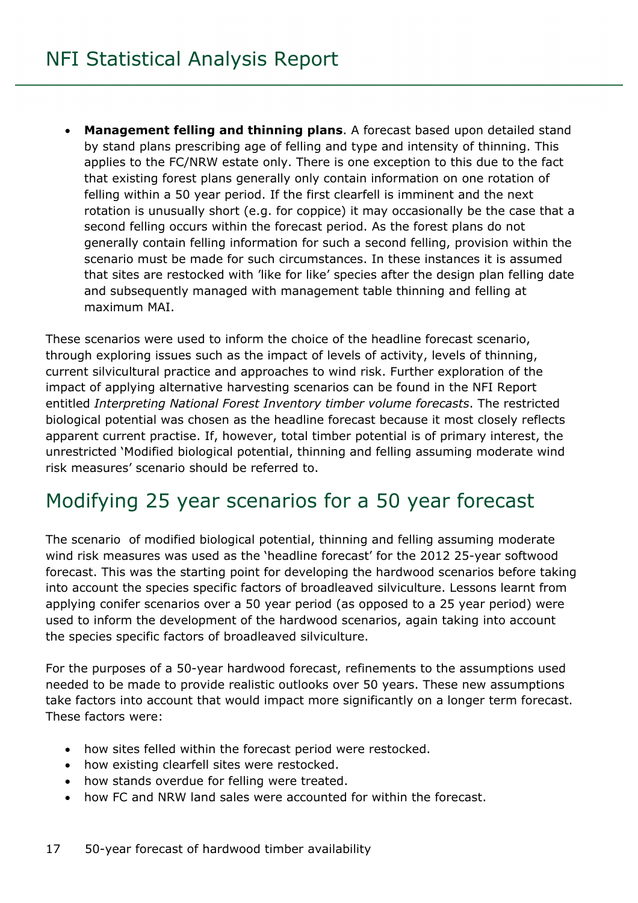• **Management felling and thinning plans**. A forecast based upon detailed stand by stand plans prescribing age of felling and type and intensity of thinning. This applies to the FC/NRW estate only. There is one exception to this due to the fact that existing forest plans generally only contain information on one rotation of felling within a 50 year period. If the first clearfell is imminent and the next rotation is unusually short (e.g. for coppice) it may occasionally be the case that a second felling occurs within the forecast period. As the forest plans do not generally contain felling information for such a second felling, provision within the scenario must be made for such circumstances. In these instances it is assumed that sites are restocked with 'like for like' species after the design plan felling date and subsequently managed with management table thinning and felling at maximum MAI.

These scenarios were used to inform the choice of the headline forecast scenario, through exploring issues such as the impact of levels of activity, levels of thinning, current silvicultural practice and approaches to wind risk. Further exploration of the impact of applying alternative harvesting scenarios can be found in the NFI Report entitled *Interpreting National Forest Inventory timber volume forecasts*. The restricted biological potential was chosen as the headline forecast because it most closely reflects apparent current practise. If, however, total timber potential is of primary interest, the unrestricted 'Modified biological potential, thinning and felling assuming moderate wind risk measures' scenario should be referred to.

## Modifying 25 year scenarios for a 50 year forecast

The scenario of modified biological potential, thinning and felling assuming moderate wind risk measures was used as the 'headline forecast' for the 2012 25-year softwood forecast. This was the starting point for developing the hardwood scenarios before taking into account the species specific factors of broadleaved silviculture. Lessons learnt from applying conifer scenarios over a 50 year period (as opposed to a 25 year period) were used to inform the development of the hardwood scenarios, again taking into account the species specific factors of broadleaved silviculture.

For the purposes of a 50-year hardwood forecast, refinements to the assumptions used needed to be made to provide realistic outlooks over 50 years. These new assumptions take factors into account that would impact more significantly on a longer term forecast. These factors were:

- how sites felled within the forecast period were restocked.
- how existing clearfell sites were restocked.
- how stands overdue for felling were treated.
- how FC and NRW land sales were accounted for within the forecast.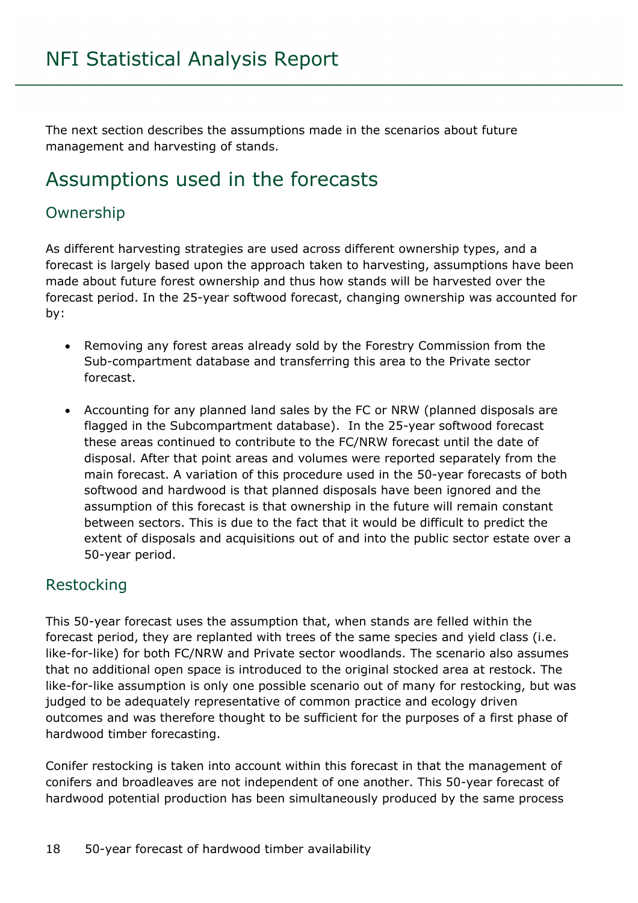The next section describes the assumptions made in the scenarios about future management and harvesting of stands.

### Assumptions used in the forecasts

#### Ownership

As different harvesting strategies are used across different ownership types, and a forecast is largely based upon the approach taken to harvesting, assumptions have been made about future forest ownership and thus how stands will be harvested over the forecast period. In the 25-year softwood forecast, changing ownership was accounted for by:

- Removing any forest areas already sold by the Forestry Commission from the Sub-compartment database and transferring this area to the Private sector forecast.
- Accounting for any planned land sales by the FC or NRW (planned disposals are flagged in the Subcompartment database). In the 25-year softwood forecast these areas continued to contribute to the FC/NRW forecast until the date of disposal. After that point areas and volumes were reported separately from the main forecast. A variation of this procedure used in the 50-year forecasts of both softwood and hardwood is that planned disposals have been ignored and the assumption of this forecast is that ownership in the future will remain constant between sectors. This is due to the fact that it would be difficult to predict the extent of disposals and acquisitions out of and into the public sector estate over a 50-year period.

#### Restocking

This 50-year forecast uses the assumption that, when stands are felled within the forecast period, they are replanted with trees of the same species and yield class (i.e. like-for-like) for both FC/NRW and Private sector woodlands. The scenario also assumes that no additional open space is introduced to the original stocked area at restock. The like-for-like assumption is only one possible scenario out of many for restocking, but was judged to be adequately representative of common practice and ecology driven outcomes and was therefore thought to be sufficient for the purposes of a first phase of hardwood timber forecasting.

Conifer restocking is taken into account within this forecast in that the management of conifers and broadleaves are not independent of one another. This 50-year forecast of hardwood potential production has been simultaneously produced by the same process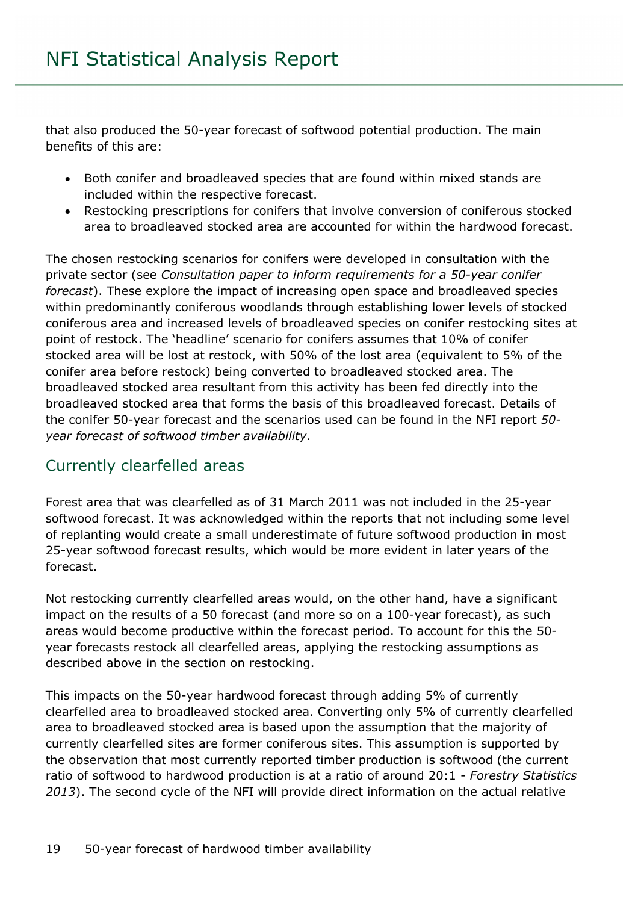that also produced the 50-year forecast of softwood potential production. The main benefits of this are:

- Both conifer and broadleaved species that are found within mixed stands are included within the respective forecast.
- Restocking prescriptions for conifers that involve conversion of coniferous stocked area to broadleaved stocked area are accounted for within the hardwood forecast.

The chosen restocking scenarios for conifers were developed in consultation with the private sector (see *Consultation paper to inform requirements for a 50-year conifer forecast*). These explore the impact of increasing open space and broadleaved species within predominantly coniferous woodlands through establishing lower levels of stocked coniferous area and increased levels of broadleaved species on conifer restocking sites at point of restock. The 'headline' scenario for conifers assumes that 10% of conifer stocked area will be lost at restock, with 50% of the lost area (equivalent to 5% of the conifer area before restock) being converted to broadleaved stocked area. The broadleaved stocked area resultant from this activity has been fed directly into the broadleaved stocked area that forms the basis of this broadleaved forecast. Details of the conifer 50-year forecast and the scenarios used can be found in the NFI report *50 year forecast of softwood timber availability*.

#### Currently clearfelled areas

Forest area that was clearfelled as of 31 March 2011 was not included in the 25-year softwood forecast. It was acknowledged within the reports that not including some level of replanting would create a small underestimate of future softwood production in most 25-year softwood forecast results, which would be more evident in later years of the forecast.

Not restocking currently clearfelled areas would, on the other hand, have a significant impact on the results of a 50 forecast (and more so on a 100-year forecast), as such areas would become productive within the forecast period. To account for this the 50 year forecasts restock all clearfelled areas, applying the restocking assumptions as described above in the section on restocking.

This impacts on the 50-year hardwood forecast through adding 5% of currently clearfelled area to broadleaved stocked area. Converting only 5% of currently clearfelled area to broadleaved stocked area is based upon the assumption that the majority of currently clearfelled sites are former coniferous sites. This assumption is supported by the observation that most currently reported timber production is softwood (the current ratio of softwood to hardwood production is at a ratio of around 20:1 - *Forestry Statistics 2013*). The second cycle of the NFI will provide direct information on the actual relative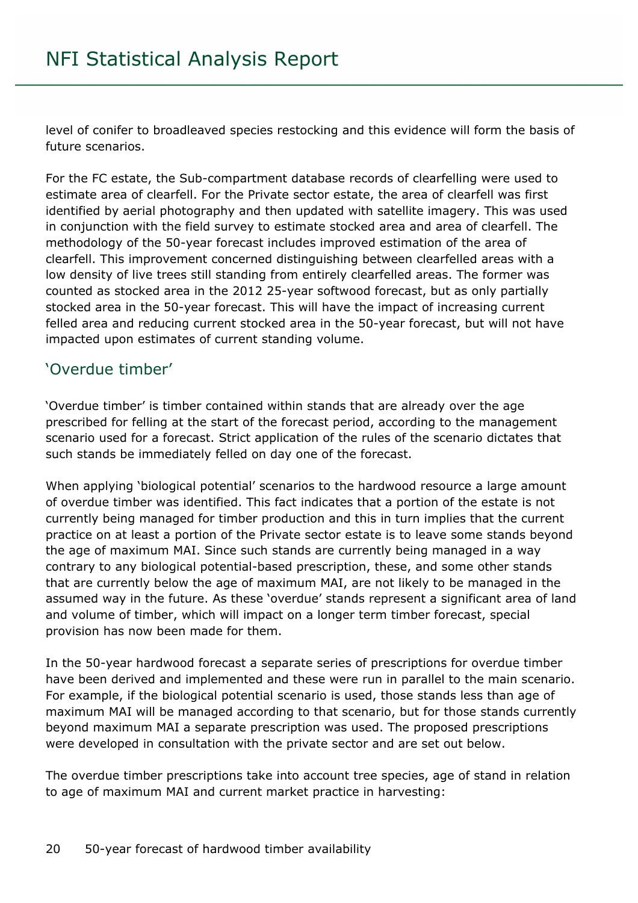level of conifer to broadleaved species restocking and this evidence will form the basis of future scenarios.

For the FC estate, the Sub-compartment database records of clearfelling were used to estimate area of clearfell. For the Private sector estate, the area of clearfell was first identified by aerial photography and then updated with satellite imagery. This was used in conjunction with the field survey to estimate stocked area and area of clearfell. The methodology of the 50-year forecast includes improved estimation of the area of clearfell. This improvement concerned distinguishing between clearfelled areas with a low density of live trees still standing from entirely clearfelled areas. The former was counted as stocked area in the 2012 25-year softwood forecast, but as only partially stocked area in the 50-year forecast. This will have the impact of increasing current felled area and reducing current stocked area in the 50-year forecast, but will not have impacted upon estimates of current standing volume.

#### 'Overdue timber'

'Overdue timber' is timber contained within stands that are already over the age prescribed for felling at the start of the forecast period, according to the management scenario used for a forecast. Strict application of the rules of the scenario dictates that such stands be immediately felled on day one of the forecast.

When applying 'biological potential' scenarios to the hardwood resource a large amount of overdue timber was identified. This fact indicates that a portion of the estate is not currently being managed for timber production and this in turn implies that the current practice on at least a portion of the Private sector estate is to leave some stands beyond the age of maximum MAI. Since such stands are currently being managed in a way contrary to any biological potential-based prescription, these, and some other stands that are currently below the age of maximum MAI, are not likely to be managed in the assumed way in the future. As these 'overdue' stands represent a significant area of land and volume of timber, which will impact on a longer term timber forecast, special provision has now been made for them.

In the 50-year hardwood forecast a separate series of prescriptions for overdue timber have been derived and implemented and these were run in parallel to the main scenario. For example, if the biological potential scenario is used, those stands less than age of maximum MAI will be managed according to that scenario, but for those stands currently beyond maximum MAI a separate prescription was used. The proposed prescriptions were developed in consultation with the private sector and are set out below.

The overdue timber prescriptions take into account tree species, age of stand in relation to age of maximum MAI and current market practice in harvesting: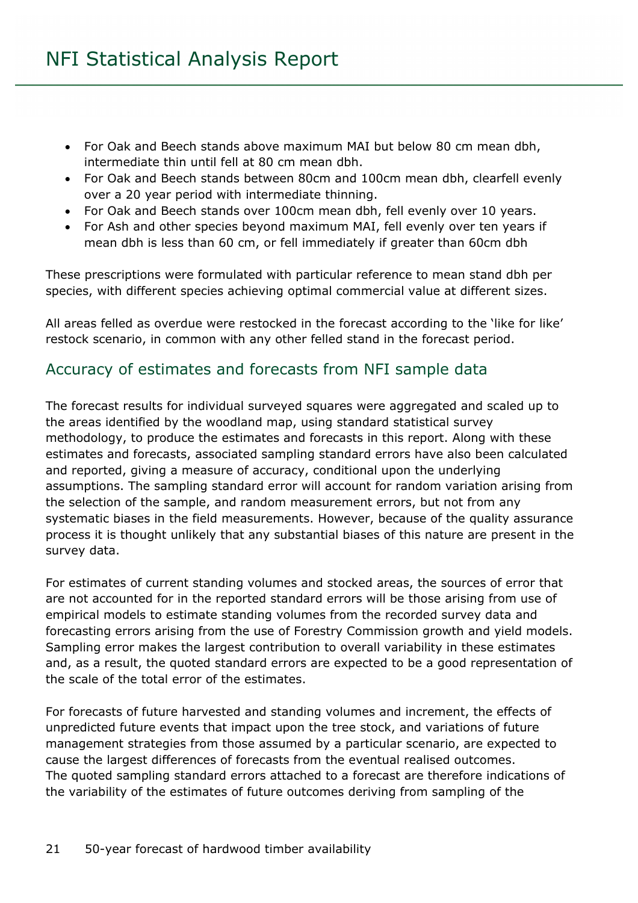- For Oak and Beech stands above maximum MAI but below 80 cm mean dbh, intermediate thin until fell at 80 cm mean dbh.
- For Oak and Beech stands between 80cm and 100cm mean dbh, clearfell evenly over a 20 year period with intermediate thinning.
- For Oak and Beech stands over 100cm mean dbh, fell evenly over 10 years.
- For Ash and other species beyond maximum MAI, fell evenly over ten years if mean dbh is less than 60 cm, or fell immediately if greater than 60cm dbh

These prescriptions were formulated with particular reference to mean stand dbh per species, with different species achieving optimal commercial value at different sizes.

All areas felled as overdue were restocked in the forecast according to the 'like for like' restock scenario, in common with any other felled stand in the forecast period.

#### Accuracy of estimates and forecasts from NFI sample data

The forecast results for individual surveyed squares were aggregated and scaled up to the areas identified by the woodland map, using standard statistical survey methodology, to produce the estimates and forecasts in this report. Along with these estimates and forecasts, associated sampling standard errors have also been calculated and reported, giving a measure of accuracy, conditional upon the underlying assumptions. The sampling standard error will account for random variation arising from the selection of the sample, and random measurement errors, but not from any systematic biases in the field measurements. However, because of the quality assurance process it is thought unlikely that any substantial biases of this nature are present in the survey data.

For estimates of current standing volumes and stocked areas, the sources of error that are not accounted for in the reported standard errors will be those arising from use of empirical models to estimate standing volumes from the recorded survey data and forecasting errors arising from the use of Forestry Commission growth and yield models. Sampling error makes the largest contribution to overall variability in these estimates and, as a result, the quoted standard errors are expected to be a good representation of the scale of the total error of the estimates.

For forecasts of future harvested and standing volumes and increment, the effects of unpredicted future events that impact upon the tree stock, and variations of future management strategies from those assumed by a particular scenario, are expected to cause the largest differences of forecasts from the eventual realised outcomes. The quoted sampling standard errors attached to a forecast are therefore indications of the variability of the estimates of future outcomes deriving from sampling of the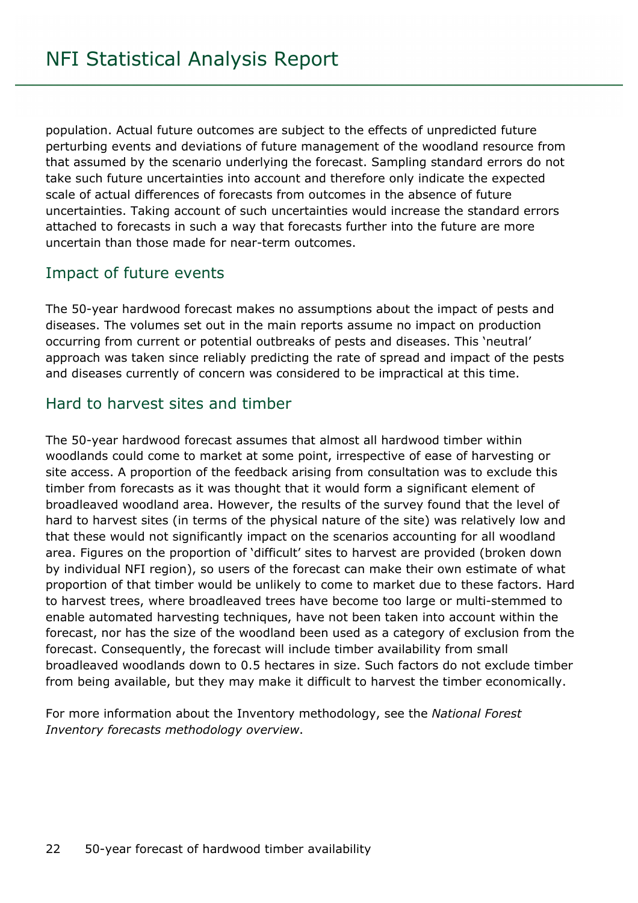population. Actual future outcomes are subject to the effects of unpredicted future perturbing events and deviations of future management of the woodland resource from that assumed by the scenario underlying the forecast. Sampling standard errors do not take such future uncertainties into account and therefore only indicate the expected scale of actual differences of forecasts from outcomes in the absence of future uncertainties. Taking account of such uncertainties would increase the standard errors attached to forecasts in such a way that forecasts further into the future are more uncertain than those made for near-term outcomes.

#### Impact of future events

The 50-year hardwood forecast makes no assumptions about the impact of pests and diseases. The volumes set out in the main reports assume no impact on production occurring from current or potential outbreaks of pests and diseases. This 'neutral' approach was taken since reliably predicting the rate of spread and impact of the pests and diseases currently of concern was considered to be impractical at this time.

#### Hard to harvest sites and timber

The 50-year hardwood forecast assumes that almost all hardwood timber within woodlands could come to market at some point, irrespective of ease of harvesting or site access. A proportion of the feedback arising from consultation was to exclude this timber from forecasts as it was thought that it would form a significant element of broadleaved woodland area. However, the results of the survey found that the level of hard to harvest sites (in terms of the physical nature of the site) was relatively low and that these would not significantly impact on the scenarios accounting for all woodland area. Figures on the proportion of 'difficult' sites to harvest are provided (broken down by individual NFI region), so users of the forecast can make their own estimate of what proportion of that timber would be unlikely to come to market due to these factors. Hard to harvest trees, where broadleaved trees have become too large or multi-stemmed to enable automated harvesting techniques, have not been taken into account within the forecast, nor has the size of the woodland been used as a category of exclusion from the forecast. Consequently, the forecast will include timber availability from small broadleaved woodlands down to 0.5 hectares in size. Such factors do not exclude timber from being available, but they may make it difficult to harvest the timber economically.

For more information about the Inventory methodology, see the *National Forest Inventory forecasts methodology overview*.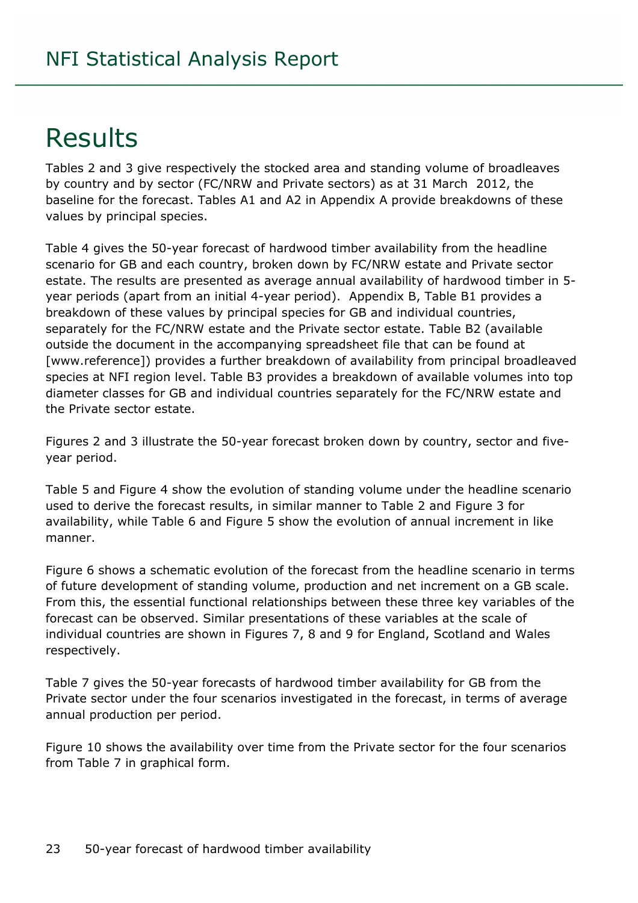## Results

Tables 2 and 3 give respectively the stocked area and standing volume of broadleaves by country and by sector (FC/NRW and Private sectors) as at 31 March 2012, the baseline for the forecast. Tables A1 and A2 in Appendix A provide breakdowns of these values by principal species.

Table 4 gives the 50-year forecast of hardwood timber availability from the headline scenario for GB and each country, broken down by FC/NRW estate and Private sector estate. The results are presented as average annual availability of hardwood timber in 5 year periods (apart from an initial 4-year period). Appendix B, Table B1 provides a breakdown of these values by principal species for GB and individual countries, separately for the FC/NRW estate and the Private sector estate. Table B2 (available outside the document in the accompanying spreadsheet file that can be found at [www.reference]) provides a further breakdown of availability from principal broadleaved species at NFI region level. Table B3 provides a breakdown of available volumes into top diameter classes for GB and individual countries separately for the FC/NRW estate and the Private sector estate.

Figures 2 and 3 illustrate the 50-year forecast broken down by country, sector and fiveyear period.

Table 5 and Figure 4 show the evolution of standing volume under the headline scenario used to derive the forecast results, in similar manner to Table 2 and Figure 3 for availability, while Table 6 and Figure 5 show the evolution of annual increment in like manner.

Figure 6 shows a schematic evolution of the forecast from the headline scenario in terms of future development of standing volume, production and net increment on a GB scale. From this, the essential functional relationships between these three key variables of the forecast can be observed. Similar presentations of these variables at the scale of individual countries are shown in Figures 7, 8 and 9 for England, Scotland and Wales respectively.

Table 7 gives the 50-year forecasts of hardwood timber availability for GB from the Private sector under the four scenarios investigated in the forecast, in terms of average annual production per period.

Figure 10 shows the availability over time from the Private sector for the four scenarios from Table 7 in graphical form.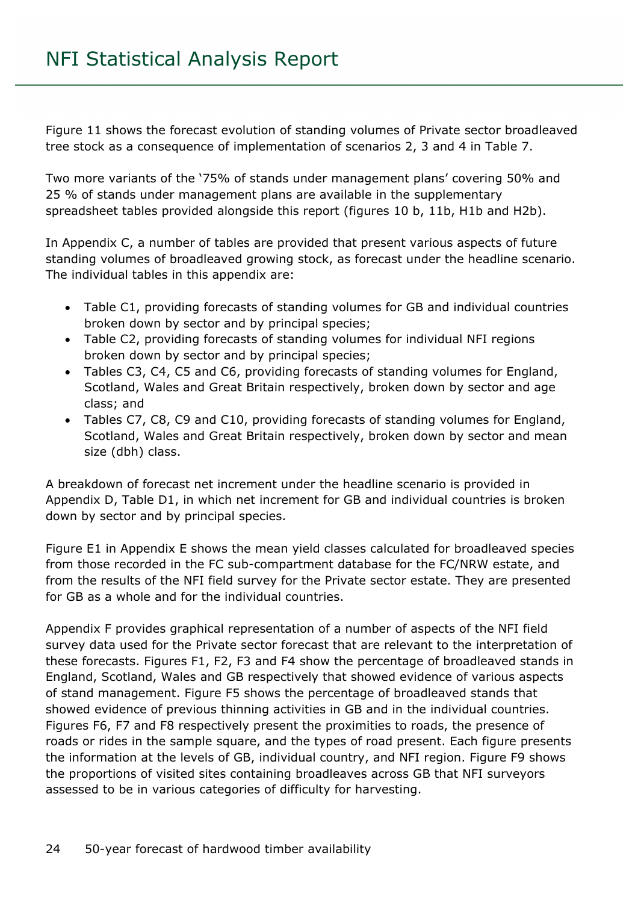Figure 11 shows the forecast evolution of standing volumes of Private sector broadleaved tree stock as a consequence of implementation of scenarios 2, 3 and 4 in Table 7.

Two more variants of the '75% of stands under management plans' covering 50% and 25 % of stands under management plans are available in the supplementary spreadsheet tables provided alongside this report (figures 10 b, 11b, H1b and H2b).

In Appendix C, a number of tables are provided that present various aspects of future standing volumes of broadleaved growing stock, as forecast under the headline scenario. The individual tables in this appendix are:

- Table C1, providing forecasts of standing volumes for GB and individual countries broken down by sector and by principal species;
- Table C2, providing forecasts of standing volumes for individual NFI regions broken down by sector and by principal species;
- Tables C3, C4, C5 and C6, providing forecasts of standing volumes for England, Scotland, Wales and Great Britain respectively, broken down by sector and age class; and
- Tables C7, C8, C9 and C10, providing forecasts of standing volumes for England, Scotland, Wales and Great Britain respectively, broken down by sector and mean size (dbh) class.

A breakdown of forecast net increment under the headline scenario is provided in Appendix D, Table D1, in which net increment for GB and individual countries is broken down by sector and by principal species.

Figure E1 in Appendix E shows the mean yield classes calculated for broadleaved species from those recorded in the FC sub-compartment database for the FC/NRW estate, and from the results of the NFI field survey for the Private sector estate. They are presented for GB as a whole and for the individual countries.

Appendix F provides graphical representation of a number of aspects of the NFI field survey data used for the Private sector forecast that are relevant to the interpretation of these forecasts. Figures F1, F2, F3 and F4 show the percentage of broadleaved stands in England, Scotland, Wales and GB respectively that showed evidence of various aspects of stand management. Figure F5 shows the percentage of broadleaved stands that showed evidence of previous thinning activities in GB and in the individual countries. Figures F6, F7 and F8 respectively present the proximities to roads, the presence of roads or rides in the sample square, and the types of road present. Each figure presents the information at the levels of GB, individual country, and NFI region. Figure F9 shows the proportions of visited sites containing broadleaves across GB that NFI surveyors assessed to be in various categories of difficulty for harvesting.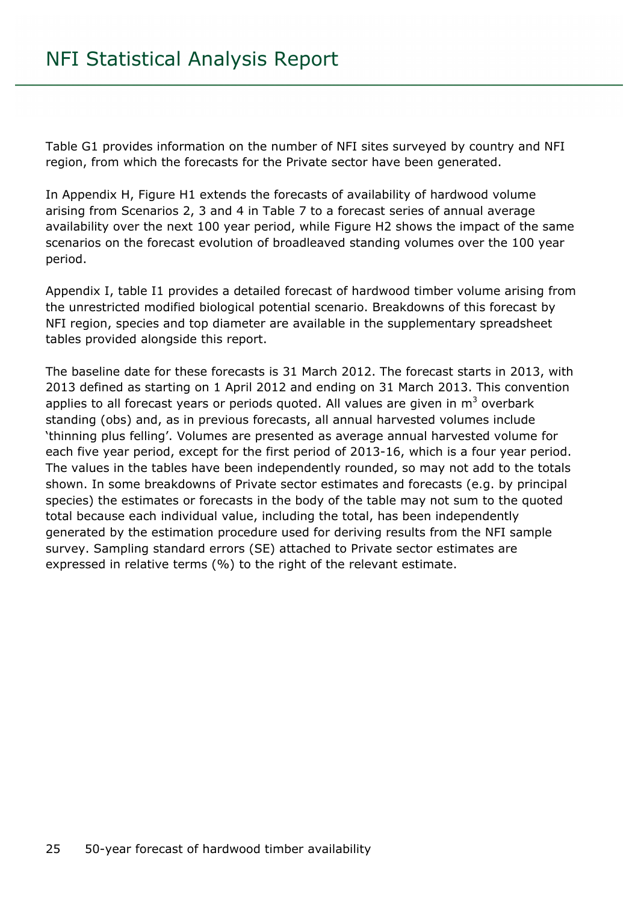Table G1 provides information on the number of NFI sites surveyed by country and NFI region, from which the forecasts for the Private sector have been generated.

In Appendix H, Figure H1 extends the forecasts of availability of hardwood volume arising from Scenarios 2, 3 and 4 in Table 7 to a forecast series of annual average availability over the next 100 year period, while Figure H2 shows the impact of the same scenarios on the forecast evolution of broadleaved standing volumes over the 100 year period.

Appendix I, table I1 provides a detailed forecast of hardwood timber volume arising from the unrestricted modified biological potential scenario. Breakdowns of this forecast by NFI region, species and top diameter are available in the supplementary spreadsheet tables provided alongside this report.

The baseline date for these forecasts is 31 March 2012. The forecast starts in 2013, with 2013 defined as starting on 1 April 2012 and ending on 31 March 2013. This convention applies to all forecast years or periods quoted. All values are given in  $m^3$  overbark standing (obs) and, as in previous forecasts, all annual harvested volumes include 'thinning plus felling'. Volumes are presented as average annual harvested volume for each five year period, except for the first period of 2013-16, which is a four year period. The values in the tables have been independently rounded, so may not add to the totals shown. In some breakdowns of Private sector estimates and forecasts (e.g. by principal species) the estimates or forecasts in the body of the table may not sum to the quoted total because each individual value, including the total, has been independently generated by the estimation procedure used for deriving results from the NFI sample survey. Sampling standard errors (SE) attached to Private sector estimates are expressed in relative terms (%) to the right of the relevant estimate.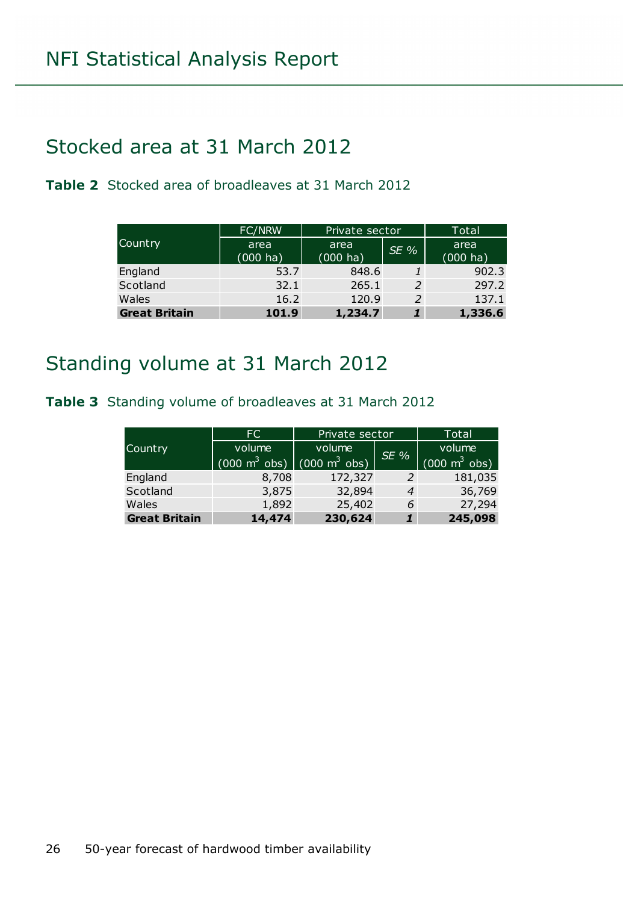## Stocked area at 31 March 2012

**Table 2** Stocked area of broadleaves at 31 March 2012

|                      | FC/NRW      | Private sector     |        | Total              |
|----------------------|-------------|--------------------|--------|--------------------|
| Country              | area        | area               | $SE\%$ | area               |
|                      | $(000)$ ha) | $(000 \text{ ha})$ |        | $(000 \text{ ha})$ |
| England              | 53.7        | 848.6              |        | 902.3              |
| Scotland             | 32.1        | 265.1              | 2      | 297.2              |
| Wales                | 16.2        | 120.9              | 2      | 137.1              |
| <b>Great Britain</b> | 101.9       | 1,234.7            | 1      | 1,336.6            |

## Standing volume at 31 March 2012

**Table 3** Standing volume of broadleaves at 31 March 2012

|                      | FC.                                                             | Private sector | Total         |                                 |
|----------------------|-----------------------------------------------------------------|----------------|---------------|---------------------------------|
| Country              | volume                                                          | volume         |               | volume                          |
|                      | $(000 \text{ m}^3 \text{ obs})$ $(000 \text{ m}^3 \text{ obs})$ |                | $SE\%$        | $(000 \text{ m}^3 \text{ obs})$ |
| England              | 8,708                                                           | 172,327        | $\mathcal{P}$ | 181,035                         |
| Scotland             | 3,875                                                           | 32,894         |               | 36,769                          |
| Wales                | 1,892                                                           | 25,402         | 6             | 27,294                          |
| <b>Great Britain</b> | 14,474                                                          | 230,624        |               | 245,098                         |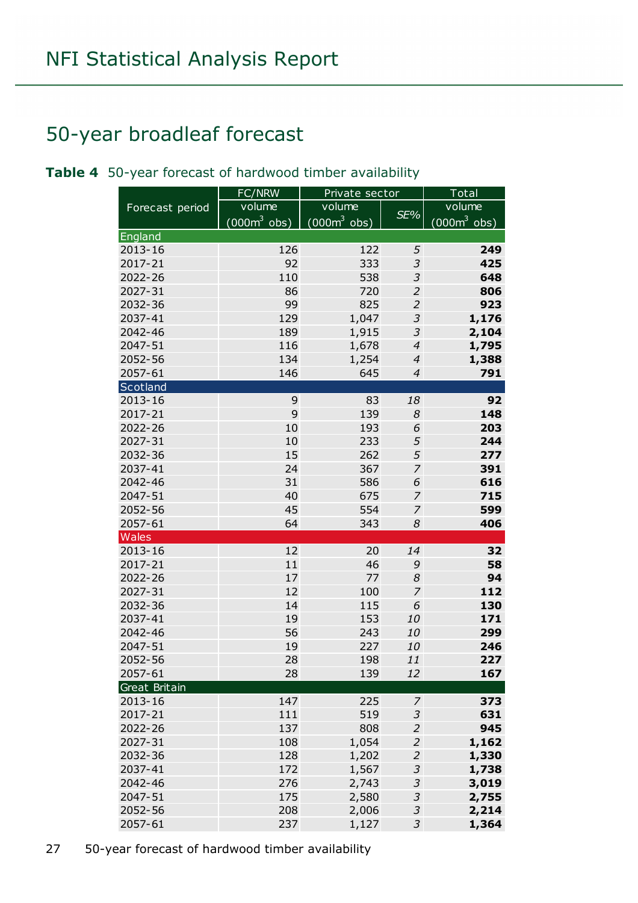## 50-year broadleaf forecast

|                 | FC/NRW         | Private sector |                  | Total                          |
|-----------------|----------------|----------------|------------------|--------------------------------|
| Forecast period | volume         | volume         | SE%              | volume                         |
|                 | $(000m^3$ obs) | $(000m^3$ obs) |                  | $(000 \text{m}^3 \text{ obs})$ |
| England         |                |                |                  |                                |
| 2013-16         | 126            | 122            | 5                | 249                            |
| 2017-21         | 92             | 333            | 3                | 425                            |
| 2022-26         | 110            | 538            | 3                | 648                            |
| 2027-31         | 86             | 720            | $\overline{a}$   | 806                            |
| 2032-36         | 99             | 825            | $\overline{a}$   | 923                            |
| 2037-41         | 129            | 1,047          | 3                | 1,176                          |
| 2042-46         | 189            | 1,915          | 3                | 2,104                          |
| 2047-51         | 116            | 1,678          | $\overline{4}$   | 1,795                          |
| 2052-56         | 134            | 1,254          | $\overline{4}$   | 1,388                          |
| 2057-61         | 146            | 645            | $\overline{4}$   | 791                            |
| Scotland        |                |                |                  |                                |
| 2013-16         | 9              | 83             | 18               | 92                             |
| 2017-21         | 9              | 139            | $\boldsymbol{8}$ | 148                            |
| 2022-26         | 10             | 193            | 6                | 203                            |
| 2027-31         | 10             | 233            | 5                | 244                            |
| 2032-36         | 15             | 262            | 5                | 277                            |
| 2037-41         | 24             | 367            | $\boldsymbol{7}$ | 391                            |
| 2042-46         | 31             | 586            | 6                | 616                            |
| 2047-51         | 40             | 675            | $\overline{z}$   | 715                            |
| 2052-56         | 45             | 554            | $\overline{z}$   | 599                            |
| 2057-61         | 64             | 343            | 8                | 406                            |
| Wales           |                |                |                  |                                |
| 2013-16         | 12             | 20             | 14               | 32                             |
| 2017-21         | 11             | 46             | 9                | 58                             |
| 2022-26         | 17             | 77             | 8                | 94                             |
| 2027-31         | 12             | 100            | $\boldsymbol{7}$ | 112                            |
| 2032-36         | 14             | 115            | 6                | 130                            |
| 2037-41         | 19             | 153            | 10               | 171                            |
| 2042-46         | 56             | 243            | 10               | 299                            |
| 2047-51         | 19             | 227            | 10               | 246                            |
| 2052-56         | 28             | 198            | 11               | 227                            |
| 2057-61         | 28             | 139            | 12               | 167                            |
| Great Britain   |                |                |                  |                                |
| 2013-16         | 147            | 225            | $\overline{7}$   | 373                            |
| 2017-21         | 111            | 519            | 3                | 631                            |
| 2022-26         | 137            | 808            | $\overline{a}$   | 945                            |
| 2027-31         | 108            | 1,054          | $\overline{a}$   | 1,162                          |
| 2032-36         | 128            | 1,202          | $\overline{2}$   | 1,330                          |
| 2037-41         | 172            | 1,567          | $\mathfrak{Z}$   | 1,738                          |
| 2042-46         | 276            | 2,743          | $\mathfrak{Z}$   | 3,019                          |
| 2047-51         | 175            | 2,580          | $\mathfrak z$    | 2,755                          |
| 2052-56         | 208            | 2,006          | $\mathfrak{Z}$   | 2,214                          |
| 2057-61         | 237            | 1,127          | $\mathfrak{Z}$   | 1,364                          |

**Table 4** 50-year forecast of hardwood timber availability

<sup>27 50-</sup>year forecast of hardwood timber availability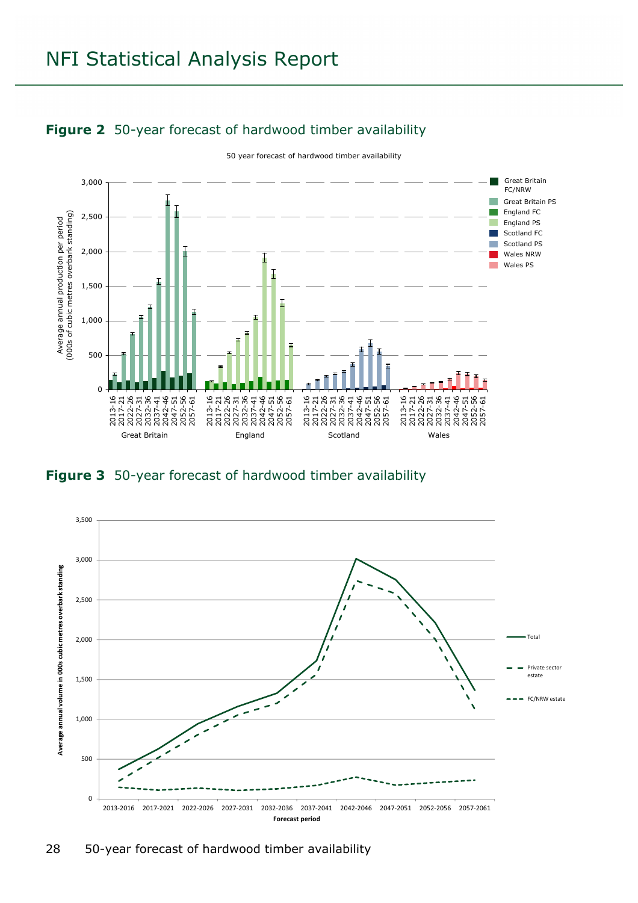

50 year forecast of hardwood timber availability







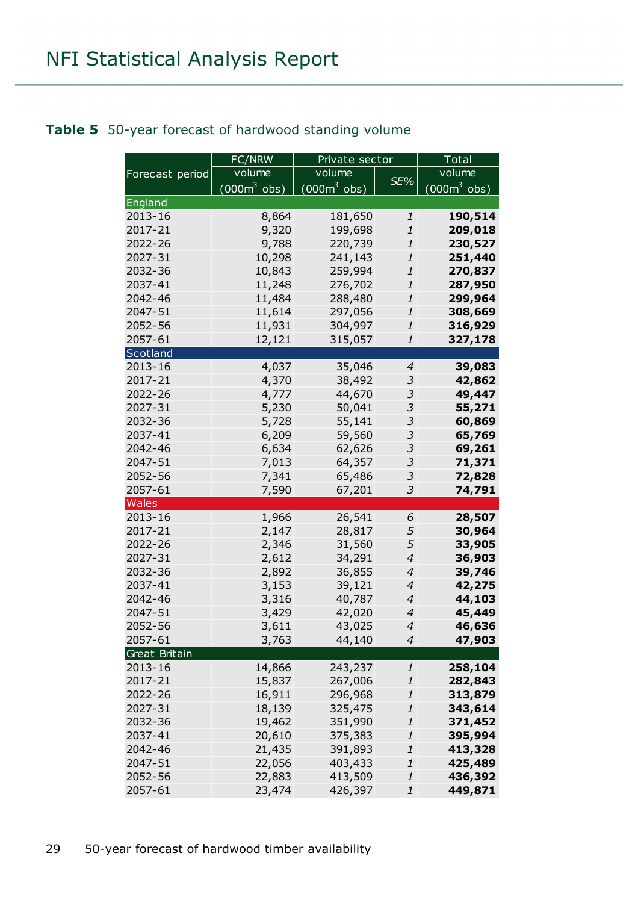#### **Table 5** 50-year forecast of hardwood standing volume

|                    | FC/NRW                         | Private sector                   |              | Total                  |
|--------------------|--------------------------------|----------------------------------|--------------|------------------------|
| Forecast period    | volume                         | volume                           |              | volume                 |
|                    | $(000 \text{m}^3 \text{ obs})$ | $\overline{(000\text{m}^3}$ obs) | SE%          | $(000m^3 \text{ obs})$ |
| England            |                                |                                  |              |                        |
| 2013-16            | 8,864                          | 181,650                          | 1            | 190,514                |
| 2017-21            | 9,320                          | 199,698                          | $\it 1$      | 209,018                |
| 2022-26            | 9,788                          | 220,739                          | $\it 1$      | 230,527                |
| 2027-31            | 10,298                         | 241,143                          | $\mathbf{1}$ | 251,440                |
| 2032-36            | 10,843                         | 259,994                          | 1            | 270,837                |
| 2037-41            | 11,248                         | 276,702                          | $\it 1$      | 287,950                |
| 2042-46            | 11,484                         | 288,480                          | $\it 1$      | 299,964                |
| 2047-51            | 11,614                         | 297,056                          | $\mathbf{1}$ | 308,669                |
| 2052-56            | 11,931                         | 304,997                          | $\it 1$      | 316,929                |
| 2057-61            | 12,121                         | 315,057                          | $\mathbf{1}$ | 327,178                |
| Scotland           |                                |                                  |              |                        |
| 2013-16            | 4,037                          | 35,046                           | 4            | 39,083                 |
| 2017-21            | 4,370                          | 38,492                           | 3            | 42,862                 |
| 2022-26            | 4,777                          | 44,670                           | 3            | 49,447                 |
| 2027-31            | 5,230                          | 50,041                           | 3            | 55,271                 |
| 2032-36            | 5,728                          | 55,141                           | 3            | 60,869                 |
| 2037-41            | 6,209                          | 59,560                           | 3            | 65,769                 |
| 2042-46            | 6,634                          | 62,626                           | 3            | 69,261                 |
| 2047-51            | 7,013                          | 64,357                           | 3            | 71,371                 |
| 2052-56            | 7,341                          | 65,486                           | 3            | 72,828                 |
| 2057-61            | 7,590                          | 67,201                           | 3            | 74,791                 |
| <b>Wales</b>       |                                |                                  |              |                        |
| 2013-16            | 1,966                          | 26,541                           | 6            | 28,507                 |
| 2017-21            | 2,147                          | 28,817                           | 5            | 30,964                 |
| 2022-26            | 2,346                          | 31,560                           | 5            | 33,905                 |
| 2027-31            | 2,612                          | 34,291                           | 4            | 36,903                 |
| 2032-36            | 2,892                          | 36,855                           | 4            | 39,746                 |
| 2037-41            | 3,153                          | 39,121                           | 4            | 42,275                 |
| 2042-46            | 3,316                          | 40,787                           | 4            | 44,103                 |
| 2047-51            | 3,429                          | 42,020                           | 4            | 45,449                 |
| 2052-56            | 3,611                          | 43,025                           | 4            | 46,636                 |
| 2057-61            | 3,763                          | 44,140                           | 4            | 47,903                 |
| Great Britain      |                                |                                  |              |                        |
| 2013-16            | 14,866                         | 243,237                          | 1            | 258,104                |
| 2017-21            | 15,837                         | 267,006                          | 1            | 282,843                |
| 2022-26            | 16,911                         | 296,968                          | 1            | 313,879                |
| 2027-31            | 18,139                         | 325,475                          | 1            | 343,614                |
| 2032-36            | 19,462                         | 351,990                          | 1            | 371,452                |
| 2037-41            | 20,610                         | 375,383                          | 1            | 395,994                |
| 2042-46            | 21,435                         | 391,893<br>403,433               | 1            | 413,328                |
| 2047-51            | 22,056                         |                                  | 1            | 425,489                |
| 2052-56<br>2057-61 | 22,883                         | 413,509<br>426,397               | $\it 1$<br>1 | 436,392<br>449,871     |
|                    | 23,474                         |                                  |              |                        |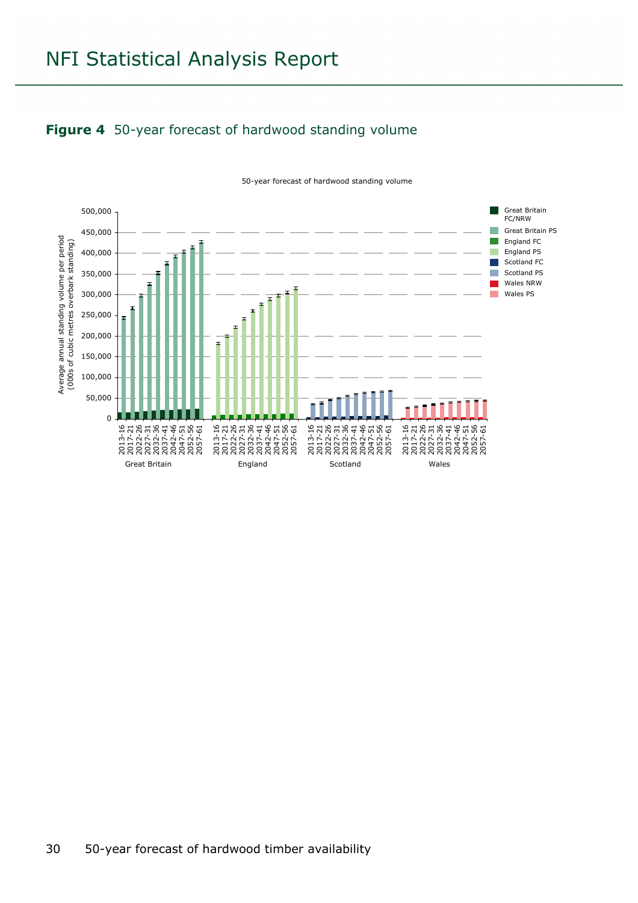#### **Figure 4** 50-year forecast of hardwood standing volume



50-year forecast of hardwood standing volume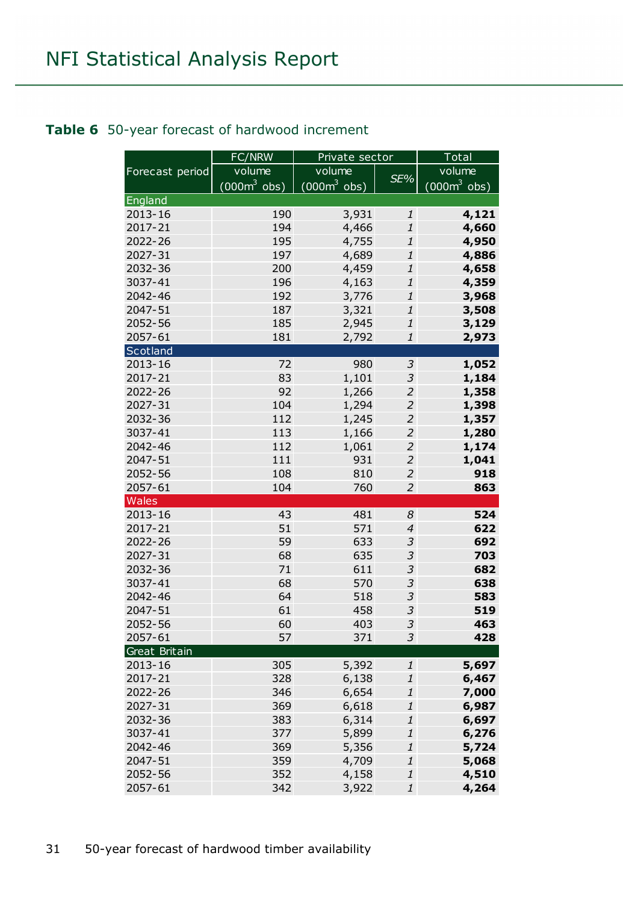#### **Table 6** 50-year forecast of hardwood increment

|                    | FC/NRW         | Private sector | <b>Total</b>              |                 |
|--------------------|----------------|----------------|---------------------------|-----------------|
| Forecast period    | volume         | volume         |                           | volume          |
|                    | $(000m^3$ obs) | $(0003$ obs)   | SE%                       | $(000m^3)$ obs) |
| England            |                |                |                           |                 |
| 2013-16            | 190            | 3,931          | 1                         | 4,121           |
| 2017-21            | 194            | 4,466          | $\cal{I}$                 | 4,660           |
| 2022-26            | 195            | 4,755          | $\it 1$                   | 4,950           |
| 2027-31            | 197            | 4,689          | $\mathfrak 1$             | 4,886           |
| 2032-36            | 200            | 4,459          | $\mathfrak 1$             | 4,658           |
| 3037-41            | 196            | 4,163          | $\mathbf{1}$              | 4,359           |
| 2042-46            | 192            | 3,776          | $\mathbf{1}$              | 3,968           |
| 2047-51            | 187            | 3,321          | $\mathbf{1}$              | 3,508           |
| 2052-56            | 185            | 2,945          | $\mathbf{1}$              | 3,129           |
| 2057-61            | 181            | 2,792          | $\mathbf{1}$              | 2,973           |
| Scotland           |                |                |                           |                 |
| 2013-16            | 72             | 980            | $\mathfrak{Z}$            | 1,052           |
| 2017-21            | 83             | 1,101          | 3                         | 1,184           |
| 2022-26            | 92             | 1,266          | $\overline{2}$            | 1,358           |
| 2027-31            | 104            | 1,294          | $\overline{2}$            | 1,398           |
| 2032-36            | 112            | 1,245          | $\overline{a}$            | 1,357           |
| 3037-41            | 113            | 1,166          | $\overline{2}$            | 1,280           |
| 2042-46            | 112            | 1,061          | $\overline{c}$            | 1,174           |
| 2047-51            | 111            | 931            | $\overline{c}$            | 1,041           |
| 2052-56            | 108            | 810            | $\overline{2}$            | 918             |
| 2057-61            | 104            | 760            | $\overline{2}$            | 863             |
| Wales              |                |                |                           |                 |
| 2013-16            | 43             | 481            | 8                         | 524             |
| 2017-21            | 51             | 571            | $\overline{4}$            | 622             |
| 2022-26            | 59             | 633            | 3                         | 692             |
| 2027-31            | 68             | 635            | 3                         | 703             |
| 2032-36            | 71             | 611            | 3                         | 682             |
| 3037-41            | 68             | 570            | 3                         | 638             |
| 2042-46            | 64             | 518            | 3                         | 583             |
| 2047-51            | 61             | 458            | 3                         | 519             |
| 2052-56            | 60             | 403            | 3                         | 463             |
| 2057-61            | 57             | 371            | 3                         | 428             |
| Great Britain      |                |                |                           |                 |
| 2013-16            | 305            | 5,392          | 1                         | 5,697           |
| 2017-21            | 328            | 6,138          | $\cal{I}$                 | 6,467           |
| 2022-26<br>2027-31 | 346<br>369     | 6,654          | $\it 1$<br>$\it 1$        | 7,000           |
|                    |                | 6,618          |                           | 6,987           |
| 2032-36<br>3037-41 | 383            | 6,314          | $\cal{I}$                 | 6,697           |
| 2042-46            | 377            | 5,899          | $\mathbf{1}$<br>$\cal{I}$ | 6,276<br>5,724  |
|                    | 369            | 5,356          | $\it 1$                   |                 |
| 2047-51<br>2052-56 | 359<br>352     | 4,709          | $\mathbf{1}$              | 5,068           |
|                    |                | 4,158          | $\mathbf{1}$              | 4,510           |
| 2057-61            | 342            | 3,922          |                           | 4,264           |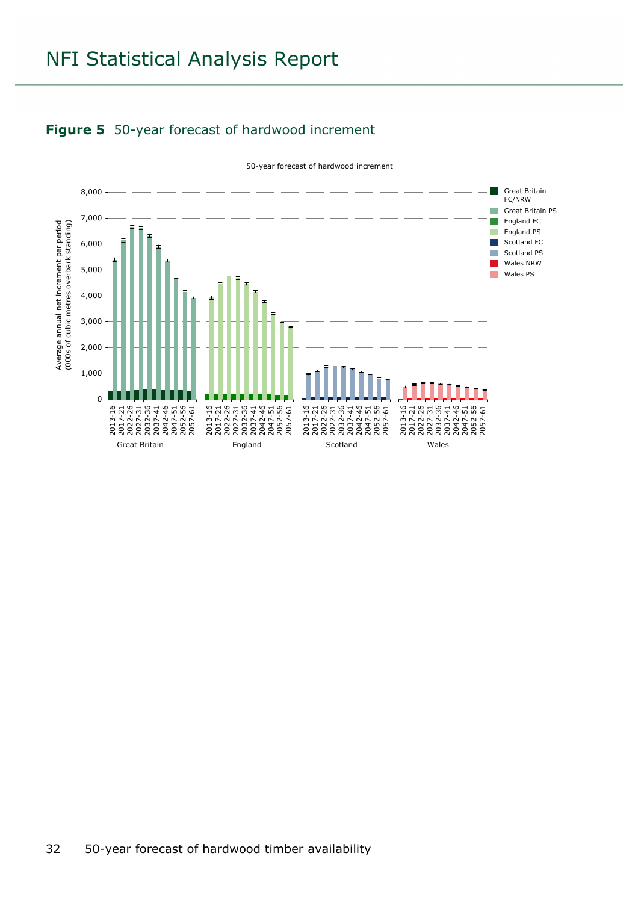



50-year forecast of hardwood increment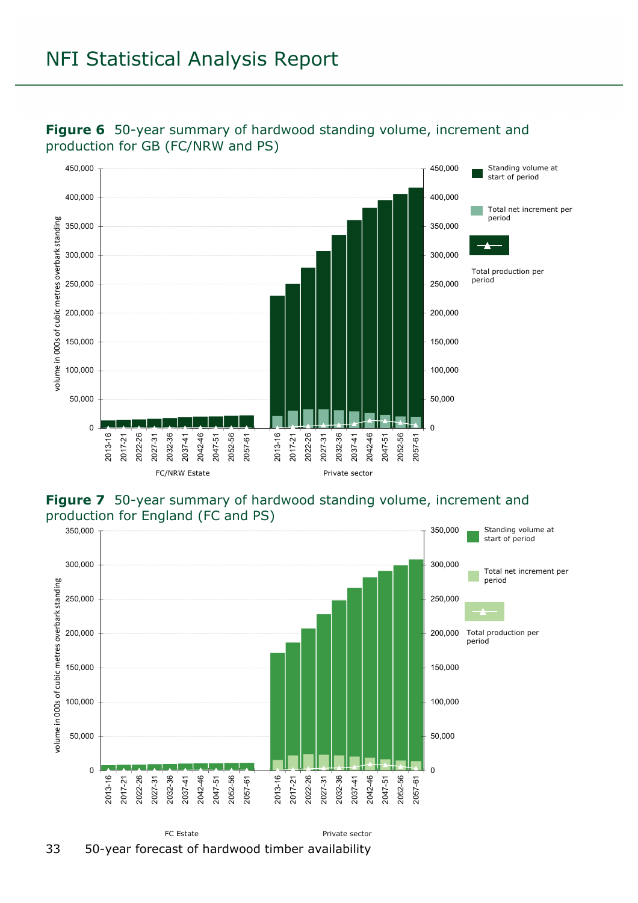



**Figure 7** 50-year summary of hardwood standing volume, increment and production for England (FC and PS)



33 50-year forecast of hardwood timber availability

FC Estate **Private sector**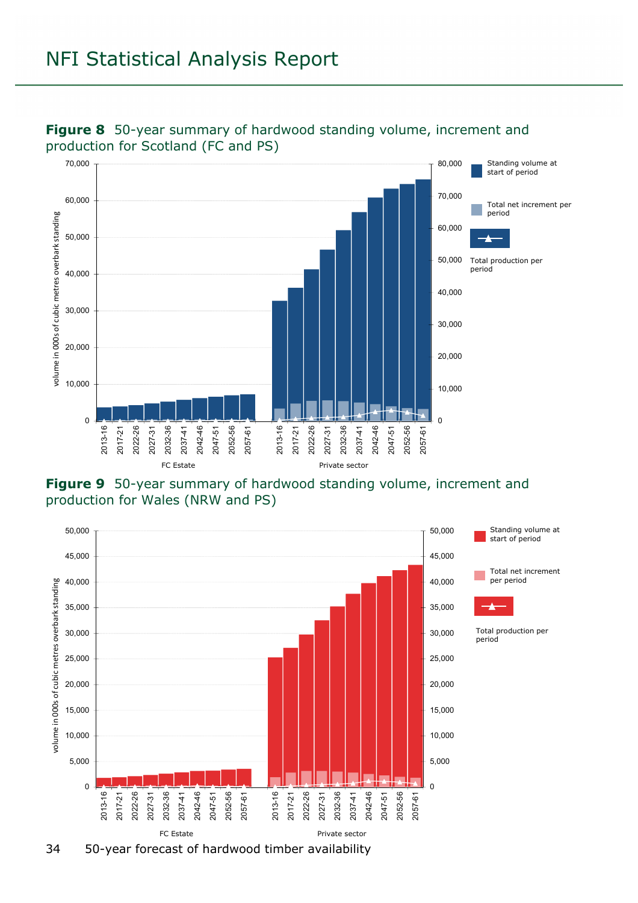



**Figure 9** 50-year summary of hardwood standing volume, increment and production for Wales (NRW and PS)



34 50-year forecast of hardwood timber availability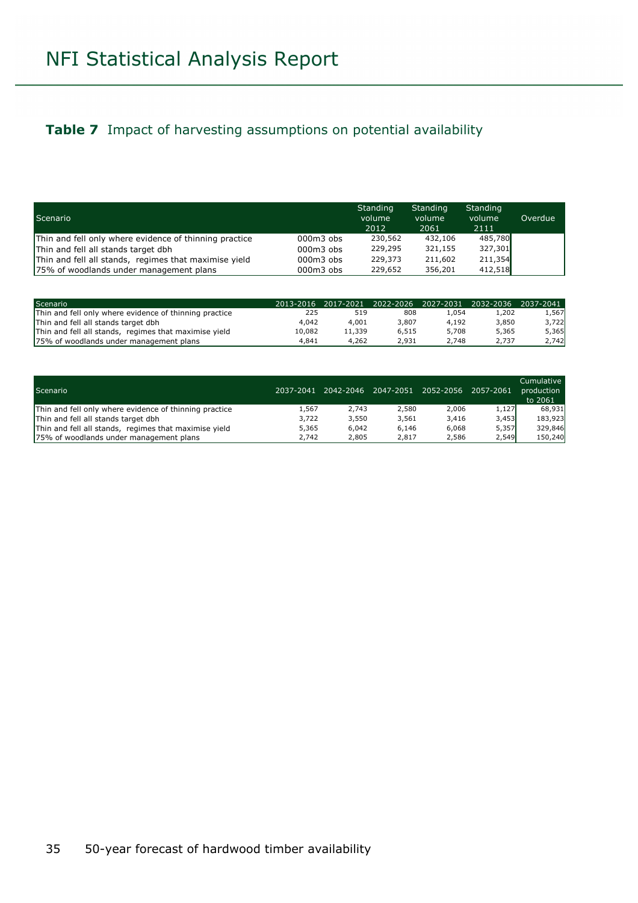#### **Table 7** Impact of harvesting assumptions on potential availability

| Scenario                                               |             | Standing<br>volume<br>2012 | Standing<br>volume<br>2061 | Standing<br>volume<br>2111 | Overdue |
|--------------------------------------------------------|-------------|----------------------------|----------------------------|----------------------------|---------|
| Thin and fell only where evidence of thinning practice | $000m3$ obs | 230,562                    | 432,106                    | 485,780                    |         |
| Thin and fell all stands target dbh                    | $000m3$ obs | 229,295                    | 321,155                    | 327,301                    |         |
| Thin and fell all stands, regimes that maximise yield  | $000m3$ obs | 229,373                    | 211,602                    | 211,354                    |         |
| 75% of woodlands under management plans                | $000m3$ obs | 229,652                    | 356,201                    | 412,518                    |         |

| Scenario                                               |        |        |       |       | 2013-2016 2017-2021 2022-2026 2027-2031 2032-2036 2037-2041 |       |
|--------------------------------------------------------|--------|--------|-------|-------|-------------------------------------------------------------|-------|
| Thin and fell only where evidence of thinning practice | 225    | 519    | 808   | 1.054 | 1,202                                                       | 1.567 |
| Thin and fell all stands target dbh                    | 4.042  | 4,001  | 3,807 | 4,192 | 3,850                                                       | 3,722 |
| Thin and fell all stands, regimes that maximise yield  | 10,082 | 11,339 | 6,515 | 5,708 | 5,365                                                       | 5,365 |
| 75% of woodlands under management plans                | 4,841  | 4.262  | 2,931 | 2.748 | 2.737                                                       | 2,742 |

| Scenario                                               |       |       | 2037-2041 2042-2046 2047-2051 2052-2056 2057-2061 |       |       | Cumulative<br>production<br>to 2061 |
|--------------------------------------------------------|-------|-------|---------------------------------------------------|-------|-------|-------------------------------------|
| Thin and fell only where evidence of thinning practice | 1.567 | 2.743 | 2,580                                             | 2,006 | 1,127 | 68,931                              |
| Thin and fell all stands target dbh                    | 3.722 | 3,550 | 3,561                                             | 3,416 | 3,453 | 183,923                             |
| Thin and fell all stands, regimes that maximise yield  | 5,365 | 6.042 | 6,146                                             | 6,068 | 5,357 | 329,846                             |
| 75% of woodlands under management plans                | 2.742 | 2,805 | 2.817                                             | 2,586 | 2,549 | 150,240                             |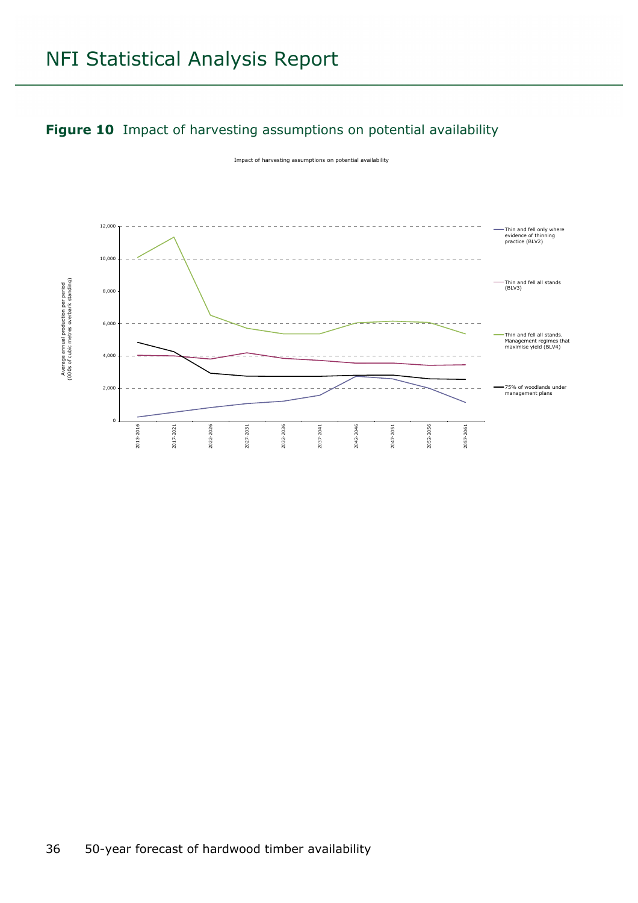#### **Figure 10** Impact of harvesting assumptions on potential availability

Impact of harvesting assumptions on potential availability

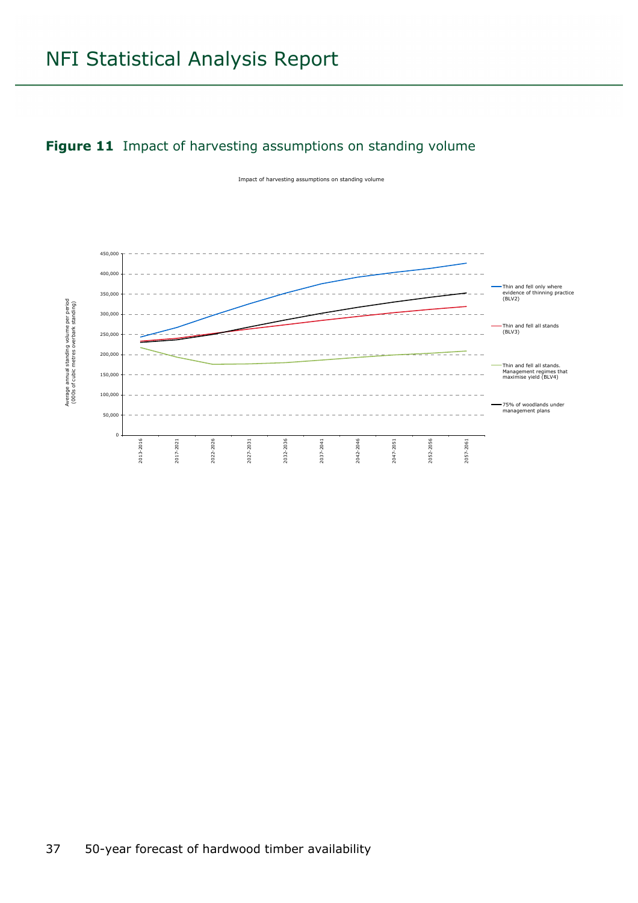## **Figure 11** Impact of harvesting assumptions on standing volume



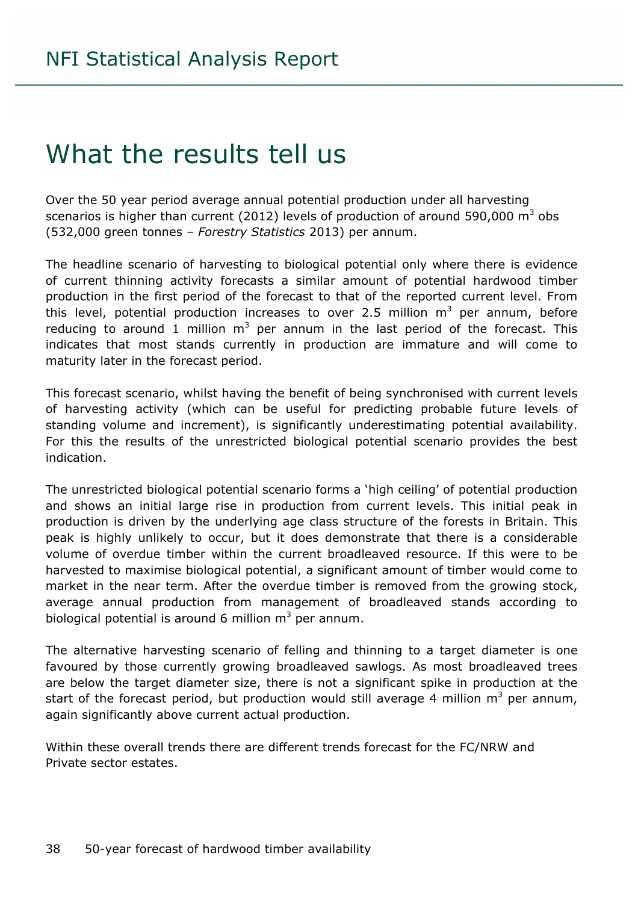## What the results tell us

Over the 50 year period average annual potential production under all harvesting scenarios is higher than current (2012) levels of production of around 590,000  $\text{m}^3$  obs (532,000 green tonnes – *Forestry Statistics* 2013) per annum.

The headline scenario of harvesting to biological potential only where there is evidence of current thinning activity forecasts a similar amount of potential hardwood timber production in the first period of the forecast to that of the reported current level. From this level, potential production increases to over 2.5 million  $m^3$  per annum, before reducing to around 1 million  $m^3$  per annum in the last period of the forecast. This indicates that most stands currently in production are immature and will come to maturity later in the forecast period.

This forecast scenario, whilst having the benefit of being synchronised with current levels of harvesting activity (which can be useful for predicting probable future levels of standing volume and increment), is significantly underestimating potential availability. For this the results of the unrestricted biological potential scenario provides the best indication.

The unrestricted biological potential scenario forms a 'high ceiling' of potential production and shows an initial large rise in production from current levels. This initial peak in production is driven by the underlying age class structure of the forests in Britain. This peak is highly unlikely to occur, but it does demonstrate that there is a considerable volume of overdue timber within the current broadleaved resource. If this were to be harvested to maximise biological potential, a significant amount of timber would come to market in the near term. After the overdue timber is removed from the growing stock, average annual production from management of broadleaved stands according to biological potential is around 6 million  $m^3$  per annum.

The alternative harvesting scenario of felling and thinning to a target diameter is one favoured by those currently growing broadleaved sawlogs. As most broadleaved trees are below the target diameter size, there is not a significant spike in production at the start of the forecast period, but production would still average 4 million  $m^3$  per annum, again significantly above current actual production.

Within these overall trends there are different trends forecast for the FC/NRW and Private sector estates.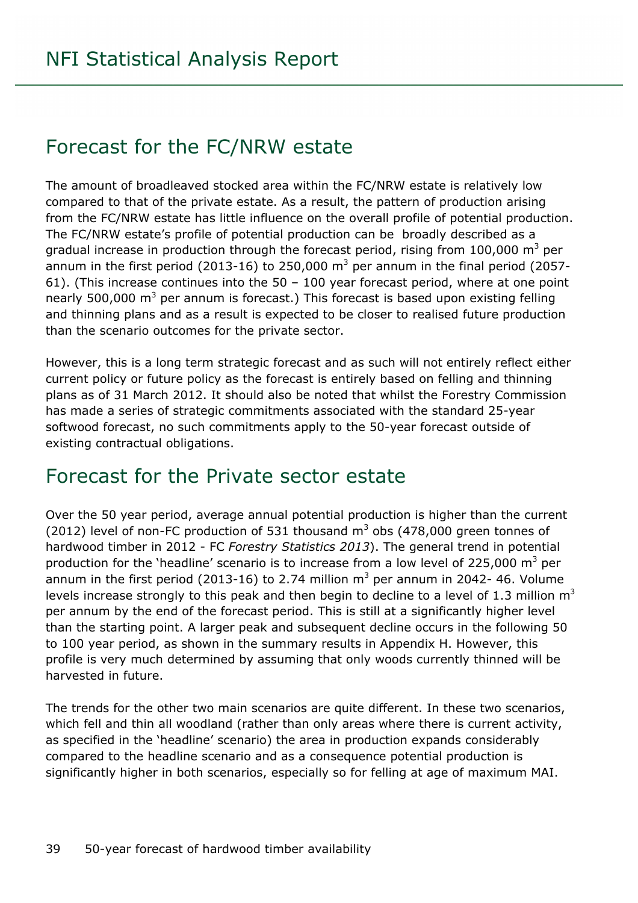## Forecast for the FC/NRW estate

The amount of broadleaved stocked area within the FC/NRW estate is relatively low compared to that of the private estate. As a result, the pattern of production arising from the FC/NRW estate has little influence on the overall profile of potential production. The FC/NRW estate's profile of potential production can be broadly described as a gradual increase in production through the forecast period, rising from 100,000 m<sup>3</sup> per annum in the first period (2013-16) to 250,000  $\text{m}^3$  per annum in the final period (2057-61). (This increase continues into the 50 – 100 year forecast period, where at one point nearly 500,000  $m^3$  per annum is forecast.) This forecast is based upon existing felling and thinning plans and as a result is expected to be closer to realised future production than the scenario outcomes for the private sector.

However, this is a long term strategic forecast and as such will not entirely reflect either current policy or future policy as the forecast is entirely based on felling and thinning plans as of 31 March 2012. It should also be noted that whilst the Forestry Commission has made a series of strategic commitments associated with the standard 25-year softwood forecast, no such commitments apply to the 50-year forecast outside of existing contractual obligations.

## Forecast for the Private sector estate

Over the 50 year period, average annual potential production is higher than the current (2012) level of non-FC production of 531 thousand  $m<sup>3</sup>$  obs (478,000 green tonnes of hardwood timber in 2012 - FC *Forestry Statistics 2013*). The general trend in potential production for the 'headline' scenario is to increase from a low level of 225,000  $m^3$  per annum in the first period (2013-16) to 2.74 million  $m^3$  per annum in 2042- 46. Volume levels increase strongly to this peak and then begin to decline to a level of 1.3 million  $m<sup>3</sup>$ per annum by the end of the forecast period. This is still at a significantly higher level than the starting point. A larger peak and subsequent decline occurs in the following 50 to 100 year period, as shown in the summary results in Appendix H. However, this profile is very much determined by assuming that only woods currently thinned will be harvested in future.

The trends for the other two main scenarios are quite different. In these two scenarios, which fell and thin all woodland (rather than only areas where there is current activity, as specified in the 'headline' scenario) the area in production expands considerably compared to the headline scenario and as a consequence potential production is significantly higher in both scenarios, especially so for felling at age of maximum MAI.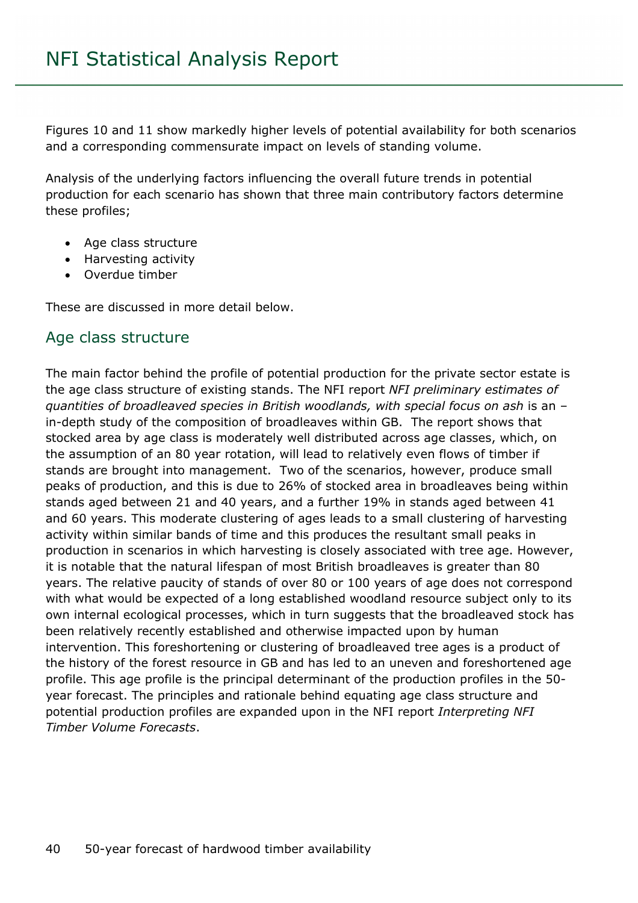Figures 10 and 11 show markedly higher levels of potential availability for both scenarios and a corresponding commensurate impact on levels of standing volume.

Analysis of the underlying factors influencing the overall future trends in potential production for each scenario has shown that three main contributory factors determine these profiles;

- Age class structure
- Harvesting activity
- Overdue timber

These are discussed in more detail below.

### Age class structure

The main factor behind the profile of potential production for the private sector estate is the age class structure of existing stands. The NFI report *NFI preliminary estimates of quantities of broadleaved species in British woodlands, with special focus on ash* is an – in-depth study of the composition of broadleaves within GB. The report shows that stocked area by age class is moderately well distributed across age classes, which, on the assumption of an 80 year rotation, will lead to relatively even flows of timber if stands are brought into management. Two of the scenarios, however, produce small peaks of production, and this is due to 26% of stocked area in broadleaves being within stands aged between 21 and 40 years, and a further 19% in stands aged between 41 and 60 years. This moderate clustering of ages leads to a small clustering of harvesting activity within similar bands of time and this produces the resultant small peaks in production in scenarios in which harvesting is closely associated with tree age. However, it is notable that the natural lifespan of most British broadleaves is greater than 80 years. The relative paucity of stands of over 80 or 100 years of age does not correspond with what would be expected of a long established woodland resource subject only to its own internal ecological processes, which in turn suggests that the broadleaved stock has been relatively recently established and otherwise impacted upon by human intervention. This foreshortening or clustering of broadleaved tree ages is a product of the history of the forest resource in GB and has led to an uneven and foreshortened age profile. This age profile is the principal determinant of the production profiles in the 50 year forecast. The principles and rationale behind equating age class structure and potential production profiles are expanded upon in the NFI report *Interpreting NFI Timber Volume Forecasts*.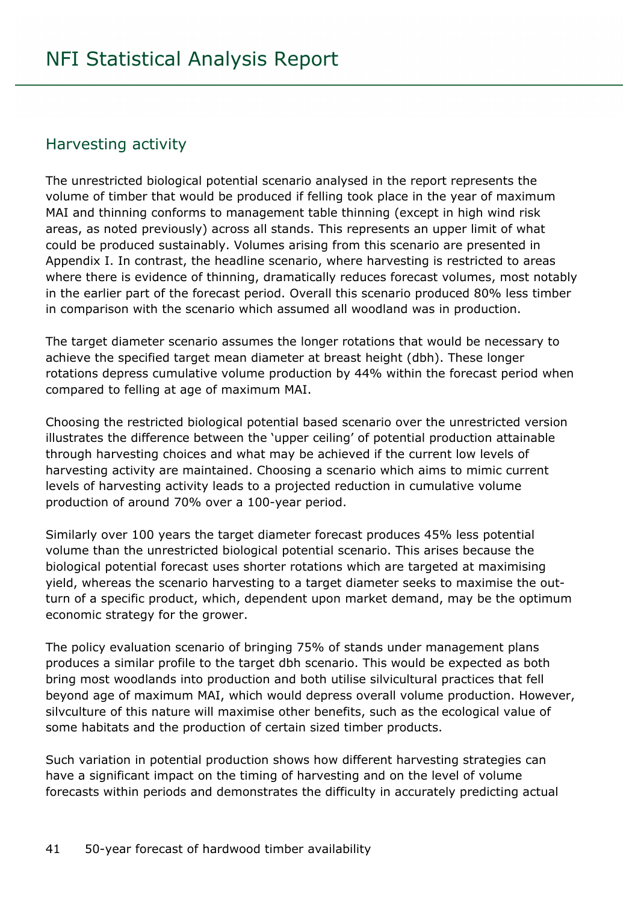## Harvesting activity

The unrestricted biological potential scenario analysed in the report represents the volume of timber that would be produced if felling took place in the year of maximum MAI and thinning conforms to management table thinning (except in high wind risk areas, as noted previously) across all stands. This represents an upper limit of what could be produced sustainably. Volumes arising from this scenario are presented in Appendix I. In contrast, the headline scenario, where harvesting is restricted to areas where there is evidence of thinning, dramatically reduces forecast volumes, most notably in the earlier part of the forecast period. Overall this scenario produced 80% less timber in comparison with the scenario which assumed all woodland was in production.

The target diameter scenario assumes the longer rotations that would be necessary to achieve the specified target mean diameter at breast height (dbh). These longer rotations depress cumulative volume production by 44% within the forecast period when compared to felling at age of maximum MAI.

Choosing the restricted biological potential based scenario over the unrestricted version illustrates the difference between the 'upper ceiling' of potential production attainable through harvesting choices and what may be achieved if the current low levels of harvesting activity are maintained. Choosing a scenario which aims to mimic current levels of harvesting activity leads to a projected reduction in cumulative volume production of around 70% over a 100-year period.

Similarly over 100 years the target diameter forecast produces 45% less potential volume than the unrestricted biological potential scenario. This arises because the biological potential forecast uses shorter rotations which are targeted at maximising yield, whereas the scenario harvesting to a target diameter seeks to maximise the outturn of a specific product, which, dependent upon market demand, may be the optimum economic strategy for the grower.

The policy evaluation scenario of bringing 75% of stands under management plans produces a similar profile to the target dbh scenario. This would be expected as both bring most woodlands into production and both utilise silvicultural practices that fell beyond age of maximum MAI, which would depress overall volume production. However, silvculture of this nature will maximise other benefits, such as the ecological value of some habitats and the production of certain sized timber products.

Such variation in potential production shows how different harvesting strategies can have a significant impact on the timing of harvesting and on the level of volume forecasts within periods and demonstrates the difficulty in accurately predicting actual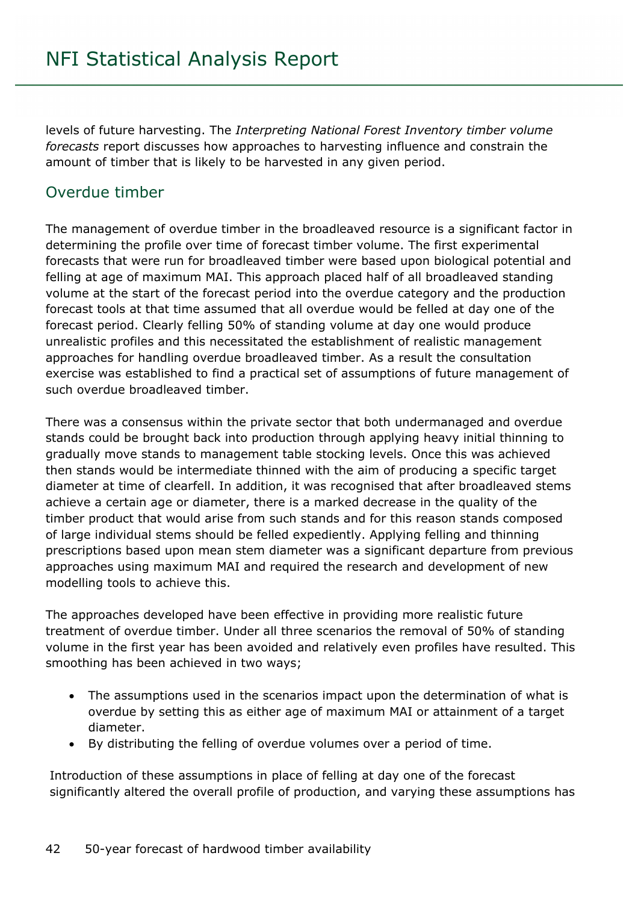levels of future harvesting. The *Interpreting National Forest Inventory timber volume forecasts* report discusses how approaches to harvesting influence and constrain the amount of timber that is likely to be harvested in any given period.

## Overdue timber

The management of overdue timber in the broadleaved resource is a significant factor in determining the profile over time of forecast timber volume. The first experimental forecasts that were run for broadleaved timber were based upon biological potential and felling at age of maximum MAI. This approach placed half of all broadleaved standing volume at the start of the forecast period into the overdue category and the production forecast tools at that time assumed that all overdue would be felled at day one of the forecast period. Clearly felling 50% of standing volume at day one would produce unrealistic profiles and this necessitated the establishment of realistic management approaches for handling overdue broadleaved timber. As a result the consultation exercise was established to find a practical set of assumptions of future management of such overdue broadleaved timber.

There was a consensus within the private sector that both undermanaged and overdue stands could be brought back into production through applying heavy initial thinning to gradually move stands to management table stocking levels. Once this was achieved then stands would be intermediate thinned with the aim of producing a specific target diameter at time of clearfell. In addition, it was recognised that after broadleaved stems achieve a certain age or diameter, there is a marked decrease in the quality of the timber product that would arise from such stands and for this reason stands composed of large individual stems should be felled expediently. Applying felling and thinning prescriptions based upon mean stem diameter was a significant departure from previous approaches using maximum MAI and required the research and development of new modelling tools to achieve this.

The approaches developed have been effective in providing more realistic future treatment of overdue timber. Under all three scenarios the removal of 50% of standing volume in the first year has been avoided and relatively even profiles have resulted. This smoothing has been achieved in two ways;

- The assumptions used in the scenarios impact upon the determination of what is overdue by setting this as either age of maximum MAI or attainment of a target diameter.
- By distributing the felling of overdue volumes over a period of time.

Introduction of these assumptions in place of felling at day one of the forecast significantly altered the overall profile of production, and varying these assumptions has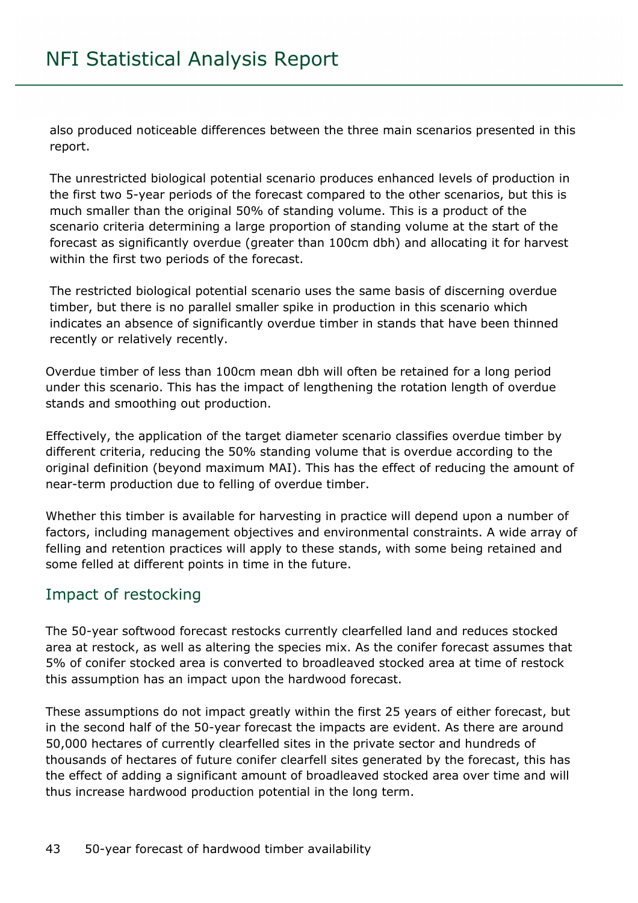also produced noticeable differences between the three main scenarios presented in this report.

The unrestricted biological potential scenario produces enhanced levels of production in the first two 5-year periods of the forecast compared to the other scenarios, but this is much smaller than the original 50% of standing volume. This is a product of the scenario criteria determining a large proportion of standing volume at the start of the forecast as significantly overdue (greater than 100cm dbh) and allocating it for harvest within the first two periods of the forecast.

The restricted biological potential scenario uses the same basis of discerning overdue timber, but there is no parallel smaller spike in production in this scenario which indicates an absence of significantly overdue timber in stands that have been thinned recently or relatively recently.

Overdue timber of less than 100cm mean dbh will often be retained for a long period under this scenario. This has the impact of lengthening the rotation length of overdue stands and smoothing out production.

Effectively, the application of the target diameter scenario classifies overdue timber by different criteria, reducing the 50% standing volume that is overdue according to the original definition (beyond maximum MAI). This has the effect of reducing the amount of near-term production due to felling of overdue timber.

Whether this timber is available for harvesting in practice will depend upon a number of factors, including management objectives and environmental constraints. A wide array of felling and retention practices will apply to these stands, with some being retained and some felled at different points in time in the future.

## Impact of restocking

The 50-year softwood forecast restocks currently clearfelled land and reduces stocked area at restock, as well as altering the species mix. As the conifer forecast assumes that 5% of conifer stocked area is converted to broadleaved stocked area at time of restock this assumption has an impact upon the hardwood forecast.

These assumptions do not impact greatly within the first 25 years of either forecast, but in the second half of the 50-year forecast the impacts are evident. As there are around 50,000 hectares of currently clearfelled sites in the private sector and hundreds of thousands of hectares of future conifer clearfell sites generated by the forecast, this has the effect of adding a significant amount of broadleaved stocked area over time and will thus increase hardwood production potential in the long term.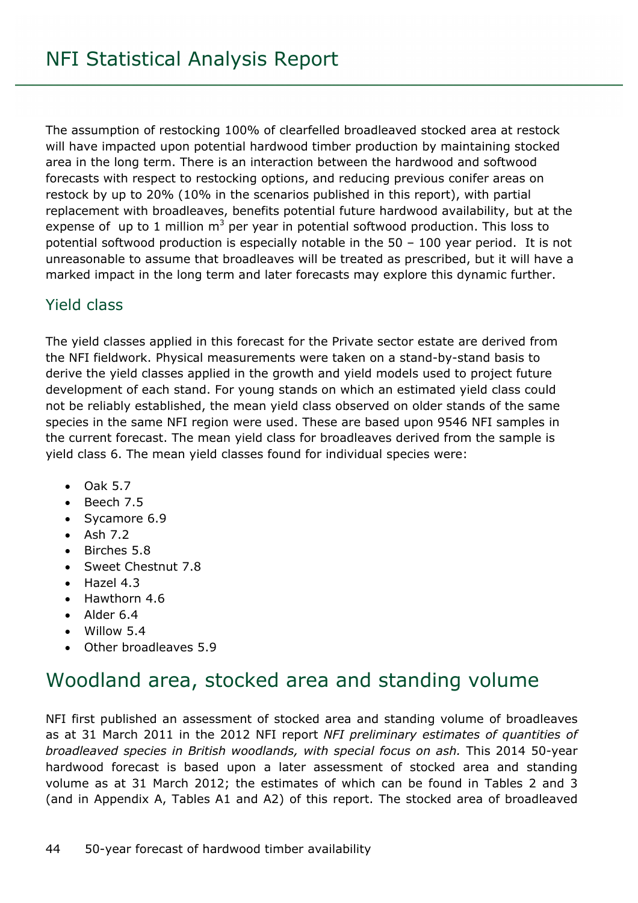The assumption of restocking 100% of clearfelled broadleaved stocked area at restock will have impacted upon potential hardwood timber production by maintaining stocked area in the long term. There is an interaction between the hardwood and softwood forecasts with respect to restocking options, and reducing previous conifer areas on restock by up to 20% (10% in the scenarios published in this report), with partial replacement with broadleaves, benefits potential future hardwood availability, but at the expense of up to 1 million  $m^3$  per year in potential softwood production. This loss to potential softwood production is especially notable in the 50 – 100 year period. It is not unreasonable to assume that broadleaves will be treated as prescribed, but it will have a marked impact in the long term and later forecasts may explore this dynamic further.

## Yield class

The yield classes applied in this forecast for the Private sector estate are derived from the NFI fieldwork. Physical measurements were taken on a stand-by-stand basis to derive the yield classes applied in the growth and yield models used to project future development of each stand. For young stands on which an estimated yield class could not be reliably established, the mean yield class observed on older stands of the same species in the same NFI region were used. These are based upon 9546 NFI samples in the current forecast. The mean yield class for broadleaves derived from the sample is yield class 6. The mean yield classes found for individual species were:

- Oak 5.7
- Beech 7.5
- Sycamore 6.9
- Ash 7.2
- Birches 5.8
- Sweet Chestnut 7.8
- Hazel 4.3
- Hawthorn 4.6
- Alder 6.4
- Willow 5.4
- Other broadleaves 5.9

## Woodland area, stocked area and standing volume

NFI first published an assessment of stocked area and standing volume of broadleaves as at 31 March 2011 in the 2012 NFI report *NFI preliminary estimates of quantities of broadleaved species in British woodlands, with special focus on ash.* This 2014 50-year hardwood forecast is based upon a later assessment of stocked area and standing volume as at 31 March 2012; the estimates of which can be found in Tables 2 and 3 (and in Appendix A, Tables A1 and A2) of this report. The stocked area of broadleaved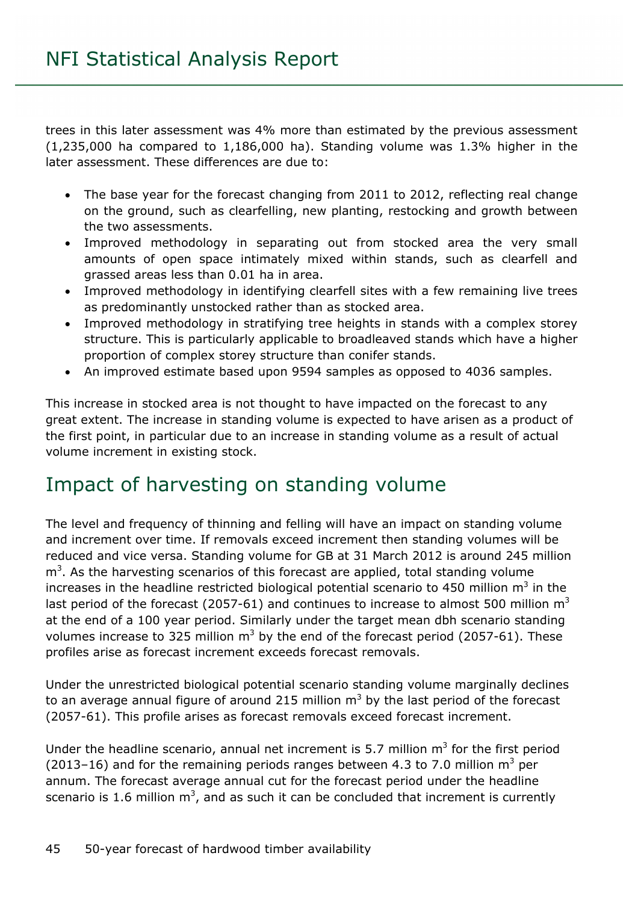trees in this later assessment was 4% more than estimated by the previous assessment (1,235,000 ha compared to 1,186,000 ha). Standing volume was 1.3% higher in the later assessment. These differences are due to:

- The base year for the forecast changing from 2011 to 2012, reflecting real change on the ground, such as clearfelling, new planting, restocking and growth between the two assessments.
- Improved methodology in separating out from stocked area the very small amounts of open space intimately mixed within stands, such as clearfell and grassed areas less than 0.01 ha in area.
- Improved methodology in identifying clearfell sites with a few remaining live trees as predominantly unstocked rather than as stocked area.
- Improved methodology in stratifying tree heights in stands with a complex storey structure. This is particularly applicable to broadleaved stands which have a higher proportion of complex storey structure than conifer stands.
- An improved estimate based upon 9594 samples as opposed to 4036 samples.

This increase in stocked area is not thought to have impacted on the forecast to any great extent. The increase in standing volume is expected to have arisen as a product of the first point, in particular due to an increase in standing volume as a result of actual volume increment in existing stock.

## Impact of harvesting on standing volume

The level and frequency of thinning and felling will have an impact on standing volume and increment over time. If removals exceed increment then standing volumes will be reduced and vice versa. Standing volume for GB at 31 March 2012 is around 245 million  $m<sup>3</sup>$ . As the harvesting scenarios of this forecast are applied, total standing volume increases in the headline restricted biological potential scenario to 450 million  $m^3$  in the last period of the forecast (2057-61) and continues to increase to almost 500 million  $m<sup>3</sup>$ at the end of a 100 year period. Similarly under the target mean dbh scenario standing volumes increase to 325 million  $m^3$  by the end of the forecast period (2057-61). These profiles arise as forecast increment exceeds forecast removals.

Under the unrestricted biological potential scenario standing volume marginally declines to an average annual figure of around 215 million  $m^3$  by the last period of the forecast (2057-61). This profile arises as forecast removals exceed forecast increment.

Under the headline scenario, annual net increment is 5.7 million  $m^3$  for the first period (2013–16) and for the remaining periods ranges between 4.3 to 7.0 million  $m^3$  per annum. The forecast average annual cut for the forecast period under the headline scenario is 1.6 million  $m^3$ , and as such it can be concluded that increment is currently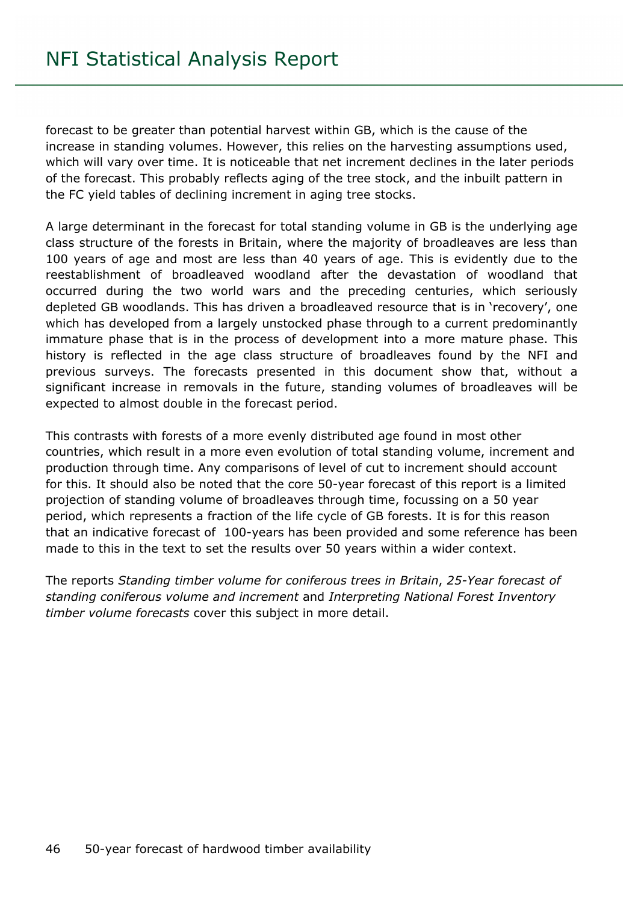forecast to be greater than potential harvest within GB, which is the cause of the increase in standing volumes. However, this relies on the harvesting assumptions used, which will vary over time. It is noticeable that net increment declines in the later periods of the forecast. This probably reflects aging of the tree stock, and the inbuilt pattern in the FC yield tables of declining increment in aging tree stocks.

A large determinant in the forecast for total standing volume in GB is the underlying age class structure of the forests in Britain, where the majority of broadleaves are less than 100 years of age and most are less than 40 years of age. This is evidently due to the reestablishment of broadleaved woodland after the devastation of woodland that occurred during the two world wars and the preceding centuries, which seriously depleted GB woodlands. This has driven a broadleaved resource that is in 'recovery', one which has developed from a largely unstocked phase through to a current predominantly immature phase that is in the process of development into a more mature phase. This history is reflected in the age class structure of broadleaves found by the NFI and previous surveys. The forecasts presented in this document show that, without a significant increase in removals in the future, standing volumes of broadleaves will be expected to almost double in the forecast period.

This contrasts with forests of a more evenly distributed age found in most other countries, which result in a more even evolution of total standing volume, increment and production through time. Any comparisons of level of cut to increment should account for this. It should also be noted that the core 50-year forecast of this report is a limited projection of standing volume of broadleaves through time, focussing on a 50 year period, which represents a fraction of the life cycle of GB forests. It is for this reason that an indicative forecast of 100-years has been provided and some reference has been made to this in the text to set the results over 50 years within a wider context.

The reports *Standing timber volume for coniferous trees in Britain*, *25-Year forecast of standing coniferous volume and increment* and *Interpreting National Forest Inventory timber volume forecasts* cover this subject in more detail.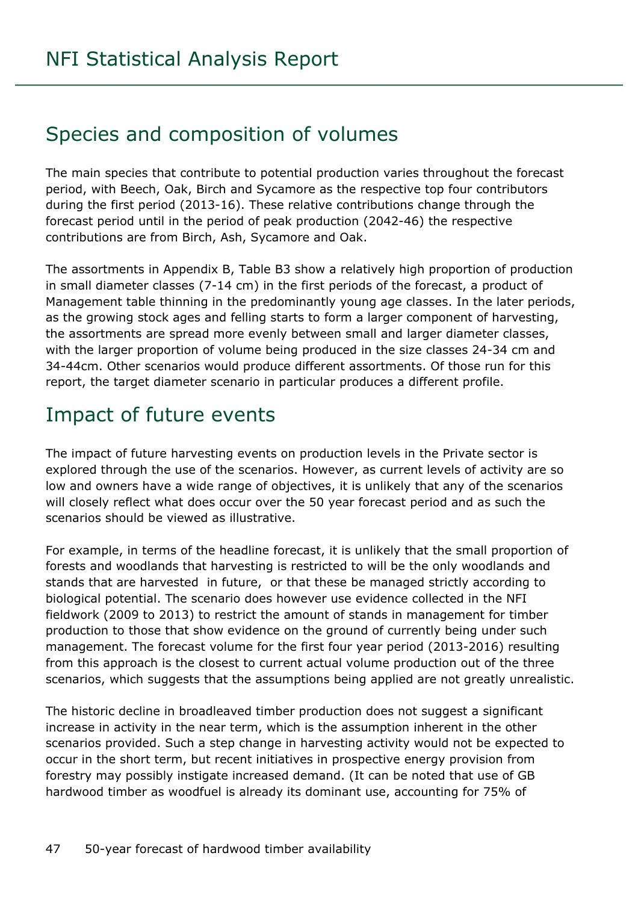## Species and composition of volumes

The main species that contribute to potential production varies throughout the forecast period, with Beech, Oak, Birch and Sycamore as the respective top four contributors during the first period (2013-16). These relative contributions change through the forecast period until in the period of peak production (2042-46) the respective contributions are from Birch, Ash, Sycamore and Oak.

The assortments in Appendix B, Table B3 show a relatively high proportion of production in small diameter classes (7-14 cm) in the first periods of the forecast, a product of Management table thinning in the predominantly young age classes. In the later periods, as the growing stock ages and felling starts to form a larger component of harvesting, the assortments are spread more evenly between small and larger diameter classes, with the larger proportion of volume being produced in the size classes 24-34 cm and 34-44cm. Other scenarios would produce different assortments. Of those run for this report, the target diameter scenario in particular produces a different profile.

## Impact of future events

The impact of future harvesting events on production levels in the Private sector is explored through the use of the scenarios. However, as current levels of activity are so low and owners have a wide range of objectives, it is unlikely that any of the scenarios will closely reflect what does occur over the 50 year forecast period and as such the scenarios should be viewed as illustrative.

For example, in terms of the headline forecast, it is unlikely that the small proportion of forests and woodlands that harvesting is restricted to will be the only woodlands and stands that are harvested in future, or that these be managed strictly according to biological potential. The scenario does however use evidence collected in the NFI fieldwork (2009 to 2013) to restrict the amount of stands in management for timber production to those that show evidence on the ground of currently being under such management. The forecast volume for the first four year period (2013-2016) resulting from this approach is the closest to current actual volume production out of the three scenarios, which suggests that the assumptions being applied are not greatly unrealistic.

The historic decline in broadleaved timber production does not suggest a significant increase in activity in the near term, which is the assumption inherent in the other scenarios provided. Such a step change in harvesting activity would not be expected to occur in the short term, but recent initiatives in prospective energy provision from forestry may possibly instigate increased demand. (It can be noted that use of GB hardwood timber as woodfuel is already its dominant use, accounting for 75% of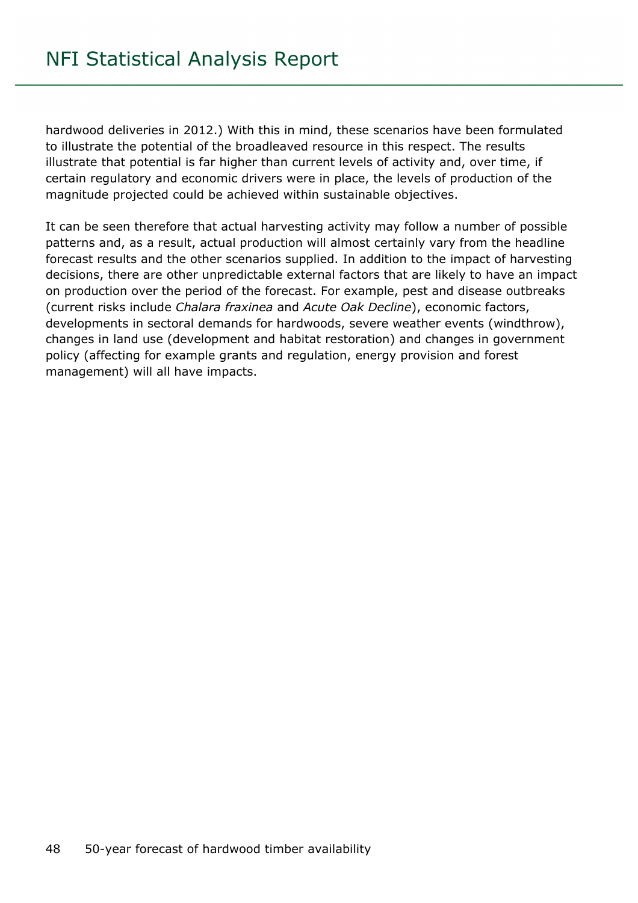hardwood deliveries in 2012.) With this in mind, these scenarios have been formulated to illustrate the potential of the broadleaved resource in this respect. The results illustrate that potential is far higher than current levels of activity and, over time, if certain regulatory and economic drivers were in place, the levels of production of the magnitude projected could be achieved within sustainable objectives.

It can be seen therefore that actual harvesting activity may follow a number of possible patterns and, as a result, actual production will almost certainly vary from the headline forecast results and the other scenarios supplied. In addition to the impact of harvesting decisions, there are other unpredictable external factors that are likely to have an impact on production over the period of the forecast. For example, pest and disease outbreaks (current risks include *Chalara fraxinea* and *Acute Oak Decline*), economic factors, developments in sectoral demands for hardwoods, severe weather events (windthrow), changes in land use (development and habitat restoration) and changes in government policy (affecting for example grants and regulation, energy provision and forest management) will all have impacts.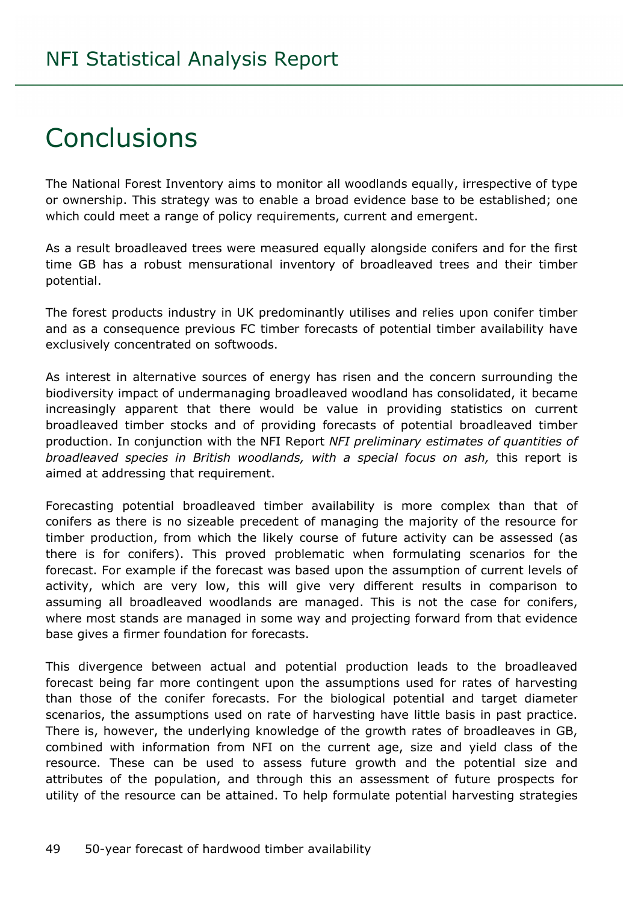## **Conclusions**

The National Forest Inventory aims to monitor all woodlands equally, irrespective of type or ownership. This strategy was to enable a broad evidence base to be established; one which could meet a range of policy requirements, current and emergent.

As a result broadleaved trees were measured equally alongside conifers and for the first time GB has a robust mensurational inventory of broadleaved trees and their timber potential.

The forest products industry in UK predominantly utilises and relies upon conifer timber and as a consequence previous FC timber forecasts of potential timber availability have exclusively concentrated on softwoods.

As interest in alternative sources of energy has risen and the concern surrounding the biodiversity impact of undermanaging broadleaved woodland has consolidated, it became increasingly apparent that there would be value in providing statistics on current broadleaved timber stocks and of providing forecasts of potential broadleaved timber production. In conjunction with the NFI Report *NFI preliminary estimates of quantities of broadleaved species in British woodlands, with a special focus on ash,* this report is aimed at addressing that requirement.

Forecasting potential broadleaved timber availability is more complex than that of conifers as there is no sizeable precedent of managing the majority of the resource for timber production, from which the likely course of future activity can be assessed (as there is for conifers). This proved problematic when formulating scenarios for the forecast. For example if the forecast was based upon the assumption of current levels of activity, which are very low, this will give very different results in comparison to assuming all broadleaved woodlands are managed. This is not the case for conifers, where most stands are managed in some way and projecting forward from that evidence base gives a firmer foundation for forecasts.

This divergence between actual and potential production leads to the broadleaved forecast being far more contingent upon the assumptions used for rates of harvesting than those of the conifer forecasts. For the biological potential and target diameter scenarios, the assumptions used on rate of harvesting have little basis in past practice. There is, however, the underlying knowledge of the growth rates of broadleaves in GB, combined with information from NFI on the current age, size and yield class of the resource. These can be used to assess future growth and the potential size and attributes of the population, and through this an assessment of future prospects for utility of the resource can be attained. To help formulate potential harvesting strategies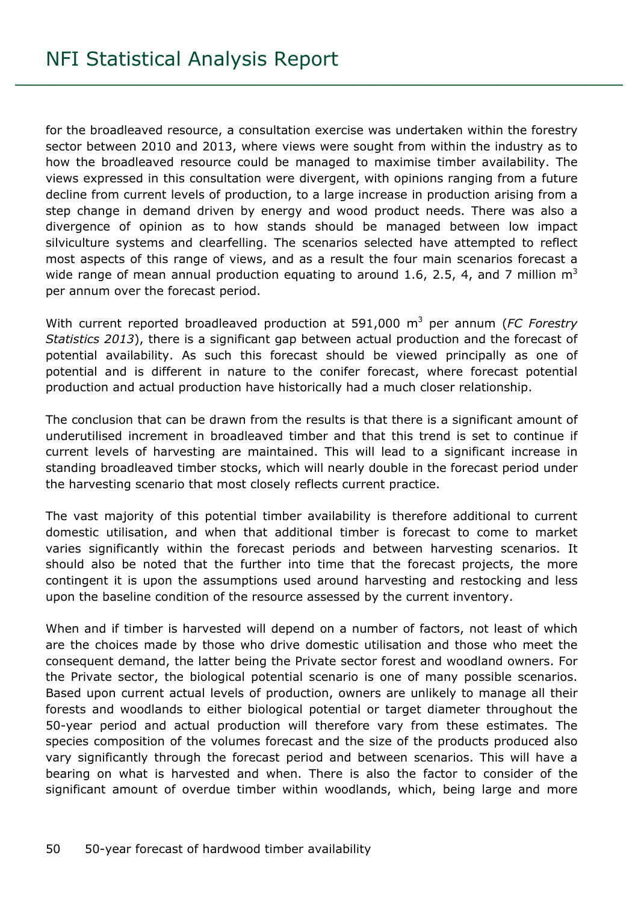for the broadleaved resource, a consultation exercise was undertaken within the forestry sector between 2010 and 2013, where views were sought from within the industry as to how the broadleaved resource could be managed to maximise timber availability. The views expressed in this consultation were divergent, with opinions ranging from a future decline from current levels of production, to a large increase in production arising from a step change in demand driven by energy and wood product needs. There was also a divergence of opinion as to how stands should be managed between low impact silviculture systems and clearfelling. The scenarios selected have attempted to reflect most aspects of this range of views, and as a result the four main scenarios forecast a wide range of mean annual production equating to around 1.6, 2.5, 4, and 7 million  $m<sup>3</sup>$ per annum over the forecast period.

With current reported broadleaved production at 591,000 m<sup>3</sup> per annum (*FC Forestry Statistics 2013*), there is a significant gap between actual production and the forecast of potential availability. As such this forecast should be viewed principally as one of potential and is different in nature to the conifer forecast, where forecast potential production and actual production have historically had a much closer relationship.

The conclusion that can be drawn from the results is that there is a significant amount of underutilised increment in broadleaved timber and that this trend is set to continue if current levels of harvesting are maintained. This will lead to a significant increase in standing broadleaved timber stocks, which will nearly double in the forecast period under the harvesting scenario that most closely reflects current practice.

The vast majority of this potential timber availability is therefore additional to current domestic utilisation, and when that additional timber is forecast to come to market varies significantly within the forecast periods and between harvesting scenarios. It should also be noted that the further into time that the forecast projects, the more contingent it is upon the assumptions used around harvesting and restocking and less upon the baseline condition of the resource assessed by the current inventory.

When and if timber is harvested will depend on a number of factors, not least of which are the choices made by those who drive domestic utilisation and those who meet the consequent demand, the latter being the Private sector forest and woodland owners. For the Private sector, the biological potential scenario is one of many possible scenarios. Based upon current actual levels of production, owners are unlikely to manage all their forests and woodlands to either biological potential or target diameter throughout the 50-year period and actual production will therefore vary from these estimates. The species composition of the volumes forecast and the size of the products produced also vary significantly through the forecast period and between scenarios. This will have a bearing on what is harvested and when. There is also the factor to consider of the significant amount of overdue timber within woodlands, which, being large and more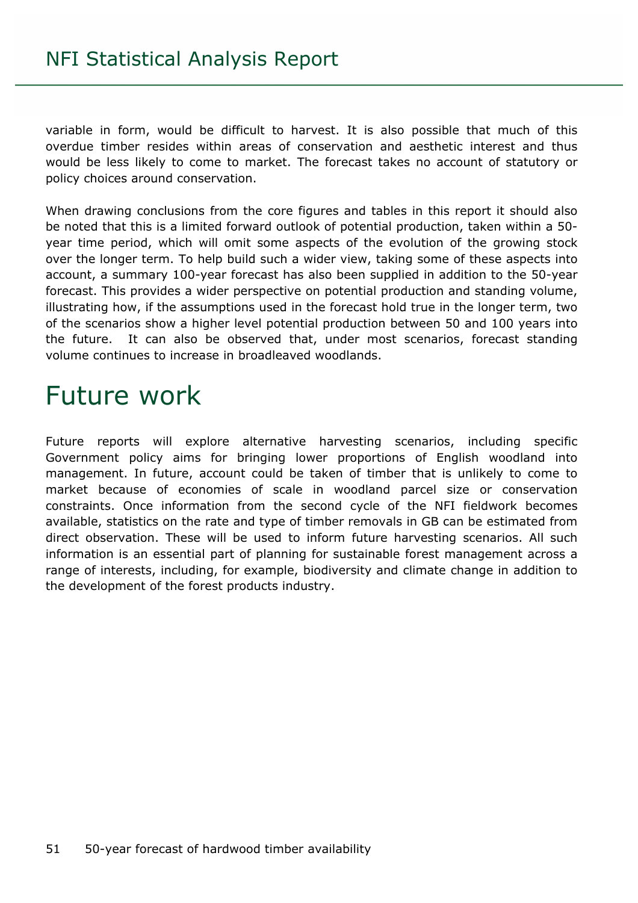variable in form, would be difficult to harvest. It is also possible that much of this overdue timber resides within areas of conservation and aesthetic interest and thus would be less likely to come to market. The forecast takes no account of statutory or policy choices around conservation.

When drawing conclusions from the core figures and tables in this report it should also be noted that this is a limited forward outlook of potential production, taken within a 50 year time period, which will omit some aspects of the evolution of the growing stock over the longer term. To help build such a wider view, taking some of these aspects into account, a summary 100-year forecast has also been supplied in addition to the 50-year forecast. This provides a wider perspective on potential production and standing volume, illustrating how, if the assumptions used in the forecast hold true in the longer term, two of the scenarios show a higher level potential production between 50 and 100 years into the future. It can also be observed that, under most scenarios, forecast standing volume continues to increase in broadleaved woodlands.

## Future work

Future reports will explore alternative harvesting scenarios, including specific Government policy aims for bringing lower proportions of English woodland into management. In future, account could be taken of timber that is unlikely to come to market because of economies of scale in woodland parcel size or conservation constraints. Once information from the second cycle of the NFI fieldwork becomes available, statistics on the rate and type of timber removals in GB can be estimated from direct observation. These will be used to inform future harvesting scenarios. All such information is an essential part of planning for sustainable forest management across a range of interests, including, for example, biodiversity and climate change in addition to the development of the forest products industry.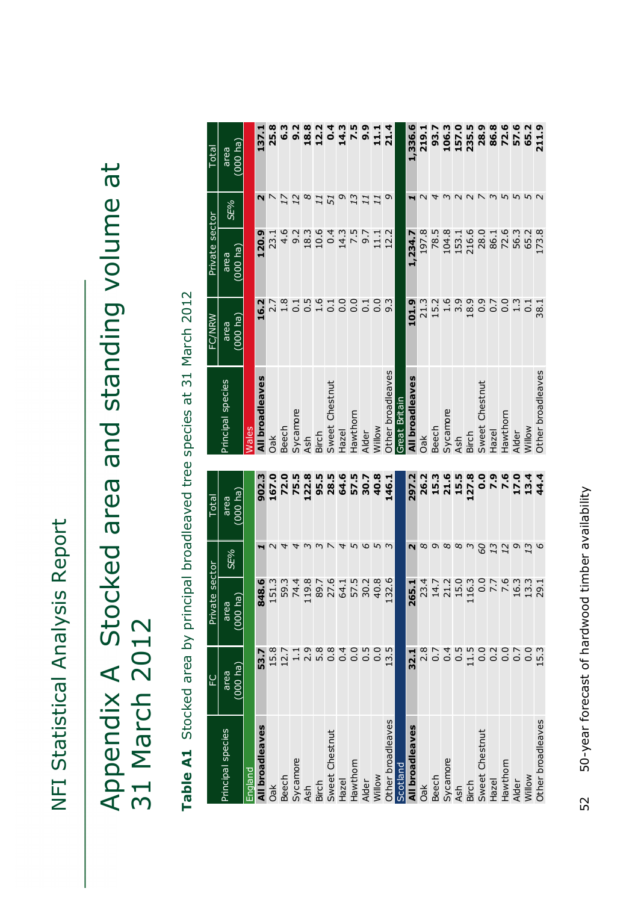## Appendix A Stocked area and standing volume at Appendix A Stocked area and standing volume at<br>31 March 2012 31 March 2012

 Stocked area by principal broadleaved tree species at 31 March 2012 Table A1 Stocked area by principal broadleaved tree species at 31 March 2012 **Table A1**

|                         | し<br>上       | Private sector                |                                                                         | Total                            |                   | FC/NRW             | Private sector                                                                                                                                                                 |          | Total                 |
|-------------------------|--------------|-------------------------------|-------------------------------------------------------------------------|----------------------------------|-------------------|--------------------|--------------------------------------------------------------------------------------------------------------------------------------------------------------------------------|----------|-----------------------|
| Principal species       | area         | area                          | SE%                                                                     | area                             | Principal species | area               | area                                                                                                                                                                           | SE%      | area                  |
|                         | (DOO ha)     | $($ eų 000)                   |                                                                         | (PL) 000)                        |                   | (PL 000)           | (PL 000)                                                                                                                                                                       |          | $(\mathsf{eu}$ 000)   |
| England                 |              |                               |                                                                         |                                  | Wales             |                    |                                                                                                                                                                                |          |                       |
| All broadleaves         | 53.7         | 148.6<br>œ                    |                                                                         | 902.3                            | All broadleaves   | 16.2               | 120.9                                                                                                                                                                          |          | 137.1                 |
| Oak                     |              | 151.3                         |                                                                         |                                  | Oak               | 2.7                | 23.1                                                                                                                                                                           |          | 25.8                  |
| <b>Beech</b>            | 15.8<br>12.7 |                               |                                                                         | 167.0<br>72.0<br>75.5            | Beech             | 1.8                | $\begin{array}{c}\n 4 \text{ o} & 3 \text{ o} & 6 \text{ d} & 6 \\  7 \text{ o} & 8 \text{ d} & 5 \text{ e} & 6 \\  1 \text{ o} & 1 \text{ e} & 1 \text{ e} & 1\n \end{array}$ | 728279   | 5<br>0<br>0<br>0<br>0 |
| Sycamore                |              | 59.3<br>74.4                  |                                                                         |                                  | Sycamore          |                    |                                                                                                                                                                                |          |                       |
| Ash                     |              | .19.8                         |                                                                         | 122.8                            | Ash               | $\frac{1}{0}$ .5   |                                                                                                                                                                                |          |                       |
| <b>Birch</b>            | 5.8          |                               |                                                                         | 95.5                             | <b>Birch</b>      |                    |                                                                                                                                                                                |          | 18.8<br>12.2          |
|                         | 0.8          | 89.7<br>27.6                  |                                                                         | <b>28.5</b>                      | Sweet Chestnut    | $1.6$<br>$0.1$     |                                                                                                                                                                                |          | 0.4                   |
| Sweet Chestnut<br>Hazel | 0.4          | 64.1                          |                                                                         |                                  | Hazel             |                    |                                                                                                                                                                                |          | 14.3                  |
| Hawthorn                | 0.0          | 57.5                          |                                                                         |                                  | Hawthom           | 0.0                |                                                                                                                                                                                | 7770     | 5<br>5<br>9<br>5<br>9 |
|                         | 0.5          | 30.2                          |                                                                         |                                  | Alder             | $\overline{0}$ :   |                                                                                                                                                                                |          |                       |
| Alder<br>Willow         | 0.0          | 40.8                          |                                                                         | 40.8                             | Willow            | 0.30               |                                                                                                                                                                                |          | 11.1                  |
| Other broadleaves       | 13.5         | .32.6                         |                                                                         | 146.1                            | Other broadleaves |                    |                                                                                                                                                                                |          | 21.4                  |
| Scotland                |              |                               |                                                                         |                                  | Great Britain     |                    |                                                                                                                                                                                |          |                       |
| All broadleaves         | 32.1         | 1.59:2                        |                                                                         |                                  | All broadleaves   | 101.9              | 1,234.7                                                                                                                                                                        |          | 1,336.6               |
| OaK                     | 2.8          | 23.4                          | $\infty$                                                                | 297 19<br>295 195<br>295 195     | Oak               | 21.3               | 197.8                                                                                                                                                                          |          | 219.1                 |
| <b>Beech</b>            |              |                               |                                                                         |                                  | <b>Beech</b>      | 15.2               | 78.5                                                                                                                                                                           |          | 93.7                  |
| Sycamore                |              |                               |                                                                         |                                  | Sycamore          |                    | 104.8                                                                                                                                                                          |          | 106.3                 |
| Ash                     |              | 14.7<br>21.2<br>15.0          |                                                                         |                                  | Ash               | $1.9$<br>$3.9$     | 153.1<br>216.6                                                                                                                                                                 | NNN      | 157.0                 |
| Birch<br>Sweet Chestnut |              | 116.3                         |                                                                         | 127.8                            | <b>Birch</b>      | 18.9               |                                                                                                                                                                                |          | 235.5                 |
|                         |              |                               |                                                                         | o.<br>O                          | Sweet Chestnut    |                    | 28.0                                                                                                                                                                           |          | 28.9                  |
| Hazel                   |              |                               |                                                                         |                                  | Hazel             |                    |                                                                                                                                                                                | $\omega$ |                       |
| Hawthorn                |              |                               |                                                                         |                                  | Hawthom           |                    | 86.1<br>72.5<br>56.3                                                                                                                                                           |          | 86.8<br>72.6          |
| Alder                   |              |                               |                                                                         |                                  | <b>Alder</b>      |                    |                                                                                                                                                                                |          | 57.6                  |
| Willow                  |              | 0.7.6<br>0.7.6.3.3<br>0.7.9.1 | $\omega \propto \omega \omega \omega \beta \omega \omega \omega \omega$ | ててけに 4<br>o o o 4 4<br>o o o 4 4 | Willow            | 0.70311<br>0.00108 | 65.2<br>173.8                                                                                                                                                                  |          | 65.2                  |
| Other broadleaves       |              |                               |                                                                         |                                  | Other broadleaves |                    |                                                                                                                                                                                |          | 211.9                 |

52 50-year forecast of hardwood timber availability 50-year forecast of hardwood timber availability 52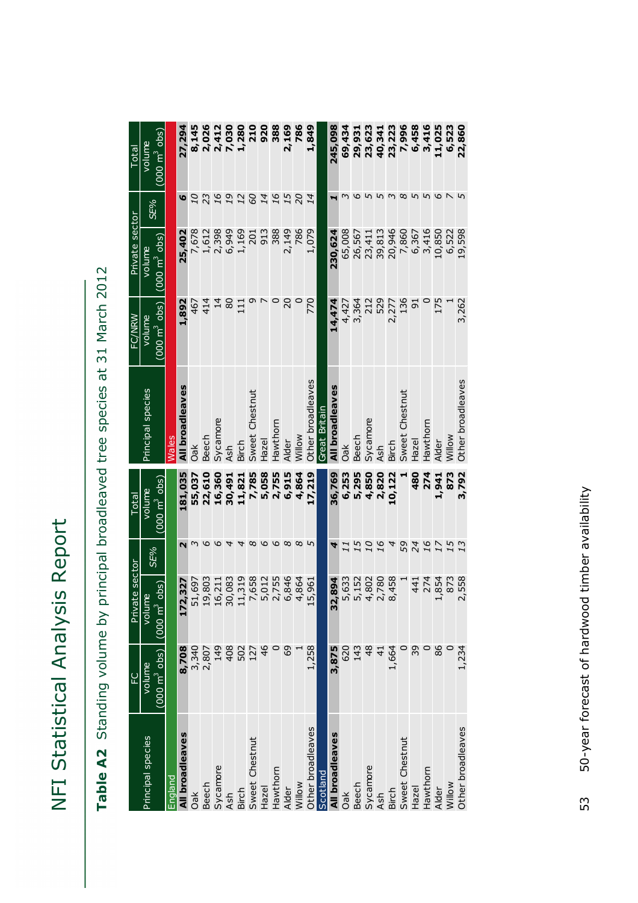Standing volume by principal broadleaved tree species at 31 March 2012 Table A2 Standing volume by principal broadleaved tree species at 31 March 2012 **Table A2** 

|                        | $\overline{C}$                  | Private sector                            |                 | Total                          |                   | FC/NRW                          | Private sector                  |                          | Total                           |
|------------------------|---------------------------------|-------------------------------------------|-----------------|--------------------------------|-------------------|---------------------------------|---------------------------------|--------------------------|---------------------------------|
| Principal species      | volume                          | ۴<br><b>MON</b>                           | SE%             | volume                         | Principal species | volume                          | volume                          | SE%                      | volume                          |
|                        | $(000 \text{ m}^3 \text{ obs})$ | obs)<br>$\frac{1}{2}$ (000 m <sup>3</sup> |                 | $1000 \text{ m}^3 \text{ obs}$ |                   | $(000 \text{ m}^3 \text{ obs})$ | $(000 \text{ m}^3 \text{ obs})$ |                          | $(000 \text{ m}^3 \text{ obs})$ |
| England                |                                 |                                           |                 |                                | Wales             |                                 |                                 |                          |                                 |
| All broadleaves        | 8,708                           | 172,327                                   |                 | 181,035                        | All broadleaves   | 1,892                           | 25,402                          | 9                        | 27,294                          |
| Oak                    | 3,340                           | 51,697                                    |                 | 55,037                         | Oak               | 467                             | 7,678                           | 70                       | 8,145                           |
| <b>Beech</b>           | 2,807                           | 19,803                                    | യ               | 22,610                         | <b>Beech</b>      | 414                             | 1,612                           | 23                       | 2,026                           |
| Sycamore               | 149                             | 16,211                                    |                 | 16,360                         | Sycamore          | $\overline{1}$                  | 2,398                           | $\overline{5}$           | 2,412                           |
| Ash                    | 408                             | 30,083                                    |                 | 30,491                         | Ash               | 80                              | 6,949                           | 19                       | 7,030                           |
| Birch                  | 502<br>127                      | 1,319                                     |                 | 11,821                         | <b>Birch</b>      | 111                             | 1,169                           | 22                       | 1,280                           |
| Sweet Chestnut         |                                 | 7,658                                     |                 | 7,785                          | Sweet Chestnut    |                                 | <b>201</b>                      |                          | 210                             |
| Hazel                  | 46                              | 5,012                                     | യ               | 5,058                          | Hazel             |                                 | 913                             |                          | 920                             |
| Hawthom                |                                 | 2,755                                     | ဖ               | 2,755                          | Hawthorn          | $\circ$                         | 388                             | 746                      | 388                             |
| <b>Alder</b>           | 69                              | 6,846                                     | ∞               | 6,915                          | <b>Alder</b>      | $\overline{c}$                  | 2,149                           |                          | 2,169                           |
| Willow                 |                                 | 4,864                                     | ∞               | 4,864                          | Willow            |                                 | 786                             | $\overline{\mathcal{S}}$ | 786                             |
| Other broadleaves      | 1,258                           | 5,961                                     |                 | 17,219                         | Other broadleaves | 770                             | 1,079                           | 14                       | 1,849                           |
| Scotland               |                                 |                                           |                 |                                | Great Britain     |                                 |                                 |                          |                                 |
| <b>All broadleaves</b> | 3,875                           | 32,894                                    |                 | 36,769                         | All broadleaves   | 14,474                          | 230,624                         |                          | 245,098                         |
| Oak                    | 620                             | 5,633                                     |                 | 6,253                          | Oak               | 4,427                           | 65,008                          |                          | 69,434                          |
| <b>Beech</b>           | 143                             | 5,152                                     | 15              | 5,295                          | <b>Beech</b>      | 3,364                           | 26,567                          |                          | 29,931                          |
| Sycamore               | $\frac{8}{3}$                   | 4,802                                     | 07              | 4,850                          | Sycamore          | 212                             | 23,411                          |                          | 23,623                          |
| Ash                    | 41                              | 2,780                                     | 16              | 2,820                          | Ash               | 529                             | 39,813                          |                          | 40,341                          |
| Birch                  | 1,664                           | 8,458                                     | 4               | 10,122                         | Birch             | 2,277                           | 20,946                          | $\omega$                 | 23,223                          |
| Sweet Chestnut         |                                 |                                           |                 |                                | Sweet Chestnut    | 136                             | 7,860                           | $\infty$                 | 7,996                           |
| Hazel                  | 39                              | 441                                       | 59<br>24        | 480                            | Hazel             | 5                               | 6,367                           |                          | 6,458                           |
| Hawthom                |                                 | 274                                       | $\overline{16}$ | 274                            | Hawthorn          |                                 | 3,416                           | 556                      | 3,416                           |
| <b>Alder</b>           | 86                              | 1,854                                     | 17              | 1,941                          | <b>Alder</b>      | 175                             | 10,850                          |                          | 11,025                          |
| Willow                 |                                 | 873                                       | 15              | 873                            | Willow            |                                 | 6,522                           |                          | 6,523                           |
| Other broadleaves      | 1,234                           | 2,558                                     |                 | 3,792                          | Other broadleaves | 3,262                           | 19,598                          |                          | 22,860                          |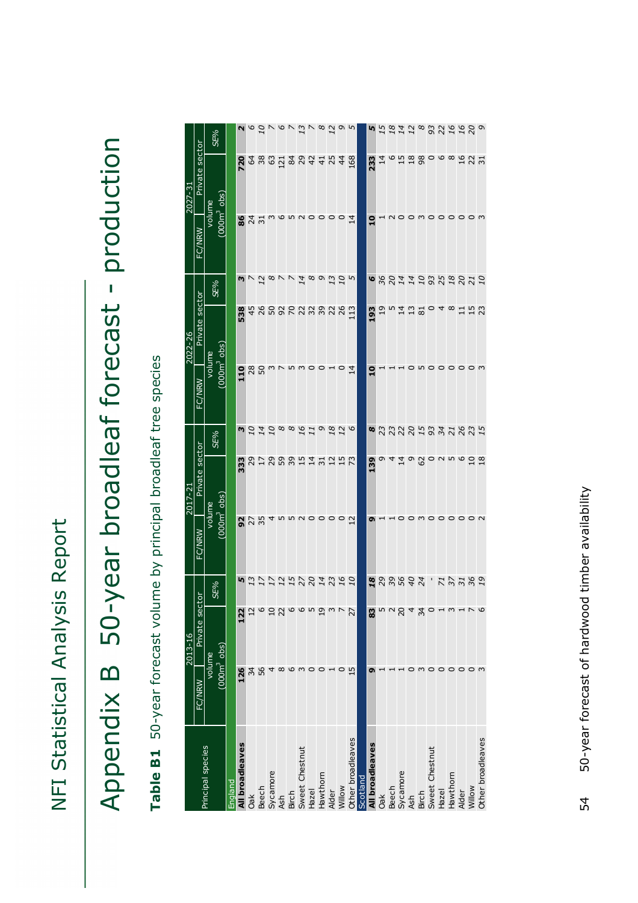# Appendix B 50-year broadleaf forecast - production Appendix B 50-year broadleaf forecast - production

Table B1 50-year forecast volume by principal broadleaf tree species 50-year forecast volume by principal broadleaf tree species **Table B1** 

|                         | 2013-16       |               |                       |                                  | 2017-21                      |                            |                 | 022-26                                                            |                                                                                                                          |                 | 1027-31                          |                                                                                                                                                                                                                                                                                                                                                                                                                                                                                                                             |
|-------------------------|---------------|---------------|-----------------------|----------------------------------|------------------------------|----------------------------|-----------------|-------------------------------------------------------------------|--------------------------------------------------------------------------------------------------------------------------|-----------------|----------------------------------|-----------------------------------------------------------------------------------------------------------------------------------------------------------------------------------------------------------------------------------------------------------------------------------------------------------------------------------------------------------------------------------------------------------------------------------------------------------------------------------------------------------------------------|
|                         | <b>FC/NRW</b> | Private sec   | tor                   | FC/NRW                           | Private sector               |                            | FC/NRW          | Private sector                                                    |                                                                                                                          | FC/NRW          | Private sector                   |                                                                                                                                                                                                                                                                                                                                                                                                                                                                                                                             |
| Principal species       | volume        |               |                       | volume                           |                              |                            | volume          |                                                                   |                                                                                                                          | volume          |                                  |                                                                                                                                                                                                                                                                                                                                                                                                                                                                                                                             |
|                         | $(000m3$ obs) |               | SE%                   | $000m3$ obs                      |                              | SE%                        | $000m3$ obs     |                                                                   | SE%                                                                                                                      | $000m3$ obs)    |                                  | <b>SE%</b>                                                                                                                                                                                                                                                                                                                                                                                                                                                                                                                  |
| England                 |               |               |                       |                                  |                              |                            |                 |                                                                   |                                                                                                                          |                 |                                  |                                                                                                                                                                                                                                                                                                                                                                                                                                                                                                                             |
| All broadleaves         | 126           | 122           |                       |                                  |                              | ng z g o o g g d o g g d o |                 |                                                                   |                                                                                                                          |                 | <b>S</b> q w o c x y d 4 x y 4 x |                                                                                                                                                                                                                                                                                                                                                                                                                                                                                                                             |
| Oak                     | 34            |               |                       |                                  |                              |                            |                 |                                                                   |                                                                                                                          |                 |                                  |                                                                                                                                                                                                                                                                                                                                                                                                                                                                                                                             |
| Beech                   | 56            |               | $59.777777777777999$  | $9.284$ <sub>N</sub> $4.0000000$ | <b>3</b><br>302088415155     |                            | 188             | <b>និ</b> ង ក្នុង មាន មាន មាន ដូច<br><b>និ</b> ង ក្នុង មាន មាន អូ | $\mathbf{w} \cup \mathbf{u} \otimes \mathbf{v} \cup \mathbf{u} \otimes \mathbf{v} \otimes \mathbf{u} \otimes \mathbf{v}$ | 8243            |                                  | 262767278295                                                                                                                                                                                                                                                                                                                                                                                                                                                                                                                |
| Sycamore                |               |               |                       |                                  |                              |                            |                 |                                                                   |                                                                                                                          |                 |                                  |                                                                                                                                                                                                                                                                                                                                                                                                                                                                                                                             |
| Ash                     |               |               |                       |                                  |                              |                            |                 |                                                                   |                                                                                                                          |                 |                                  |                                                                                                                                                                                                                                                                                                                                                                                                                                                                                                                             |
| <b>Birch</b>            |               | 6             |                       |                                  |                              |                            |                 |                                                                   |                                                                                                                          |                 |                                  |                                                                                                                                                                                                                                                                                                                                                                                                                                                                                                                             |
|                         |               |               |                       |                                  |                              |                            |                 |                                                                   |                                                                                                                          |                 |                                  |                                                                                                                                                                                                                                                                                                                                                                                                                                                                                                                             |
| Sweet Chestnut<br>Hazel |               | 65977         |                       |                                  |                              |                            |                 |                                                                   |                                                                                                                          |                 |                                  |                                                                                                                                                                                                                                                                                                                                                                                                                                                                                                                             |
| Hawthom                 |               |               |                       |                                  |                              |                            |                 |                                                                   |                                                                                                                          |                 |                                  |                                                                                                                                                                                                                                                                                                                                                                                                                                                                                                                             |
| <b>Alder</b>            |               |               |                       |                                  |                              |                            |                 |                                                                   |                                                                                                                          |                 |                                  |                                                                                                                                                                                                                                                                                                                                                                                                                                                                                                                             |
| Willow                  |               |               |                       |                                  |                              |                            | $-0,1$          |                                                                   |                                                                                                                          | 0.000007        |                                  |                                                                                                                                                                                                                                                                                                                                                                                                                                                                                                                             |
| Other broadleaves       | IJ            | 27            |                       |                                  |                              |                            |                 |                                                                   |                                                                                                                          |                 |                                  |                                                                                                                                                                                                                                                                                                                                                                                                                                                                                                                             |
| Scotland                |               |               |                       |                                  |                              |                            |                 |                                                                   |                                                                                                                          |                 |                                  |                                                                                                                                                                                                                                                                                                                                                                                                                                                                                                                             |
| All broadleaves         |               | 83            |                       |                                  |                              |                            | $\overline{10}$ |                                                                   |                                                                                                                          | $\overline{10}$ | 233                              |                                                                                                                                                                                                                                                                                                                                                                                                                                                                                                                             |
| Oak                     |               |               |                       |                                  | 139                          |                            |                 |                                                                   |                                                                                                                          |                 |                                  |                                                                                                                                                                                                                                                                                                                                                                                                                                                                                                                             |
| Beech                   |               | $\frac{5}{2}$ |                       |                                  |                              |                            |                 |                                                                   |                                                                                                                          |                 |                                  |                                                                                                                                                                                                                                                                                                                                                                                                                                                                                                                             |
| Sycamore                |               |               |                       |                                  |                              |                            |                 |                                                                   |                                                                                                                          |                 |                                  |                                                                                                                                                                                                                                                                                                                                                                                                                                                                                                                             |
| Ash                     |               |               |                       |                                  |                              |                            |                 |                                                                   |                                                                                                                          |                 |                                  |                                                                                                                                                                                                                                                                                                                                                                                                                                                                                                                             |
| <b>Birch</b>            |               | 34            |                       |                                  |                              |                            |                 |                                                                   |                                                                                                                          |                 |                                  |                                                                                                                                                                                                                                                                                                                                                                                                                                                                                                                             |
|                         |               |               |                       |                                  |                              |                            |                 |                                                                   |                                                                                                                          |                 |                                  |                                                                                                                                                                                                                                                                                                                                                                                                                                                                                                                             |
| Sweet Chestnut<br>Hazel |               |               |                       | $\circ \circ \circ$              |                              |                            |                 |                                                                   |                                                                                                                          |                 |                                  |                                                                                                                                                                                                                                                                                                                                                                                                                                                                                                                             |
| Hawthom                 |               |               |                       |                                  |                              |                            |                 |                                                                   |                                                                                                                          |                 |                                  |                                                                                                                                                                                                                                                                                                                                                                                                                                                                                                                             |
| <b>Alder</b>            |               |               |                       |                                  |                              |                            |                 |                                                                   |                                                                                                                          |                 |                                  |                                                                                                                                                                                                                                                                                                                                                                                                                                                                                                                             |
| Willow                  |               |               | $2999697$ , $7577999$ |                                  | <i>4</i> 4 0 0 0 0 0 0 0 5 8 | 8332253342835              |                 | 92522222222                                                       | 6 % % # # # # # # # # # #                                                                                                | mooooom         | 116128068121                     | $\begin{array}{c}\n\bullet \quad \text{if} \quad \text{if} \quad \text{if} \quad \text{if} \quad \text{if} \quad \text{if} \quad \text{if} \quad \text{if} \quad \text{if} \quad \text{if} \quad \text{if} \quad \text{if} \quad \text{if} \quad \text{if} \quad \text{if} \quad \text{if} \quad \text{if} \quad \text{if} \quad \text{if} \quad \text{if} \quad \text{if} \quad \text{if} \quad \text{if} \quad \text{if} \quad \text{if} \quad \text{if} \quad \text{if} \quad \text{if} \quad \text{if} \quad \text{if}$ |
| Other broadleaves       |               | ģ<br>6        |                       |                                  |                              |                            |                 |                                                                   |                                                                                                                          |                 |                                  |                                                                                                                                                                                                                                                                                                                                                                                                                                                                                                                             |

50-year forecast of hardwood timber availability 54 50-year forecast of hardwood timber availability 54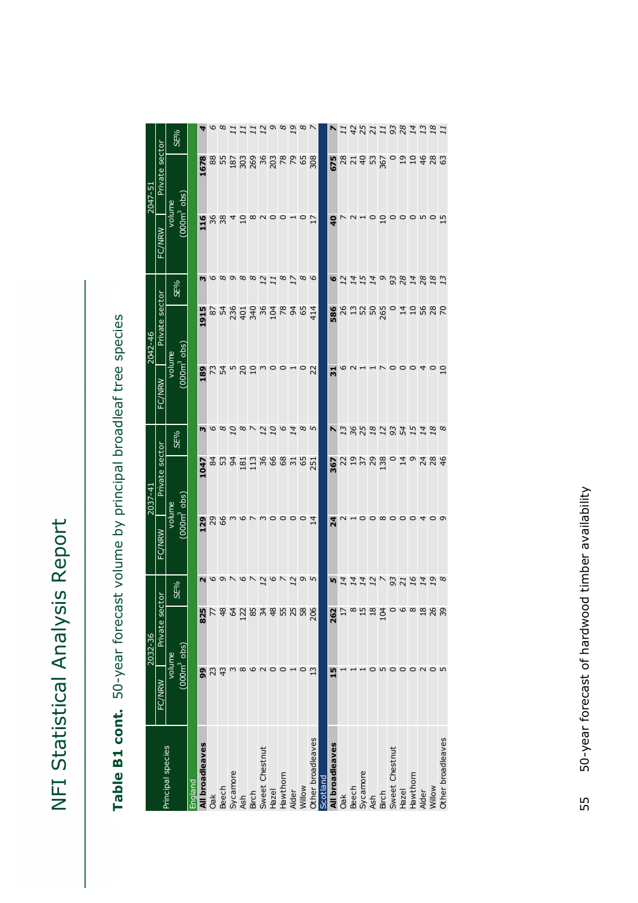|                   |                         | 2032-36               |                                                                                                                                                      |                                                         | $2037 - 4$                              |                                                                                                   |                                                                                                                                                                      | 2042-46                                                                                                                                        |                                                                                        |                                     | 2047-51                        |                          |
|-------------------|-------------------------|-----------------------|------------------------------------------------------------------------------------------------------------------------------------------------------|---------------------------------------------------------|-----------------------------------------|---------------------------------------------------------------------------------------------------|----------------------------------------------------------------------------------------------------------------------------------------------------------------------|------------------------------------------------------------------------------------------------------------------------------------------------|----------------------------------------------------------------------------------------|-------------------------------------|--------------------------------|--------------------------|
|                   | FC/NRW                  | Private sect          |                                                                                                                                                      | FC/NRW                                                  | Private sector                          |                                                                                                   | <b>FC/NRW</b>                                                                                                                                                        | Private sector                                                                                                                                 |                                                                                        | FC/NRW                              | Private sector                 |                          |
| Principal species | $(000m3$ obs)<br>volume |                       | <b>SE%</b>                                                                                                                                           | $000m3$ obs)<br>volume                                  |                                         | SE%                                                                                               | $000cm3$ obs)<br>volume                                                                                                                                              |                                                                                                                                                | SE%                                                                                    | $000m^3$ obs)<br>volume             |                                | <b>SE%</b>               |
| England           |                         |                       |                                                                                                                                                      |                                                         |                                         |                                                                                                   |                                                                                                                                                                      |                                                                                                                                                |                                                                                        |                                     |                                |                          |
| All broadleaves   | 99                      | 825                   |                                                                                                                                                      |                                                         |                                         |                                                                                                   |                                                                                                                                                                      |                                                                                                                                                |                                                                                        |                                     | 1678                           |                          |
| Oak               | 23                      | 77                    | 269767367395                                                                                                                                         |                                                         | <b>3</b><br>អ្នកនាំងដីដី ដូនខ្លួង ខ្លួប | $\mathbf{w} \circ \mathbf{w} \circ \mathbf{w} \circ \mathbf{w} \circ \mathbf{w} \circ \mathbf{w}$ | $\frac{39}{2}$ $\frac{17}{2}$ $\frac{17}{2}$ $\frac{19}{2}$ $\frac{19}{2}$ $\frac{19}{2}$ $\frac{19}{2}$ $\frac{19}{2}$ $\frac{19}{2}$ $\frac{19}{2}$ $\frac{19}{2}$ | $\frac{3}{8}$<br>$\frac{8}{8}$ $\frac{4}{8}$ $\frac{4}{8}$ $\frac{4}{8}$ $\frac{4}{8}$ $\frac{4}{8}$ $\frac{4}{8}$ $\frac{4}{8}$ $\frac{4}{8}$ | $\omega$ $\alpha$ $\omega$ $\omega$ $\omega$ $\beta$ $\beta$ $\beta$ $\alpha$ $\alpha$ | $\frac{1}{2}$ % % 4 5 % y 0 0 4 0 5 |                                | $4\circ 8$ $77729$ $898$ |
| Beech             | 4 <sub>3</sub>          | 48                    |                                                                                                                                                      |                                                         |                                         |                                                                                                   |                                                                                                                                                                      |                                                                                                                                                |                                                                                        |                                     |                                |                          |
| Sycamore          |                         | 64                    |                                                                                                                                                      |                                                         |                                         |                                                                                                   |                                                                                                                                                                      |                                                                                                                                                |                                                                                        |                                     |                                |                          |
| <b>Ash</b>        |                         |                       |                                                                                                                                                      |                                                         |                                         |                                                                                                   |                                                                                                                                                                      |                                                                                                                                                |                                                                                        |                                     |                                |                          |
| <b>Birch</b>      |                         |                       |                                                                                                                                                      |                                                         |                                         |                                                                                                   |                                                                                                                                                                      |                                                                                                                                                |                                                                                        |                                     |                                |                          |
| Sweet Chestnut    |                         | $\frac{28}{34}$       |                                                                                                                                                      |                                                         |                                         |                                                                                                   |                                                                                                                                                                      |                                                                                                                                                |                                                                                        |                                     | <u>នួ</u> ដូច្នាំង ដូច និង និង |                          |
| Hazel             |                         |                       |                                                                                                                                                      |                                                         |                                         |                                                                                                   |                                                                                                                                                                      |                                                                                                                                                |                                                                                        |                                     |                                |                          |
| Hawthom           |                         | \$528                 |                                                                                                                                                      |                                                         |                                         |                                                                                                   |                                                                                                                                                                      |                                                                                                                                                |                                                                                        |                                     |                                |                          |
| <b>Alder</b>      |                         |                       |                                                                                                                                                      |                                                         |                                         |                                                                                                   |                                                                                                                                                                      |                                                                                                                                                |                                                                                        |                                     |                                |                          |
| Willow            |                         |                       |                                                                                                                                                      |                                                         |                                         |                                                                                                   |                                                                                                                                                                      |                                                                                                                                                |                                                                                        |                                     |                                |                          |
| Other broadleaves | ≌                       | 206                   |                                                                                                                                                      |                                                         |                                         |                                                                                                   |                                                                                                                                                                      |                                                                                                                                                |                                                                                        |                                     |                                |                          |
| Scotland          |                         |                       |                                                                                                                                                      |                                                         |                                         |                                                                                                   |                                                                                                                                                                      |                                                                                                                                                |                                                                                        |                                     |                                |                          |
| All broadleaves   | 15                      | 262                   |                                                                                                                                                      | $\overline{a}$                                          |                                         |                                                                                                   | 51                                                                                                                                                                   |                                                                                                                                                |                                                                                        |                                     |                                |                          |
| Oak               |                         |                       |                                                                                                                                                      |                                                         |                                         |                                                                                                   |                                                                                                                                                                      |                                                                                                                                                |                                                                                        |                                     |                                |                          |
| Beech             |                         | $\frac{1}{8}$ 8<br>15 |                                                                                                                                                      |                                                         |                                         |                                                                                                   |                                                                                                                                                                      |                                                                                                                                                |                                                                                        |                                     |                                |                          |
| Sycamore          |                         |                       |                                                                                                                                                      |                                                         |                                         |                                                                                                   |                                                                                                                                                                      |                                                                                                                                                |                                                                                        |                                     |                                |                          |
| <b>Ash</b>        |                         | $^{18}$               |                                                                                                                                                      |                                                         |                                         |                                                                                                   |                                                                                                                                                                      |                                                                                                                                                |                                                                                        |                                     |                                |                          |
| <b>Birch</b>      |                         | 104                   | $\mathsf{n}$ $\sharp$ $\sharp$ $\sharp$ $\sharp$ $\mathsf{u}$ $\mathsf{v}$ $\mathsf{g}$ $\mathsf{g}$ $\mathsf{g}$ $\sharp$ $\mathsf{g}$ $\mathsf{e}$ | $\circ \circ \circ \circ \circ \circ \circ \circ \circ$ | 522222222222                            | 128222324248                                                                                      | $\begin{array}{c}\n 0 \\  1 \\  0\n \end{array}$                                                                                                                     | $\frac{8}{8}$ $\frac{8}{8}$ $\frac{10}{10}$ $\frac{10}{10}$ $\frac{10}{10}$ $\frac{10}{10}$ $\frac{10}{10}$ $\frac{10}{10}$ $\frac{10}{10}$    | 622429382823                                                                           |                                     | 5877850999888                  | 1242212821221            |
| Sweet Chestnut    |                         |                       |                                                                                                                                                      |                                                         |                                         |                                                                                                   |                                                                                                                                                                      |                                                                                                                                                |                                                                                        |                                     |                                |                          |
| Hazel             |                         | $\circ$ $\infty$      |                                                                                                                                                      |                                                         |                                         |                                                                                                   |                                                                                                                                                                      |                                                                                                                                                |                                                                                        |                                     |                                |                          |
| Hawthom           |                         |                       |                                                                                                                                                      |                                                         |                                         |                                                                                                   |                                                                                                                                                                      |                                                                                                                                                |                                                                                        |                                     |                                |                          |
| <b>Alder</b>      |                         | $18$                  |                                                                                                                                                      |                                                         |                                         |                                                                                                   |                                                                                                                                                                      |                                                                                                                                                |                                                                                        |                                     |                                |                          |
| Willow            |                         | 26                    |                                                                                                                                                      |                                                         |                                         |                                                                                                   |                                                                                                                                                                      |                                                                                                                                                |                                                                                        |                                     |                                |                          |
| Other broadleaves |                         | 39                    |                                                                                                                                                      |                                                         |                                         |                                                                                                   |                                                                                                                                                                      |                                                                                                                                                |                                                                                        |                                     |                                |                          |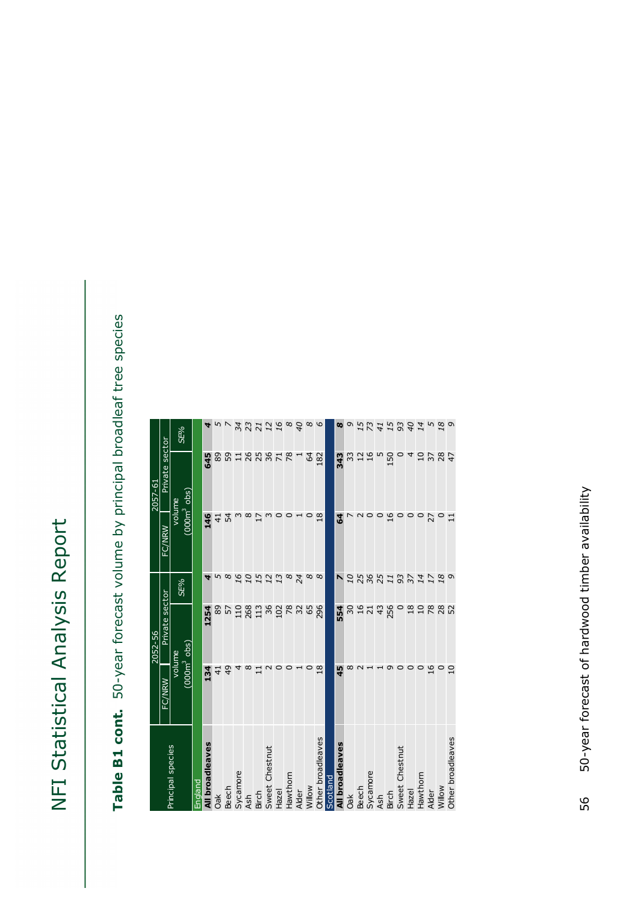|                   |                      | 2052-56        |            |                | 2057-61         |                   |
|-------------------|----------------------|----------------|------------|----------------|-----------------|-------------------|
|                   | FC/NRW               | Private sector |            | FC/NRW         | Private sector  |                   |
| Principal species | volume               |                |            | volume         |                 |                   |
|                   | $000\text{m}^3$ obs) |                | SE%        | $(000m3$ obs.  |                 | <b>SE%</b>        |
| England           |                      |                |            |                |                 |                   |
| All broadleaves   | 134                  | 1254           | 4          | 146            | 645             | 4                 |
| Oak               | $\frac{1}{4}$        | 89             | 5          | $\overline{4}$ |                 |                   |
| Beech             | 49                   |                | $^{\circ}$ | 54             |                 | 5<br>7<br>5       |
| Sycamore          | 4                    | bdggdwgkag     |            |                | 89185878        |                   |
| Ash               | $\infty$             |                |            | $^{\circ}$     |                 |                   |
| Birch             |                      |                | 699999888  |                |                 | 4047760880        |
| Sweet Chestnut    |                      |                |            |                |                 |                   |
| Hazel             |                      |                |            |                |                 |                   |
| Hawthom           |                      |                |            |                |                 |                   |
| Alder             |                      |                |            |                |                 |                   |
| Willow            | $\overline{1}$ O     |                |            | $\circ$        | 64              |                   |
| Other broadleaves | 18                   | 296            | $\infty$   | 18             | 182             | $\mathbf{\Omega}$ |
| Scotland          |                      |                |            |                |                 |                   |
| All broadleaves   | 45                   | 554            | N          | $\mathbf{g}$   | 343             | 8                 |
| Oak               | $^{\circ}$           |                |            |                | 33              | G                 |
| Beech             |                      | <b>2543256</b> |            |                | 12 <sub>0</sub> | 15                |
| Sycamore          |                      |                |            |                |                 |                   |
| Ash               |                      |                |            |                |                 |                   |
| Birch             | റെ ഠ                 |                |            | ڢ              | 150             |                   |
| Sweet Chestnut    |                      | $\circ$        |            |                |                 | 4589              |
| Hazel             | $\circ$              |                |            |                | 4               |                   |
| Hawthom           | $\circ$              |                |            | $\circ$        |                 |                   |
| Alder             | 16                   | 1978           | 228223247  | 27             | 10,8            |                   |
| Willow            |                      |                | 18         |                |                 | 7400              |
| Other broadleaves | $\Xi$                | 52             | Q          |                | $\ddot{t}$      |                   |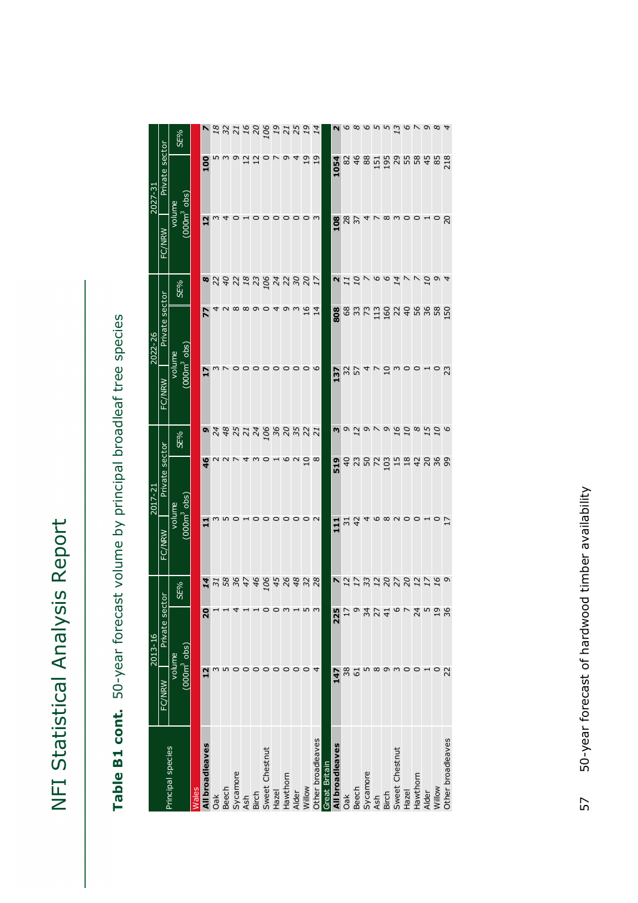|                        |        | 2013-16                     |                     |                                                                                                                                                           | 2017-21                   |                                                                                                                          |                                                                                                                                                           | 2022-26                  |                                                                                                                                                         |                                                                                                                               | $2027 - 31$                                                           |                                                                                           |
|------------------------|--------|-----------------------------|---------------------|-----------------------------------------------------------------------------------------------------------------------------------------------------------|---------------------------|--------------------------------------------------------------------------------------------------------------------------|-----------------------------------------------------------------------------------------------------------------------------------------------------------|--------------------------|---------------------------------------------------------------------------------------------------------------------------------------------------------|-------------------------------------------------------------------------------------------------------------------------------|-----------------------------------------------------------------------|-------------------------------------------------------------------------------------------|
| Principal species      | FC/NRW | Private secto               |                     |                                                                                                                                                           | Private sector            |                                                                                                                          | <b>FC/NRW</b>                                                                                                                                             | Private sector           |                                                                                                                                                         | FC/NRM                                                                                                                        | Private sector                                                        |                                                                                           |
|                        |        | volume                      |                     |                                                                                                                                                           | volume                    |                                                                                                                          | volume                                                                                                                                                    |                          |                                                                                                                                                         |                                                                                                                               | volume                                                                |                                                                                           |
|                        |        | $(000m3$ obs)               | E%                  | $\underline{\text{O}00m}^{3}$                                                                                                                             | $3$ obs)                  | SE%                                                                                                                      |                                                                                                                                                           | $000m$ <sup>3</sup> obs) | SE%                                                                                                                                                     | 000m <sup>3</sup>                                                                                                             | <sup>3</sup> obs)                                                     | <b>SE%</b>                                                                                |
| Wales                  |        |                             |                     |                                                                                                                                                           |                           |                                                                                                                          |                                                                                                                                                           |                          |                                                                                                                                                         |                                                                                                                               |                                                                       |                                                                                           |
| <b>All broadleaves</b> | N      | 20                          |                     |                                                                                                                                                           |                           |                                                                                                                          |                                                                                                                                                           |                          |                                                                                                                                                         |                                                                                                                               |                                                                       |                                                                                           |
| Oak                    |        |                             |                     |                                                                                                                                                           |                           |                                                                                                                          |                                                                                                                                                           |                          |                                                                                                                                                         |                                                                                                                               |                                                                       |                                                                                           |
| <b>Beech</b>           |        |                             | 7.888766488888      | $\begin{array}{c} \mathbf{1} \cup \mathbf{1} \cup \mathbf{1} \cup \mathbf{1} \cup \mathbf{1} \cup \mathbf{1} \cup \mathbf{1} \cup \mathbf{1} \end{array}$ |                           | $\bullet$ 2 3 3 2 2 2 3 2 3 2 2 2                                                                                        | $2^{m \wedge o o o o o o o o o}$                                                                                                                          | <b>V</b> 40000040m27     |                                                                                                                                                         | $\frac{1}{2}$ $\omega$ 4 0 4 0 0 0 0 0 0 0 $\omega$                                                                           |                                                                       |                                                                                           |
| Sycamore               |        |                             |                     |                                                                                                                                                           |                           |                                                                                                                          |                                                                                                                                                           |                          |                                                                                                                                                         |                                                                                                                               |                                                                       |                                                                                           |
| <b>Ash</b>             |        |                             |                     |                                                                                                                                                           |                           |                                                                                                                          |                                                                                                                                                           |                          |                                                                                                                                                         |                                                                                                                               |                                                                       |                                                                                           |
| <b>Birch</b>           |        |                             |                     |                                                                                                                                                           |                           |                                                                                                                          |                                                                                                                                                           |                          |                                                                                                                                                         |                                                                                                                               |                                                                       |                                                                                           |
| Sweet Chestnut         |        |                             |                     |                                                                                                                                                           |                           |                                                                                                                          |                                                                                                                                                           |                          |                                                                                                                                                         |                                                                                                                               |                                                                       |                                                                                           |
| Hazel                  |        |                             |                     |                                                                                                                                                           |                           |                                                                                                                          |                                                                                                                                                           |                          |                                                                                                                                                         |                                                                                                                               |                                                                       |                                                                                           |
| Hawthom                |        |                             |                     |                                                                                                                                                           |                           |                                                                                                                          |                                                                                                                                                           |                          |                                                                                                                                                         |                                                                                                                               |                                                                       |                                                                                           |
| <b>Alder</b>           |        |                             |                     |                                                                                                                                                           |                           |                                                                                                                          |                                                                                                                                                           |                          |                                                                                                                                                         |                                                                                                                               |                                                                       |                                                                                           |
| Willow                 |        |                             |                     |                                                                                                                                                           |                           |                                                                                                                          |                                                                                                                                                           |                          |                                                                                                                                                         |                                                                                                                               |                                                                       |                                                                                           |
| Other broadleaves      |        |                             |                     |                                                                                                                                                           |                           |                                                                                                                          |                                                                                                                                                           |                          |                                                                                                                                                         |                                                                                                                               |                                                                       | 188258852854                                                                              |
| Great Britain          |        |                             |                     |                                                                                                                                                           |                           |                                                                                                                          |                                                                                                                                                           |                          |                                                                                                                                                         |                                                                                                                               |                                                                       |                                                                                           |
| All broadleaves        | 147    | 225                         |                     |                                                                                                                                                           |                           |                                                                                                                          |                                                                                                                                                           |                          |                                                                                                                                                         |                                                                                                                               |                                                                       |                                                                                           |
| Oak                    | 38     |                             |                     |                                                                                                                                                           |                           |                                                                                                                          |                                                                                                                                                           |                          |                                                                                                                                                         |                                                                                                                               |                                                                       |                                                                                           |
| <b>Beech</b>           |        |                             | <b>725328782549</b> | <b>H</b> H H + 0 ∞ U 0 0 4 0 H                                                                                                                            | $23.388$ $23.488$ $33.58$ | $\mathbf{u} \circ \mathcal{G} \circ \mathcal{L} \circ \mathcal{E} \circ \mathcal{E} \circ \mathcal{E} \circ \mathcal{E}$ | $\frac{1}{2}$ $\frac{1}{2}$ $\frac{1}{2}$ $\frac{1}{2}$ $\frac{1}{2}$ $\frac{1}{2}$ $\frac{1}{2}$ $\frac{1}{2}$ $\frac{1}{2}$ $\frac{1}{2}$ $\frac{1}{2}$ | 288.729348887            | $a \n  A \n  B \n  C \n  C \n  C \n  C \n  D \n  C \n  D \n  D \n  D \n  D \n  D \n  D \n  D \n  D \n  D \n  D \n  D \n  D \n  D \n  D \n  D \n  D \n $ | $\frac{8}{3}$ $\frac{8}{3}$ $\frac{1}{3}$ $\frac{4}{3}$ $\frac{8}{3}$ $\frac{1}{3}$ $\frac{6}{3}$ $\frac{1}{3}$ $\frac{6}{3}$ | <b>ដ</b> ូន ៖ ន ដ ដ ន ន ន ន ន ន ន<br><b>ដ</b> ន ៖ ន ដ ដ ន ន ន ន ន ន ន | $\mu$ $\sigma$ $\sigma$ $\sigma$ $\mu$ $\mu$ $\sigma$ $\sigma$ $\sigma$ $\sigma$ $\sigma$ |
| Sycamore               |        |                             |                     |                                                                                                                                                           |                           |                                                                                                                          |                                                                                                                                                           |                          |                                                                                                                                                         |                                                                                                                               |                                                                       |                                                                                           |
| <b>Ash</b>             | œ      | $\frac{1}{2}$ $\frac{1}{4}$ |                     |                                                                                                                                                           |                           |                                                                                                                          |                                                                                                                                                           |                          |                                                                                                                                                         |                                                                                                                               |                                                                       |                                                                                           |
| <b>Birch</b>           |        |                             |                     |                                                                                                                                                           |                           |                                                                                                                          |                                                                                                                                                           |                          |                                                                                                                                                         |                                                                                                                               |                                                                       |                                                                                           |
| Sweet Chestnut         |        | $\circ$ $\sim$              |                     |                                                                                                                                                           |                           |                                                                                                                          |                                                                                                                                                           |                          |                                                                                                                                                         |                                                                                                                               |                                                                       |                                                                                           |
| Hazel                  |        |                             |                     |                                                                                                                                                           |                           |                                                                                                                          |                                                                                                                                                           |                          |                                                                                                                                                         |                                                                                                                               |                                                                       |                                                                                           |
| Hawthom                |        | 24                          |                     |                                                                                                                                                           |                           |                                                                                                                          |                                                                                                                                                           |                          |                                                                                                                                                         |                                                                                                                               |                                                                       |                                                                                           |
| <b>Alder</b>           |        |                             |                     |                                                                                                                                                           |                           |                                                                                                                          |                                                                                                                                                           |                          |                                                                                                                                                         |                                                                                                                               |                                                                       |                                                                                           |
| Willow                 |        | $\overline{19}$             |                     |                                                                                                                                                           |                           |                                                                                                                          |                                                                                                                                                           |                          |                                                                                                                                                         |                                                                                                                               |                                                                       |                                                                                           |
| Other broadleaves      | 22     | 36                          |                     |                                                                                                                                                           |                           |                                                                                                                          |                                                                                                                                                           |                          |                                                                                                                                                         |                                                                                                                               |                                                                       |                                                                                           |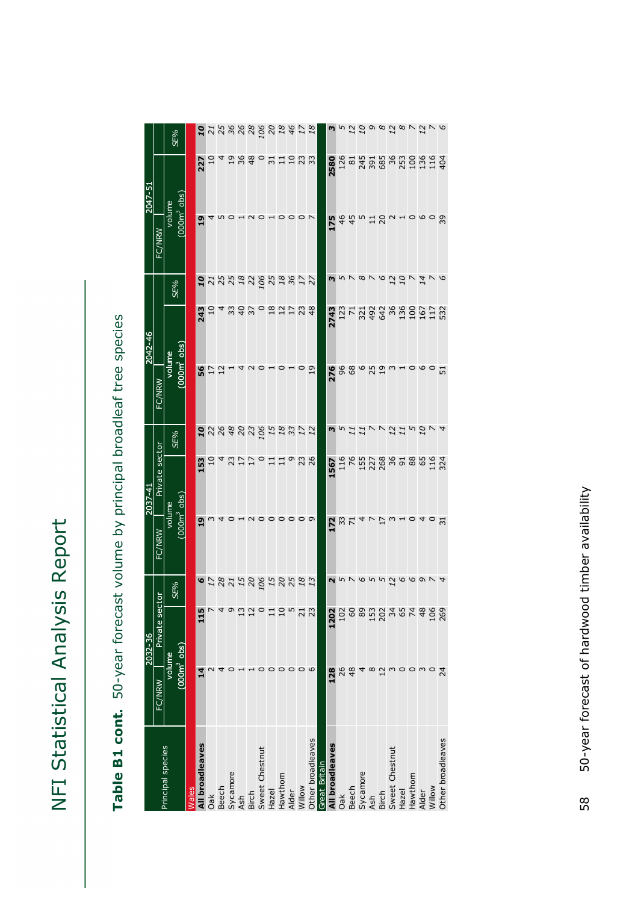|                   |                | 2032-36                    |                                                                               |                                                                                                                                                                                                                                                                                                                                    | $2037 - 41$                                                                  |                                                                                     |                                                                                                                                                                                                                                            | 2042-46                                                                                                                                                                                                                                                                                                             |                                                                  |                                           | 2047-51                                                                                  |                                       |
|-------------------|----------------|----------------------------|-------------------------------------------------------------------------------|------------------------------------------------------------------------------------------------------------------------------------------------------------------------------------------------------------------------------------------------------------------------------------------------------------------------------------|------------------------------------------------------------------------------|-------------------------------------------------------------------------------------|--------------------------------------------------------------------------------------------------------------------------------------------------------------------------------------------------------------------------------------------|---------------------------------------------------------------------------------------------------------------------------------------------------------------------------------------------------------------------------------------------------------------------------------------------------------------------|------------------------------------------------------------------|-------------------------------------------|------------------------------------------------------------------------------------------|---------------------------------------|
|                   | FC/NRW         | Private secto              |                                                                               | FC/NRW                                                                                                                                                                                                                                                                                                                             | Private sector                                                               |                                                                                     | <b>FC/NRW</b>                                                                                                                                                                                                                              |                                                                                                                                                                                                                                                                                                                     |                                                                  | FC/NRW                                    |                                                                                          |                                       |
| Principal species | volume         |                            |                                                                               |                                                                                                                                                                                                                                                                                                                                    | volume                                                                       |                                                                                     |                                                                                                                                                                                                                                            | volume                                                                                                                                                                                                                                                                                                              |                                                                  | volume                                    |                                                                                          |                                       |
|                   | $(000m3$ obs.  |                            | SE%                                                                           |                                                                                                                                                                                                                                                                                                                                    | $000m3$ obs)                                                                 | SE%                                                                                 |                                                                                                                                                                                                                                            | $000m3$ obs)                                                                                                                                                                                                                                                                                                        | <b>SE%</b>                                                       | $n00m3$ obs                               |                                                                                          | SE%                                   |
| Nales             |                |                            |                                                                               |                                                                                                                                                                                                                                                                                                                                    |                                                                              |                                                                                     |                                                                                                                                                                                                                                            |                                                                                                                                                                                                                                                                                                                     |                                                                  |                                           |                                                                                          |                                       |
| All broadleaves   | $\overline{4}$ | 115                        |                                                                               | $\frac{9}{3}$                                                                                                                                                                                                                                                                                                                      |                                                                              |                                                                                     |                                                                                                                                                                                                                                            |                                                                                                                                                                                                                                                                                                                     |                                                                  |                                           |                                                                                          |                                       |
| Oak               |                |                            |                                                                               |                                                                                                                                                                                                                                                                                                                                    |                                                                              |                                                                                     |                                                                                                                                                                                                                                            |                                                                                                                                                                                                                                                                                                                     |                                                                  |                                           | <b>227</b><br>10                                                                         |                                       |
| <b>Beech</b>      |                |                            |                                                                               |                                                                                                                                                                                                                                                                                                                                    |                                                                              |                                                                                     |                                                                                                                                                                                                                                            |                                                                                                                                                                                                                                                                                                                     |                                                                  |                                           |                                                                                          |                                       |
| Sycamore          |                |                            | 05875885885                                                                   |                                                                                                                                                                                                                                                                                                                                    | 1377077077978                                                                | 7888802558872                                                                       | 82440040400                                                                                                                                                                                                                                |                                                                                                                                                                                                                                                                                                                     | 9758999999977                                                    | $\frac{1}{9}$ 4 n o 4 n o 4 o 6 o 6 $\mu$ | $4$ 5 $\%$ $\frac{2}{3}$ 6 $\frac{2}{3}$ 5 $\frac{1}{2}$ 5 $\frac{1}{2}$ 6 $\frac{1}{2}$ | 37798888999979                        |
| Ash               |                |                            |                                                                               |                                                                                                                                                                                                                                                                                                                                    |                                                                              |                                                                                     |                                                                                                                                                                                                                                            |                                                                                                                                                                                                                                                                                                                     |                                                                  |                                           |                                                                                          |                                       |
| <b>Birch</b>      |                |                            |                                                                               |                                                                                                                                                                                                                                                                                                                                    |                                                                              |                                                                                     |                                                                                                                                                                                                                                            |                                                                                                                                                                                                                                                                                                                     |                                                                  |                                           |                                                                                          |                                       |
| Sweet Chestnut    |                |                            |                                                                               |                                                                                                                                                                                                                                                                                                                                    |                                                                              |                                                                                     |                                                                                                                                                                                                                                            |                                                                                                                                                                                                                                                                                                                     |                                                                  |                                           |                                                                                          |                                       |
| Hazel             |                |                            |                                                                               |                                                                                                                                                                                                                                                                                                                                    |                                                                              |                                                                                     |                                                                                                                                                                                                                                            |                                                                                                                                                                                                                                                                                                                     |                                                                  |                                           |                                                                                          |                                       |
| Hawthorn          |                | $\overline{10}$            |                                                                               |                                                                                                                                                                                                                                                                                                                                    |                                                                              |                                                                                     |                                                                                                                                                                                                                                            |                                                                                                                                                                                                                                                                                                                     |                                                                  |                                           |                                                                                          |                                       |
| <b>Alder</b>      | $\circ$        |                            |                                                                               |                                                                                                                                                                                                                                                                                                                                    |                                                                              |                                                                                     |                                                                                                                                                                                                                                            |                                                                                                                                                                                                                                                                                                                     |                                                                  |                                           |                                                                                          |                                       |
| Willow            | $\circ$        |                            |                                                                               | $\begin{array}{c} 0 & \text{if } A & \text{if } B & \text{if } B \\ 0 & \text{if } B & \text{if } B \end{array}$                                                                                                                                                                                                                   |                                                                              |                                                                                     |                                                                                                                                                                                                                                            |                                                                                                                                                                                                                                                                                                                     |                                                                  |                                           |                                                                                          |                                       |
| Other broadleaves |                | 23                         |                                                                               |                                                                                                                                                                                                                                                                                                                                    |                                                                              |                                                                                     |                                                                                                                                                                                                                                            |                                                                                                                                                                                                                                                                                                                     |                                                                  |                                           |                                                                                          |                                       |
| Great Britain     |                |                            |                                                                               |                                                                                                                                                                                                                                                                                                                                    |                                                                              |                                                                                     |                                                                                                                                                                                                                                            |                                                                                                                                                                                                                                                                                                                     |                                                                  |                                           |                                                                                          |                                       |
| All broadleaves   | 128            | 1202                       |                                                                               |                                                                                                                                                                                                                                                                                                                                    |                                                                              |                                                                                     |                                                                                                                                                                                                                                            |                                                                                                                                                                                                                                                                                                                     |                                                                  |                                           |                                                                                          |                                       |
| Oak               |                | 102                        |                                                                               |                                                                                                                                                                                                                                                                                                                                    |                                                                              |                                                                                     |                                                                                                                                                                                                                                            |                                                                                                                                                                                                                                                                                                                     |                                                                  |                                           |                                                                                          |                                       |
| <b>Beech</b>      |                |                            | $\mu$ $\mu$ $\nu$ $\sigma$ $\mu$ $\mu$ $\sigma$ $\sigma$ $\sigma$ $\nu$ $\mu$ | $\mathbf{z}$ $\mathbb{z}$ $\mathbb{z}$ $\mathbb{z}$ $\mathbb{z}$ $\mathbb{z}$ $\mathbb{z}$ $\mathbb{z}$ $\mathbb{z}$ $\mathbb{z}$ $\mathbb{z}$ $\mathbb{z}$ $\mathbb{z}$ $\mathbb{z}$ $\mathbb{z}$ $\mathbb{z}$ $\mathbb{z}$ $\mathbb{z}$ $\mathbb{z}$ $\mathbb{z}$ $\mathbb{z}$ $\mathbb{z}$ $\mathbb{z}$ $\mathbb{z}$ $\mathbb{$ | $1567$<br>$116$ $800$ $80$ $80$ $80$ $150$<br>$150$ $80$ $80$ $150$<br>$150$ | $\omega$ $\omega$ $\Xi$ $\Xi$ $\omega$ $\omega$ $\Xi$ $\omega$ $\Xi$ $\omega$ $\Xi$ | $\frac{1}{2}$<br>$\frac{1}{2}$<br>$\frac{1}{2}$<br>$\frac{1}{2}$<br>$\frac{1}{2}$<br>$\frac{1}{2}$<br>$\frac{1}{2}$<br>$\frac{1}{2}$<br>$\frac{1}{2}$<br>$\frac{1}{2}$<br>$\frac{1}{2}$<br>$\frac{1}{2}$<br>$\frac{1}{2}$<br>$\frac{1}{2}$ | $\frac{1}{2}$ $\frac{1}{2}$ $\frac{1}{2}$ $\frac{1}{2}$ $\frac{1}{2}$ $\frac{1}{2}$ $\frac{1}{2}$ $\frac{1}{2}$ $\frac{1}{2}$ $\frac{1}{2}$ $\frac{1}{2}$ $\frac{1}{2}$ $\frac{1}{2}$ $\frac{1}{2}$ $\frac{1}{2}$ $\frac{1}{2}$ $\frac{1}{2}$ $\frac{1}{2}$ $\frac{1}{2}$ $\frac{1}{2}$ $\frac{1}{2}$ $\frac{1}{2}$ | $W_{10}$ $V \otimes V \otimes U_{2}$ $Z \otimes V$ $Z \otimes 0$ | $1244977899088$                           |                                                                                          | $\bullet$ n d d d o o d o l d l d o o |
| Sycamore          |                |                            |                                                                               |                                                                                                                                                                                                                                                                                                                                    |                                                                              |                                                                                     |                                                                                                                                                                                                                                            |                                                                                                                                                                                                                                                                                                                     |                                                                  |                                           |                                                                                          |                                       |
| Ash               |                | <u>ទន្លដីប្ដី ទុក្ខ ទន</u> |                                                                               |                                                                                                                                                                                                                                                                                                                                    |                                                                              |                                                                                     |                                                                                                                                                                                                                                            |                                                                                                                                                                                                                                                                                                                     |                                                                  |                                           |                                                                                          |                                       |
| <b>Birch</b>      |                |                            |                                                                               |                                                                                                                                                                                                                                                                                                                                    |                                                                              |                                                                                     |                                                                                                                                                                                                                                            |                                                                                                                                                                                                                                                                                                                     |                                                                  |                                           |                                                                                          |                                       |
| Sweet Chestnut    |                |                            |                                                                               |                                                                                                                                                                                                                                                                                                                                    |                                                                              |                                                                                     |                                                                                                                                                                                                                                            |                                                                                                                                                                                                                                                                                                                     |                                                                  |                                           |                                                                                          |                                       |
| Hazel             |                |                            |                                                                               |                                                                                                                                                                                                                                                                                                                                    |                                                                              |                                                                                     |                                                                                                                                                                                                                                            |                                                                                                                                                                                                                                                                                                                     |                                                                  |                                           |                                                                                          |                                       |
| Hawthom           |                |                            |                                                                               |                                                                                                                                                                                                                                                                                                                                    |                                                                              |                                                                                     |                                                                                                                                                                                                                                            |                                                                                                                                                                                                                                                                                                                     |                                                                  |                                           |                                                                                          |                                       |
| Alder             |                |                            |                                                                               |                                                                                                                                                                                                                                                                                                                                    |                                                                              |                                                                                     |                                                                                                                                                                                                                                            |                                                                                                                                                                                                                                                                                                                     |                                                                  |                                           |                                                                                          |                                       |
| Willow            |                | 106                        |                                                                               |                                                                                                                                                                                                                                                                                                                                    |                                                                              |                                                                                     |                                                                                                                                                                                                                                            |                                                                                                                                                                                                                                                                                                                     |                                                                  |                                           |                                                                                          |                                       |
| Other broadleaves | 24             | 269                        |                                                                               |                                                                                                                                                                                                                                                                                                                                    |                                                                              |                                                                                     |                                                                                                                                                                                                                                            |                                                                                                                                                                                                                                                                                                                     |                                                                  |                                           |                                                                                          |                                       |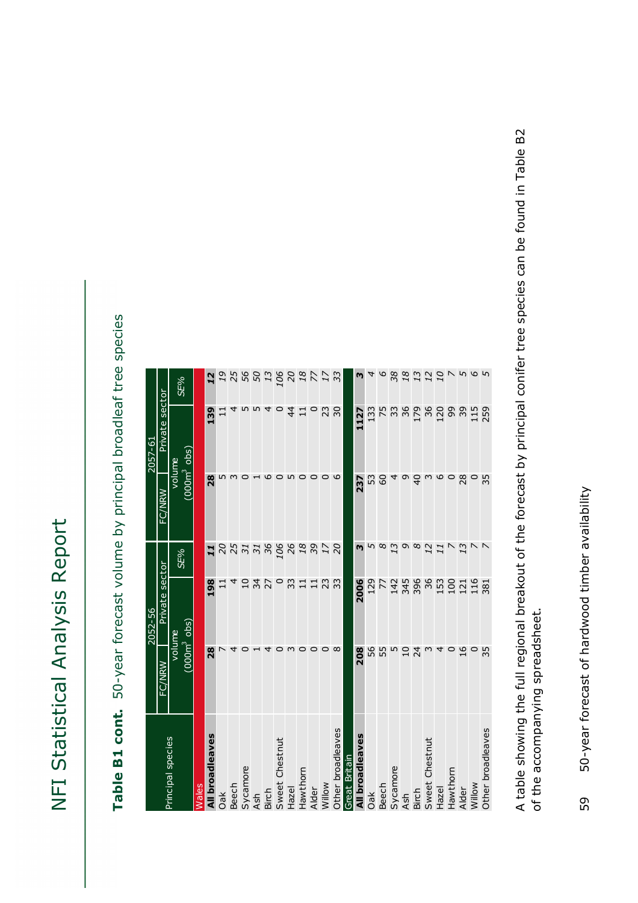|                   |                | 2052-56           |     |                                                                                                                                                                                                                                                                                                                                                                                                                                                                                                                        | 2057-61                                                                                                                                                                                                                                                                                                                                                                                                                                                        |                                                                                                                                                                                                                                                                                                                                                                                                                                                                                                                                                                                                                 |
|-------------------|----------------|-------------------|-----|------------------------------------------------------------------------------------------------------------------------------------------------------------------------------------------------------------------------------------------------------------------------------------------------------------------------------------------------------------------------------------------------------------------------------------------------------------------------------------------------------------------------|----------------------------------------------------------------------------------------------------------------------------------------------------------------------------------------------------------------------------------------------------------------------------------------------------------------------------------------------------------------------------------------------------------------------------------------------------------------|-----------------------------------------------------------------------------------------------------------------------------------------------------------------------------------------------------------------------------------------------------------------------------------------------------------------------------------------------------------------------------------------------------------------------------------------------------------------------------------------------------------------------------------------------------------------------------------------------------------------|
|                   | FC/NRW         | Private sector    |     | FC/NRW                                                                                                                                                                                                                                                                                                                                                                                                                                                                                                                 | Private sector                                                                                                                                                                                                                                                                                                                                                                                                                                                 |                                                                                                                                                                                                                                                                                                                                                                                                                                                                                                                                                                                                                 |
| Principal species |                | volume            | SE% |                                                                                                                                                                                                                                                                                                                                                                                                                                                                                                                        | volume                                                                                                                                                                                                                                                                                                                                                                                                                                                         | <b>SE%</b>                                                                                                                                                                                                                                                                                                                                                                                                                                                                                                                                                                                                      |
|                   | $(000cm3$ obs) |                   |     |                                                                                                                                                                                                                                                                                                                                                                                                                                                                                                                        | $(000m3$ obs)                                                                                                                                                                                                                                                                                                                                                                                                                                                  |                                                                                                                                                                                                                                                                                                                                                                                                                                                                                                                                                                                                                 |
| Wales             |                |                   |     |                                                                                                                                                                                                                                                                                                                                                                                                                                                                                                                        |                                                                                                                                                                                                                                                                                                                                                                                                                                                                |                                                                                                                                                                                                                                                                                                                                                                                                                                                                                                                                                                                                                 |
| All broadleaves   | 28             | 198               | 11  | 28                                                                                                                                                                                                                                                                                                                                                                                                                                                                                                                     | 139                                                                                                                                                                                                                                                                                                                                                                                                                                                            | $\overline{12}$                                                                                                                                                                                                                                                                                                                                                                                                                                                                                                                                                                                                 |
| Oak               |                | $\Xi$             |     |                                                                                                                                                                                                                                                                                                                                                                                                                                                                                                                        | $\overline{11}$                                                                                                                                                                                                                                                                                                                                                                                                                                                |                                                                                                                                                                                                                                                                                                                                                                                                                                                                                                                                                                                                                 |
| <b>Beech</b>      |                |                   |     | ഥ ധ                                                                                                                                                                                                                                                                                                                                                                                                                                                                                                                    |                                                                                                                                                                                                                                                                                                                                                                                                                                                                | $\begin{array}{l} 2 \ 2 \ 2 \ 3 \ 4 \ 6 \ 7 \ 8 \ 9 \ 1 \ 1 \ 1 \ 2 \ 2 \ 2 \ 3 \ 2 \ 1 \ 2 \ 2 \ 2 \ 3 \ 4 \ 1 \ 2 \ 3 \ 4 \ 1 \ 2 \ 3 \ 4 \ 1 \ 2 \ 3 \ 4 \ 1 \ 2 \ 3 \ 4 \ 1 \ 2 \ 3 \ 4 \ 1 \ 2 \ 3 \ 4 \ 1 \ 2 \ 3 \ 4 \ 1 \ 2 \ 3 \ 4 \ 1 \ 2 \ 3 \ 4 \ 1 \ 2 \ 3 \ 4 \ 1 \ 2 \ 3 \ 4 \ 1 \ 2 \ 3 \ 4 \$                                                                                                                                                                                                                                                                                                  |
| Sycamore          |                | $\Box$            |     | $\circ$                                                                                                                                                                                                                                                                                                                                                                                                                                                                                                                |                                                                                                                                                                                                                                                                                                                                                                                                                                                                |                                                                                                                                                                                                                                                                                                                                                                                                                                                                                                                                                                                                                 |
| Ash               |                |                   |     |                                                                                                                                                                                                                                                                                                                                                                                                                                                                                                                        | ഗ ഗ                                                                                                                                                                                                                                                                                                                                                                                                                                                            |                                                                                                                                                                                                                                                                                                                                                                                                                                                                                                                                                                                                                 |
| Birch             |                | おひっぷれれおお          |     | ७                                                                                                                                                                                                                                                                                                                                                                                                                                                                                                                      | 4                                                                                                                                                                                                                                                                                                                                                                                                                                                              |                                                                                                                                                                                                                                                                                                                                                                                                                                                                                                                                                                                                                 |
| Sweet Chestnut    |                |                   |     | 0                                                                                                                                                                                                                                                                                                                                                                                                                                                                                                                      | O                                                                                                                                                                                                                                                                                                                                                                                                                                                              |                                                                                                                                                                                                                                                                                                                                                                                                                                                                                                                                                                                                                 |
| Hazel             |                |                   |     | $n \circ$                                                                                                                                                                                                                                                                                                                                                                                                                                                                                                              |                                                                                                                                                                                                                                                                                                                                                                                                                                                                |                                                                                                                                                                                                                                                                                                                                                                                                                                                                                                                                                                                                                 |
| Hawthom           |                |                   |     |                                                                                                                                                                                                                                                                                                                                                                                                                                                                                                                        | 41                                                                                                                                                                                                                                                                                                                                                                                                                                                             |                                                                                                                                                                                                                                                                                                                                                                                                                                                                                                                                                                                                                 |
| <b>Alder</b>      | $\circ$        |                   |     |                                                                                                                                                                                                                                                                                                                                                                                                                                                                                                                        |                                                                                                                                                                                                                                                                                                                                                                                                                                                                |                                                                                                                                                                                                                                                                                                                                                                                                                                                                                                                                                                                                                 |
| Willow            |                |                   |     | $\circ \circ \circ$                                                                                                                                                                                                                                                                                                                                                                                                                                                                                                    | $\frac{0}{2}$                                                                                                                                                                                                                                                                                                                                                                                                                                                  |                                                                                                                                                                                                                                                                                                                                                                                                                                                                                                                                                                                                                 |
| Other broadleaves | $^{\circ}$     |                   |     |                                                                                                                                                                                                                                                                                                                                                                                                                                                                                                                        |                                                                                                                                                                                                                                                                                                                                                                                                                                                                |                                                                                                                                                                                                                                                                                                                                                                                                                                                                                                                                                                                                                 |
| Great Britain     |                |                   |     |                                                                                                                                                                                                                                                                                                                                                                                                                                                                                                                        |                                                                                                                                                                                                                                                                                                                                                                                                                                                                |                                                                                                                                                                                                                                                                                                                                                                                                                                                                                                                                                                                                                 |
| All broadleaves   | 208            | 2006              |     | 237                                                                                                                                                                                                                                                                                                                                                                                                                                                                                                                    | 1127                                                                                                                                                                                                                                                                                                                                                                                                                                                           |                                                                                                                                                                                                                                                                                                                                                                                                                                                                                                                                                                                                                 |
| Oak               | 56             | 129               |     | 53                                                                                                                                                                                                                                                                                                                                                                                                                                                                                                                     |                                                                                                                                                                                                                                                                                                                                                                                                                                                                | $\boldsymbol{4}$                                                                                                                                                                                                                                                                                                                                                                                                                                                                                                                                                                                                |
| <b>Beech</b>      | 55             | 77                |     |                                                                                                                                                                                                                                                                                                                                                                                                                                                                                                                        |                                                                                                                                                                                                                                                                                                                                                                                                                                                                |                                                                                                                                                                                                                                                                                                                                                                                                                                                                                                                                                                                                                 |
| Sycamore          | LN             |                   |     |                                                                                                                                                                                                                                                                                                                                                                                                                                                                                                                        |                                                                                                                                                                                                                                                                                                                                                                                                                                                                |                                                                                                                                                                                                                                                                                                                                                                                                                                                                                                                                                                                                                 |
| Ash               |                |                   |     |                                                                                                                                                                                                                                                                                                                                                                                                                                                                                                                        |                                                                                                                                                                                                                                                                                                                                                                                                                                                                |                                                                                                                                                                                                                                                                                                                                                                                                                                                                                                                                                                                                                 |
| Birch             |                |                   |     |                                                                                                                                                                                                                                                                                                                                                                                                                                                                                                                        |                                                                                                                                                                                                                                                                                                                                                                                                                                                                |                                                                                                                                                                                                                                                                                                                                                                                                                                                                                                                                                                                                                 |
| Sweet Chestnut    |                |                   |     |                                                                                                                                                                                                                                                                                                                                                                                                                                                                                                                        |                                                                                                                                                                                                                                                                                                                                                                                                                                                                |                                                                                                                                                                                                                                                                                                                                                                                                                                                                                                                                                                                                                 |
| Hazel             |                |                   |     |                                                                                                                                                                                                                                                                                                                                                                                                                                                                                                                        |                                                                                                                                                                                                                                                                                                                                                                                                                                                                |                                                                                                                                                                                                                                                                                                                                                                                                                                                                                                                                                                                                                 |
| Hawthom           | 5404070        | <b>4488594488</b> |     | $\begin{array}{c}\n 4 \quad \text{or} \quad \text{if} \quad \text{if} \quad \text{if} \quad \text{if} \quad \text{if} \quad \text{if} \quad \text{if} \quad \text{if} \quad \text{if} \quad \text{if} \quad \text{if} \quad \text{if} \quad \text{if} \quad \text{if} \quad \text{if} \quad \text{if} \quad \text{if} \quad \text{if} \quad \text{if} \quad \text{if} \quad \text{if} \quad \text{if} \quad \text{if} \quad \text{if} \quad \text{if} \quad \text{if} \quad \text{if} \quad \text{if} \quad \text{if}$ | $\begin{array}{l} \mathbb{S} \\ \mathbb{S} \\ \mathbb{S} \\ \mathbb{S} \\ \mathbb{S} \\ \mathbb{S} \\ \mathbb{S} \\ \mathbb{S} \\ \mathbb{S} \\ \mathbb{S} \\ \mathbb{S} \\ \mathbb{S} \\ \mathbb{S} \\ \mathbb{S} \\ \mathbb{S} \\ \mathbb{S} \\ \mathbb{S} \\ \mathbb{S} \\ \mathbb{S} \\ \mathbb{S} \\ \mathbb{S} \\ \mathbb{S} \\ \mathbb{S} \\ \mathbb{S} \\ \mathbb{S} \\ \mathbb{S} \\ \mathbb{S} \\ \mathbb{S} \\ \mathbb{S} \\ \mathbb{S} \\ \mathbb$ | $\sigma \overset{\sim}{\approx} \overset{\sim}{\approx} \overset{\sim}{\approx} \overset{\sim}{\approx} \overset{\sim}{\approx} \overset{\sim}{\approx} \overset{\sim}{\approx} \overset{\sim}{\approx} \overset{\sim}{\approx} \overset{\sim}{\approx} \overset{\sim}{\approx} \overset{\sim}{\approx} \overset{\sim}{\approx} \overset{\sim}{\approx} \overset{\sim}{\approx} \overset{\sim}{\approx} \overset{\sim}{\approx} \overset{\sim}{\approx} \overset{\sim}{\approx} \overset{\sim}{\approx} \overset{\sim}{\approx} \overset{\sim}{\approx} \overset{\sim}{\approx} \overset{\sim}{\approx} \overs$ |
| <b>Alder</b>      |                |                   |     |                                                                                                                                                                                                                                                                                                                                                                                                                                                                                                                        |                                                                                                                                                                                                                                                                                                                                                                                                                                                                |                                                                                                                                                                                                                                                                                                                                                                                                                                                                                                                                                                                                                 |
| Willow            |                |                   |     |                                                                                                                                                                                                                                                                                                                                                                                                                                                                                                                        |                                                                                                                                                                                                                                                                                                                                                                                                                                                                |                                                                                                                                                                                                                                                                                                                                                                                                                                                                                                                                                                                                                 |
| Other broadleaves | 55             |                   |     | 35                                                                                                                                                                                                                                                                                                                                                                                                                                                                                                                     |                                                                                                                                                                                                                                                                                                                                                                                                                                                                |                                                                                                                                                                                                                                                                                                                                                                                                                                                                                                                                                                                                                 |

A table showing the full regional breakout of the forecast by principal conifer tree species can be found in Table B2 A table showing the full regional breakout of the forecast by principal conifer tree species can be found in Table B2 of the accompanying spreadsheet. of the accompanying spreadsheet.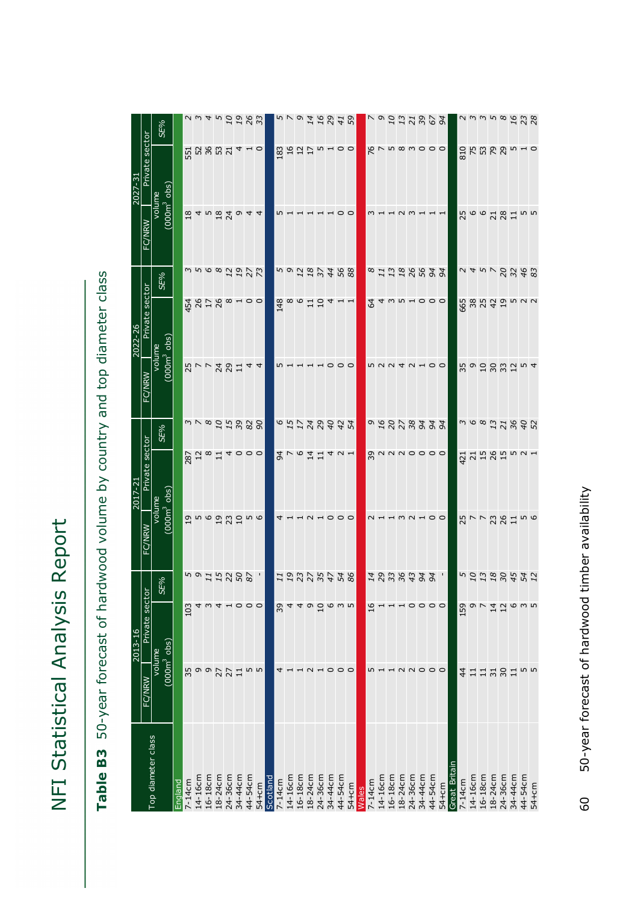|                   |                                                                                | 2013-16                                                                               |                    |                                                  | 2017-21                                                                    |                                                                                                                    |                        | 2022-26        |                                                       |                                                                         | $2027 - 31$                                                                                                     |                |
|-------------------|--------------------------------------------------------------------------------|---------------------------------------------------------------------------------------|--------------------|--------------------------------------------------|----------------------------------------------------------------------------|--------------------------------------------------------------------------------------------------------------------|------------------------|----------------|-------------------------------------------------------|-------------------------------------------------------------------------|-----------------------------------------------------------------------------------------------------------------|----------------|
| op diameter class | FC/NRW                                                                         | Private sect                                                                          | $\frac{1}{\Omega}$ | FC/NRW                                           | Private sector                                                             |                                                                                                                    | FC/NRW                 | Private sector |                                                       | FC/NRW                                                                  | Private sector                                                                                                  |                |
|                   | volume<br>(000m <sup>3</sup> )                                                 | $^{1}$ obs)                                                                           | <b>SE%</b>         | obs)<br>volume<br>$(000m^3)$                     |                                                                            | SE%                                                                                                                | (000m <sup>3</sup> )   | obs)<br>volume | SE%                                                   | volume<br>(000m <sup>3</sup> )                                          | obs)                                                                                                            | <b>SE%</b>     |
| England           |                                                                                |                                                                                       |                    |                                                  |                                                                            |                                                                                                                    |                        |                |                                                       |                                                                         |                                                                                                                 |                |
| $-14cm$           | 35                                                                             | 103                                                                                   |                    |                                                  |                                                                            |                                                                                                                    |                        |                |                                                       |                                                                         |                                                                                                                 |                |
| 14-16cm           |                                                                                |                                                                                       |                    |                                                  |                                                                            |                                                                                                                    |                        |                |                                                       |                                                                         |                                                                                                                 |                |
| 16-18cm           |                                                                                |                                                                                       |                    |                                                  |                                                                            |                                                                                                                    |                        |                |                                                       |                                                                         |                                                                                                                 |                |
| 8-24cm            |                                                                                |                                                                                       |                    |                                                  |                                                                            |                                                                                                                    |                        |                |                                                       |                                                                         |                                                                                                                 |                |
| 24-36cm           | 99771                                                                          |                                                                                       |                    |                                                  |                                                                            |                                                                                                                    |                        |                |                                                       |                                                                         |                                                                                                                 |                |
| 34-44cm           |                                                                                |                                                                                       |                    |                                                  |                                                                            |                                                                                                                    |                        |                |                                                       |                                                                         |                                                                                                                 |                |
| 44-54cm           | ru ru                                                                          | $4\omega$ 4 4 0 0 0                                                                   |                    | 20000000                                         |                                                                            | $v \sim \infty$ 55% $\frac{8}{3}$                                                                                  |                        |                | $v_0$ $v_0$ $\alpha$ $\beta$ $\beta$ $\beta$ $\gamma$ |                                                                         |                                                                                                                 |                |
| 54+cm             |                                                                                |                                                                                       | n 9 1 1 2 2 2 2 1  |                                                  | $\frac{20}{2}$ $\frac{20}{2}$ $\frac{21}{2}$ $\frac{21}{2}$ $\frac{21}{2}$ |                                                                                                                    | 5723144                | $4828$ $8 - 0$ |                                                       | $\vec{a}$ 4 $\vec{b}$ $\vec{a}$ $\vec{a}$ $\vec{b}$ $\vec{a}$ $\vec{a}$ | E28824-0                                                                                                        | 23283          |
| Scotland          |                                                                                |                                                                                       |                    |                                                  |                                                                            |                                                                                                                    |                        |                |                                                       |                                                                         |                                                                                                                 |                |
| $-14cm$           |                                                                                | 39                                                                                    | $\overline{11}$    |                                                  |                                                                            |                                                                                                                    |                        |                |                                                       |                                                                         |                                                                                                                 |                |
| 14-16cm           |                                                                                |                                                                                       |                    |                                                  |                                                                            |                                                                                                                    |                        |                |                                                       |                                                                         |                                                                                                                 |                |
| 16-18cm           |                                                                                | $4$ $4$ $\omega$ $\vec{a}$ $\omega$ $\omega$ $\omega$                                 | 22727428           | $4$ $+$ $+$ $+$ $0$ $0$                          | $9 - 6$ $\frac{1}{4}$ $\frac{1}{4}$ $\frac{1}{4}$ $\frac{1}{4}$            | 657499445                                                                                                          | <b>D</b> H H H H O O O |                | n o J Z Y Z X 88                                      | <b>DHHHHOO</b>                                                          |                                                                                                                 |                |
| 18-24cm           | $\sim$                                                                         |                                                                                       |                    |                                                  |                                                                            |                                                                                                                    |                        |                |                                                       |                                                                         |                                                                                                                 |                |
| 24-36cm           |                                                                                |                                                                                       |                    |                                                  |                                                                            |                                                                                                                    |                        |                |                                                       |                                                                         |                                                                                                                 |                |
| 34-44cm           |                                                                                |                                                                                       |                    |                                                  |                                                                            |                                                                                                                    |                        |                |                                                       |                                                                         |                                                                                                                 |                |
| 44-54cm           | $\begin{array}{c} \n 1 & \n 0 & \n 0 & \n 0 \\  0 & \n 0 & \n 0\n \end{array}$ |                                                                                       |                    |                                                  |                                                                            |                                                                                                                    |                        |                |                                                       |                                                                         |                                                                                                                 |                |
| 54+cm             |                                                                                |                                                                                       |                    |                                                  |                                                                            |                                                                                                                    |                        |                |                                                       |                                                                         | $\frac{23}{21}$ $\frac{21}{21}$ $\frac{1}{2}$ $\frac{1}{2}$ $\frac{1}{2}$ $\frac{1}{2}$                         | <b>BHRRANA</b> |
| Wales             |                                                                                |                                                                                       |                    |                                                  |                                                                            |                                                                                                                    |                        |                |                                                       |                                                                         |                                                                                                                 |                |
| $-14cm$           | 5                                                                              | $\frac{6}{1}$                                                                         |                    |                                                  |                                                                            |                                                                                                                    |                        |                |                                                       |                                                                         |                                                                                                                 |                |
| 14-16cm           |                                                                                |                                                                                       |                    |                                                  |                                                                            |                                                                                                                    |                        |                |                                                       |                                                                         |                                                                                                                 |                |
| 16-18cm           |                                                                                |                                                                                       |                    |                                                  |                                                                            |                                                                                                                    |                        |                |                                                       |                                                                         |                                                                                                                 |                |
| 18-24cm           | $\sim$                                                                         | $\begin{array}{c}\n\text{H} & \text{H} & \text{O} & \text{O} & \text{O}\n\end{array}$ | 4236422.           | $\begin{array}{c}\n 0 \\  1 \\  0\n \end{array}$ |                                                                            | 95228222                                                                                                           | <b>MNN4NHOO</b>        | $24$ w w 4000  | 877888888                                             | $\begin{array}{c} 0 & -1 & -1 \\ -1 & -1 & -1 \end{array}$              | $R$ $\sim$ $\sim$ $\sim$ $\sim$ $\sim$ $\sim$ $\sim$                                                            |                |
| 24-36cm           | NOOO                                                                           |                                                                                       |                    |                                                  |                                                                            |                                                                                                                    |                        |                |                                                       |                                                                         |                                                                                                                 |                |
| 34-44cm           |                                                                                |                                                                                       |                    |                                                  |                                                                            |                                                                                                                    |                        |                |                                                       |                                                                         |                                                                                                                 |                |
| 44-54cm           |                                                                                |                                                                                       |                    |                                                  |                                                                            |                                                                                                                    |                        |                |                                                       |                                                                         |                                                                                                                 |                |
| 54+cm             |                                                                                |                                                                                       |                    |                                                  |                                                                            |                                                                                                                    |                        |                |                                                       |                                                                         |                                                                                                                 | 7922868        |
| Great Brita       |                                                                                |                                                                                       |                    |                                                  |                                                                            |                                                                                                                    |                        |                |                                                       |                                                                         |                                                                                                                 |                |
| $7 - 14cm$        | $\ddot{4}$                                                                     | 159                                                                                   | 552884252          | 27738156                                         | 22585521                                                                   | $v \circ \sigma$ $\frac{1}{2} \frac{1}{2} \frac{1}{2} \frac{1}{2} \frac{1}{2} \frac{1}{2} \frac{1}{2} \frac{1}{2}$ | 5988254                | 68843552       | 040000000000                                          | <b>2960225555</b>                                                       | $\frac{20}{25}$ $\frac{10}{25}$ $\frac{10}{25}$ $\frac{10}{25}$ $\frac{10}{25}$ $\frac{10}{25}$ $\frac{10}{25}$ |                |
| 14-16cm           | $\overline{11}$                                                                |                                                                                       |                    |                                                  |                                                                            |                                                                                                                    |                        |                |                                                       |                                                                         |                                                                                                                 |                |
| 16-18cm           |                                                                                |                                                                                       |                    |                                                  |                                                                            |                                                                                                                    |                        |                |                                                       |                                                                         |                                                                                                                 |                |
| 18-24cm           |                                                                                |                                                                                       |                    |                                                  |                                                                            |                                                                                                                    |                        |                |                                                       |                                                                         |                                                                                                                 |                |
| 24-36cm           | 1781                                                                           | の742635                                                                               |                    |                                                  |                                                                            |                                                                                                                    |                        |                |                                                       |                                                                         |                                                                                                                 |                |
| 34-44cm           |                                                                                |                                                                                       |                    |                                                  |                                                                            |                                                                                                                    |                        |                |                                                       |                                                                         |                                                                                                                 |                |
| 44-54cm           |                                                                                |                                                                                       |                    |                                                  |                                                                            |                                                                                                                    |                        |                |                                                       |                                                                         |                                                                                                                 |                |
| 54+cm             | ru ru                                                                          |                                                                                       |                    |                                                  |                                                                            |                                                                                                                    |                        |                |                                                       |                                                                         |                                                                                                                 |                |

 50-year forecast of hardwood volume by country and top diameter class Table B3 50-year forecast of hardwood volume by country and top diameter class **Table B3**

50-year forecast of hardwood timber availability 60 50-year forecast of hardwood timber availability  $\overline{60}$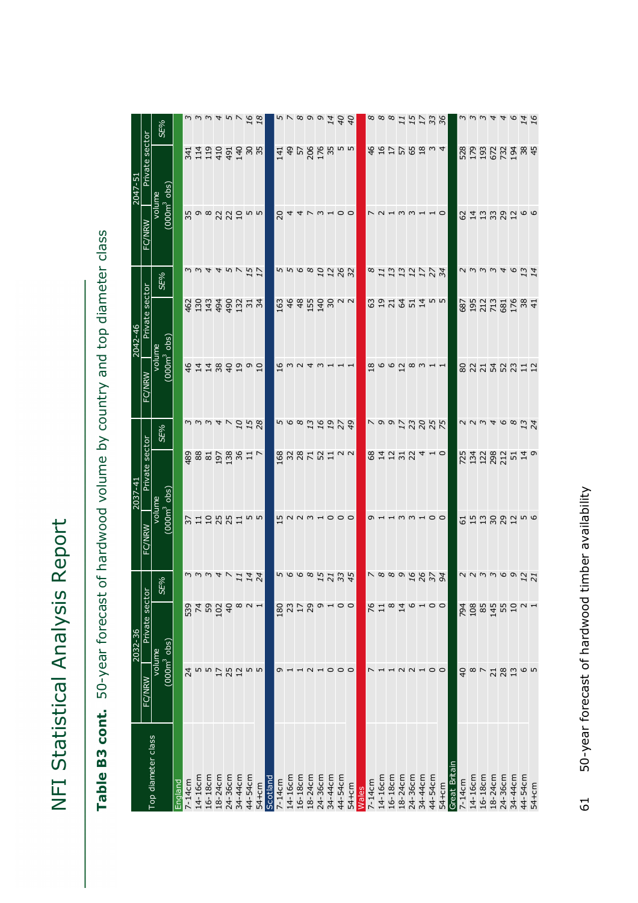| ear forecast of hardwood volume by country and top diameter class |
|-------------------------------------------------------------------|
| nd-vear.                                                          |
| í                                                                 |
| à                                                                 |
| ſ<br>ſ<br>I<br>l                                                  |
| I<br>l                                                            |

|                    |                | 2032-36                                           |                                                     |                                                  | 2037-41                  |                 |                    | 2042-46                                                                                                |                                           |                                     | 2047-51                                                                                                                                     |                    |
|--------------------|----------------|---------------------------------------------------|-----------------------------------------------------|--------------------------------------------------|--------------------------|-----------------|--------------------|--------------------------------------------------------------------------------------------------------|-------------------------------------------|-------------------------------------|---------------------------------------------------------------------------------------------------------------------------------------------|--------------------|
| Top diameter class | <b>FC/NRW</b>  | Private sector                                    |                                                     | FC/NRW                                           | Private sector           |                 | FC/NRW             | Private sector                                                                                         |                                           | FC/NRW                              | Private sector                                                                                                                              |                    |
|                    |                | volume<br>volume                                  | SE%                                                 |                                                  | $\frac{1}{\sqrt{2}}$     | SE%             | volume             |                                                                                                        | SE%                                       | volume                              |                                                                                                                                             | <b>SE%</b>         |
|                    |                | $000cm3$ obs)                                     |                                                     |                                                  | $(000m3$ obs)            |                 |                    | $000m3$ obs)                                                                                           |                                           |                                     | $000m^3$ obs)                                                                                                                               |                    |
| England            |                |                                                   |                                                     |                                                  |                          |                 |                    |                                                                                                        |                                           |                                     |                                                                                                                                             |                    |
| $7 - 14cm$         | 24             | 539                                               |                                                     |                                                  |                          |                 |                    |                                                                                                        |                                           |                                     |                                                                                                                                             |                    |
| 14-16cm            | m              | $\frac{1}{2}$                                     |                                                     |                                                  |                          |                 |                    |                                                                                                        |                                           |                                     |                                                                                                                                             |                    |
| 16-18cm            | $\frac{5}{17}$ |                                                   |                                                     |                                                  |                          |                 |                    |                                                                                                        |                                           |                                     |                                                                                                                                             |                    |
| 18-24cm            |                |                                                   |                                                     |                                                  |                          |                 |                    |                                                                                                        |                                           |                                     |                                                                                                                                             |                    |
| 24-36cm            | 25             |                                                   | $\omega \omega \omega \alpha \gamma \pi \pi \alpha$ | <b>31255155</b>                                  | 88859987                 | 25559999999     | 47789999           | <b><i>Andabuw</i></b><br>600400014                                                                     | ww44mr47                                  | 59823555                            | xiid da da w                                                                                                                                | www4nr4d           |
| 34-44cm            | 12             |                                                   |                                                     |                                                  |                          |                 |                    |                                                                                                        |                                           |                                     |                                                                                                                                             |                    |
| 44-54cm            | m m            | $\infty$ $\sim$ $\rightarrow$                     |                                                     |                                                  |                          |                 |                    |                                                                                                        |                                           |                                     |                                                                                                                                             |                    |
| 54+cm              |                |                                                   |                                                     |                                                  |                          |                 |                    |                                                                                                        |                                           |                                     |                                                                                                                                             |                    |
| Scotland           |                |                                                   |                                                     |                                                  |                          |                 |                    |                                                                                                        |                                           |                                     |                                                                                                                                             |                    |
| $7-14cm$           | თ              | 180                                               | 5952234                                             | 15                                               | 68 28 22 23 24 25        |                 |                    | $\frac{12}{3}$ $\frac{4}{3}$ $\frac{8}{3}$ $\frac{12}{3}$ $\frac{12}{3}$ $\frac{12}{3}$ $\frac{12}{3}$ | 522823                                    | $\overline{c}$                      | $\frac{1}{4}$ $\frac{4}{9}$ $\frac{1}{9}$ $\frac{1}{8}$ $\frac{1}{9}$ $\frac{1}{9}$ $\frac{1}{9}$ $\frac{1}{9}$ $\frac{1}{9}$ $\frac{1}{9}$ | abpaood<br>Nooddad |
| 14-16cm            |                | 23                                                |                                                     |                                                  |                          |                 |                    |                                                                                                        |                                           |                                     |                                                                                                                                             |                    |
| 16-18cm            |                | 17 <sub>29</sub>                                  |                                                     |                                                  |                          |                 |                    |                                                                                                        |                                           |                                     |                                                                                                                                             |                    |
| 18-24cm            |                |                                                   |                                                     |                                                  |                          |                 |                    |                                                                                                        |                                           |                                     |                                                                                                                                             |                    |
| 24-36cm            |                |                                                   |                                                     | $\begin{array}{c}\n 0 \\  0 \\  0\n \end{array}$ |                          |                 | 12 m N 4 m 1 1 1 1 |                                                                                                        |                                           | $4$ $4$ $V$ $W$ $+$ $\circ$ $\circ$ |                                                                                                                                             |                    |
| 34-44cm            | $\circ$        | $O - 100$                                         |                                                     |                                                  |                          |                 |                    |                                                                                                        |                                           |                                     |                                                                                                                                             |                    |
| 44-54cm            | $\circ$        |                                                   |                                                     |                                                  |                          |                 |                    |                                                                                                        |                                           |                                     |                                                                                                                                             |                    |
| 54+cm              |                |                                                   |                                                     |                                                  |                          |                 |                    |                                                                                                        |                                           |                                     |                                                                                                                                             |                    |
| wales              |                |                                                   |                                                     |                                                  |                          |                 |                    |                                                                                                        |                                           |                                     |                                                                                                                                             |                    |
| $7 - 14cm$         |                |                                                   |                                                     |                                                  |                          |                 |                    |                                                                                                        |                                           |                                     |                                                                                                                                             |                    |
| 14-16cm            |                | 76                                                | 78899997777                                         |                                                  | 81232410                 | <b>フョョロジのお方</b> | 816628311          | contents contents                                                                                      | 8777777778                                |                                     | 4.9756894                                                                                                                                   | 888777728          |
| 16-18cm            |                |                                                   |                                                     |                                                  |                          |                 |                    |                                                                                                        |                                           |                                     |                                                                                                                                             |                    |
| 18-24cm            | $\sim$         |                                                   |                                                     |                                                  |                          |                 |                    |                                                                                                        |                                           |                                     |                                                                                                                                             |                    |
| 24-36cm            |                |                                                   |                                                     |                                                  |                          |                 |                    |                                                                                                        |                                           |                                     |                                                                                                                                             |                    |
| 34-44cm            |                |                                                   |                                                     |                                                  |                          |                 |                    |                                                                                                        |                                           |                                     |                                                                                                                                             |                    |
| 44-54cm            | N H O          | $\infty$ $\sharp$ $\infty$ $\rightarrow$ $\infty$ |                                                     | $\begin{array}{c}\n\hline\n\end{array}$          |                          |                 |                    |                                                                                                        |                                           |                                     |                                                                                                                                             |                    |
| 54+cm              |                |                                                   |                                                     |                                                  |                          |                 |                    |                                                                                                        |                                           |                                     |                                                                                                                                             |                    |
| Great Britair      |                |                                                   |                                                     |                                                  |                          |                 |                    |                                                                                                        |                                           |                                     |                                                                                                                                             |                    |
| $7-14cm$           | $\overline{4}$ | 794                                               |                                                     |                                                  |                          |                 |                    |                                                                                                        |                                           |                                     |                                                                                                                                             |                    |
| 14-16cm            | $^{\circ}$     | 108                                               | 223323                                              | 65388256                                         | <b>2338355</b><br>238355 | 7999977         | 82338312           | 89228584                                                                                               | $\begin{array}{c}\n0 \\ 0 \\ \end{array}$ | 84238296                            | 20222487<br>20222487                                                                                                                        | $W = 4070$         |
| 16-18cm            | $\overline{ }$ | 85                                                |                                                     |                                                  |                          |                 |                    |                                                                                                        |                                           |                                     |                                                                                                                                             |                    |
| 18-24cm            | 21             | 145                                               |                                                     |                                                  |                          |                 |                    |                                                                                                        |                                           |                                     |                                                                                                                                             |                    |
| 24-36cm            | 28             | 55                                                |                                                     |                                                  |                          |                 |                    |                                                                                                        |                                           |                                     |                                                                                                                                             |                    |
| 34-44cm            | 13             | $\overline{10}$                                   |                                                     |                                                  |                          |                 |                    |                                                                                                        |                                           |                                     |                                                                                                                                             |                    |
| 44-54cm            | م ہ            |                                                   |                                                     |                                                  |                          |                 |                    |                                                                                                        |                                           |                                     |                                                                                                                                             |                    |
| 54+cm              |                |                                                   |                                                     |                                                  |                          |                 |                    |                                                                                                        |                                           |                                     |                                                                                                                                             |                    |

50-year forecast of hardwood timber availability 61 50-year forecast of hardwood timber availability  $\overline{61}$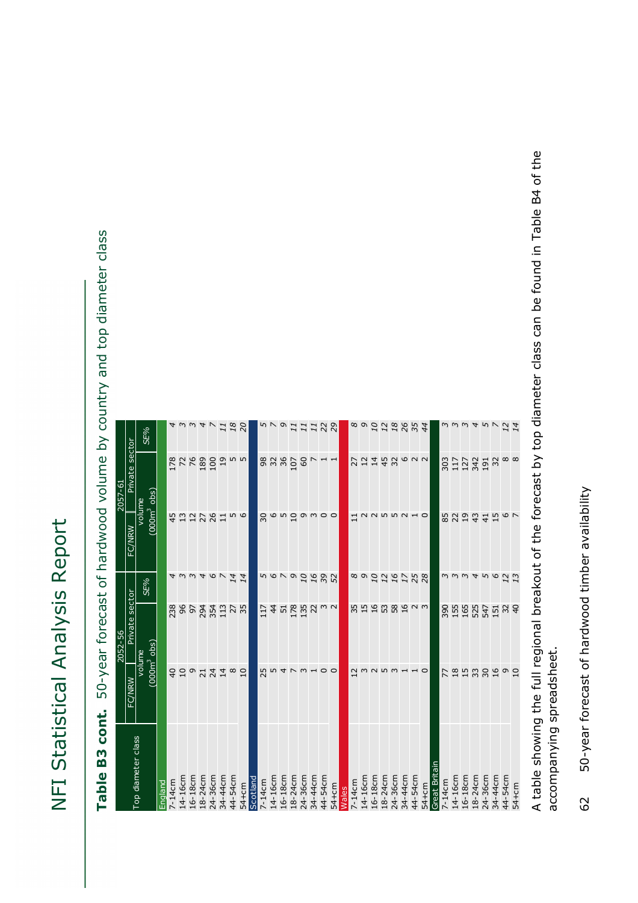|                    |                                     | 2052-56              |                   |                             | 2057-61                                   |            |
|--------------------|-------------------------------------|----------------------|-------------------|-----------------------------|-------------------------------------------|------------|
|                    | FC/NRW                              | Private sector       |                   | FC/NRW                      | Private sector                            |            |
| Top diameter class | volume                              |                      | SE%               | volume                      |                                           | <b>SE%</b> |
|                    | 1000m <sup>3</sup>                  | obs)                 |                   | $(000m3$ obs)               |                                           |            |
| England            |                                     |                      |                   |                             |                                           |            |
| $7-14cm$           |                                     | 238                  |                   |                             | 178                                       |            |
| 14-16cm            | $rac{10}{7}$                        |                      |                   |                             |                                           |            |
| 16-18cm            |                                     |                      |                   |                             |                                           | ω          |
| 18-24cm            |                                     |                      |                   |                             |                                           | 4          |
| 24-36cm            |                                     |                      |                   |                             | 7880                                      |            |
| 34-44cm            |                                     |                      |                   |                             | 19                                        |            |
| 44-54cm            | $\Omega$ $\Xi$ $\Xi$ $\infty$ $\Xi$ | 8585375              | 40040144          | おはひびれちょ                     |                                           | 780        |
| 54+cm              |                                     |                      |                   |                             | m m                                       |            |
| Scotland           |                                     |                      |                   |                             |                                           |            |
| $7-14cm$           | 25                                  | 117                  |                   |                             | 98                                        |            |
| 14-16cm            |                                     |                      |                   |                             | 32                                        | 5 V        |
| 16-18cm            | $M H$ $M H$ $OO$                    | 4728                 | 56790432          | <u> ខ</u> ុចក្នុង ២០        | 36                                        | e          |
| 18-24cm            |                                     |                      |                   |                             | 107                                       | 11         |
| 24-36cm            |                                     |                      |                   |                             | 60                                        | 11         |
| 34-44cm            |                                     | 22                   |                   |                             |                                           |            |
| 44-54cm            |                                     |                      |                   |                             |                                           |            |
| 54+cm              |                                     | $\frac{3}{2}$        |                   |                             |                                           | 7780       |
| Wales              |                                     |                      |                   |                             |                                           |            |
| $7 - 14cm$         | Ņ                                   |                      |                   | $\overline{11}$             | 27                                        | 8          |
| 14-16cm            |                                     | 55<br>55<br>55<br>55 | $\infty$          |                             | 12                                        | e          |
| 16-18cm            |                                     |                      |                   |                             | 14                                        |            |
| 18-24cm            | $M M M M H O$                       |                      | 225758            | $N$ $N$ $M$ $M$ $N$ $H$ $C$ | 45                                        | 222823     |
| 24-36cm            |                                     |                      |                   |                             |                                           |            |
| 34-44cm            |                                     |                      |                   |                             |                                           |            |
| 44-54cm            |                                     | 5923                 |                   |                             | $\frac{2}{3}$ $\frac{2}{3}$ $\frac{2}{3}$ |            |
| 54+cm              |                                     |                      |                   |                             |                                           |            |
| Great Brita        |                                     |                      |                   |                             |                                           |            |
| $7 - 14cm$         | 77                                  | 390                  | ო                 |                             | 303                                       | ω          |
| 14-16cm            |                                     | 155                  |                   | 8293                        | 117                                       |            |
| 16-18cm            |                                     | 165                  |                   |                             | 127                                       | $\omega$   |
| 18-24cm            |                                     | 525                  | $\omega \omega 4$ |                             |                                           | 4          |
| 24-36cm            | 8538598                             | 547                  | 5623              |                             | 342<br>191<br>32                          | 7 U        |
| 34-44cm            |                                     | $151$ 32             |                   | 41907                       |                                           |            |
| 44-54cm            |                                     |                      |                   |                             | $\infty$ $\infty$                         | 124        |
| 54+cm              |                                     |                      |                   |                             |                                           |            |

 50-year forecast of hardwood volume by country and top diameter class Table B3 cont. 50-year forecast of hardwood volume by country and top diameter class **Table B3 cont.**

A table showing the full regional breakout of the forecast by top diameter class can be found in Table B4 of the A table showing the full regional breakout of the forecast by top diameter class can be found in Table B4 of the accompanying spreadsheet. accompanying spreadsheet.

50-year forecast of hardwood timber availability 62 50-year forecast of hardwood timber availability 62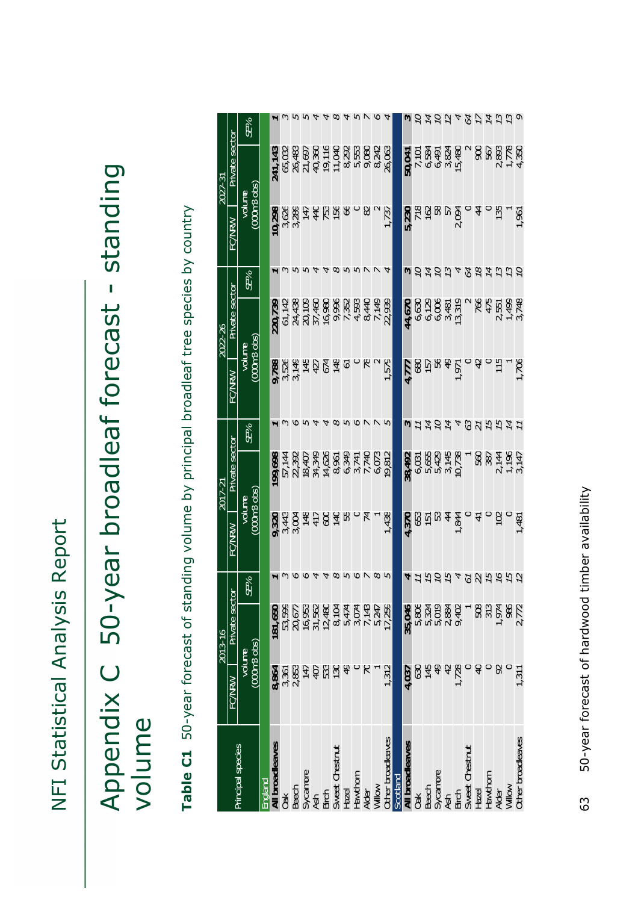## Appendix C 50-year broadleaf forecast - standing Appendix C 50-year broadleaf forecast - standing volume volume

50-year forecast of standing volume by principal broadleaf tree species by country Table C1 50-year forecast of standing volume by principal broadleaf tree species by country **Table C1** 

|                       |                        | 2013-16                                         |                                                                                                                                                                                                    |                                    | $2017 - 21$                                                              |                                                                                                                                                                                     |                                                                                                                                                                                                                                                                                                                                                                              | $2022 - 26$                                     |                  |                                                                               | 2027-31                      |                                       |
|-----------------------|------------------------|-------------------------------------------------|----------------------------------------------------------------------------------------------------------------------------------------------------------------------------------------------------|------------------------------------|--------------------------------------------------------------------------|-------------------------------------------------------------------------------------------------------------------------------------------------------------------------------------|------------------------------------------------------------------------------------------------------------------------------------------------------------------------------------------------------------------------------------------------------------------------------------------------------------------------------------------------------------------------------|-------------------------------------------------|------------------|-------------------------------------------------------------------------------|------------------------------|---------------------------------------|
|                       | FC/NRW                 | Private sector                                  |                                                                                                                                                                                                    | FC/NRW                             | Private sector                                                           |                                                                                                                                                                                     | FC/NRW                                                                                                                                                                                                                                                                                                                                                                       | Private sector                                  |                  | FC/NRW                                                                        | <b>Private sector</b>        |                                       |
| Principal species     | <b>Molume</b>          |                                                 | e%<br>ၯ                                                                                                                                                                                            | volume                             |                                                                          | <b>SE%</b>                                                                                                                                                                          |                                                                                                                                                                                                                                                                                                                                                                              | volume                                          | <b>SE%</b>       |                                                                               | volume                       | <b>SE%</b>                            |
|                       | $(000 \text{ mB obs})$ |                                                 |                                                                                                                                                                                                    | $(000 \text{ m} \cdot \text{obs})$ |                                                                          |                                                                                                                                                                                     |                                                                                                                                                                                                                                                                                                                                                                              | $(000 \text{ mB} \text{ obs})$                  |                  |                                                                               | $(000 \text{ m})$            |                                       |
| England               |                        |                                                 |                                                                                                                                                                                                    |                                    |                                                                          |                                                                                                                                                                                     |                                                                                                                                                                                                                                                                                                                                                                              |                                                 |                  |                                                                               |                              |                                       |
| All broadeaves        | 8,864                  | 181,650                                         |                                                                                                                                                                                                    | 9,320                              | 199,698                                                                  |                                                                                                                                                                                     |                                                                                                                                                                                                                                                                                                                                                                              | 220,739                                         |                  | 10,298                                                                        | <b>SA1,143</b>               |                                       |
| ď                     | 3,361                  | 53,599                                          |                                                                                                                                                                                                    |                                    |                                                                          |                                                                                                                                                                                     |                                                                                                                                                                                                                                                                                                                                                                              | 61,142                                          |                  |                                                                               | 65,032                       |                                       |
| Beech                 | 2,853                  |                                                 |                                                                                                                                                                                                    |                                    |                                                                          |                                                                                                                                                                                     |                                                                                                                                                                                                                                                                                                                                                                              | 24,438                                          |                  |                                                                               | 26,483                       |                                       |
| Sycanore              | 47                     |                                                 |                                                                                                                                                                                                    |                                    |                                                                          |                                                                                                                                                                                     |                                                                                                                                                                                                                                                                                                                                                                              | 20,109                                          |                  |                                                                               | 21,697                       |                                       |
| र्षे                  | $\frac{1}{2}$          |                                                 |                                                                                                                                                                                                    |                                    |                                                                          |                                                                                                                                                                                     |                                                                                                                                                                                                                                                                                                                                                                              |                                                 |                  |                                                                               | 40,360                       |                                       |
| Birch                 | 53                     | ទ្រមូនទី<br>ខ្នងមិនទី ខ្នង<br>ខ្លួនទី ខ្ញុំ និង | $\blacksquare$ $\blacksquare$ $\blacksquare$ $\blacksquare$ $\blacksquare$ $\blacksquare$ $\blacksquare$ $\blacksquare$ $\blacksquare$ $\blacksquare$ $\blacksquare$ $\blacksquare$ $\blacksquare$ | ぃぃ<br>ਨੈਊਕੋੜੈ8ੈਕੋੋੋੋ 80 ×          | 12 5 5 3 5 3 6 9 9 9 1<br>국 3 5 3 8 8 9 3 4 5 6<br>구 3 5 3 8 9 3 3 4 5 6 | $\blacksquare$ $\blacksquare$ $\blacksquare$ $\blacksquare$ $\blacksquare$ $\blacksquare$ $\blacksquare$ $\blacksquare$ $\blacksquare$ $\blacksquare$ $\blacksquare$ $\blacksquare$ | <b>ទី</b><br><b>និ</b> ក្កដូម ទី ឆ្នាំ ១                                                                                                                                                                                                                                                                                                                                     | 258888845<br>198888845<br>198888845             | NN440NNVV4       |                                                                               |                              |                                       |
| <b>Sweet Chestnut</b> | ន្ទ                    |                                                 |                                                                                                                                                                                                    |                                    |                                                                          |                                                                                                                                                                                     |                                                                                                                                                                                                                                                                                                                                                                              |                                                 |                  |                                                                               |                              |                                       |
| Hazel                 | අ                      |                                                 |                                                                                                                                                                                                    |                                    |                                                                          |                                                                                                                                                                                     |                                                                                                                                                                                                                                                                                                                                                                              |                                                 |                  |                                                                               |                              |                                       |
| Hawthorn              |                        |                                                 |                                                                                                                                                                                                    |                                    |                                                                          |                                                                                                                                                                                     |                                                                                                                                                                                                                                                                                                                                                                              |                                                 |                  |                                                                               |                              |                                       |
| <b>Ader</b>           |                        |                                                 |                                                                                                                                                                                                    |                                    |                                                                          |                                                                                                                                                                                     | o po n                                                                                                                                                                                                                                                                                                                                                                       |                                                 |                  | 8                                                                             |                              |                                       |
| <b>VVIIIOV</b>        |                        |                                                 |                                                                                                                                                                                                    |                                    |                                                                          |                                                                                                                                                                                     |                                                                                                                                                                                                                                                                                                                                                                              |                                                 |                  |                                                                               |                              | 7 D N D                               |
| Other broadleaves     | 1,312                  | 17,259                                          |                                                                                                                                                                                                    | 1,438                              | 19,812                                                                   |                                                                                                                                                                                     | 1,579                                                                                                                                                                                                                                                                                                                                                                        | 22,939                                          |                  | 1,737                                                                         | 26,063                       |                                       |
| Scotland              |                        |                                                 |                                                                                                                                                                                                    |                                    |                                                                          |                                                                                                                                                                                     |                                                                                                                                                                                                                                                                                                                                                                              |                                                 |                  |                                                                               |                              |                                       |
| All broadleaves       | 405                    | 35,046                                          |                                                                                                                                                                                                    | 4,370                              | 38,492                                                                   |                                                                                                                                                                                     |                                                                                                                                                                                                                                                                                                                                                                              | 44,670                                          |                  |                                                                               | <b>EKO QE</b>                |                                       |
| ≹<br>∂                | ශි                     |                                                 |                                                                                                                                                                                                    |                                    |                                                                          |                                                                                                                                                                                     |                                                                                                                                                                                                                                                                                                                                                                              |                                                 |                  |                                                                               |                              |                                       |
| Beech                 | $\frac{45}{5}$         |                                                 |                                                                                                                                                                                                    |                                    |                                                                          |                                                                                                                                                                                     |                                                                                                                                                                                                                                                                                                                                                                              |                                                 |                  |                                                                               |                              |                                       |
| Sycanore              |                        |                                                 |                                                                                                                                                                                                    |                                    |                                                                          |                                                                                                                                                                                     |                                                                                                                                                                                                                                                                                                                                                                              |                                                 |                  |                                                                               |                              |                                       |
| ষ্ঠ                   | Ą                      |                                                 |                                                                                                                                                                                                    |                                    |                                                                          |                                                                                                                                                                                     |                                                                                                                                                                                                                                                                                                                                                                              |                                                 |                  |                                                                               |                              |                                       |
| Birch                 | 1,728                  | n n n y o<br>8 y 0 8 d<br>8 y 0 8 d             |                                                                                                                                                                                                    |                                    |                                                                          |                                                                                                                                                                                     |                                                                                                                                                                                                                                                                                                                                                                              |                                                 |                  |                                                                               |                              |                                       |
| <b>Sweet Chestnut</b> |                        |                                                 |                                                                                                                                                                                                    |                                    |                                                                          |                                                                                                                                                                                     |                                                                                                                                                                                                                                                                                                                                                                              |                                                 |                  |                                                                               |                              |                                       |
| Hazel                 | Ą                      |                                                 | ◀ エ エ ロ ロ エ マ ヨ 8 ハ エ 8 f 1 1                                                                                                                                                                      |                                    | ៰៷៷៶៲ឨ<br>ឨឨ៝ឨ៝ឨ៷៓៰ឨឨឨឨ                                                  | 22248242424                                                                                                                                                                         | $\ddot{\mathbf{z}}$<br>$\ddot{\mathbf{z}}$<br>$\ddot{\mathbf{z}}$<br>$\ddot{\mathbf{z}}$<br>$\ddot{\mathbf{z}}$<br>$\ddot{\mathbf{z}}$<br>$\ddot{\mathbf{z}}$<br>$\ddot{\mathbf{z}}$<br>$\ddot{\mathbf{z}}$<br>$\ddot{\mathbf{z}}$<br>$\ddot{\mathbf{z}}$<br>$\ddot{\mathbf{z}}$<br>$\ddot{\mathbf{z}}$<br>$\ddot{\mathbf{z}}$<br>$\ddot{\mathbf{z}}$<br>$\ddot{\mathbf{z}}$ | ៰៰៰៰៶៲៶<br>៙៝៷៝ៜឨ៓៝ឣ៓៶៷ៜឨៜឨ<br>៙៝៷៝ឨឨ៓៴៷ឨ៝៝៝ឨៜឨ | wdzdd 4 2 dziddd | <b>ម្</b><br><b>មិ</b> ដ្ឋា ធ្ងន់ ខេត្ត ដូច<br><b>មិ</b> ដ្ឋា ធ្ងន់ ខេត្ត ដូច | ៸<br>ឨឨឨឨឨ<br>ឨឨឨឨ៓៓៰៓ៜ៙៓ឨឨឨ | <i><b>5 4 5 5 4 8 7 4 5 5 9 9</b></i> |
| Hawthorn              |                        |                                                 |                                                                                                                                                                                                    |                                    |                                                                          |                                                                                                                                                                                     |                                                                                                                                                                                                                                                                                                                                                                              |                                                 |                  |                                                                               |                              |                                       |
| <b>Alder</b>          | 8                      | 508<br>1,974<br>1,974                           |                                                                                                                                                                                                    |                                    |                                                                          |                                                                                                                                                                                     |                                                                                                                                                                                                                                                                                                                                                                              |                                                 |                  |                                                                               |                              |                                       |
| <b>Vallow</b>         |                        | 86                                              |                                                                                                                                                                                                    |                                    |                                                                          |                                                                                                                                                                                     |                                                                                                                                                                                                                                                                                                                                                                              |                                                 |                  |                                                                               |                              |                                       |
| Other broadleaves     | 1,311                  | 272                                             |                                                                                                                                                                                                    |                                    |                                                                          |                                                                                                                                                                                     |                                                                                                                                                                                                                                                                                                                                                                              |                                                 |                  |                                                                               |                              |                                       |

63 50-year forecast of hardwood timber availability 50-year forecast of hardwood timber availability 63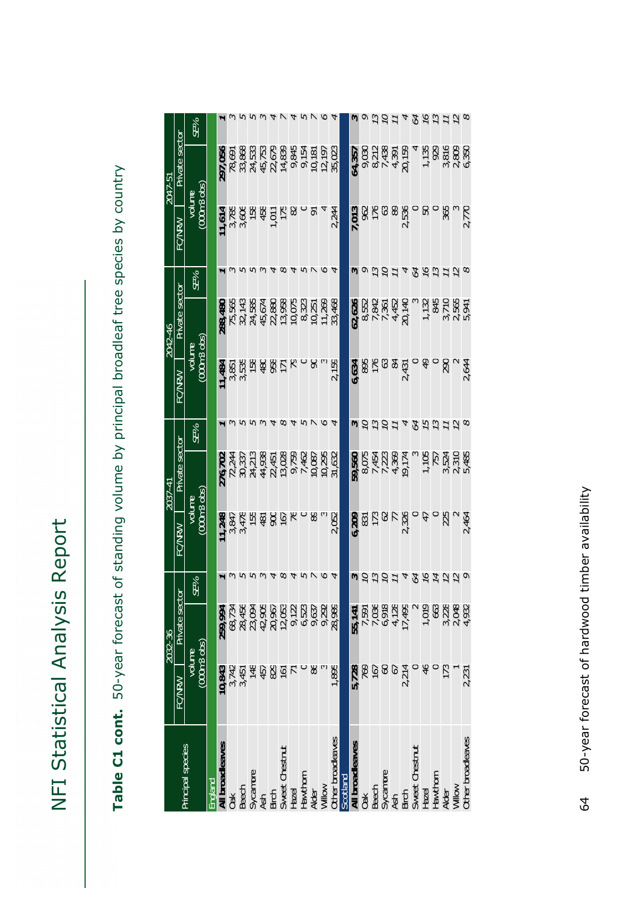|                       |               | 2032-36                                      |                                                                                                                                                                                                                                                                                                                                                                                                                                        |                                  | 2037-41                    |                                                                                                                                                                                                                 |                                   | 2042-46         |                                                     |                                 | 2047-51                      |                                                                                                                                                                                                                                                                                                                                                                                                                                                                                       |
|-----------------------|---------------|----------------------------------------------|----------------------------------------------------------------------------------------------------------------------------------------------------------------------------------------------------------------------------------------------------------------------------------------------------------------------------------------------------------------------------------------------------------------------------------------|----------------------------------|----------------------------|-----------------------------------------------------------------------------------------------------------------------------------------------------------------------------------------------------------------|-----------------------------------|-----------------|-----------------------------------------------------|---------------------------------|------------------------------|---------------------------------------------------------------------------------------------------------------------------------------------------------------------------------------------------------------------------------------------------------------------------------------------------------------------------------------------------------------------------------------------------------------------------------------------------------------------------------------|
| Principal species     | <b>FC/NRW</b> | Private sector                               |                                                                                                                                                                                                                                                                                                                                                                                                                                        | FC/NRW                           | Private sector             |                                                                                                                                                                                                                 | FC/NRW                            | Private sector  |                                                     | FC/NRW                          | Private sector               |                                                                                                                                                                                                                                                                                                                                                                                                                                                                                       |
|                       |               | $(000 \text{ m} \cdot \text{obs})$<br>volume | P%<br>ŋ                                                                                                                                                                                                                                                                                                                                                                                                                                | $(000 \text{ mB obs})$<br>volume |                            | <b>SEP/0</b>                                                                                                                                                                                                    | <b>COOm3 obs)</b><br>volume       |                 | <b>SE%</b>                                          | $000 \text{ m}$ ados)<br>volume |                              | <b>SE%</b>                                                                                                                                                                                                                                                                                                                                                                                                                                                                            |
| England               |               |                                              |                                                                                                                                                                                                                                                                                                                                                                                                                                        |                                  |                            |                                                                                                                                                                                                                 |                                   |                 |                                                     |                                 |                              |                                                                                                                                                                                                                                                                                                                                                                                                                                                                                       |
| All broadleaves       | Eb8 OT        | <b>259,994</b>                               |                                                                                                                                                                                                                                                                                                                                                                                                                                        | 11,248                           | 276,702                    |                                                                                                                                                                                                                 | 11,484                            | 2883,4800       |                                                     | 11,614                          | 297,056                      |                                                                                                                                                                                                                                                                                                                                                                                                                                                                                       |
| ď                     | 3,742         | 68,734                                       | $M$ w n n w 4 $\omega$ 4 $N$ $\sqrt{a}$                                                                                                                                                                                                                                                                                                                                                                                                |                                  | 72,244                     |                                                                                                                                                                                                                 |                                   | 75,565          |                                                     |                                 | 78,691                       |                                                                                                                                                                                                                                                                                                                                                                                                                                                                                       |
| Beech                 | 3,451         | 28,456                                       |                                                                                                                                                                                                                                                                                                                                                                                                                                        |                                  | 30,337                     |                                                                                                                                                                                                                 | 3,851<br>3,535                    | 32,143          |                                                     |                                 | 33,868                       |                                                                                                                                                                                                                                                                                                                                                                                                                                                                                       |
| Sycanore              | $rac{48}{5}$  | 23,094                                       |                                                                                                                                                                                                                                                                                                                                                                                                                                        | 2.945<br>2.455<br>2.855          | 24,213                     | W N N W 4 Q 4 N V Q 4                                                                                                                                                                                           | ង្ក                               | 24,585          | W N N W 4 Q 4 N V Q 4                               | 3785<br>3606<br>388             | 24,53                        |                                                                                                                                                                                                                                                                                                                                                                                                                                                                                       |
| ধ্র                   | 457           |                                              |                                                                                                                                                                                                                                                                                                                                                                                                                                        |                                  |                            |                                                                                                                                                                                                                 |                                   | 45,674          |                                                     | <b>战</b>                        | 45,753                       |                                                                                                                                                                                                                                                                                                                                                                                                                                                                                       |
| Birch                 | 8             | 42,905<br>20,967                             |                                                                                                                                                                                                                                                                                                                                                                                                                                        | <u> 총 왕 ල</u>                    | 47508<br>27508<br>47508    |                                                                                                                                                                                                                 | ទី៥ដូដ                            | 22,880          |                                                     | 1,011<br>175                    | 22,679                       |                                                                                                                                                                                                                                                                                                                                                                                                                                                                                       |
| <b>Sweet Chestnut</b> | 161           | 12,053                                       |                                                                                                                                                                                                                                                                                                                                                                                                                                        |                                  |                            |                                                                                                                                                                                                                 |                                   | 13,958          |                                                     |                                 | 14,839                       |                                                                                                                                                                                                                                                                                                                                                                                                                                                                                       |
| Hazel                 |               | 9,122                                        |                                                                                                                                                                                                                                                                                                                                                                                                                                        | R                                | 9,759<br>7,462             |                                                                                                                                                                                                                 |                                   | 10,075          |                                                     | $\infty$                        |                              |                                                                                                                                                                                                                                                                                                                                                                                                                                                                                       |
| Hawthorn              |               | 6,523                                        |                                                                                                                                                                                                                                                                                                                                                                                                                                        |                                  |                            |                                                                                                                                                                                                                 |                                   | 8,323           |                                                     |                                 | 9.845<br>9.154               |                                                                                                                                                                                                                                                                                                                                                                                                                                                                                       |
| <b>Alder</b>          | 8             | 9,637                                        |                                                                                                                                                                                                                                                                                                                                                                                                                                        | 8                                | 10,087                     |                                                                                                                                                                                                                 | 8                                 | 10,251          |                                                     | p<br>2                          | 10,181                       |                                                                                                                                                                                                                                                                                                                                                                                                                                                                                       |
| <b>Villow</b>         |               | 9,292                                        |                                                                                                                                                                                                                                                                                                                                                                                                                                        |                                  | 10,295                     |                                                                                                                                                                                                                 |                                   | 11,269          |                                                     |                                 | 12,197                       | $V$ $\sigma$ 4                                                                                                                                                                                                                                                                                                                                                                                                                                                                        |
| <b>Consident</b>      | 1,895         | 28,989                                       |                                                                                                                                                                                                                                                                                                                                                                                                                                        | 2,052                            | 31,632                     |                                                                                                                                                                                                                 | 2,159                             | 33,468          |                                                     | 2,244                           | 35, O23                      |                                                                                                                                                                                                                                                                                                                                                                                                                                                                                       |
| Scotland              |               |                                              |                                                                                                                                                                                                                                                                                                                                                                                                                                        |                                  |                            |                                                                                                                                                                                                                 |                                   |                 |                                                     |                                 |                              |                                                                                                                                                                                                                                                                                                                                                                                                                                                                                       |
| All broadeaves        | 5,728         | 55,141                                       |                                                                                                                                                                                                                                                                                                                                                                                                                                        | 6,209                            | 59,560                     |                                                                                                                                                                                                                 | <u>କେ</u>                         | 62,626          |                                                     | 7,013                           | 64,35,                       |                                                                                                                                                                                                                                                                                                                                                                                                                                                                                       |
| ď                     | දි            | 7,591                                        | $\begin{array}{ccccccccccccccccc} \textbf{w} & \textbf{S} & \textbf{G} & \textbf{S} & \textbf{S} & \textbf{S} & \textbf{S} & \textbf{S} & \textbf{S} & \textbf{S} & \textbf{S} & \textbf{S} & \textbf{S} & \textbf{S} & \textbf{S} & \textbf{S} & \textbf{S} & \textbf{S} & \textbf{S} & \textbf{S} & \textbf{S} & \textbf{S} & \textbf{S} & \textbf{S} & \textbf{S} & \textbf{S} & \textbf{S} & \textbf{S} & \textbf{S} & \textbf{S}$ |                                  |                            | $@G\overset{\sim}{\rightarrow} G\overset{\sim}{\rightarrow} G\overset{\sim}{\rightarrow} G\overset{\sim}{\rightarrow} G\overset{\sim}{\rightarrow} G\overset{\sim}{\rightarrow} G\overset{\sim}{\rightarrow} G$ | 88<br>17                          |                 | $w_0$ $\ddot{\omega}$ $5544$ $R\ddot{\omega}$ $554$ | 85<br>28                        |                              |                                                                                                                                                                                                                                                                                                                                                                                                                                                                                       |
| Beech                 | 167           | 7,036                                        |                                                                                                                                                                                                                                                                                                                                                                                                                                        | <b>82 R</b>                      |                            |                                                                                                                                                                                                                 |                                   | 8,582<br>2.84   |                                                     |                                 |                              |                                                                                                                                                                                                                                                                                                                                                                                                                                                                                       |
| Sycanore              | 8             | 6,918                                        |                                                                                                                                                                                                                                                                                                                                                                                                                                        |                                  |                            |                                                                                                                                                                                                                 |                                   | 7,361           |                                                     | ଞ                               |                              |                                                                                                                                                                                                                                                                                                                                                                                                                                                                                       |
| प्री                  | Ç             | 4,128                                        |                                                                                                                                                                                                                                                                                                                                                                                                                                        |                                  |                            |                                                                                                                                                                                                                 |                                   |                 |                                                     |                                 |                              |                                                                                                                                                                                                                                                                                                                                                                                                                                                                                       |
| Birch                 | 2,214         | 17,499                                       |                                                                                                                                                                                                                                                                                                                                                                                                                                        |                                  | 805<br>2405<br>8408<br>854 |                                                                                                                                                                                                                 | ಇ ಹ ಸ್ಟ<br>ಇ ಹ ಸ್ಟ                | 4,452<br>20,140 |                                                     | 88<br>2556<br>2556              | 08건 8천 9년<br>이 3년<br>이 3년 9년 |                                                                                                                                                                                                                                                                                                                                                                                                                                                                                       |
| <b>Sweet Chestnut</b> |               |                                              |                                                                                                                                                                                                                                                                                                                                                                                                                                        |                                  |                            |                                                                                                                                                                                                                 | $\circ$                           |                 |                                                     |                                 |                              |                                                                                                                                                                                                                                                                                                                                                                                                                                                                                       |
| Hazel                 | <u>ჭ</u>      | 1,019                                        |                                                                                                                                                                                                                                                                                                                                                                                                                                        | 95808080<br>85808080             | ים<br>ק <u>נ</u> ג<br>ק    |                                                                                                                                                                                                                 | $\frac{10}{9}$ – 8 $\frac{10}{9}$ | 1,132           |                                                     | ႜ႘ႜ႘                            | $4\frac{138}{100}$           | $\begin{array}{ccccccccccccc} \multicolumn{4}{c}{} & \multicolumn{4}{c}{} & \multicolumn{4}{c}{} & \multicolumn{4}{c}{} & \multicolumn{4}{c}{} & \multicolumn{4}{c}{} & \multicolumn{4}{c}{} & \multicolumn{4}{c}{} & \multicolumn{4}{c}{} & \multicolumn{4}{c}{} & \multicolumn{4}{c}{} & \multicolumn{4}{c}{} & \multicolumn{4}{c}{} & \multicolumn{4}{c}{} & \multicolumn{4}{c}{} & \multicolumn{4}{c}{} & \multicolumn{4}{c}{} & \multicolumn{4}{c}{} & \multicolumn{4}{c}{} & \$ |
| Hawthorn              |               | ශී                                           |                                                                                                                                                                                                                                                                                                                                                                                                                                        |                                  |                            |                                                                                                                                                                                                                 |                                   | 845             |                                                     |                                 |                              |                                                                                                                                                                                                                                                                                                                                                                                                                                                                                       |
| <b>Alder</b>          | Ŗ             | 3,228                                        |                                                                                                                                                                                                                                                                                                                                                                                                                                        |                                  | 3,318<br>2,318<br>5,485    |                                                                                                                                                                                                                 |                                   |                 |                                                     |                                 |                              |                                                                                                                                                                                                                                                                                                                                                                                                                                                                                       |
| <b>Milow</b>          |               | 2,048<br>4,932                               |                                                                                                                                                                                                                                                                                                                                                                                                                                        |                                  |                            |                                                                                                                                                                                                                 |                                   | 3,710<br>2,565  |                                                     |                                 | 3,816<br>2,809               |                                                                                                                                                                                                                                                                                                                                                                                                                                                                                       |
| Other broadleaves     | 2,231         |                                              |                                                                                                                                                                                                                                                                                                                                                                                                                                        | 2,464                            |                            |                                                                                                                                                                                                                 | 2,64                              | <b>EXS</b>      |                                                     | 277C                            | 6,350                        |                                                                                                                                                                                                                                                                                                                                                                                                                                                                                       |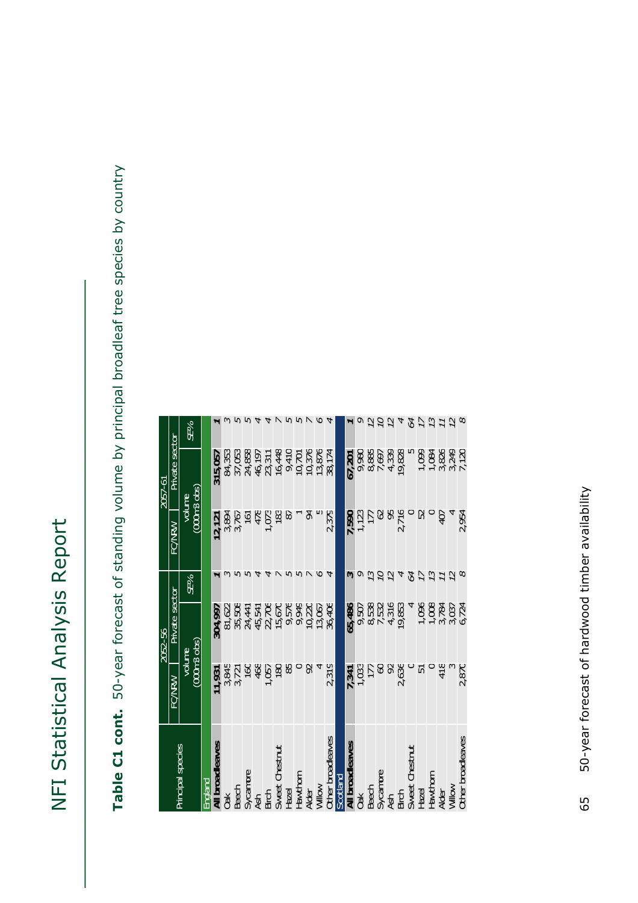|                       |                                  | 2052-56        |                |                                  | 2057-61        |                   |
|-----------------------|----------------------------------|----------------|----------------|----------------------------------|----------------|-------------------|
|                       | <b>FONRW</b>                     | Private sector |                | <b>FC/NRW</b>                    | Private sector |                   |
| Principal species     | $(000 \text{ mB obs})$<br>volume |                | <b>SE%</b>     | $(000 \text{ mB obs})$<br>volume |                | <b>SE%</b>        |
| England               |                                  |                |                |                                  |                |                   |
| All broadleaves       | 11,931                           | 304,997        |                | 12, 121                          | 315,057        |                   |
| ě<br>0                | 3,845                            | 81,622         |                | 3,894                            | 84,353         |                   |
| Beech                 | 3,721                            | 35,508         | ო ს            | 3,767                            | 37,053         |                   |
| Sycanore              | gg                               | 24,441         | Lη             | <u>ជ</u>                         | 24,858         |                   |
| र्षे                  | $\frac{8}{3}$                    | 45,541         | 4              | $rac{4}{8}$                      | 46,197         | WUUAAVNUVOA       |
| Birch                 | 1,057                            | 22,706         | 4              | 1,073                            | 23,311         |                   |
| <b>Sveet Chestrut</b> | ğ                                | 15,670         |                | 38                               | 16,448         |                   |
| <b>RZBH</b>           | 8                                | 9,576          | n w            | 6                                | 9,410          |                   |
| Hawthorn              |                                  | 9,949          |                |                                  | 10,701         |                   |
| <b>Alder</b>          | 8                                | 10,220         | N 0            | æ                                | 10,376         |                   |
| <b>VAllow</b>         |                                  | 13,067         |                |                                  | 13,876         |                   |
| Other broadleaves     | 2,319                            | 36,406         | 4              | 2,379                            | 38,174         |                   |
| Scotland              |                                  |                |                |                                  |                |                   |
| All broadleaves       | 7,341                            | 65,486         | M              | 7,590                            | 67,201         |                   |
| ď                     | 1,033                            | 9,507          | O              | 1,123                            | 9,980          |                   |
| Beech                 | 17                               | 8,538          |                | 口                                | 8,885          |                   |
| Sycanore              | $\beta$                          | 7,532          | JJJ4           | 9                                | 7,697          |                   |
| Ash                   | 8                                | 4,316          |                | 99                               | 4,339          |                   |
| Birch                 | 2,636                            | 19,853         |                | 2,716                            | 19,828         |                   |
| <b>Sweet Chestnut</b> |                                  |                | $\mathscr{R}$  |                                  |                |                   |
| <b>RZBH</b>           | <u>ኪ</u>                         | 1,096          | 17             | Ŋ                                | 1,099          |                   |
| Hawthorn              |                                  | 1,008          | 13             |                                  | 1,084          |                   |
| <b>Alder</b>          | 418                              | 3,784          | $\frac{11}{2}$ | ЬÞ                               | 3,826          |                   |
| <b>Villow</b>         |                                  | 3,037          |                |                                  | 3,249          | $\circ$ 357487378 |
| Cther broadeaves      | 2,870                            | 6,724          | $^{\circ}$     | 2,954                            | 7,120          |                   |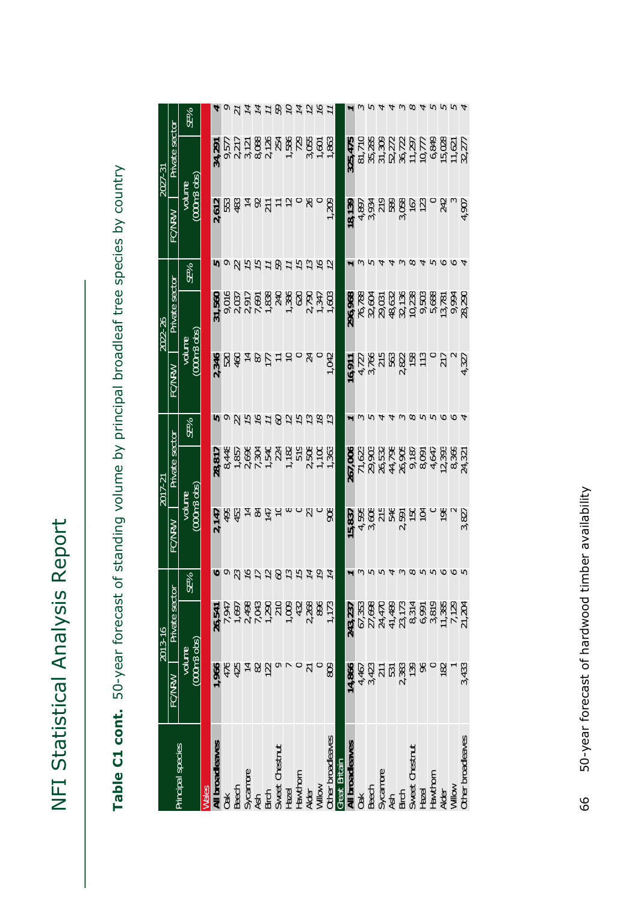|                         |                                          | 2013-16                             |                               |                                      | 2017-21           |                       |                                         | 2022-26         |                                  |                                  | 2027-31                                   |                                |
|-------------------------|------------------------------------------|-------------------------------------|-------------------------------|--------------------------------------|-------------------|-----------------------|-----------------------------------------|-----------------|----------------------------------|----------------------------------|-------------------------------------------|--------------------------------|
|                         | <b>FC/NRW</b>                            | Private sector                      |                               | <b>FC/NRW</b>                        | Private sector    |                       | <b>FC/NBW</b>                           | Private sector  |                                  | <b>FC/NRW</b>                    | Private sector                            |                                |
| Principal species       | $(000 \text{ m}3 \text{ obs})$<br>volume |                                     | <b>SE%</b>                    | $\overline{\text{conv}}$ ൽ<br>wolune |                   | <b>SE%</b>            | $\overline{\text{conv}}$ ന്ത്<br>volume |                 | <b>SE%</b>                       | $(000 \text{ mB obs})$<br>volume |                                           | <b>SE%</b>                     |
| Wales                   |                                          |                                     |                               |                                      |                   |                       |                                         |                 |                                  |                                  |                                           |                                |
| All broadleaves         | 1,966                                    | 26,541                              |                               | 2,147                                | 28,817            |                       | 2,346                                   | 31,560          |                                  | 2,612                            | <b>IGC 45</b>                             |                                |
| ě                       |                                          | -1947                               | $\mathbf{a} \circ \mathbf{g}$ |                                      | 8,448             | $\bullet$ のとおおはのひだけおお |                                         |                 | <b>5</b> 9 2 4 4 4 4 8 4 4 4 4 4 |                                  |                                           |                                |
| Beech                   | 48                                       |                                     |                               | ទីម៉ឺងខ្នង់ ដ                        | 1,85              |                       | 88                                      | 9,016<br>2,037  |                                  | 63                               | <b>PHH&amp;HA&amp;bBBB</b><br>PHH&HA&bBBB | ণ ম                            |
| Sycanore                | ച്                                       |                                     |                               |                                      | 2,696             |                       |                                         | 2,917           |                                  |                                  |                                           |                                |
| ধ্রী                    | ន ដ                                      | 1,89<br>2,89<br>1,7,80<br>1,7,80    |                               |                                      |                   |                       |                                         |                 |                                  | 보임법                              |                                           |                                |
| Birch                   |                                          |                                     |                               |                                      | 23년<br>12년<br>12년 |                       |                                         | 7,691<br>1,838  |                                  |                                  |                                           |                                |
| <b>Sweet Chestnut</b>   |                                          | $\frac{1}{2}$                       |                               |                                      |                   |                       |                                         |                 |                                  | 그걸                               |                                           |                                |
| Hazel                   |                                          | 1,009                               | 879899799                     |                                      | 1,182             |                       | 보인건 그 ㅎ                                 | 1,386           |                                  |                                  |                                           | はははめは                          |
| Hawthorn                |                                          | $\frac{8}{3}$                       |                               |                                      | 519               |                       |                                         | <b>S</b>        |                                  |                                  |                                           |                                |
| Alder                   |                                          | 2,268                               |                               | $\infty$ 0 $\%$                      | 2,508             |                       | $\mathcal{A}$                           | 2,790           |                                  | ం శ                              |                                           |                                |
| Willow                  |                                          | 896                                 |                               | $\circ$                              | 1,100             |                       |                                         | 1,347           |                                  |                                  |                                           |                                |
| <b>Other broadeaves</b> | 809                                      | 1,173                               | 14                            | 908                                  | 1,363             |                       | 1,042                                   | 1,603           |                                  | 1,209                            |                                           | $\overline{11}$                |
| Geat Britain            |                                          |                                     |                               |                                      |                   |                       |                                         |                 |                                  |                                  |                                           |                                |
| All broadleaves         | 14,866                                   | 243,237                             |                               | 15,837                               | 267,006           |                       | 16,911                                  | 296,968         |                                  | 18, 139                          | 325,475                                   |                                |
| ď                       | 4,467                                    | 67,353                              |                               | 4,595                                | 71,623            |                       |                                         | 76,788          |                                  | 4,897                            | 81,710                                    |                                |
| Beech                   | 3,423                                    | 27,698                              |                               | 3,608                                | 29,903            |                       | 4,727<br>3,766                          | 32,604          |                                  | 3,934                            | 35,285                                    |                                |
| Sycanore                | $\overline{z}$                           |                                     |                               | 215                                  | 26,532            |                       | 치<br>시                                  | 29,031          |                                  | 219                              | 31,309                                    |                                |
| $\frac{1}{2}$           | ශි                                       |                                     |                               | SK                                   | 44,798            |                       | 563                                     | 48,632          |                                  | 38                               |                                           |                                |
| Birch                   | 2,383                                    | 24,470<br>41,489<br>53,173<br>8,314 | 1 2 3 4 3 6 7 6 7 8 9 9 9 9   | 2,591                                | 26,905            | w r 4 4 w 8 r n 6 p 4 | 2822                                    | 32,136          | w r 4 4 w 8 4 r 6 6 4            | 3,058                            | 222<br>2222<br>2222                       | $W$ $\alpha$ 4 $W$ $W$ $\beta$ |
| <b>Sweet Chestnut</b>   | 8                                        |                                     |                               |                                      | 9,187             |                       | $\frac{8}{2}$                           | 10,238          |                                  | े हैं                            |                                           |                                |
| Hazel                   | $\frac{8}{5}$                            | 6,991                               |                               | ដ្ឋម្ព                               | 8,091             |                       |                                         | 9,503           |                                  |                                  | 10,777                                    |                                |
| Hawthorn                |                                          |                                     |                               |                                      | 4,647             |                       |                                         | 5,688           |                                  | $\overline{a}$                   | 6,849                                     |                                |
| <b>Alder</b>            | $\frac{8}{2}$                            |                                     |                               | ៓ឨ៓៓៓                                | 12,393            |                       |                                         | 13,781          |                                  | 342                              | 15,028                                    |                                |
| Milow                   |                                          | 389<br>11, 385<br>7, 20<br>21, 20   |                               |                                      | 8,369<br>24,321   |                       | ដឹត្ត<br>ដឹត្ត                          | 9,994<br>28,290 |                                  |                                  |                                           |                                |
| Other broadeaves        | 3,433                                    |                                     |                               | 3,827                                |                   |                       |                                         |                 |                                  | 4,907                            | 11,621<br>32,277                          |                                |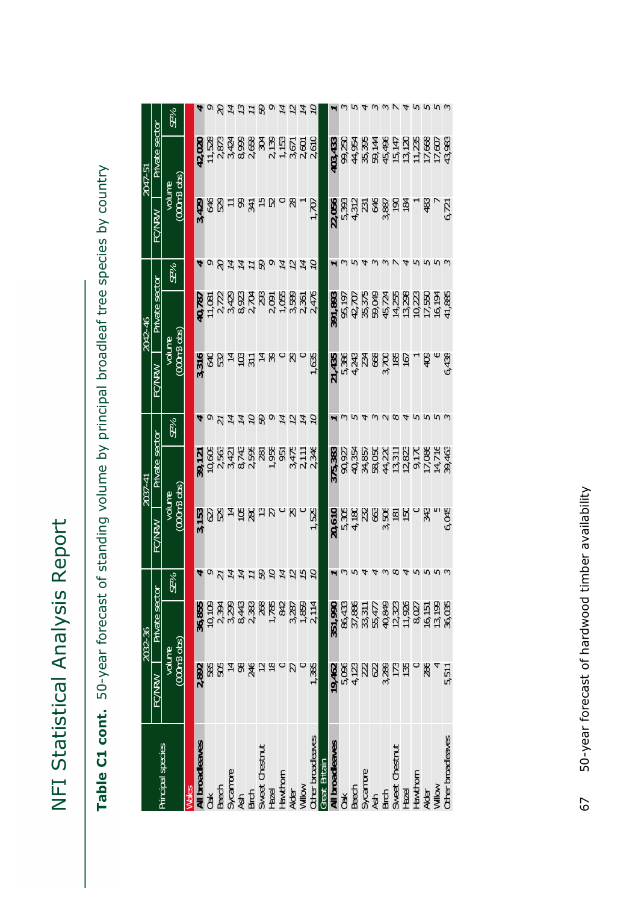50-year forecast of standing volume by principal broadleaf tree species by country Table C1 cont. 50-year forecast of standing volume by principal broadleaf tree species by country **Table C1 cont.** 

|                       |                                          | $2032 - 36$               |                |                                          | 2037-41             |             |                                  | 2042-46                    |                         |                                  | 2047-51                          |                                                               |
|-----------------------|------------------------------------------|---------------------------|----------------|------------------------------------------|---------------------|-------------|----------------------------------|----------------------------|-------------------------|----------------------------------|----------------------------------|---------------------------------------------------------------|
|                       | <b>FONBW</b>                             | Private sector            |                | FONDW                                    | Private sector      |             | FONRW                            | <b>Private sector</b>      |                         | FC/NRW                           | Private sector                   |                                                               |
| Principal species     | $(000 \text{ m}3 \text{ obs})$<br>volume |                           | <b>SE%</b>     | $(000 \text{ m}3 \text{ obs})$<br>volume |                     | <b>SE%</b>  | $(000nB$ das)                    | wolune                     | <b>SE%</b>              | $(000 \text{ mB obs})$<br>volume |                                  | <b>SE%</b>                                                    |
| Males                 |                                          |                           |                |                                          |                     |             |                                  |                            |                         |                                  |                                  |                                                               |
| All broadleaves       | 2,892                                    | 36,855                    |                | 3,153                                    | 39,121              |             | 3,316                            | 10,787                     |                         | 3,429                            | 42,020                           |                                                               |
| ð                     | 585                                      | 10,109                    | 40222182425    |                                          | 10,609              | 40222280234 |                                  | 11,081                     | 4 0 8 4 4 4 8 0 4 5 4 4 |                                  | 11,528                           |                                                               |
| Beech                 | 505                                      |                           |                | 8<br>8                                   | 2,563               |             | æ<br>B                           | 2722                       |                         | æ 8                              | 2873                             | 8                                                             |
| Sycanore              | ਸ<br>4                                   | 2,394<br>3,299            |                |                                          | 3,421               |             |                                  | 3,429                      |                         |                                  | 3,424                            | $\vec{z}$                                                     |
| ধ্রী                  | 8                                        |                           |                | ដ ដ្ឋ <b>ន្ថ</b> ដ ៦ <b>o</b> ន o        |                     |             | 코高벅굴상                            |                            |                         | ㅋ & 폭 ㅂ 以                        |                                  |                                                               |
| Birch                 | ЭÆ                                       | 8,43<br>2,383             |                |                                          | 8,743<br>2,595      |             |                                  | 832<br>278<br>878          |                         |                                  | 8888838555656<br>888855556565666 | にはもっぱけはひ                                                      |
| <b>Sweet Chestnut</b> |                                          | 268                       |                |                                          |                     |             |                                  |                            |                         |                                  |                                  |                                                               |
| Hazel                 | $\frac{8}{1}$                            | 1,785                     |                |                                          | 281<br>1,958        |             |                                  |                            |                         |                                  |                                  |                                                               |
| Hawthorn              |                                          | 842                       |                |                                          | 55                  |             | $\circ$ 8                        | 2<br>이 이 영<br>이 이 선        |                         | $\circ$ 8                        |                                  |                                                               |
| <b>Alder</b>          |                                          | 3,287                     |                |                                          |                     |             |                                  |                            |                         |                                  |                                  |                                                               |
| <b>VVIIIOV</b>        |                                          | 1,859                     |                |                                          | 3475<br>2118<br>328 |             |                                  |                            |                         |                                  |                                  |                                                               |
| Other broadleaves     | 1,385                                    | 2,114                     | $\overline{a}$ | 1,529                                    |                     | З           | 1,635                            | 2,476                      | S                       | 1,707                            |                                  |                                                               |
| Geat Britain          |                                          |                           |                |                                          |                     |             |                                  |                            |                         |                                  |                                  |                                                               |
| All broadleaves       | 19,462                                   | 351,990                   |                | 20,610                                   | 375,383             |             | 21,435                           | 391,893                    |                         | 22,056                           | 403,433                          |                                                               |
| ď                     | 5,096                                    | 86,433                    |                | 5,305                                    | 90,927              |             | 5,386                            | 95, 197                    |                         | 5,393                            | 99,25C                           |                                                               |
| Beech                 | 4,123                                    | 37,886                    | wn44w84nnnw    | 4,180                                    | 40,354              | ო ო         | 4,243                            | 42,707                     | W W 4 W W N 4 W W W W   | 4,312                            | 44,954                           |                                                               |
| Sycanore              | $\mathbb{R}$                             | 33,311                    |                | ଧୁ                                       | 34,857              |             | $\frac{5}{2}$                    | 35,375                     |                         | බි                               | 35,395                           |                                                               |
| र्षे                  | g                                        |                           |                | යි                                       | 58,050              |             |                                  | 59,049                     |                         |                                  | 59,144                           |                                                               |
| Birch                 | 3,289                                    |                           |                |                                          | 44,220              |             |                                  | 45,724                     |                         | 980<br>3,887                     | 45,496                           |                                                               |
| <b>Sveet Chestrut</b> | Ŗ                                        |                           |                |                                          |                     |             |                                  |                            |                         |                                  |                                  |                                                               |
| Hazel                 | 135                                      | 83<br>833<br>8338<br>8338 |                | ្ល<br>មិន្ទុ ដូ ូ អ្ន                    | 13,311<br>12,823    |             | 88 8 8 5 1 8 0<br>88 8 8 7 1 8 0 | 14,255<br>13,298<br>10,223 |                         | $88 - 8$                         | 13,135<br>13,135<br>11,135       | $4$ $\omega$ $\omega$ $\omega$ $4$ $\omega$ $\omega$ $\omega$ |
| Hawthorn              |                                          |                           |                |                                          | 9,170               |             |                                  |                            |                         |                                  |                                  |                                                               |
| <b>Alder</b>          | 286                                      |                           |                |                                          | 17,086              |             |                                  | 17,550                     |                         |                                  | 17,668                           |                                                               |
| <b>VAllow</b>         |                                          | 16,151<br>13, 199         |                |                                          | 14,716              |             |                                  | 16,194                     |                         |                                  | 17,607<br>43,983                 |                                                               |
| Other broadleaves     | 5,511                                    | 36,035                    |                | 6,045                                    | 39,463              |             | 6,438                            | 41,885                     |                         | 6,721                            |                                  | $\omega$                                                      |

50-year forecast of hardwood timber availability 67 50-year forecast of hardwood timber availability 67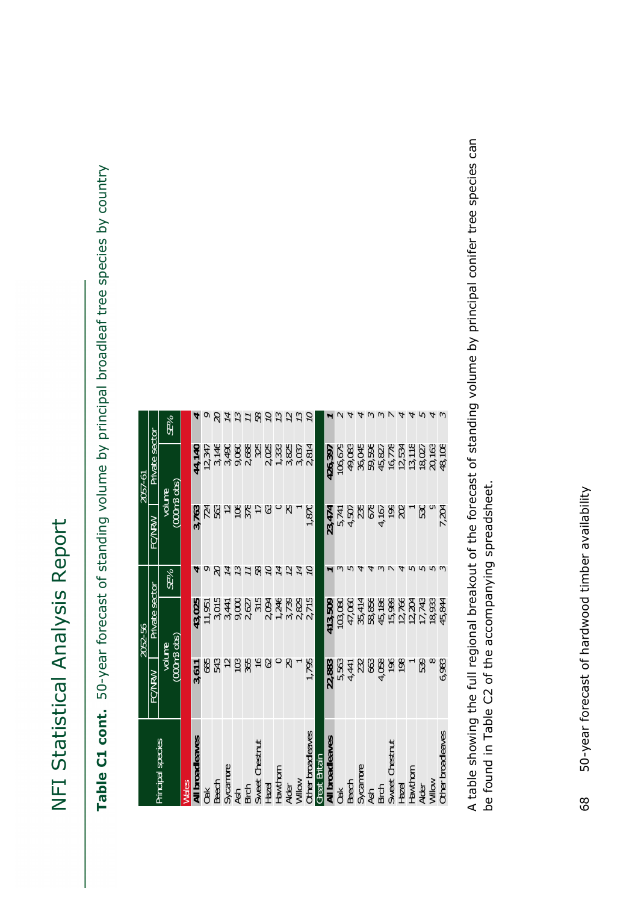|                          |                        | 2052-56               |                                             |                                | 2057-61        |                                                                                                                                                                 |
|--------------------------|------------------------|-----------------------|---------------------------------------------|--------------------------------|----------------|-----------------------------------------------------------------------------------------------------------------------------------------------------------------|
|                          | <b>FC/NRW</b>          | <b>Private sector</b> |                                             | <b>FC/NRW</b>                  | Private sector |                                                                                                                                                                 |
| Principal species        | volume                 |                       | <b>SE%</b>                                  | volume                         |                | <b>SE%</b>                                                                                                                                                      |
|                          | $(000 \text{ mB obs})$ |                       |                                             | $(000 \text{ mB} \text{ obs})$ |                |                                                                                                                                                                 |
| <b>Males</b>             |                        |                       |                                             |                                |                |                                                                                                                                                                 |
| All broadleaves          | 3611                   | 43,025                |                                             | 3763                           | 44,140         | 4                                                                                                                                                               |
| Ă                        | 88                     | 11,951                | Q                                           | প্ৰ                            | 12,347         | O                                                                                                                                                               |
| Beech                    | 58                     | 3,015                 | R                                           | SS                             | 3,146          | R                                                                                                                                                               |
| Sycanore                 | $\beta$                | 3,41                  | 14                                          | R                              | 3,490          |                                                                                                                                                                 |
| ষ্ঠ                      | ខ្ន                    | 9,000                 | 13                                          | $\frac{8}{2}$                  | 9,060          |                                                                                                                                                                 |
| Birch                    | 38                     | 2,627                 |                                             | 378                            | 2,688          |                                                                                                                                                                 |
| <b>Sweet Chestnut</b>    | ٩                      | 315                   |                                             | H                              | 325            |                                                                                                                                                                 |
| <b>BZB</b>               | 8                      | 2,094                 | $\begin{array}{c}\n7.8 \\ 7.0\n\end{array}$ | 3                              | 2,025          | はいけあめいとい                                                                                                                                                        |
| Hawthorn                 |                        | 1,246                 |                                             |                                | 1,333          |                                                                                                                                                                 |
| <b>Ada</b>               | ସ                      | 3,739                 | 74                                          | ଅ                              | 3,825          |                                                                                                                                                                 |
| <b>Vellow</b>            |                        | 2,829                 | 14                                          |                                | 3,037          |                                                                                                                                                                 |
| Other broadeaves         | 1,795                  | 2,715                 | $\mathcal{Q}$                               | 1,870                          | 2814           | S                                                                                                                                                               |
| Geat Britain             |                        |                       |                                             |                                |                |                                                                                                                                                                 |
| All broadleaves          | 22,883                 | 413,509               |                                             | 23,474                         | 426,397        |                                                                                                                                                                 |
| Ă                        | 5,563                  | 103,080               |                                             | 5,741                          | 106,679        |                                                                                                                                                                 |
| Beech                    | 4,41                   | 47,060                |                                             | 4,507                          | 49,083         | $\begin{array}{c} \mathcal{A}\ \mathcal{A}\ \mathcal{U}\ \mathcal{U}\ \mathcal{U}\ \mathcal{V}\ \mathcal{A}\ \mathcal{A}\ \mathcal{U}\ \mathcal{A} \end{array}$ |
| Sycanore                 | ଅ                      | 35,414                |                                             | ಸ                              | 36,045         |                                                                                                                                                                 |
| र्षे                     | ශී                     | 58,856                | 4                                           | රී                             | 59,596         |                                                                                                                                                                 |
| Birch                    | 4,058                  | 45,186                |                                             | 4,167                          | 45,827         |                                                                                                                                                                 |
| <b>Sweet Chestnut</b>    | $\frac{8}{2}$          | 15,989                |                                             | 8                              | 16,778         |                                                                                                                                                                 |
| ezel                     | $\frac{8}{2}$          | 12,766                |                                             | ଞ୍ଜ                            | 12,534         |                                                                                                                                                                 |
| tawthorn                 |                        | 12,204                |                                             |                                | 13,118         |                                                                                                                                                                 |
| Alder                    | 8                      | 17,743                | $W V N N N W$                               | 530                            | 18,027         |                                                                                                                                                                 |
| <b>Vallow</b>            |                        | 18,933                |                                             |                                | 20,163         |                                                                                                                                                                 |
| <b>Charge broadeaves</b> | 6,983                  | 45,844                | $\omega$                                    | R.S.A                          | 48,108         | $\omega$                                                                                                                                                        |

A table showing the full regional breakout of the forecast of standing volume by principal conifer tree species can A table showing the full regional breakout of the forecast of standing volume by principal conifer tree species can<br>be found in Table C2 of the accompanying spreadsheet. be found in Table C2 of the accompanying spreadsheet.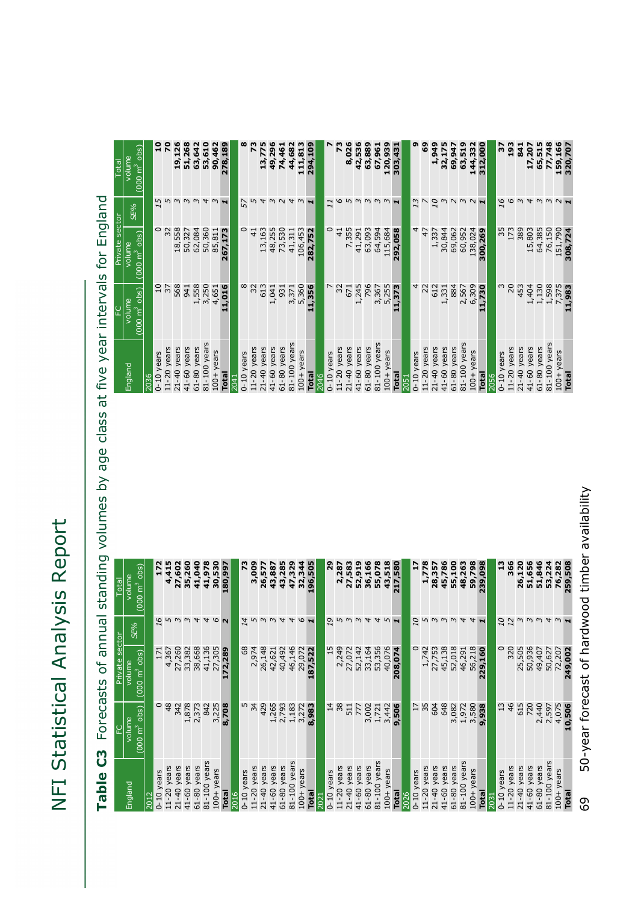| l                                                        |
|----------------------------------------------------------|
|                                                          |
|                                                          |
|                                                          |
|                                                          |
|                                                          |
|                                                          |
|                                                          |
|                                                          |
|                                                          |
|                                                          |
|                                                          |
|                                                          |
|                                                          |
|                                                          |
| a volumes by age class at five year intervals for Englar |
|                                                          |
|                                                          |
|                                                          |
|                                                          |
|                                                          |
|                                                          |
|                                                          |
|                                                          |
|                                                          |
|                                                          |
|                                                          |
| ١                                                        |
|                                                          |
|                                                          |
|                                                          |
|                                                          |
|                                                          |
|                                                          |
|                                                          |
| of annual standing                                       |
|                                                          |
|                                                          |
|                                                          |
|                                                          |
|                                                          |
|                                                          |
|                                                          |
|                                                          |
|                                                          |
|                                                          |
|                                                          |
|                                                          |
|                                                          |

|                     | EC                          | Private sector                        | <b>Total</b>                        |                           |
|---------------------|-----------------------------|---------------------------------------|-------------------------------------|---------------------------|
| England             | volume                      | volume                                | volume<br>SE%                       |                           |
|                     | obs)<br>ra.<br>(000)        | obs)<br>r <sub>e</sub><br>(000)       | obs)<br>é.<br>(000)                 |                           |
| $\overline{5}$      |                             |                                       |                                     |                           |
| years<br>$-10$<br>Ò | 0                           | 171                                   | 17<br>57                            | N                         |
| $11 - 20$ years     | $\frac{8}{3}$               | 367<br>$\vec{r}$                      | $\ddot{a}$<br>ने<br>5               |                           |
| -40 years<br>ನ      | 342                         | 260<br>27,                            | 27,602<br>$\omega$                  |                           |
| $41-60$ years       | 878<br>$\overline{1}$       | 382<br>33,                            | 260<br>35 <sub>1</sub><br>$\omega$  |                           |
| years<br>$61 - 80$  | 373<br>$\sim$               | 38,668                                | 41,040<br>$\overline{4}$            |                           |
| $81 - 100$ years    | 842                         | 41,136                                | 978<br>41,<br>$\overline{a}$        |                           |
| $100+years$         | 225<br>$\vec{3}$            | 305<br>$\overline{\phantom{0}}$<br>27 | 30,530<br>O                         |                           |
| <b>Total</b>        | 708<br>$\frac{1}{\infty}$   | 289<br>72.                            | 997<br>80,<br>$\sim$                |                           |
| 2016                |                             |                                       |                                     |                           |
| $0-10$ years        | m                           | 68                                    | 14                                  | m<br>$\overline{ }$       |
| $11-20$ years       | 34                          | 974<br>$\vec{z}$                      | eoo<br>ā<br>5                       |                           |
| $21 - 40$ years     | 429                         | 148<br>26,                            | 577<br>26,<br>$\omega$              |                           |
| $41-60$ years       | 265<br>$\vec{r}$            | 42,621                                | 43,887<br>$\omega$                  |                           |
| $61-80$ years       | 793<br>$\sim$               | 40,492                                | 43,<br>$\overline{4}$               | 285                       |
| $81 - 100$ years    | 1,183                       | 46,146                                | 329<br>47,<br>4                     |                           |
| $100+$ years        | 3,272                       | 072<br>29,                            | 32,<br>$\omega$                     | 344                       |
| <b>Total</b>        | 8,983                       | 87,522                                | 505<br>96,<br>H<br>$\blacksquare$   |                           |
| 2021                |                             |                                       |                                     |                           |
| $0-10$ years        | 4                           | 15                                    | 51                                  | ໑<br>$\mathbf{\tilde{N}}$ |
| $11-20$ years       | 38                          | 249<br>$\sim$                         | 287<br>ี่ผ<br>5                     |                           |
| $21 - 40$ years     | 511                         | 27,072                                | 583<br>27,<br>$\omega$              |                           |
| $41-60$ years       | 777                         | 52,142                                | 919<br>52,<br>$\omega$              |                           |
| $61-80$ years       | 3,002                       | 33,164                                | 36,166<br>$\overline{4}$            |                           |
| $81 - 100$ years    | 1,721                       | 53,356                                | 078<br>55,<br>$\overline{4}$        |                           |
| $100+$ years        | 442<br>$\overline{3}$       | 076<br>40,                            | 43,<br>$5 - 7$                      | 518                       |
| Total               | 506<br>$\overline{\bullet}$ | 08,074<br>$\sim$                      | 217                                 | 580                       |
| 2026                |                             |                                       |                                     |                           |
| $0-10$ years        | 17                          | 0                                     | 20                                  | ↖<br>H                    |
| $11-20$ years       | 55                          | 742<br>$\overline{1}$                 | ÷,<br>40                            | 778                       |
| $21 - 40$ years     | 604                         | 753<br>27,                            | 28,<br>$\omega$                     | 357                       |
| $41-60$ years       | 648                         | 45,138                                | 45,<br>$\omega$                     | 786                       |
| $61-80$ years       | 082<br>$\tilde{m}$          | 52,018                                | $\frac{100}{100}$<br>55<br>$\omega$ |                           |
| 81-100 years        | 1,972                       | 46,291                                | 263<br>48,<br>4                     |                           |
| $100+$ years        | 3,580                       | 218<br>56,                            | 798<br>59,<br>4                     |                           |
| Total               | 9,938                       | 160<br>29,<br>$\sim$                  | 39,098<br>N<br>$\blacksquare$       |                           |
| 2031                |                             |                                       |                                     |                           |
| $0-10$ years        | $\frac{2}{1}$               | $\circ$                               | 20                                  | m<br>H                    |
| $11-20$ years       | 46                          | 20<br>$\overline{m}$                  | $\overline{\mathfrak{c}}$           | 366                       |
| $21 - 40$ years     | 615                         | 505<br>25,                            | 120<br>26,<br>$\omega$              |                           |
| $41-60$ years       | 720                         | 50,936                                | 51,656<br>$\omega$                  |                           |
| $61-80$ years       | 2,440                       | 49,407                                | 51,846                              |                           |
| 81-100 years        | 2,597                       | 50,627                                | 224<br>$\overline{53}$              |                           |
| $100+years$         | 4,075                       | 72,207                                | 76,282<br>$W \sim \mu$              |                           |
| <b>Total</b>        | 10,506                      | 49,002<br>$\sim$                      | 259,508                             |                           |
| 50<br>တ             | 6<br>Φ                      | Ⴆ<br>forecast                         | timbe<br>hardwood                   |                           |

| וווחם וה <i>י</i> ור               |
|------------------------------------|
| -<br>ג<br>ג<br>ג                   |
| )<br>2021<br>2022<br>$\frac{1}{2}$ |
| כות<br>לבת                         |
| <sup>1</sup> -Vear forecast on     |
|                                    |
|                                    |
| I                                  |
|                                    |

| Total                           |  |
|---------------------------------|--|
| <b>England</b><br>volume        |  |
| $(000 \text{ m}^3 \text{ obs})$ |  |
| 036                             |  |
| $0-10$ years<br>172             |  |
| $1-20$ years<br>4,415           |  |
| $21-40$ years<br>27,602         |  |
| 41-60 years<br>35,260           |  |
| $61-80$ years<br>41,040         |  |
| $81 - 100$ years<br>41,978      |  |
| $100+years$<br>30,530           |  |
| <b>Total</b><br>180,997         |  |
| 2041                            |  |
| $0-10$ years<br>73              |  |
| $11-20$ years<br>3,009          |  |
| $21-40$ years<br>26,577         |  |
| 41-60 years<br>43,887           |  |
| $61-80$ years<br>43,285         |  |
| 81-100 years<br>47,329          |  |
| $100+years$<br>32,344           |  |
| <b>Total</b><br>196,505         |  |
| 2046                            |  |
| $0-10$ years<br>29              |  |
| $11-20$ years<br>2,287          |  |
| $21-40$ years<br>27,583         |  |
| 41-60 years<br>52,919           |  |
| $61-80$ years<br>36,166         |  |
| $81 - 100$ years<br>55,078      |  |
| $100+years$<br>43,518           |  |
| <b>Total</b><br>217,580         |  |
| 2051                            |  |
| $0-10$ years<br>$\frac{1}{2}$   |  |
| $11-20$ years<br>1,778          |  |
| $21-40$ years<br>28,357         |  |
| 41-60 years<br>45,786           |  |
| $61-80$ years<br>55,100         |  |
| 81-100 years<br>48,263          |  |
| $100+years$<br>59,798           |  |
| <b>Total</b><br>239,098         |  |
| 2056                            |  |
| $0-10$ years<br>$\frac{1}{2}$   |  |
| $11-20$ years<br>366            |  |
| $21-40$ years<br>26,120         |  |
| 41-60 years<br>51,656           |  |
| $61-80$ years<br>51,846         |  |
| 81-100 years<br>53,224          |  |
| $100 + y e arcs$<br>76,282      |  |
| <b>Total</b><br>259,508         |  |
|                                 |  |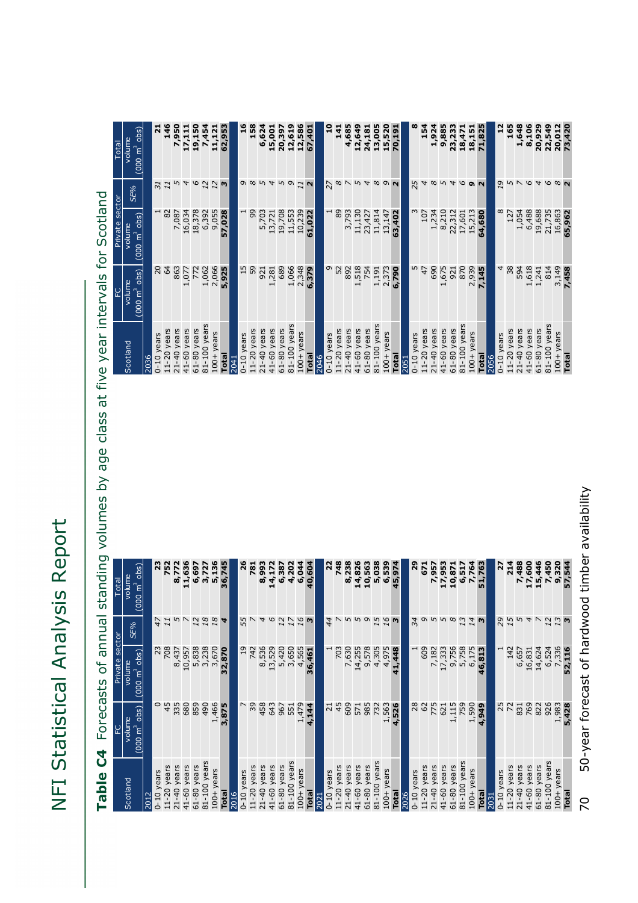Forecasts of annual standing volumes by age class at five year intervals for Scotland Table C4 Forecasts of annual standing volumes by age class at five year intervals for Scotland **Table C4**

|                    | 正                                                           | Private sector                                    |                          | Total                             |
|--------------------|-------------------------------------------------------------|---------------------------------------------------|--------------------------|-----------------------------------|
| Scotland           | volume                                                      | volume                                            | SE%                      | volume                            |
|                    | $\overline{obs}$<br>e.<br>(000)                             | obs)<br>$\overline{\epsilon}$<br>(000)            |                          | Sqo<br><b>B</b><br>000            |
| $\overline{5}$     |                                                             |                                                   |                          |                                   |
| $0-10$ years       | $\circ$                                                     | S<br>$\overline{\mathsf{N}}$                      | 47                       | ន                                 |
| $11-20$ years      | $\frac{4}{5}$                                               | 708                                               | 11                       | 52<br>$\triangleright$            |
| $21-40$ years      | 335                                                         | 437<br>$\infty$                                   | 4                        | 772<br>ထဲ                         |
| $41-60$ years      | 680                                                         | 10,957                                            | $\overline{\phantom{0}}$ | 1,636<br>$\blacksquare$           |
| $61-80$ years      | 859                                                         | 5,838                                             | $\overline{12}$          | 6,697                             |
| 81-100 years       | 490                                                         | 3,238                                             | 18                       | 3,727                             |
| $100 + years$      | ,466<br>$\mathbf{\mathbf{\mathbf{\mathsf{H}}}}$             | 3,670                                             | 18                       | 5,136                             |
| Total              | ,875<br>m                                                   | 2,870<br>m                                        | $\overline{a}$           | 745<br>36,                        |
| 2016               |                                                             |                                                   |                          |                                   |
| $0-10$ years       | $\overline{\phantom{1}}$                                    | $\overline{a}$                                    | 55                       | 26                                |
| $11-20$ years      | 39                                                          | 742                                               |                          | 781                               |
| $21 - 40$ years    | 458                                                         | 536<br>ထဲ                                         | 4                        | 93<br>ຜັ                          |
| $41-60$ years      | 643                                                         | 529<br>$\overline{m}$<br>$\overline{\phantom{0}}$ | $\mathbf{\omega}$        | 14,172                            |
| years<br>$61 - 80$ | 967                                                         | 5,420                                             | 12                       | 6,387                             |
| $31 - 100$ years   | 551                                                         | 3,650                                             | 17                       | 4,202                             |
| $100 + years$      | 6(4, 4)<br>$\mathbf{\mathbf{\mathsf{\mathbf{\mathsf{H}}}}}$ | 4,565                                             | 16                       | 6,044                             |
| <b>Total</b>       | 144<br>4ì                                                   | 36,461                                            | m                        | 40,604                            |
| 2021               |                                                             |                                                   |                          |                                   |
| $0-10$ years       | $\overline{z}$                                              | H                                                 | 4                        | 22                                |
| $11-20$ years      | 45                                                          | 703                                               |                          | 748                               |
| $21 - 40$ years    | 609                                                         | 630<br>$\bar{z}$                                  | 5                        | 238<br>ထဲ                         |
| $41 - 60$ years    | 571                                                         | 14,255                                            | $\mathsf{L}$             | 14,826                            |
| $61-80$ years      | 985                                                         | 9,578                                             | G                        | 10,563                            |
| 81-100 years       | 732                                                         | 4,305                                             | 15                       | 5,038                             |
| $100+years$        | 563<br>⊣                                                    | 4,975                                             | 16                       | 6,539                             |
| <b>Total</b>       | 526<br>d,                                                   | 41,448                                            | $\mathbf{m}$             | 974<br>45,                        |
| 2026               |                                                             |                                                   |                          |                                   |
| $0-10$ years       | 28                                                          | H                                                 | 34                       | 29                                |
| $11-20$ years      | 62                                                          | 609                                               | Ō                        | 671                               |
| $21 - 40$ years    | 75<br>$\overline{ }$                                        | 182<br>7,                                         | m                        | 957<br>r,                         |
| $41-60$ years      | 621                                                         | 17,333                                            | $\mathsf{L}$             | 17,953                            |
| $61-80$ years      | ,115<br>$\mathbf{\mathbf{\mathsf{\mathbf{\mathsf{H}}}}}$    | 9,756                                             | $^{\circ}$               | 10,871                            |
| 81-100 years       | 759                                                         | 5,758                                             | 13                       | 6,517                             |
| $100 + years$      | 1,590                                                       | 6,175                                             | 14                       | 7,764                             |
| <b>Total</b>       | 949<br>ने                                                   | 46,813                                            | m                        | 763<br>51,                        |
| 2031               |                                                             |                                                   |                          |                                   |
| $0-10$ years       | 25                                                          | ᆔ                                                 | 82                       | 2                                 |
| $11-20$ years      | $\overline{z}$                                              | 142                                               | 15                       | 214                               |
| $21-40$ years      | 831                                                         | 657<br>6,                                         | 4                        | 488<br>ŕ,                         |
| $41-60$ years      | 769                                                         | 16,831                                            | $\overline{4}$           | 17,600                            |
| $61-80$ years      | 822                                                         | 14,624                                            | $\triangleright$         | 15,446                            |
| 81-100 years       | 926                                                         | 6,524                                             | 12                       | 7,450<br>$\overline{\phantom{a}}$ |
| $100+Y$ ears       | 983<br>Ĥ                                                    | 7,336                                             | 13                       | 9,320                             |
| Total              | 5,428                                                       | 16<br><u>្ដរ</u><br>m                             | m                        | ,544<br>57                        |
|                    |                                                             |                                                   |                          |                                   |

50-year forecast of hardwood timber availability 70 50-year forecast of hardwood timber availability  $\overline{2}$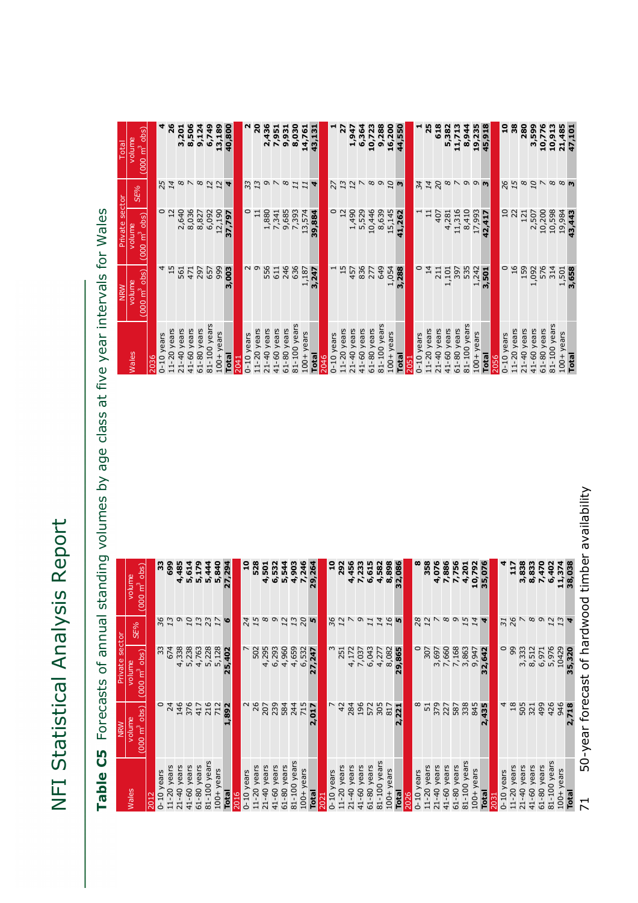5543<br>5903<br>5903<br>79,264<br>79,264 7,886<br>7,756<br>4,201<br>10,792 4,485<br>5,614<br>5,179 5,844<br>5,840 **10**<br>528 4,501<br>6,532 4,456<br>7,233 6,615 4,582<br>8,898<br>32,086 358<br>4,076 35,076 3,838<br>8,833 7,470<br>6,402<br>11,374<br>38,038  $\begin{array}{c} 39 \\ 59 \end{array}$ 41-60 years 376 5,238 *10* **5,614** 81-100 years 216 5,228 *23* **5,444** 27,294 **Total 1,892 25,402** *6* **27,294** 61-80 years 584 4,960 *12* **5,544 Total 2,017 27,247** *5* **29,264**  $\overline{10}$ 292 0-10 years 4 0 *31* **4** 117 100+ years 946 10429 *13* **11,374**  $(000 \text{ m}^3 \text{ obs})$ 0-10 years 0 33 *36* **33** 11-20 years 24 674 *13* **699** 21-40 years 146 4,338 *9* **4,485** 61-80 years 417 4,763 *13* **5,179** 100+ years 712 5,128 *17* **5,840** 0-10 years 2 7 *24* **10** 11-20 years 26 502 *15* **528** 21-40 years 207 4,295 *8* **4,501** 41-60 years 239 6,293 *9* **6,532** 81-100 years 244 4,659 *13* **4,903** 100+ years 715 6,532 *20* **7,246** 0-10 years 7 3 *36* **10** 11-20 years 42 251 *12* **292** 21-40 years 284 4,172 *7* **4,456** 41-60 years 196 7,037 *9* **7,233** 61-80 years 572 6,043 *11* **6,615** 81-100 years 305 4,277 *14* **4,582** 100+ years 817 8,082 *16* **8,898 Total 2,221 29,865** *5* **32,086** 0-10 years 8 0 *28* **8** 11-20 years 51 307 *12* **358** 21-40 years 379 3,697 *7* **4,076** 41-60 years 227 7,660 *8* **7,886** 61-80 years 587 7,168 *9* **7,756** 81-100 years 338 3,863 *15* **4,201** 100+ years 845 9,947 *14* **10,792 Total 2,435 32,642** *4* **35,076** 11-20 years 18 99 *26* **117** 21-40 years 505 3,333 *7* **3,838** 41-60 years 321 8,512 *8* **8,833** 61-80 years 499 6,971 *9* **7,470** 81-100 years 426 5,976 *12* **6,402 Total 2,718 35,320** *4* **38,038**  $(000 \text{ m}^3 \text{ obs})$ volume 24<br>15  $\frac{36}{13}$  $9997770$  $36<sub>12</sub>$  $\sigma$  $77400$ 28  $^{\circ}$  $9574$ 31<br>26  $\infty$  $9277$  $SE%$  $(000 \text{ m}^3 \text{ obs})$  *SE%* Private sector  $574\n577\n674\n47588\n57788\n57788\n57788\n57128\n588\n59128$ 307<br>3,697<br>7,168<br>7,347<br>9,947 27,247 4,172<br>7,037<br>6,043  $4,277$ <br> $8,082$ <br> $29,865$  $\frac{66}{9}$ 3,333<br>8,512<br>6,971<br>6,976 10429  $(000 \text{ m}^3 \text{ obs})$ 32,642 35,320 251 volume 284<br>196<br>572<br>305<br>2221<br>2221  $(000 \text{ m}^3 \text{ obs})$  $\frac{216}{712}$ <br>1,892 2,017 **ន**<br>ទីមិន<br>មាន និង មិន មិន 426<br>946<br>**2,718**  $044017$ 2033415 505<br>321<br>499  $\frac{2}{6}$  $42$  $\frac{4}{8}$  $(000 \text{ m}^3 \text{ obs})$ volume NRW 81-100 years<br>100+ years 81-100 years 41-60 years<br>61-80 years 81-100 years 81-100 years 81-100 years  $41-60$  years  $61-80$  years  $41-60$  years  $61-80$  years  $11-20$  years  $21-40$  years  $41-60$  years  $61-80$  years  $21-40$  years  $21-40$  years  $21-40$  years  $21-40$  years 41-60 years  $61-80$  years  $11-20$  years  $11-20$  years  $11-20$  years  $11-20$  years  $100+years$  $100 + *years*$  $100+years$  $100+years$  $0-10$  years  $0-10$  years 0-10 years  $0-10$  years Wales **Total Total** Total **Total Total** 2012 2016 2021 2031

 Forecasts of annual standing volumes by age class at five year intervals for Wales Forecasts of annual standing volumes by age class at five year intervals for Wales Table C5 **Table C5**

|                     |                 |                | <b>NRW</b>                                | Private sector                            |                            | Total                                     |
|---------------------|-----------------|----------------|-------------------------------------------|-------------------------------------------|----------------------------|-------------------------------------------|
| olume<br>(000)<br>> | $m3$ obs)       | Wales          | $(000 \text{ m}^3 \text{ obs})$<br>volume | $(000 \text{ m}^3 \text{ obs})$<br>volume | <b>SE%</b>                 | $(000 \text{ m}^3 \text{ obs})$<br>volume |
|                     |                 | 2036           |                                           |                                           |                            |                                           |
|                     | 33              | $0-10$ years   | 4                                         | $\circ$                                   | 25                         |                                           |
|                     | 699             | $11-20$ years  | 15                                        | 12                                        | 14                         | 26                                        |
|                     | 4,485           | $21-40$ years  | 561                                       | 2,640                                     | $^{\circ}$                 | 3,201                                     |
|                     | 5,614           | 41-60 years    | 471                                       | 8,036                                     | $\overline{\phantom{0}}$   | 8,506                                     |
|                     | 5,179           | $61-80$ years  | 297                                       | 8,827                                     | $^{\circ}$                 | 9,124                                     |
|                     | 5,444           | 81-100 years   | 657                                       | 6,092                                     | 12                         | 6,749                                     |
|                     | 5,840           | $100+years$    | 999                                       | 12,190                                    | 12                         | 13,189                                    |
|                     | 27,294          | <b>Total</b>   | 3,003                                     | 37,797                                    | 4                          | 40,800                                    |
|                     |                 | 2041           |                                           |                                           |                            |                                           |
|                     | $\overline{10}$ | $0-10$ years   | 2                                         | $\circ$                                   | 33                         |                                           |
|                     | 528             | $11-20$ years  | G                                         | $\overline{11}$                           | 13                         | $\overline{a}$                            |
|                     | 4,501           | $21-40$ years  | 556                                       | 1,880                                     | G                          | 2,436                                     |
|                     | 6,532           | 41-60 years    | 611                                       | 7,341                                     | $\overline{\phantom{0}}$   | 7,951                                     |
|                     | 5,544           | $61-80$ years  | 246                                       | 9,685                                     | $^{\circ}$                 | 9,931                                     |
|                     | 4,903           | 81-100 years   | 636                                       | 7,393                                     | 11                         | 8,030                                     |
|                     | 7,246           | $100+years$    | 1,187                                     | 13,574                                    | 11                         | 14,761                                    |
|                     | 29,264          | Total          | 3,247                                     | 39,884                                    | 4                          | 43,131                                    |
|                     |                 | 2046           |                                           |                                           |                            |                                           |
|                     | $\overline{a}$  | $0-10$ years   | H                                         | $\circ$                                   | 22                         |                                           |
|                     | 292             | $11-20$ years  | 15                                        | $\overline{12}$                           | 13                         | N                                         |
|                     | 4,456           | $21-40$ years  | 457                                       | 1,490                                     | 12                         | 1,947                                     |
|                     | 7,233           | $41-60$ years  | 836                                       | 5,529                                     | $\overline{\phantom{0}}$   | 6,364                                     |
|                     | 6,615           | 61-80 years    | 277                                       | 10,446                                    | $\infty$                   | 10,723                                    |
|                     | 4,582           | 81-100 years   | 649                                       | 8,639                                     | G                          | 9,288                                     |
|                     | 8,898           | $100+years$    | 1,054                                     | 15,145                                    | 10                         | 16,200                                    |
|                     | 32,086          | <b>Total</b>   | 3,288                                     | 41,262                                    | S                          | 44,550                                    |
|                     |                 | 2051           |                                           |                                           |                            |                                           |
|                     | ∞               | $0-10$ years   | $\circ$                                   |                                           | 34                         |                                           |
|                     | 358             | $11-20$ years  | $\overline{4}$                            | 급                                         | 14                         | 25                                        |
|                     | 4,076           | $21-40$ years  | 211                                       | 407                                       | 20                         | 618                                       |
|                     | 7,886           | $41-60$ years  | 1,101                                     | 4,281                                     | 8                          | 5,382                                     |
|                     | 7,756           | 61-80 years    | 397                                       | 11,316                                    | $\overline{\phantom{0}}$   | 11,713                                    |
|                     | 4,201           | 81-100 years   | 535                                       | 8,410                                     | G                          | 8,944                                     |
|                     | 10,792          | $100 + y ears$ | 1,242                                     | 17,993                                    | $\sigma$                   | 19,235                                    |
|                     | 35,076          | <b>Total</b>   | 3,501                                     | 42,417                                    | m                          | 45,918                                    |
|                     |                 | 2056           |                                           |                                           |                            |                                           |
|                     |                 | $0-10$ years   | $\circ$                                   | $\overline{10}$                           | 26                         | å                                         |
|                     | 117             | $11-20$ years  | 16                                        | 22                                        | 15                         | 38                                        |
|                     | 3,838           | $21-40$ years  | 159                                       | 121                                       | $^{\circ}$                 | 280                                       |
|                     | 8,833           | $41-60$ years  | 1,092                                     | 2,507                                     | $\overline{c}$             | 3,599                                     |
|                     | 7,470           | $61-80$ years  | 576                                       | 10,200                                    | $\boldsymbol{\mathcal{N}}$ | 10,776                                    |
|                     | 6,402           | 81-100 years   | 314                                       | 10,598                                    | $^{\circ}$                 | 10,913                                    |
|                     | 11,374          | $100+years$    | 1,501                                     | 19,984                                    | $^{\circ}$                 | 21,485                                    |
| 38,038              |                 | Total          | 3,658                                     | 43,443                                    |                            | 47,101                                    |

71 50-year forecast of hardwood timber availability 50-year forecast of hardwood timber availability  $\overline{7}$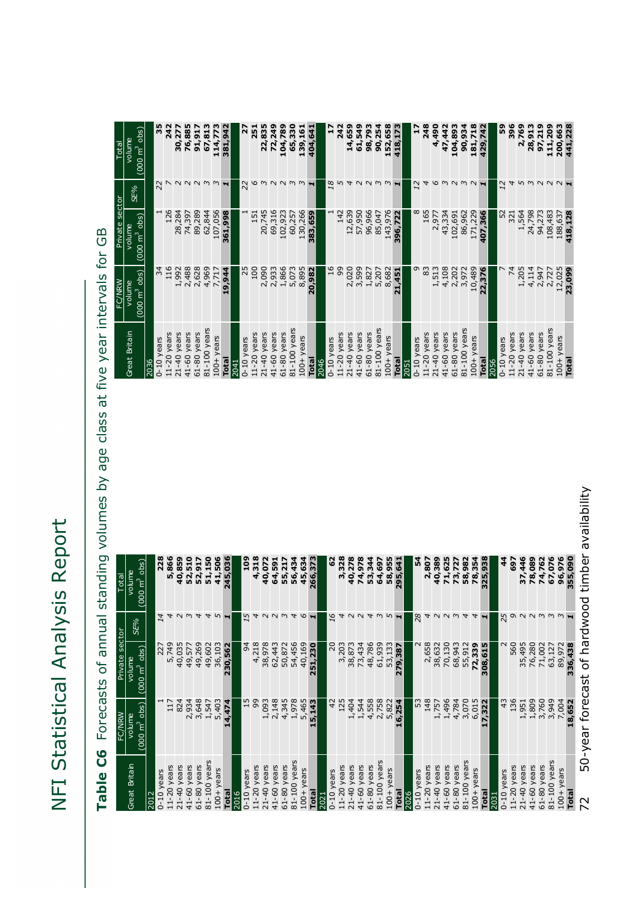Forecasts of annual standing volumes by age class at five year intervals for GB Table C6 Forecasts of annual standing volumes by age class at five year intervals for GB **Table C6**

|                             | <b>FC/NRW</b>                          | sector<br>Private                         |                   | Total                         |
|-----------------------------|----------------------------------------|-------------------------------------------|-------------------|-------------------------------|
| Great Britain               | volume                                 | volume                                    | <b>SE%</b>        | volume                        |
|                             | $\overline{obs}$<br>$(000 \text{ m}^3$ | $\overline{obs}$<br>$(000 \; \text{m}^3)$ |                   | obs)<br>$(000 \; \text{m}^3)$ |
| $\overline{5}$              |                                        |                                           |                   |                               |
| $0-10$ years                | ⊣                                      | ↖<br>$\sim$<br>$\sim$                     | 14                | 228                           |
| $11 - 20$ years             | 117                                    | 749<br>່ທັ                                | 4                 | 866<br>ທັ                     |
| $21-40$ years               | 824                                    | 035<br>40,                                | $\sim$            | 859<br>$\ddot{q}$             |
| $41-60$ years               | 934<br>$\overline{a}$                  | 577<br>49,                                | S                 | 510<br>52,                    |
| $61-80$ years               | 3,648                                  | 49,269                                    | 4                 | <b>SIG</b><br>52,             |
| 81-100 years                | 1,547                                  | 49,602                                    | 4                 | 150<br>51,                    |
| $100+$ years                | 5,403                                  | 36,103                                    | 5                 | 506<br>41,                    |
| <b>Total</b>                | 14,474                                 | 30,562<br>$\sim$                          | $\blacksquare$    | 245,036                       |
| 2016                        |                                        |                                           |                   |                               |
| $0-10$ years                | m<br>$\overline{\phantom{0}}$          | 24                                        | 57                | ໑<br>ğ                        |
| $11-20$ years               | 99                                     | $\frac{8}{18}$<br>$\sim$<br>4,            | 4                 | 318<br>$\ddot{ }$             |
| $21-40$ years               | 093<br>$\overline{1}$                  | 38,978                                    | $\sim$            | ิ<br>40,07                    |
| $41-60$ years               | 2,148                                  | 62,443                                    | $\sim$            | 64,591                        |
| $61-80$ years               | 4,345                                  | 50,872                                    | $\omega$          | 55,217                        |
| $81 - 100$ years            | 1,978                                  | 54,456                                    | 4                 | 56,434                        |
| $100+Y$ ears                | 5,465                                  | 40,169                                    | o                 | 45,634                        |
| Total                       | 5,143<br>ᆸ                             | 230<br>$\overline{51}$<br>$\sim$          | $\blacksquare$    | 373<br>266,                   |
| 2021                        |                                        |                                           |                   |                               |
| $0-10$ years                | $\overline{4}$                         | 20                                        | 26                | ี<br>ه                        |
| $11-20$ years               | 125                                    | 203<br>$\tilde{3}$                        | 4                 | 328<br>ຕັ                     |
| $21 - 40$ years             | 404                                    | 38,873                                    | $\sim$            | 40,278                        |
| $41-60$ years               | 544<br>$\overline{1}$                  | 73,434                                    | $\sim$            | 978<br>74,                    |
| years<br>$61 - 80$          | 4,558                                  | 48,786                                    | 4                 | 53,344                        |
| $81 - 100$ years            | 2,758                                  | 61,939                                    | $\omega$          | 64,697                        |
| $100+years$                 | 5,822                                  | 53,133                                    | 5                 | 58,955                        |
| Total                       | 254<br>ة                               | 387<br>- 64<br>$\sim$                     | $\blacksquare$    | 95,641<br>Ñ                   |
| 2026                        |                                        |                                           |                   |                               |
| $0-10$ years                | 53                                     | $\sim$                                    | 28                | 54                            |
| $11-20$ years               | 148                                    | 658<br>$\overline{\mathcal{L}}$           | 4                 | 807<br>$\ddot{\mathbf{v}}$    |
| $21-40$ years               | 1,757                                  | 38,632                                    | $\sim$            | 40,389                        |
| 41-60 years                 | 1,496                                  | 70,130                                    | $\sim$            | 625<br>71/                    |
| $61-80$ years               | 4,784                                  | 68,943                                    | S                 | 73,727                        |
| $81 - 100$ years            | 3,070                                  | 912<br>55,                                | 4                 | 982<br>58,                    |
| $100+years$                 | 6,015                                  | 72,339                                    | 4                 | 78,354                        |
| <b>Total</b>                | 322<br>N                               | <b>In</b><br>308,61                       | $\blacksquare$    | 938<br>25,<br>$\overline{m}$  |
| 2031                        |                                        |                                           |                   |                               |
| $0-10$ years                | 43                                     | $\sim$                                    | 25                | 44                            |
| $11-20$ years               | 136                                    | 560                                       | ᡡ                 | 697                           |
| -40 years<br>$\overline{c}$ | 951<br>ੜੋ                              | 495<br>35                                 | $\sim$            | ,446<br>57                    |
| $41-60$ years               | 1,809                                  | 76,280                                    | $\sim$            | 78,089                        |
| $61-80$ years               | 3,760                                  | 71,002                                    | $\omega$ $\omega$ | 74,762                        |
| 81-100 years                | 3,949                                  | 63,127                                    |                   | 67,076                        |
| $100+$ years                | 7,004                                  | 89,972                                    | $\omega$          | 96,976                        |
| Total                       | 18,652                                 | 438<br>336,                               |                   | 090<br>355,                   |
|                             |                                        |                                           |                   |                               |

|                                  | /NRW<br>ũ                                                 | sector<br>Private               |                       | <b>Total</b>                     |
|----------------------------------|-----------------------------------------------------------|---------------------------------|-----------------------|----------------------------------|
| <b>Britain</b><br>Great          | $\overline{obs}$<br>volume<br>$\frac{000 \text{ m}^3}{ }$ | volume<br>$\overline{000}$      | <b>SE%</b>            | d)<br>volum<br>8<br>$\circ$<br>≂ |
| 036<br>$\bar{\sim}$              |                                                           | apo<br>ĨĒ.                      |                       | obs)<br>Ĩ.                       |
| $10$ years<br>$\mathbf{I}$<br>0  | 34                                                        | ᅱ                               | N<br>$\sim$           | 55                               |
| $11-20$ years                    | 116                                                       | 126                             |                       | 242                              |
| -40 years<br>$\overline{z}$      | 992<br>$\overline{1}$                                     | 284<br>28,                      | $\sim$                | 277<br>50                        |
| years<br>$41 - 60$               | 2,488                                                     | 397<br>74,                      | $\sim$                | 76,88                            |
| years<br>$-80$<br>$\overline{6}$ | 2,628                                                     | 89,289                          | $\sim$                | H<br>ຸດ<br>$-1, 6$               |
| 81-100 years                     | 4,969                                                     | 62,844                          | $\omega$              | $\ddot{\mathbf{e}}$<br>67        |
| years<br>$100 +$                 | 7,717                                                     | 107,056                         | $\omega$              | 114,7                            |
| <b>Total</b>                     | 9,944<br>H                                                | 361,998                         | $\blacksquare$        | 4<br>381,9                       |
| 2041                             |                                                           |                                 |                       |                                  |
| $-10$ years<br>ò                 | 25                                                        |                                 | 22                    | $\mathbf{\tilde{N}}$             |
| $11-20$ years                    | 100                                                       | 151                             | O                     | 251                              |
| $21-40$ years                    | 090<br>$\sim$                                             | 745<br>20,                      | $\omega$              | 2,835<br>$\mathbf{\Omega}$       |
| $41-60$ years                    | 933<br>$\tilde{c}$                                        | 69,316                          | $\sim$                | 72,249                           |
| $61-80$ years                    | 1,866                                                     | 102,923                         | $\sim$                | 104,789                          |
| 81-100 years                     | 5,073                                                     | 60,257                          | $\omega$              | ິສ<br>65,3                       |
| years<br>$100 +$                 | 8,895                                                     | 130,266                         | $\omega$              | 139,161                          |
| Total                            | 0,982<br>$\mathbf{N}$                                     | 383,659                         | ₩                     | 404,641                          |
| 2046                             |                                                           |                                 |                       |                                  |
| $-10$ years<br>$\circ$           | $\frac{6}{1}$                                             | ᅱ                               | 28                    | r<br>H                           |
| $11-20$ years                    | 99                                                        | 142                             | m                     | ₹<br>Ñ                           |
| -40 years<br>$\overline{z}$      | 020<br>$\vec{a}$                                          | 639<br>12 <sub>1</sub>          | 4                     | 14,659                           |
| $41-60$ years                    | 3,599                                                     | 950<br>57,9                     | $\sim$                | 4<br>61,5                        |
| $61-80$ years                    | 1,827                                                     | 96,966                          | $\sim$                | 98,793                           |
| 81-100 years                     | 5,207                                                     | 85,047                          | $\omega$              | 90,254                           |
| $100+$ years                     | 8,682                                                     | 976<br>143,                     | $\omega$              | 152,658                          |
| Total                            | 451<br>H<br>$\sim$                                        | $\sim$<br>72.<br>396,           | $\blacksquare$        | 73<br>418,1                      |
| 2051                             |                                                           |                                 |                       |                                  |
| $-10$ years<br>Ó                 | თ                                                         | $\infty$                        | $\sim$<br>⊣           | ↖<br>-                           |
| $11-20$ years                    | 83                                                        | 165                             | 4                     | 248                              |
| years<br>$21 - 40$               | 513<br>$\rightarrow$                                      | 977<br>$\sim$                   | စ                     | $\frac{6}{4}$<br>$\ddot{ }$      |
| years<br>$41 - 60$               | 4,108                                                     | 334<br>43,                      | $\omega$              | 47,44                            |
| years<br>$-80$<br>$\overline{5}$ | 2,202                                                     | 102,691                         | $\sim$                | 104,89                           |
| 81-100 years                     | 3,972                                                     | 86,962                          | $\omega$              | m<br>90,9                        |
| years<br>$100 +$                 | 489<br>$\frac{1}{2}$                                      | 229<br>171;                     | $\sim$ $\blacksquare$ | ÷<br>181,7                       |
| Total                            | 376<br>$\dot{\mathsf{n}}$<br>N                            | $\boldsymbol{\omega}$<br>407,36 |                       | $\blacktriangleleft$<br>ż<br>429 |
| 2056                             |                                                           |                                 |                       |                                  |
| $0-10$ years                     | $\overline{\phantom{0}}$                                  | 52                              | 22                    | თ<br>m                           |
| $11-20$ years                    | $\overline{7}$                                            | 321                             | 4                     | 396                              |
| $21-40$ years                    | 1,205                                                     | 564<br>극                        | 5                     | 2,769                            |
| $41-60$ years                    | 4,114                                                     | 24,798                          | $\omega$              | 28,91                            |
| $61-80$ years                    | 2,947                                                     | 94,273                          | $\sim$                | σ<br>97,21                       |
| 81-100 years                     | 2,727                                                     | 108,483                         | $\sim$                | 111,209                          |
| $100+years$                      | 12,025                                                    | 637<br>188,                     | $\sim$                | 200,663                          |
| Total                            | 660<br>23,                                                | 128<br>418                      |                       | 228<br>441                       |

72 50-year forecast of hardwood timber availability 50-year forecast of hardwood timber availability 72<br>7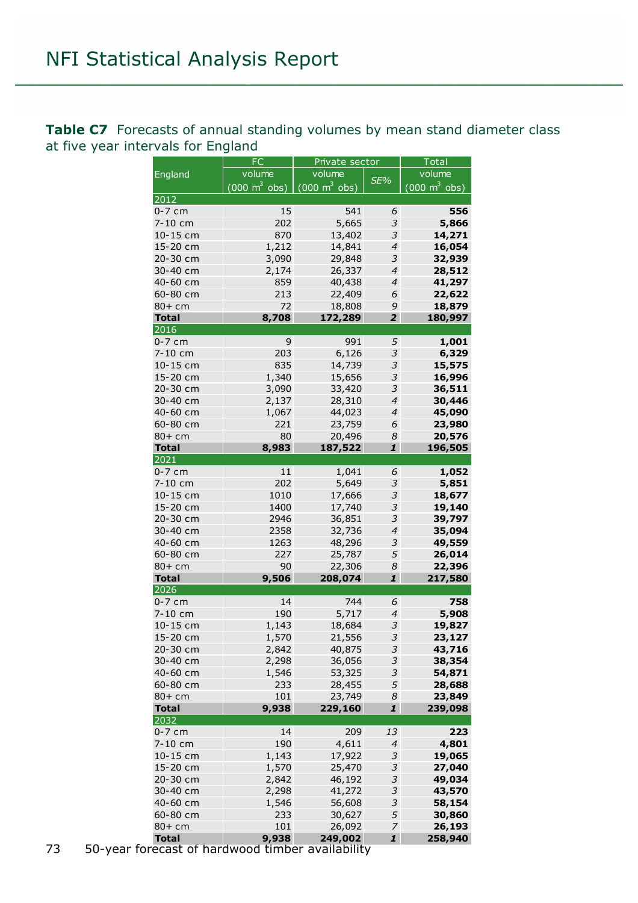Table C7 Forecasts of annual standing volumes by mean stand diameter class at five year intervals for England

|                      | <b>FC</b>                       |                                     |                | <b>Total</b>                    |
|----------------------|---------------------------------|-------------------------------------|----------------|---------------------------------|
|                      | volume                          | Private sector<br>volume            |                | volume                          |
| England              | $(000 \text{ m}^3 \text{ obs})$ |                                     | SE%            | $(000 \text{ m}^3 \text{ obs})$ |
|                      |                                 | $(000 \; \text{m}^3 \; \text{obs})$ |                |                                 |
| 2012                 |                                 |                                     |                |                                 |
| $0-7$ cm             | 15                              | 541                                 | 6              | 556                             |
| 7-10 cm              | 202                             | 5,665                               | 3              | 5,866                           |
| 10-15 cm             | 870                             | 13,402                              | 3              | 14,271                          |
| 15-20 cm             | 1,212                           | 14,841                              | $\overline{4}$ | 16,054                          |
| 20-30 cm             | 3,090                           | 29,848                              | 3              | 32,939                          |
| 30-40 cm             | 2,174                           | 26,337                              | $\overline{4}$ | 28,512                          |
| 40-60 cm             | 859                             | 40,438                              | 4              | 41,297                          |
| 60-80 cm             | 213                             | 22,409                              | 6              | 22,622                          |
| $80+cm$              | 72                              | 18,808                              | 9              | 18,879                          |
| <b>Total</b>         | 8,708                           | 172,289                             | $\overline{2}$ | 180,997                         |
| 2016                 |                                 |                                     |                |                                 |
| $0-7$ cm             | 9                               | 991                                 | 5              | 1,001                           |
| 7-10 cm              | 203                             | 6,126                               | 3              | 6,329                           |
| 10-15 cm             | 835                             | 14,739                              | 3              | 15,575                          |
| 15-20 cm             | 1,340                           | 15,656                              | 3              | 16,996                          |
| 20-30 cm             | 3,090                           | 33,420                              | 3              | 36,511                          |
| 30-40 cm             | 2,137                           | 28,310                              | 4              | 30,446                          |
| 40-60 cm             | 1,067                           | 44,023                              | $\overline{4}$ | 45,090                          |
| 60-80 cm             | 221                             | 23,759                              | 6              | 23,980                          |
| $80+cm$              | 80                              | 20,496                              | 8              | 20,576                          |
| <b>Total</b>         | 8,983                           | 187,522                             | $\mathbf{1}$   | 196,505                         |
| 2021                 |                                 |                                     |                |                                 |
| $0-7$ cm             | 11                              | 1,041                               | 6              | 1,052                           |
| 7-10 cm              | 202                             | 5,649                               | 3              | 5,851                           |
| 10-15 cm             | 1010                            | 17,666                              | 3              | 18,677                          |
| 15-20 cm             | 1400                            | 17,740                              | 3              | 19,140                          |
| 20-30 cm             | 2946                            | 36,851                              | 3              | 39,797                          |
| 30-40 cm             | 2358                            | 32,736                              | $\overline{4}$ | 35,094                          |
| 40-60 cm             | 1263                            | 48,296                              | 3              | 49,559                          |
| 60-80 cm             | 227                             | 25,787                              | 5              | 26,014                          |
| 80+ cm               | 90                              |                                     | 8              |                                 |
|                      |                                 | 22,306                              | $\mathbf{1}$   | 22,396                          |
| <b>Total</b><br>2026 | 9,506                           | 208,074                             |                | 217,580                         |
|                      |                                 |                                     |                |                                 |
| $0-7$ cm             | 14                              | 744                                 | 6              | 758                             |
| 7-10 cm              | 190                             | 5,717                               | 4              | 5,908                           |
| 10-15 cm             | 1,143                           | 18,684                              | 3              | 19,827                          |
| 15-20 cm             | 1,570                           | 21,556                              | 3              | 23,127                          |
| 20-30 cm             | 2,842                           | 40,875                              | 3              | 43,716                          |
| 30-40 cm             | 2,298                           | 36,056                              | 3              | 38,354                          |
| 40-60 cm             | 1,546                           | 53,325                              | 3              | 54,871                          |
| 60-80 cm             | 233                             | 28,455                              | 5              | 28,688                          |
| 80+ cm               | 101                             | 23,749                              | 8              | 23,849                          |
| <b>Total</b>         | 9,938                           | 229,160                             | $\mathbf{1}$   | 239,098                         |
| 2032                 |                                 |                                     |                |                                 |
| $0-7$ cm             | 14                              | 209                                 | 13             | 223                             |
| 7-10 cm              | 190                             | 4,611                               | $\overline{a}$ | 4,801                           |
| 10-15 cm             | 1,143                           | 17,922                              | 3              | 19,065                          |
| 15-20 cm             | 1,570                           | 25,470                              | 3              | 27,040                          |
| 20-30 cm             | 2,842                           | 46,192                              | 3              | 49,034                          |
| 30-40 cm             | 2,298                           | 41,272                              | 3              | 43,570                          |
| 40-60 cm             | 1,546                           | 56,608                              | 3              | 58,154                          |
| 60-80 cm             | 233                             | 30,627                              | 5              | 30,860                          |
| $80+cm$              | 101                             | 26,092                              | 7              | 26,193                          |
| <b>Total</b>         | 9,938                           | 249,002                             | $\mathbf{1}$   | 258,940                         |
|                      |                                 |                                     |                |                                 |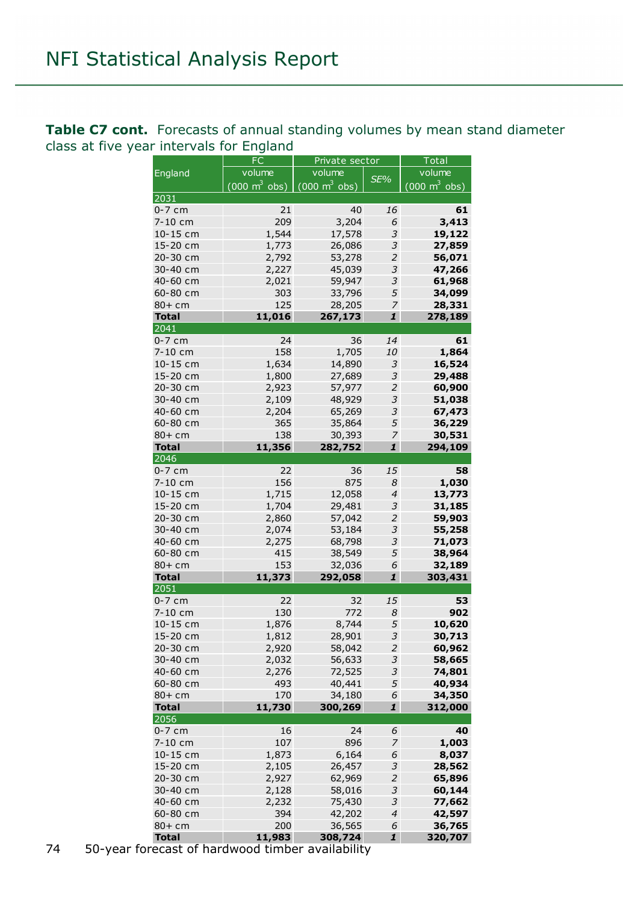Table C7 cont. Forecasts of annual standing volumes by mean stand diameter class at five year intervals for England

|                      | <b>FC</b>                       | Private sector                      |                             | <b>Total</b>                    |
|----------------------|---------------------------------|-------------------------------------|-----------------------------|---------------------------------|
| England              | volume                          | volume                              | SE%                         | volume                          |
|                      | $(000 \text{ m}^3 \text{ obs})$ | $(000 \; \text{m}^3 \; \text{obs})$ |                             | $(000 \text{ m}^3 \text{ obs})$ |
| 2031                 |                                 |                                     |                             |                                 |
| $0-7$ cm             | 21                              | 40                                  | 16                          | 61                              |
| 7-10 cm              | 209                             | 3,204                               | 6                           | 3,413                           |
| 10-15 cm             | 1,544                           | 17,578                              | $\mathfrak z$               | 19,122                          |
| 15-20 cm             | 1,773                           | 26,086                              | 3                           | 27,859                          |
| 20-30 cm             | 2,792                           | 53,278                              | $\overline{2}$              | 56,071                          |
| 30-40 cm             | 2,227                           | 45,039                              | 3                           | 47,266                          |
| 40-60 cm             | 2,021                           | 59,947                              | 3                           | 61,968                          |
| 60-80 cm             | 303                             | 33,796                              | 5                           | 34,099                          |
| $80+cm$              | 125                             | 28,205                              | $\overline{z}$              | 28,331                          |
| <b>Total</b>         | 11,016                          | 267,173                             | 1                           | 278,189                         |
| 2041                 |                                 |                                     |                             |                                 |
| $0-7$ cm             | 24                              | 36                                  | 14                          | 61                              |
| 7-10 cm              | 158                             | 1,705                               | 10                          | 1,864                           |
| 10-15 cm             | 1,634                           | 14,890                              | $\ensuremath{\mathfrak{Z}}$ | 16,524                          |
| 15-20 cm             | 1,800                           | 27,689                              | $\ensuremath{\mathfrak{Z}}$ | 29,488                          |
| 20-30 cm             | 2,923                           | 57,977                              | $\overline{2}$              | 60,900                          |
| 30-40 cm             | 2,109                           | 48,929                              | 3                           | 51,038                          |
| 40-60 cm             | 2,204                           | 65,269                              | 3                           | 67,473                          |
| 60-80 cm             | 365                             | 35,864                              | 5                           | 36,229                          |
| 80+ cm               | 138                             | 30,393                              | 7                           | 30,531                          |
| <b>Total</b><br>2046 | 11,356                          | 282,752                             | $\mathbf{1}$                | 294,109                         |
| $0-7$ cm             | 22                              | 36                                  | 15                          | 58                              |
| 7-10 cm              | 156                             | 875                                 | 8                           | 1,030                           |
| 10-15 cm             | 1,715                           | 12,058                              | $\overline{\mathcal{A}}$    | 13,773                          |
| 15-20 cm             | 1,704                           | 29,481                              | 3                           | 31,185                          |
| 20-30 cm             | 2,860                           | 57,042                              | $\boldsymbol{2}$            | 59,903                          |
| 30-40 cm             | 2,074                           | 53,184                              | 3                           | 55,258                          |
| 40-60 cm             | 2,275                           | 68,798                              | 3                           | 71,073                          |
| 60-80 cm             | 415                             | 38,549                              | 5                           | 38,964                          |
| $80+cm$              | 153                             | 32,036                              | 6                           | 32,189                          |
| <b>Total</b>         | 11,373                          | 292,058                             | $\mathbf{1}$                | 303,431                         |
| 2051                 |                                 |                                     |                             |                                 |
| $0-7$ cm             | 22                              | 32                                  | 15                          | 53                              |
| 7-10 cm              | 130                             | 772                                 | 8                           | 902                             |
| 10-15 cm             | 1,876                           | 8,744                               | 5                           | 10,620                          |
| 15-20 cm             | 1,812                           | 28,901                              | 3                           | 30,713                          |
| 20-30 cm             | 2,920                           | 58,042                              | $\overline{a}$              | 60,962                          |
| 30-40 cm             | 2,032                           | 56,633                              | 3                           | 58,665                          |
| 40-60 cm             | 2,276                           | 72,525                              | $\ensuremath{\mathfrak{Z}}$ | 74,801                          |
| 60-80 cm             | 493                             | 40,441                              | 5                           | 40,934                          |
| $80+cm$              | 170                             | 34,180                              | 6                           | 34,350                          |
| <b>Total</b>         | 11,730                          | 300,269                             | $\mathbf{1}$                | 312,000                         |
| 2056                 |                                 |                                     |                             |                                 |
| $0-7$ cm             | 16                              | 24                                  | 6                           | 40                              |
| 7-10 cm              | 107                             | 896                                 | 7                           | 1,003                           |
| 10-15 cm             | 1,873                           | 6,164                               | 6                           | 8,037                           |
| 15-20 cm             | 2,105                           | 26,457                              | 3                           | 28,562                          |
| 20-30 cm             | 2,927                           | 62,969                              | 2                           | 65,896                          |
| 30-40 cm             | 2,128                           | 58,016                              | 3                           | 60,144                          |
| 40-60 cm             | 2,232                           | 75,430                              | 3                           | 77,662                          |
| 60-80 cm             | 394                             | 42,202                              | $\overline{\mathcal{A}}$    | 42,597                          |
| 80+ cm               | 200                             | 36,565                              | 6                           | 36,765                          |
| <b>Total</b>         | 11,983                          | 308,724                             | 1                           | 320,707                         |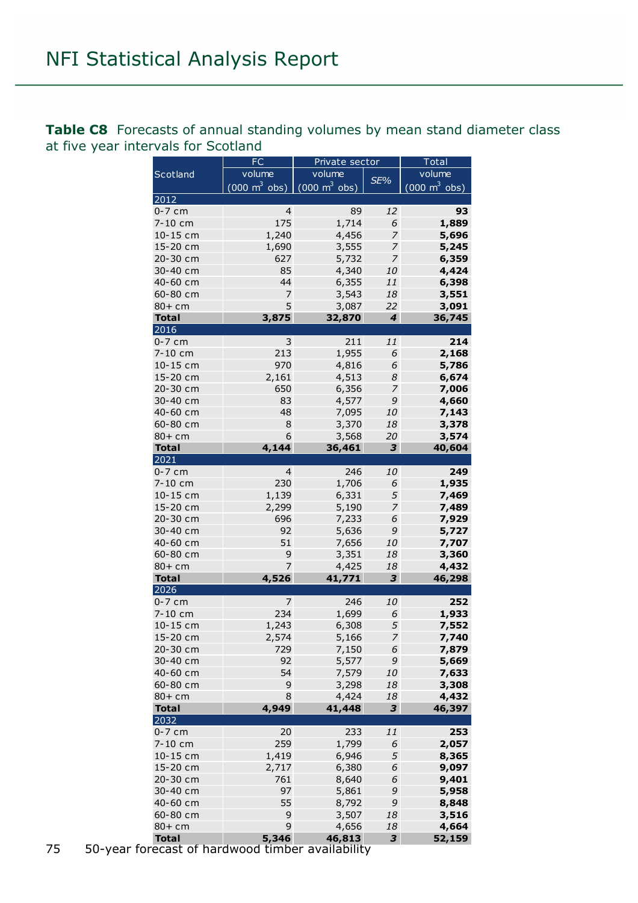Table C8 Forecasts of annual standing volumes by mean stand diameter class at five year intervals for Scotland

|                     | <b>FC</b>                           | Private sector                  |                         | <b>Total</b>                        |
|---------------------|-------------------------------------|---------------------------------|-------------------------|-------------------------------------|
| Scotland            | volume                              | volume                          | SE%                     | volume                              |
|                     | $(000 \; \text{m}^3 \; \text{obs})$ | $(000 \text{ m}^3 \text{ obs})$ |                         | $(000 \; \text{m}^3 \; \text{obs})$ |
| 2012                |                                     |                                 |                         |                                     |
| $0-7$ cm            | 4                                   | 89                              | 12                      | 93                                  |
| 7-10 cm             | 175                                 | 1,714                           | 6                       | 1,889                               |
| 10-15 cm            | 1,240                               | 4,456                           | $\overline{z}$          | 5,696                               |
| 15-20 cm            | 1,690                               | 3,555                           | $\boldsymbol{7}$        | 5,245                               |
| 20-30 cm            | 627                                 | 5,732                           | 7                       | 6,359                               |
| 30-40 cm            | 85                                  | 4,340                           | 10                      | 4,424                               |
| 40-60 cm            | 44<br>$\overline{7}$                | 6,355                           | 11                      | 6,398                               |
| 60-80 cm<br>$80+cm$ | 5                                   | 3,543<br>3,087                  | 18<br>22                | 3,551<br>3,091                      |
| <b>Total</b>        | 3,875                               | 32,870                          | $\overline{\mathbf{4}}$ | 36,745                              |
| 2016                |                                     |                                 |                         |                                     |
| $0-7$ cm            | 3                                   | 211                             | 11                      | 214                                 |
| 7-10 cm             | 213                                 | 1,955                           | 6                       | 2,168                               |
| 10-15 cm            | 970                                 | 4,816                           | 6                       | 5,786                               |
| 15-20 cm            | 2,161                               | 4,513                           | 8                       | 6,674                               |
| 20-30 cm            | 650                                 | 6,356                           | 7                       | 7,006                               |
| 30-40 cm            | 83                                  | 4,577                           | 9                       | 4,660                               |
| 40-60 cm            | 48                                  | 7,095                           | 10                      | 7,143                               |
| 60-80 cm            | 8                                   | 3,370                           | 18                      | 3,378                               |
| 80+ cm              | 6                                   | 3,568                           | 20                      | 3,574                               |
| <b>Total</b>        | 4,144                               | 36,461                          | 3                       | 40,604                              |
| 2021                |                                     |                                 |                         |                                     |
| $0-7$ cm            | $\overline{4}$                      | 246                             | 10                      | 249                                 |
| 7-10 cm             | 230                                 | 1,706                           | 6                       | 1,935                               |
| 10-15 cm            | 1,139                               | 6,331                           | 5                       | 7,469                               |
| 15-20 cm            | 2,299                               | 5,190                           | $\overline{7}$          | 7,489                               |
| 20-30 cm            | 696                                 | 7,233                           | 6                       | 7,929                               |
| 30-40 cm            | 92                                  | 5,636                           | 9                       | 5,727                               |
| 40-60 cm            | 51                                  | 7,656                           | 10                      | 7,707                               |
| 60-80 cm            | 9                                   | 3,351                           | 18                      | 3,360                               |
| $80+cm$             | $\overline{7}$                      | 4,425                           | 18                      | 4,432                               |
| <b>Total</b>        | 4,526                               | 41,771                          | 3                       | 46,298                              |
| 2026<br>$0-7$ cm    | $\overline{7}$                      | 246                             | 10                      | 252                                 |
| 7-10 cm             | 234                                 | 1,699                           | 6                       | 1,933                               |
| 10-15 cm            | 1,243                               | 6,308                           | 5                       | 7,552                               |
| 15-20 cm            | 2,574                               | 5,166                           | 7                       | 7,740                               |
| 20-30 cm            | 729                                 | 7,150                           | 6                       | 7,879                               |
| 30-40 cm            | 92                                  | 5,577                           | 9                       | 5,669                               |
| 40-60 cm            | 54                                  | 7,579                           | 10                      | 7,633                               |
| 60-80 cm            | 9                                   | 3,298                           | 18                      | 3,308                               |
| $80+cm$             | 8                                   | 4,424                           | 18                      | 4,432                               |
| <b>Total</b>        | 4,949                               | 41,448                          | 3                       | 46,397                              |
| 2032                |                                     |                                 |                         |                                     |
| $0-7$ cm            | 20                                  | 233                             | 11                      | 253                                 |
| 7-10 cm             | 259                                 | 1,799                           | 6                       | 2,057                               |
| 10-15 cm            | 1,419                               | 6,946                           | 5                       | 8,365                               |
| 15-20 cm            | 2,717                               | 6,380                           | 6                       | 9,097                               |
| 20-30 cm            | 761                                 | 8,640                           | 6                       | 9,401                               |
| 30-40 cm            | 97                                  | 5,861                           | 9                       | 5,958                               |
| 40-60 cm            | 55                                  | 8,792                           | 9                       | 8,848                               |
| 60-80 cm            | 9                                   | 3,507                           | 18                      | 3,516                               |
| $80+cm$             | 9                                   | 4,656                           | 18                      | 4,664                               |
| <b>Total</b>        | 5,346                               | 46,813                          | 3                       | 52,159                              |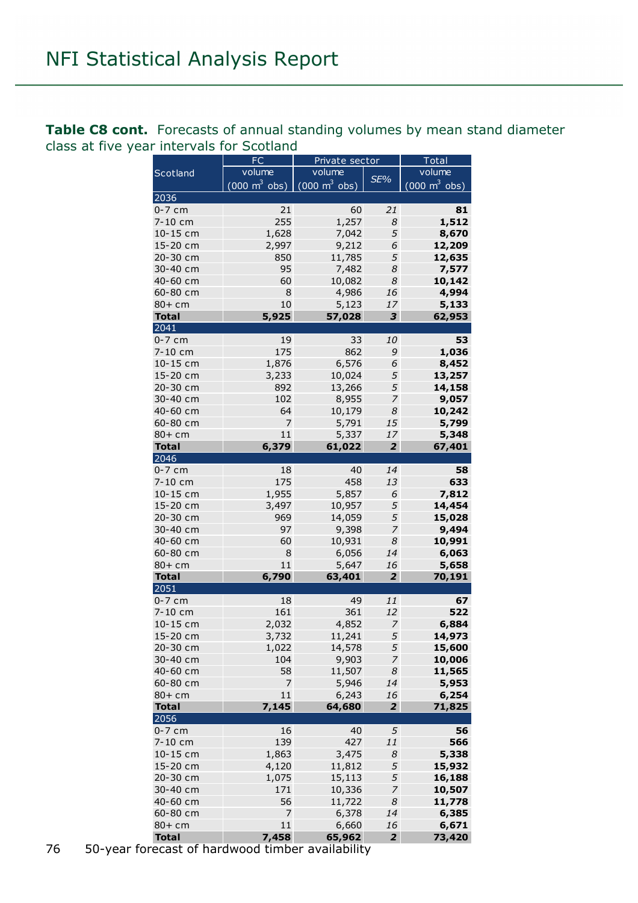Table C8 cont. Forecasts of annual standing volumes by mean stand diameter class at five year intervals for Scotland

|              | <b>FC</b>                       | Private sector                  |                     | Total                           |
|--------------|---------------------------------|---------------------------------|---------------------|---------------------------------|
| Scotland     | volume                          | volume                          |                     | volume                          |
|              | $(000 \text{ m}^3 \text{ obs})$ | $(000 \text{ m}^3 \text{ obs})$ | SE%                 | $(000 \text{ m}^3 \text{ obs})$ |
| 2036         |                                 |                                 |                     |                                 |
| $0-7$ cm     | 21                              | 60                              | 21                  | 81                              |
| 7-10 cm      | 255                             | 1,257                           | 8                   | 1,512                           |
| 10-15 cm     | 1,628                           | 7,042                           | 5                   | 8,670                           |
| 15-20 cm     | 2,997                           | 9,212                           | 6                   | 12,209                          |
| 20-30 cm     | 850                             | 11,785                          | 5                   | 12,635                          |
| 30-40 cm     | 95                              | 7,482                           | 8                   | 7,577                           |
| 40-60 cm     | 60                              | 10,082                          | 8                   | 10,142                          |
| 60-80 cm     | 8                               | 4,986                           | 16                  | 4,994                           |
| $80+cm$      | 10                              | 5,123                           | 17                  | 5,133                           |
| <b>Total</b> | 5,925                           | 57,028                          | 3                   | 62,953                          |
| 2041         |                                 |                                 |                     |                                 |
| $0-7$ cm     | 19                              | 33                              | 10                  | 53                              |
| 7-10 cm      | 175                             | 862                             | 9                   | 1,036                           |
| 10-15 cm     | 1,876                           | 6,576                           | 6                   | 8,452                           |
| 15-20 cm     | 3,233                           | 10,024                          | 5                   | 13,257                          |
| 20-30 cm     | 892                             | 13,266                          | 5                   | 14,158                          |
| 30-40 cm     | 102                             | 8,955                           | 7                   | 9,057                           |
| 40-60 cm     | 64                              | 10,179                          | 8                   | 10,242                          |
| 60-80 cm     | 7                               | 5,791                           | 15                  | 5,799                           |
| $80+cm$      | 11                              | 5,337                           | 17                  | 5,348                           |
| <b>Total</b> | 6,379                           | 61,022                          | $\overline{2}$      | 67,401                          |
| 2046         |                                 |                                 |                     |                                 |
| $0-7$ cm     | 18                              | 40                              | 14                  | 58                              |
| 7-10 cm      | 175                             | 458                             | 13                  | 633                             |
| 10-15 cm     | 1,955                           | 5,857                           | 6                   | 7,812                           |
| 15-20 cm     | 3,497                           | 10,957                          | 5                   | 14,454                          |
| 20-30 cm     | 969                             | 14,059                          | 5                   | 15,028                          |
| 30-40 cm     | 97                              | 9,398                           | 7                   | 9,494                           |
| 40-60 cm     | 60                              | 10,931                          | 8                   | 10,991                          |
| 60-80 cm     | 8                               | 6,056                           | 14                  | 6,063                           |
| 80+ cm       | 11                              | 5,647                           | 16                  | 5,658                           |
| <b>Total</b> | 6,790                           | 63,401                          | $\overline{2}$      | 70,191                          |
| 2051         |                                 |                                 |                     |                                 |
| $0-7$ cm     | 18                              | 49                              | 11                  | 67                              |
| 7-10 cm      | 161                             | 361                             | 12                  | 522                             |
| 10-15 cm     | 2,032                           | 4,852                           | $\overline{z}$      | 6,884                           |
|              |                                 |                                 |                     |                                 |
| 15-20 cm     | 3,732                           | 11,241                          | 5                   | 14,973                          |
| 20-30 cm     | 1,022                           | 14,578                          | 5<br>$\overline{z}$ | 15,600                          |
| 30-40 cm     | 104                             | 9,903                           |                     | 10,006                          |
| 40-60 cm     | 58                              | 11,507                          | 8                   | 11,565                          |
| 60-80 cm     | 7                               | 5,946                           | 14                  | 5,953                           |
| 80+ cm       | 11                              | 6,243                           | 16                  | 6,254                           |
| <b>Total</b> | 7,145                           | 64,680                          | $\overline{2}$      | 71,825                          |
| 2056         |                                 |                                 |                     |                                 |
| $0-7$ cm     | 16                              | 40                              | 5                   | 56                              |
| 7-10 cm      | 139                             | 427                             | 11                  | 566                             |
| 10-15 cm     | 1,863                           | 3,475                           | 8                   | 5,338                           |
| 15-20 cm     | 4,120                           | 11,812                          | 5                   | 15,932                          |
| 20-30 cm     | 1,075                           | 15,113                          | 5                   | 16,188                          |
| 30-40 cm     | 171                             | 10,336                          | 7                   | 10,507                          |
| 40-60 cm     | 56                              | 11,722                          | 8                   | 11,778                          |
| 60-80 cm     | 7                               | 6,378                           | 14                  | 6,385                           |
| 80+ cm       | 11                              | 6,660                           | 16                  | 6,671                           |
| <b>Total</b> | 7,458                           | 65,962                          | $\overline{2}$      | 73,420                          |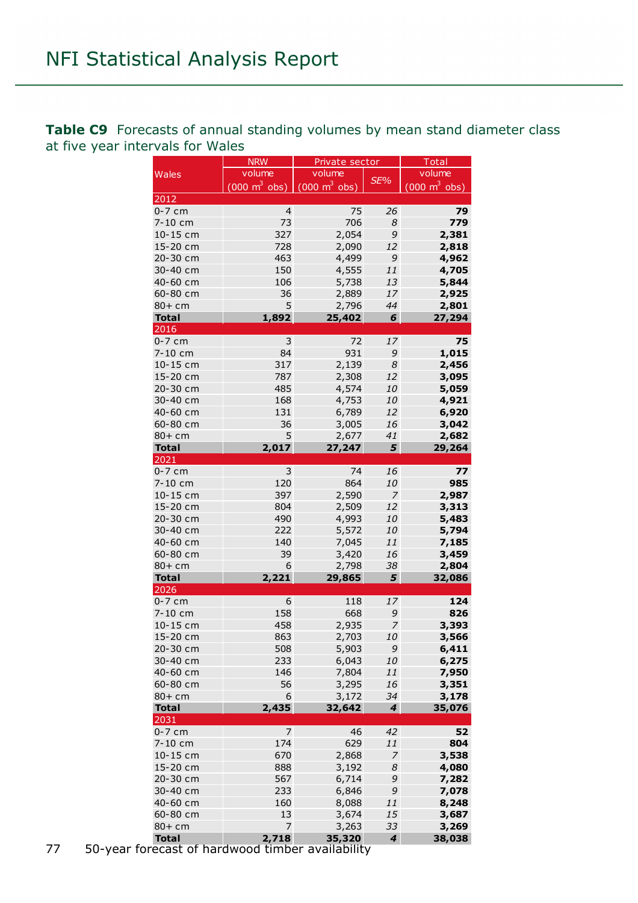Table C9 Forecasts of annual standing volumes by mean stand diameter class at five year intervals for Wales

|                         | <b>NRW</b>                      | Private sector                  |                  | <b>Total</b>                    |
|-------------------------|---------------------------------|---------------------------------|------------------|---------------------------------|
| Wales                   | volume                          | volume                          | SE%              | volume                          |
|                         | $(000 \text{ m}^3 \text{ obs})$ | $(000 \text{ m}^3 \text{ obs})$ |                  | $(000 \text{ m}^3 \text{ obs})$ |
| 2012                    |                                 |                                 |                  |                                 |
| $0-7$ cm                | $\overline{4}$                  | 75                              | 26               | 79                              |
| 7-10 cm                 | 73                              | 706                             | 8                | 779                             |
| 10-15 cm                | 327                             | 2,054                           | 9                | 2,381                           |
| 15-20 cm                | 728                             | 2,090                           | 12               | 2,818                           |
| 20-30 cm                | 463                             | 4,499                           | 9                | 4,962                           |
| 30-40 cm<br>40-60 cm    | 150                             | 4,555                           | 11<br>13         | 4,705                           |
| 60-80 cm                | 106<br>36                       | 5,738                           | 17               | 5,844                           |
|                         | 5                               | 2,889                           | 44               | 2,925                           |
| $80+cm$<br><b>Total</b> | 1,892                           | 2,796<br>25,402                 | 6                | 2,801<br>27,294                 |
| 2016                    |                                 |                                 |                  |                                 |
| $0-7$ cm                | 3                               | 72                              | 17               | 75                              |
| 7-10 cm                 | 84                              | 931                             | 9                | 1,015                           |
| 10-15 cm                | 317                             | 2,139                           | 8                | 2,456                           |
| 15-20 cm                | 787                             | 2,308                           | 12               | 3,095                           |
| 20-30 cm                | 485                             | 4,574                           | 10               | 5,059                           |
| 30-40 cm                | 168                             | 4,753                           | 10               | 4,921                           |
| 40-60 cm                | 131                             | 6,789                           | 12               | 6,920                           |
| 60-80 cm                | 36                              | 3,005                           | 16               | 3,042                           |
| $80+cm$                 | 5                               | 2,677                           | 41               | 2,682                           |
| <b>Total</b>            | 2,017                           | 27,247                          | 5                | 29,264                          |
| 2021                    |                                 |                                 |                  |                                 |
| $0-7$ cm                | 3                               | 74                              | 16               | 77                              |
| 7-10 cm                 | 120                             | 864                             | 10               | 985                             |
| 10-15 cm                | 397                             | 2,590                           | $\overline{z}$   | 2,987                           |
| 15-20 cm                | 804                             | 2,509                           | 12               | 3,313                           |
| 20-30 cm                | 490                             | 4,993                           | 10               | 5,483                           |
| 30-40 cm                | 222                             | 5,572                           | 10               | 5,794                           |
| 40-60 cm                | 140                             | 7,045                           | 11               | 7,185                           |
| 60-80 cm                | 39                              | 3,420                           | 16               | 3,459                           |
| $80+cm$                 | 6                               | 2,798                           | 38               | 2,804                           |
| <b>Total</b>            | 2,221                           | 29,865                          | 5                | 32,086                          |
| 2026                    |                                 |                                 |                  |                                 |
| $0-7$ cm                | 6                               | 118                             | 17               | 124                             |
| 7-10 cm                 | 158                             | 668                             | 9                | 826                             |
| 10-15 cm                | 458                             | 2,935                           | $\overline{z}$   | 3,393                           |
| 15-20 cm                | 863                             | 2,703                           | 10               | 3,566                           |
| 20-30 cm                | 508                             | 5,903                           | 9                | 6,411                           |
| 30-40 cm                | 233                             | 6,043                           | 10               | 6,275                           |
| 40-60 cm                | 146                             | 7,804                           | 11               | 7,950                           |
| 60-80 cm                | 56                              | 3,295                           | 16               | 3,351                           |
| 80+ cm                  | 6                               | 3,172                           | 34               | 3,178                           |
| <b>Total</b>            | 2,435                           | 32,642                          | $\boldsymbol{4}$ | 35,076                          |
| 2031                    |                                 |                                 |                  |                                 |
| $0-7$ cm                | $\overline{7}$                  | 46                              | 42               | 52                              |
| 7-10 cm                 | 174                             | 629                             | 11               | 804                             |
| 10-15 cm                | 670                             | 2,868                           | 7                | 3,538                           |
| 15-20 cm                | 888                             | 3,192                           | 8                | 4,080                           |
| 20-30 cm                | 567                             | 6,714                           | 9                | 7,282                           |
| 30-40 cm                | 233                             | 6,846                           | 9                | 7,078                           |
| 40-60 cm                | 160                             | 8,088                           | 11               | 8,248                           |
| 60-80 cm                | 13                              | 3,674                           | 15               | 3,687                           |
| $80+cm$                 | $\overline{7}$                  | 3,263                           | 33               | 3,269                           |
| <b>Total</b>            | 2,718                           | 35,320                          | $\boldsymbol{4}$ | 38,038                          |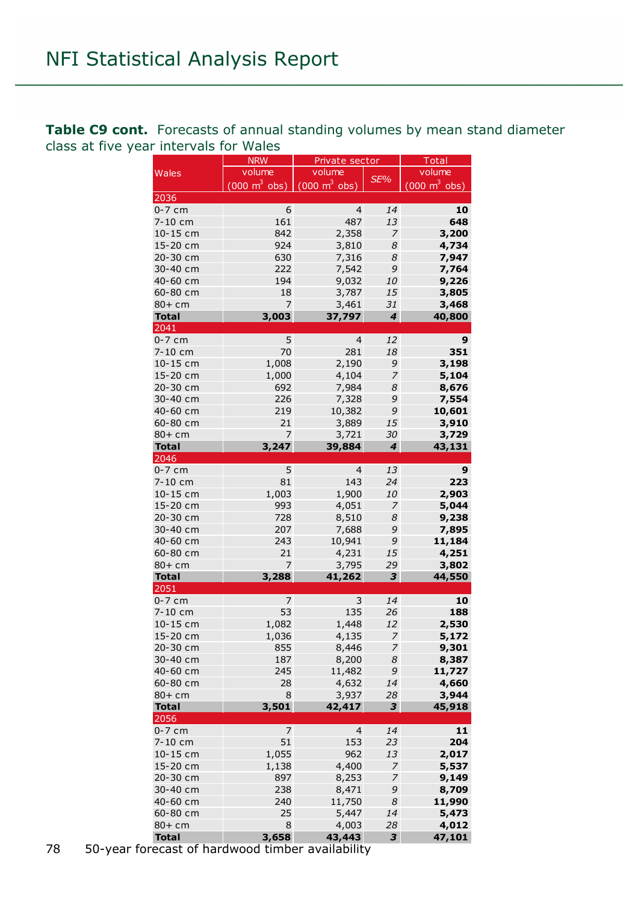#### Table C9 cont. Forecasts of annual standing volumes by mean stand diameter class at five year intervals for Wales

|                      | <b>NRW</b>                      | Private sector                  |                  | Total                           |
|----------------------|---------------------------------|---------------------------------|------------------|---------------------------------|
| <b>Wales</b>         | volume                          | volume                          | SE%              | volume                          |
|                      | $(000 \text{ m}^3 \text{ obs})$ | $(000 \text{ m}^3 \text{ obs})$ |                  | $(000 \text{ m}^3 \text{ obs})$ |
| 2036                 |                                 |                                 |                  |                                 |
| $0-7$ cm             | 6                               | $\overline{4}$                  | 14               | 10                              |
| 7-10 cm              | 161                             | 487                             | 13               | 648                             |
| 10-15 cm             | 842                             | 2,358                           | $\overline{7}$   | 3,200                           |
| 15-20 cm             | 924                             | 3,810                           | 8                | 4,734                           |
| 20-30 cm             | 630                             | 7,316                           | 8                | 7,947                           |
| 30-40 cm             | 222                             | 7,542                           | 9                | 7,764                           |
| 40-60 cm             | 194                             | 9,032                           | 10               | 9,226                           |
| 60-80 cm             | 18                              | 3,787                           | 15               | 3,805                           |
| $80+cm$              | 7                               | 3,461                           | 31               | 3,468                           |
| <b>Total</b><br>2041 | 3,003                           | 37,797                          | $\boldsymbol{4}$ | 40,800                          |
| $0-7$ cm             | 5                               | $\overline{4}$                  | 12               | 9                               |
| 7-10 cm              | 70                              | 281                             | 18               | 351                             |
| 10-15 cm             | 1,008                           | 2,190                           | 9                | 3,198                           |
| 15-20 cm             | 1,000                           | 4,104                           | $\boldsymbol{7}$ | 5,104                           |
| 20-30 cm             | 692                             | 7,984                           | 8                | 8,676                           |
| 30-40 cm             | 226                             | 7,328                           | 9                | 7,554                           |
| 40-60 cm             | 219                             | 10,382                          | 9                | 10,601                          |
| 60-80 cm             | 21                              | 3,889                           | 15               | 3,910                           |
| 80+ cm               | 7                               | 3,721                           | 30               | 3,729                           |
| <b>Total</b>         | 3,247                           | 39,884                          | $\boldsymbol{4}$ | 43,131                          |
| 2046                 |                                 |                                 |                  |                                 |
| $0-7$ cm             | 5                               | $\overline{4}$                  | 13               | 9                               |
| 7-10 cm              | 81                              | 143                             | 24               | 223                             |
| 10-15 cm             | 1,003                           | 1,900                           | 10               | 2,903                           |
| 15-20 cm             | 993                             | 4,051                           | $\overline{z}$   | 5,044                           |
| 20-30 cm             | 728                             | 8,510                           | 8                | 9,238                           |
| 30-40 cm             | 207                             | 7,688                           | 9                | 7,895                           |
| 40-60 cm             | 243                             | 10,941                          | 9                | 11,184                          |
| 60-80 cm             | 21                              | 4,231                           | 15               | 4,251                           |
| 80+ cm               | 7                               | 3,795                           | 29               | 3,802                           |
| <b>Total</b>         | 3,288                           | 41,262                          | 3                | 44,550                          |
| 2051                 |                                 |                                 |                  |                                 |
| $0-7$ cm             | $\overline{7}$                  | 3                               | 14               | 10                              |
| 7-10 cm              | 53                              | 135                             | 26               | 188                             |
| 10-15 cm             | 1,082                           | 1,448                           | 12               | 2,530                           |
| 15-20 cm             | 1,036<br>855                    | 4,135<br>8,446                  | Τ<br>7           | 5,172                           |
| 20-30 cm<br>30-40 cm | 187                             | 8,200                           | 8                | 9,301<br>8,387                  |
| 40-60 cm             | 245                             | 11,482                          | 9                | 11,727                          |
| 60-80 cm             | 28                              | 4,632                           | 14               | 4,660                           |
| 80+ cm               | 8                               | 3,937                           | 28               | 3,944                           |
| <b>Total</b>         | 3,501                           | 42,417                          | 3                | 45,918                          |
| 2056                 |                                 |                                 |                  |                                 |
| $0-7$ cm             | $\overline{7}$                  | $\overline{\mathbf{4}}$         | 14               | 11                              |
| 7-10 cm              | 51                              | 153                             | 23               | 204                             |
| 10-15 cm             | 1,055                           | 962                             | 13               | 2,017                           |
| 15-20 cm             | 1,138                           | 4,400                           | 7                | 5,537                           |
| 20-30 cm             | 897                             | 8,253                           | 7                | 9,149                           |
| 30-40 cm             | 238                             | 8,471                           | 9                | 8,709                           |
| 40-60 cm             | 240                             | 11,750                          | 8                | 11,990                          |
| 60-80 cm             | 25                              | 5,447                           | 14               | 5,473                           |
| 80+ cm               | 8                               | 4,003                           | 28               | 4,012                           |
| <b>Total</b>         | 3,658                           | 43,443                          | 3                | 47,101                          |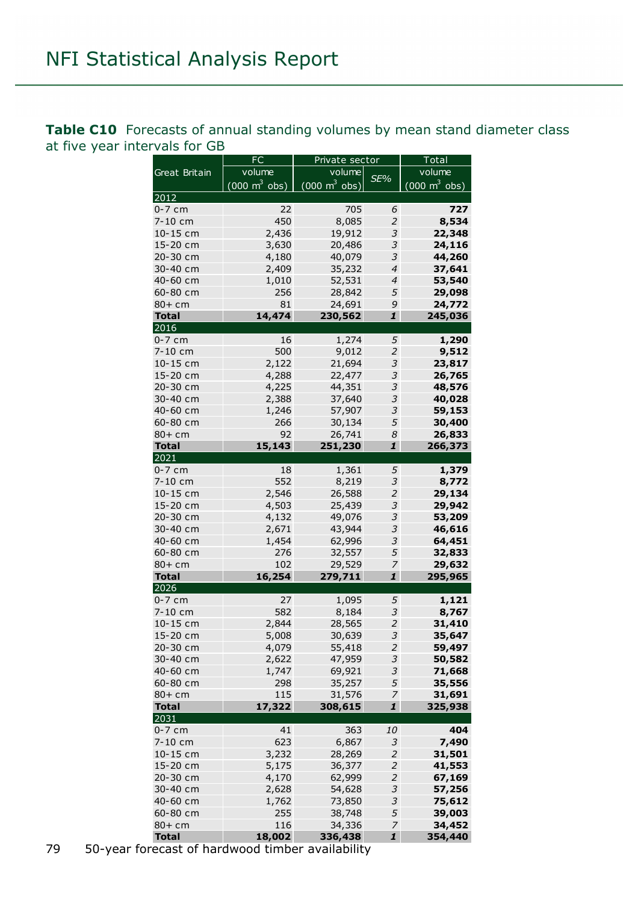Table C10 Forecasts of annual standing volumes by mean stand diameter class at five year intervals for GB

|                      | <b>FC</b>                           | Private sector                      |                             | Total                           |
|----------------------|-------------------------------------|-------------------------------------|-----------------------------|---------------------------------|
| Great Britain        | volume                              | volume                              | SE%                         | volume                          |
|                      | $(000 \; \text{m}^3 \; \text{obs})$ | $(000 \; \text{m}^3 \; \text{obs})$ |                             | $(000 \text{ m}^3 \text{ obs})$ |
| 2012                 |                                     |                                     |                             |                                 |
| $0-7$ cm             | 22                                  | 705                                 | 6                           | 727                             |
| 7-10 cm              | 450                                 | 8,085                               | $\overline{a}$              | 8,534                           |
| 10-15 cm             | 2,436                               | 19,912                              | $\mathfrak{Z}$              | 22,348                          |
| 15-20 cm             | 3,630                               | 20,486                              | 3                           | 24,116                          |
| 20-30 cm             | 4,180                               | 40,079                              | 3                           | 44,260                          |
| 30-40 cm             | 2,409                               | 35,232                              | $\overline{4}$              | 37,641                          |
| 40-60 cm             | 1,010                               | 52,531                              | $\overline{\mathcal{A}}$    | 53,540                          |
| 60-80 cm             | 256                                 | 28,842                              | 5                           | 29,098                          |
| $80+cm$              | 81                                  | 24,691                              | 9                           | 24,772                          |
| <b>Total</b>         | 14,474                              | 230,562                             | $\mathbf{1}$                | 245,036                         |
| 2016                 |                                     |                                     |                             |                                 |
| $0-7$ cm             | 16                                  | 1,274                               | 5                           | 1,290                           |
| 7-10 cm              | 500                                 | 9,012                               | $\overline{a}$              | 9,512                           |
| 10-15 cm             | 2,122                               | 21,694                              | 3                           | 23,817                          |
| 15-20 cm             | 4,288                               | 22,477                              | $\ensuremath{\mathfrak{Z}}$ | 26,765                          |
| 20-30 cm             | 4,225                               | 44,351                              | 3                           | 48,576                          |
| 30-40 cm             | 2,388                               | 37,640                              | 3                           | 40,028                          |
| 40-60 cm             | 1,246                               | 57,907                              | 3                           | 59,153                          |
| 60-80 cm             | 266                                 | 30,134                              | 5                           | 30,400                          |
| 80+ cm               | 92                                  | 26,741<br>251,230                   | 8<br>$\mathbf{1}$           | 26,833                          |
| <b>Total</b><br>2021 | 15,143                              |                                     |                             | 266,373                         |
| $0-7$ cm             | 18                                  | 1,361                               | 5                           | 1,379                           |
| 7-10 cm              | 552                                 | 8,219                               | 3                           | 8,772                           |
| 10-15 cm             | 2,546                               | 26,588                              | $\overline{a}$              | 29,134                          |
| 15-20 cm             | 4,503                               | 25,439                              | 3                           | 29,942                          |
| 20-30 cm             | 4,132                               | 49,076                              | 3                           | 53,209                          |
| 30-40 cm             | 2,671                               | 43,944                              | 3                           | 46,616                          |
| 40-60 cm             | 1,454                               | 62,996                              | 3                           | 64,451                          |
| 60-80 cm             | 276                                 | 32,557                              | 5                           | 32,833                          |
| 80+ cm               | 102                                 | 29,529                              | 7                           | 29,632                          |
| <b>Total</b>         | 16,254                              | 279,711                             | $\mathbf{1}$                | 295,965                         |
| 2026                 |                                     |                                     |                             |                                 |
| $0-7$ cm             | 27                                  | 1,095                               | 5                           | 1,121                           |
| 7-10 cm              | 582                                 | 8,184                               | $\mathfrak{Z}$              | 8,767                           |
| 10-15 cm             | 2,844                               | 28,565                              | $\boldsymbol{2}$            | 31,410                          |
| 15-20 cm             | 5,008                               | 30,639                              | 3                           | 35,647                          |
| 20-30 cm             | 4,079                               | 55,418                              | $\overline{a}$              | 59,497                          |
| 30-40 cm             | 2,622                               | 47,959                              | 3                           | 50,582                          |
| 40-60 cm             | 1,747                               | 69,921                              | 3                           | 71,668                          |
| 60-80 cm             | 298                                 | 35,257                              | 5                           | 35,556                          |
| $80+cm$              | 115                                 | 31,576                              | 7                           | 31,691                          |
| <b>Total</b>         | 17,322                              | 308,615                             | $\mathbf{1}$                | 325,938                         |
| 2031                 |                                     |                                     |                             |                                 |
| $0-7$ cm             | 41                                  | 363                                 | 10                          | 404                             |
| 7-10 cm              | 623                                 | 6,867                               | 3                           | 7,490                           |
| 10-15 cm             | 3,232                               | 28,269                              | $\overline{c}$              | 31,501                          |
| 15-20 cm             | 5,175                               | 36,377                              | 2                           | 41,553                          |
| 20-30 cm             | 4,170                               | 62,999                              | $\overline{c}$              | 67,169                          |
| 30-40 cm             | 2,628                               | 54,628                              | 3                           | 57,256                          |
| 40-60 cm             | 1,762                               | 73,850                              | 3                           | 75,612                          |
| 60-80 cm             | 255                                 | 38,748                              | 5                           | 39,003                          |
| 80+ cm               | 116                                 | 34,336                              | 7                           | 34,452                          |
| <b>Total</b>         | 18,002                              | 336,438                             | $\mathbf{1}$                | 354,440                         |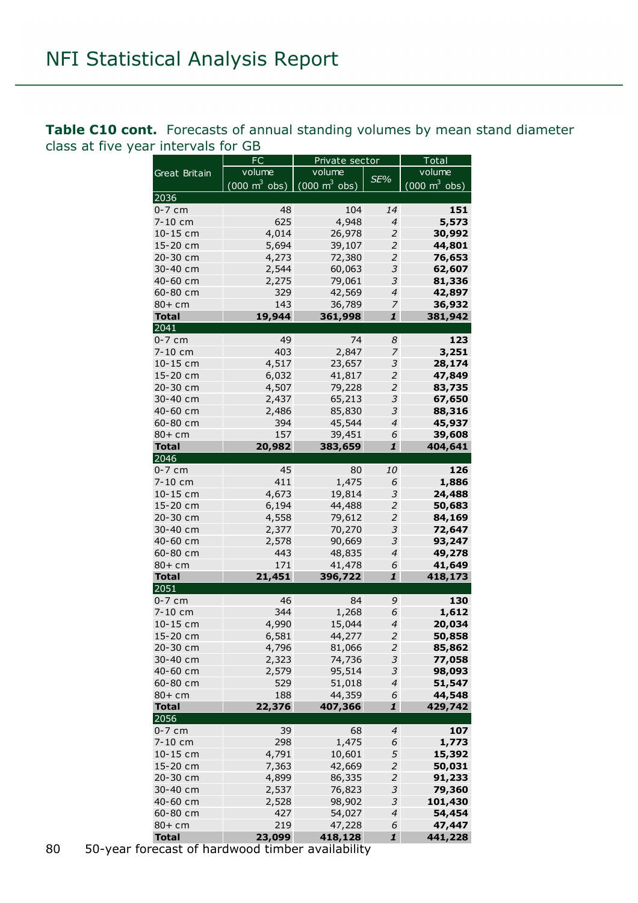Table C10 cont. Forecasts of annual standing volumes by mean stand diameter class at five year intervals for GB

|                      | <b>FC</b>                       | Private sector                  |                                               | Total                           |
|----------------------|---------------------------------|---------------------------------|-----------------------------------------------|---------------------------------|
| Great Britain        | volume                          | volume                          | SE%                                           | volume                          |
|                      | $(000 \text{ m}^3 \text{ obs})$ | $(000 \text{ m}^3 \text{ obs})$ |                                               | $(000 \text{ m}^3 \text{ obs})$ |
| 2036                 |                                 |                                 |                                               |                                 |
| $0-7$ cm             | 48                              | 104                             | 14                                            | 151                             |
| 7-10 cm              | 625                             | 4,948                           | $\overline{4}$                                | 5,573                           |
| 10-15 cm             | 4,014                           | 26,978                          | $\overline{2}$                                | 30,992                          |
| 15-20 cm             | 5,694                           | 39,107                          | $\overline{c}$                                | 44,801                          |
| 20-30 cm             | 4,273                           | 72,380                          | $\overline{2}$                                | 76,653                          |
| 30-40 cm             | 2,544                           | 60,063                          | 3                                             | 62,607                          |
| 40-60 cm             | 2,275                           | 79,061                          | $\mathfrak{Z}$                                | 81,336                          |
| 60-80 cm             | 329                             | 42,569                          | $\overline{4}$                                | 42,897                          |
| $80+cm$              | 143                             | 36,789                          | 7                                             | 36,932                          |
| <b>Total</b>         | 19,944                          | 361,998                         | $\mathbf{1}$                                  | 381,942                         |
| 2041                 |                                 |                                 |                                               |                                 |
| $0-7$ cm             | 49                              | 74                              | 8                                             | 123                             |
| 7-10 cm              | 403                             | 2,847                           | 7                                             | 3,251                           |
| 10-15 cm             | 4,517                           | 23,657                          | 3                                             | 28,174                          |
| 15-20 cm             | 6,032                           | 41,817                          | $\overline{c}$                                | 47,849                          |
| 20-30 cm             | 4,507                           | 79,228                          | $\overline{c}$                                | 83,735                          |
| 30-40 cm             | 2,437                           | 65,213                          | 3                                             | 67,650                          |
| 40-60 cm             | 2,486                           | 85,830                          | 3                                             | 88,316                          |
| 60-80 cm             | 394                             | 45,544                          | $\overline{4}$                                | 45,937                          |
| $80+cm$              | 157                             | 39,451                          | 6                                             | 39,608                          |
| <b>Total</b>         | 20,982                          | 383,659                         | $\mathbf{1}$                                  | 404,641                         |
| 2046                 |                                 |                                 |                                               |                                 |
| $0-7$ cm             | 45                              | 80                              | 10                                            | 126                             |
| 7-10 cm              | 411                             | 1,475                           | 6                                             | 1,886                           |
| 10-15 cm<br>15-20 cm | 4,673                           | 19,814                          | $\ensuremath{\mathfrak{Z}}$<br>$\overline{c}$ | 24,488                          |
|                      | 6,194                           | 44,488                          | $\overline{a}$                                | 50,683                          |
| 20-30 cm             | 4,558                           | 79,612                          | $\mathfrak{Z}$                                | 84,169                          |
| 30-40 cm             | 2,377                           | 70,270                          | 3                                             | 72,647                          |
| 40-60 cm<br>60-80 cm | 2,578<br>443                    | 90,669                          | $\overline{4}$                                | 93,247<br>49,278                |
| 80+ cm               | 171                             | 48,835<br>41,478                | 6                                             |                                 |
| <b>Total</b>         | 21,451                          | 396,722                         | $\mathbf{1}$                                  | 41,649<br>418,173               |
| 2051                 |                                 |                                 |                                               |                                 |
| $0-7$ cm             | 46                              | 84                              | 9                                             | 130                             |
| 7-10 cm              | 344                             | 1,268                           | 6                                             | 1,612                           |
| 10-15 cm             | 4,990                           | 15,044                          | $\overline{4}$                                | 20,034                          |
| 15-20 cm             | 6,581                           | 44,277                          | 2                                             | 50,858                          |
| 20-30 cm             | 4,796                           | 81,066                          | $\overline{c}$                                | 85,862                          |
| 30-40 cm             | 2,323                           | 74,736                          | 3                                             | 77,058                          |
| 40-60 cm             | 2,579                           | 95,514                          | $\ensuremath{\mathfrak{Z}}$                   | 98,093                          |
| 60-80 cm             | 529                             | 51,018                          | $\overline{4}$                                | 51,547                          |
| $80+cm$              | 188                             | 44,359                          | 6                                             | 44,548                          |
| <b>Total</b>         | 22,376                          | 407,366                         | $\mathbf{1}$                                  | 429,742                         |
| 2056                 |                                 |                                 |                                               |                                 |
| $0-7$ cm             | 39                              | 68                              | $\overline{4}$                                | 107                             |
| 7-10 cm              | 298                             | 1,475                           | 6                                             | 1,773                           |
| 10-15 cm             | 4,791                           | 10,601                          | 5                                             | 15,392                          |
| 15-20 cm             | 7,363                           | 42,669                          | $\overline{c}$                                | 50,031                          |
| 20-30 cm             | 4,899                           | 86,335                          | $\overline{c}$                                | 91,233                          |
| 30-40 cm             | 2,537                           | 76,823                          | 3                                             | 79,360                          |
| 40-60 cm             | 2,528                           | 98,902                          | $\ensuremath{\mathfrak{Z}}$                   | 101,430                         |
| 60-80 cm             | 427                             | 54,027                          | $\overline{4}$                                | 54,454                          |
| $80+cm$              | 219                             | 47,228                          | 6                                             | 47,447                          |
| <b>Total</b>         | 23,099                          | 418,128                         | $\mathbf{1}$                                  | 441,228                         |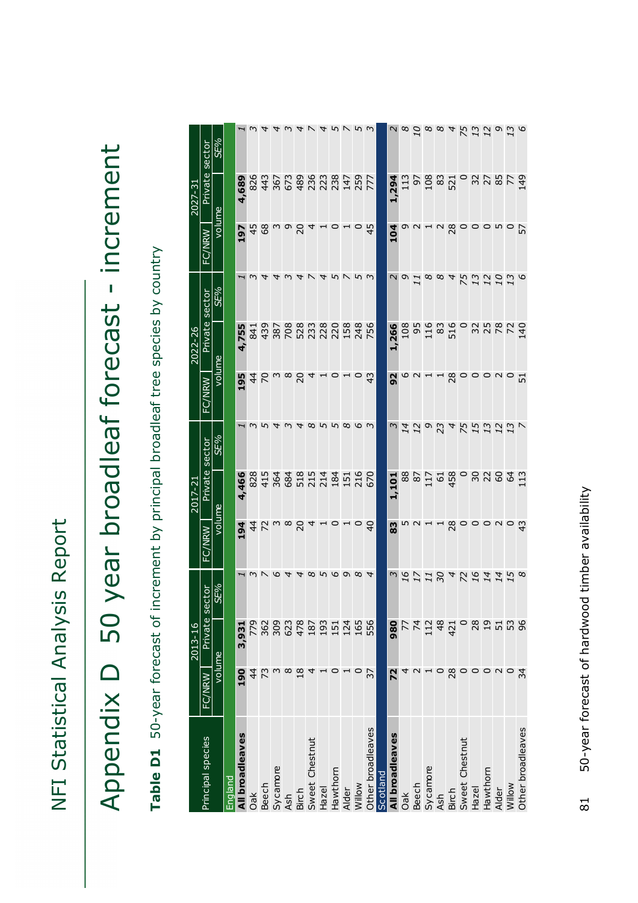# Appendix D 50 year broadleaf forecast - increment Appendix D 50 year broadleaf forecast - increment

50-year forecast of increment by principal broadleaf tree species by country Table D1 50-year forecast of increment by principal broadleaf tree species by country **Table D1** 

|                        |        | 2013-16     |                   |                           | 2017-21                       |                         |                                                              | 2022-26                                                                                                                                                                                                                                                                                                       |                                           |                                                                     | $2027 - 31$           |               |
|------------------------|--------|-------------|-------------------|---------------------------|-------------------------------|-------------------------|--------------------------------------------------------------|---------------------------------------------------------------------------------------------------------------------------------------------------------------------------------------------------------------------------------------------------------------------------------------------------------------|-------------------------------------------|---------------------------------------------------------------------|-----------------------|---------------|
| Principal species      | FC/NRW | Private se  |                   | <b>FC/NRW</b>             | Private                       | sector                  | FC/NRW                                                       | Private                                                                                                                                                                                                                                                                                                       | sector                                    | <b>FC/NRW</b>                                                       | Private               | sector        |
|                        | volume |             | ictor<br>SE%      | volume                    |                               | SE%                     | volume                                                       |                                                                                                                                                                                                                                                                                                               | <b>SE%</b>                                |                                                                     | volume                | SE%           |
| England                |        |             |                   |                           |                               |                         |                                                              |                                                                                                                                                                                                                                                                                                               |                                           |                                                                     |                       |               |
| <b>All broadleaves</b> | 190    | 3,931       | I                 | 194                       | 4,466                         |                         | 195                                                          | 4,755                                                                                                                                                                                                                                                                                                         |                                           | 197                                                                 | 4,689                 |               |
| Oak                    | 4      | 779         | $\omega$ $\omega$ |                           | 828                           | 1 0 0 4 0 4 0 0 0 0 0 0 |                                                              | 841                                                                                                                                                                                                                                                                                                           | $\frac{1}{2}$ $\omega$ $\frac{4}{5}$      |                                                                     | 826                   |               |
| <b>Beech</b>           | 73     |             |                   |                           |                               |                         |                                                              |                                                                                                                                                                                                                                                                                                               |                                           |                                                                     |                       |               |
| Sycamore               |        |             |                   |                           |                               |                         |                                                              |                                                                                                                                                                                                                                                                                                               |                                           |                                                                     |                       |               |
| Ash                    |        | 88888855358 |                   | $4 \times 100004 + 0 + 0$ | $45882148226$<br>$4882148226$ |                         | 350008400003                                                 |                                                                                                                                                                                                                                                                                                               |                                           | 48000044040                                                         | 48098887777           |               |
| Birch                  | ≌      |             |                   |                           |                               |                         |                                                              |                                                                                                                                                                                                                                                                                                               |                                           |                                                                     |                       |               |
| Sweet Chestnut         |        |             |                   |                           |                               |                         |                                                              |                                                                                                                                                                                                                                                                                                               |                                           |                                                                     |                       |               |
| Hazel                  |        |             | $\infty$ rv       |                           |                               |                         |                                                              |                                                                                                                                                                                                                                                                                                               | 4                                         |                                                                     |                       | 4             |
| Hawthorn               |        |             |                   |                           |                               |                         |                                                              |                                                                                                                                                                                                                                                                                                               | 5                                         |                                                                     |                       | 5             |
| <b>Alder</b>           |        |             | $\infty$ $\infty$ |                           |                               |                         |                                                              |                                                                                                                                                                                                                                                                                                               |                                           |                                                                     |                       |               |
| Willow                 |        |             |                   |                           |                               |                         |                                                              | 248<br>756                                                                                                                                                                                                                                                                                                    | ru w                                      |                                                                     |                       | ru w          |
| Other broadleaves      | 57     |             | 4                 | $\overline{4}$            |                               |                         |                                                              |                                                                                                                                                                                                                                                                                                               |                                           | 45                                                                  |                       |               |
| Scotland               |        |             |                   |                           |                               |                         |                                                              |                                                                                                                                                                                                                                                                                                               |                                           |                                                                     |                       |               |
| All broadleaves        | 72     | 980         | $\omega$          | 83                        | 1,101                         | w                       | 92                                                           | 1,266                                                                                                                                                                                                                                                                                                         |                                           | 104                                                                 | 1,294                 |               |
| Oak                    |        |             |                   |                           |                               |                         |                                                              |                                                                                                                                                                                                                                                                                                               |                                           |                                                                     | 113                   | $\sim \infty$ |
| <b>Beech</b>           |        | 742821      | 85778             | n u                       |                               |                         | $O$ $O$ $H$                                                  |                                                                                                                                                                                                                                                                                                               |                                           |                                                                     |                       |               |
| Sycamore               |        |             |                   |                           |                               |                         |                                                              |                                                                                                                                                                                                                                                                                                               |                                           |                                                                     |                       | $\frac{8}{9}$ |
| <b>Ash</b>             |        |             |                   |                           |                               |                         |                                                              |                                                                                                                                                                                                                                                                                                               |                                           |                                                                     | <b>92821</b><br>92821 |               |
| <b>Birch</b>           | 28     |             | 4                 |                           |                               |                         |                                                              |                                                                                                                                                                                                                                                                                                               |                                           |                                                                     |                       |               |
| Sweet Chestnut         |        |             |                   |                           |                               |                         |                                                              |                                                                                                                                                                                                                                                                                                               |                                           |                                                                     |                       |               |
| Hazel                  |        | 28          | 794               |                           |                               |                         |                                                              |                                                                                                                                                                                                                                                                                                               |                                           |                                                                     |                       |               |
| Hawthorn               | 0      |             |                   |                           |                               |                         | $\begin{array}{c}\n 1 & 0 \\  0 & 0 \\  0 & 0\n \end{array}$ |                                                                                                                                                                                                                                                                                                               |                                           |                                                                     |                       | 45330         |
| <b>Alder</b>           |        |             |                   |                           |                               |                         |                                                              |                                                                                                                                                                                                                                                                                                               |                                           |                                                                     |                       |               |
| Willow                 |        | 27.78       | $\frac{5}{4}$     | 8000009                   | $882198$ $8938$ $881$         | は2924万42227             |                                                              | $\begin{array}{c} 2884 \\ 2994 \\ 2894 \\ 2994 \\ 2094 \\ 2094 \\ 2094 \\ 2094 \\ 2094 \\ 2094 \\ 2094 \\ 2094 \\ 2094 \\ 2094 \\ 2094 \\ 2094 \\ 2094 \\ 2094 \\ 2094 \\ 2094 \\ 2094 \\ 2094 \\ 2094 \\ 2094 \\ 2094 \\ 2094 \\ 2094 \\ 2094 \\ 2094 \\ 2094 \\ 2094 \\ 2094 \\ 2094 \\ 2094 \\ 2094 \\ 20$ | $\begin{array}{c}\n0 \\ 0 \\ \end{array}$ | $\circ \circ \circ \circ \circ \circ \circ \circ \circ \circ \circ$ | 37879                 | $\frac{3}{6}$ |
| Other broadleaves      | 34     |             | $^{\circ}$        |                           |                               |                         | 51                                                           |                                                                                                                                                                                                                                                                                                               |                                           |                                                                     |                       |               |

81 50-year forecast of hardwood timber availability 50-year forecast of hardwood timber availability 81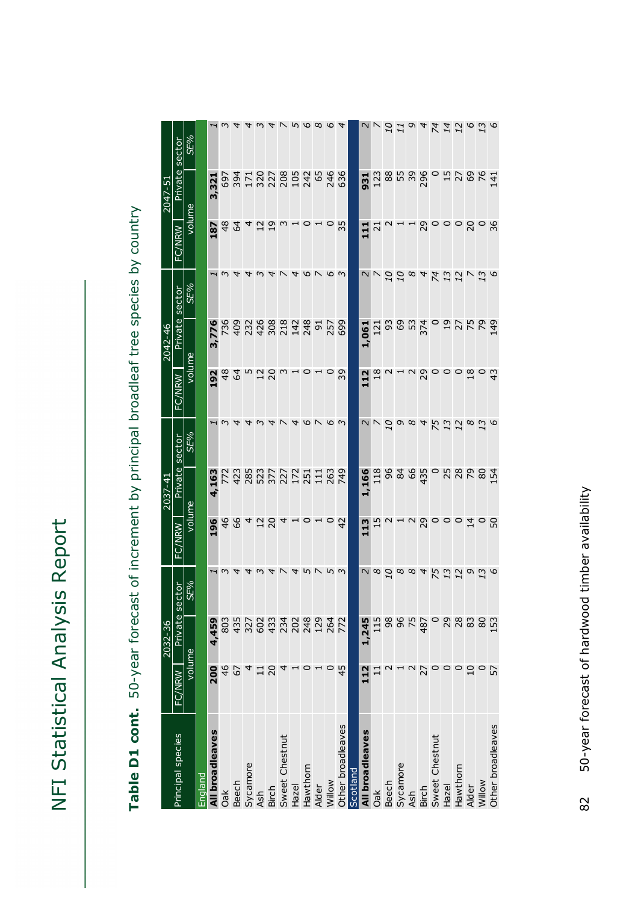| )<br>)<br>、                                                             |
|-------------------------------------------------------------------------|
|                                                                         |
|                                                                         |
|                                                                         |
|                                                                         |
|                                                                         |
|                                                                         |
|                                                                         |
|                                                                         |
| )<br>)                                                                  |
|                                                                         |
| J                                                                       |
| <b>1911-1922 - 1922 - 1933 - 1934 - 1935 - 1936 - 1937 - 1938 - 193</b> |
|                                                                         |
|                                                                         |
|                                                                         |
|                                                                         |
|                                                                         |
|                                                                         |
|                                                                         |
|                                                                         |
|                                                                         |
|                                                                         |
|                                                                         |
|                                                                         |
|                                                                         |
|                                                                         |
|                                                                         |
|                                                                         |
|                                                                         |
|                                                                         |
|                                                                         |
|                                                                         |
|                                                                         |
|                                                                         |
|                                                                         |
|                                                                         |
|                                                                         |
|                                                                         |
| さつしていりょう こうりこうりょう ようりりりょう                                               |
|                                                                         |
|                                                                         |
|                                                                         |
|                                                                         |
|                                                                         |
|                                                                         |
|                                                                         |
| ∶<br>ว<br>><br>>                                                        |
| こうりんさん さんこう                                                             |
| Ó                                                                       |
| I                                                                       |
| I                                                                       |
| i<br>∍                                                                  |
| ٢<br>٦                                                                  |
| ĝ<br>1                                                                  |
|                                                                         |
|                                                                         |
|                                                                         |
| d<br>ļ                                                                  |
|                                                                         |
| ć<br>Ò                                                                  |

|                   |               | 2032-36     |                                                                    |            | $2037 - 41$                                               |             |                                                                                                                                             | 2042-46             |                                              |                                                                | 2047-51         |             |
|-------------------|---------------|-------------|--------------------------------------------------------------------|------------|-----------------------------------------------------------|-------------|---------------------------------------------------------------------------------------------------------------------------------------------|---------------------|----------------------------------------------|----------------------------------------------------------------|-----------------|-------------|
| Principal species | FC/NRW        | Private sec |                                                                    | FC/NRW     | Private                                                   | sector      | FC/NRW                                                                                                                                      | Private             | sector                                       | FC/NRW                                                         | Private         | sector      |
|                   | volume        |             | $\frac{5}{10}$                                                     | volume     |                                                           | SE%         | volume                                                                                                                                      |                     | <b>SE%</b>                                   | volume                                                         |                 | SE%         |
| England           |               |             |                                                                    |            |                                                           |             |                                                                                                                                             |                     |                                              |                                                                |                 |             |
| All broadleaves   | 200           | 4,459       |                                                                    | 196        | 4,163                                                     |             |                                                                                                                                             | 3,776               |                                              | 187                                                            | 3,321           |             |
| Oak               | $\frac{4}{6}$ | 803         | $\overline{r}$                                                     |            |                                                           | <u>ມ ພ</u>  | $\frac{9}{9}$ $\frac{9}{9}$ $\frac{2}{9}$ $\frac{1}{9}$ $\frac{1}{9}$ $\frac{1}{9}$ $\frac{1}{9}$ $\frac{1}{9}$ $\frac{1}{9}$ $\frac{1}{9}$ | 736                 |                                              |                                                                |                 |             |
| <b>Beech</b>      | 5             | 435         | J                                                                  |            |                                                           |             |                                                                                                                                             |                     |                                              |                                                                |                 |             |
| Sycamore          |               | 327         |                                                                    | 6847840404 | 7 3 8 8 7 7 8 4 5 6 7 8 9 7 8 9 7 8 7 9 7 9 7 9 7 9 7 9 7 |             |                                                                                                                                             |                     |                                              | $\frac{46}{344}$ $\frac{73}{9}$ $\frac{10}{9}$ $\frac{10}{9}$  |                 |             |
| Ash               |               |             |                                                                    |            |                                                           |             |                                                                                                                                             |                     |                                              |                                                                |                 |             |
| Birch             |               | 833<br>833  | $\mathcal{L}$                                                      |            |                                                           |             |                                                                                                                                             |                     |                                              |                                                                |                 |             |
| Sweet Chestnut    |               |             |                                                                    |            |                                                           |             |                                                                                                                                             |                     |                                              |                                                                |                 |             |
| Hazel             |               | 202         |                                                                    |            |                                                           | 4           |                                                                                                                                             |                     | ↴                                            |                                                                |                 |             |
| Hawthorn          |               | 248         | 45753                                                              |            |                                                           | $\infty$    |                                                                                                                                             |                     | ७                                            |                                                                |                 | 00007       |
| Alder             |               | 129         |                                                                    |            |                                                           |             |                                                                                                                                             |                     |                                              |                                                                |                 |             |
| Willow            |               | 264         |                                                                    |            |                                                           | 6 W         |                                                                                                                                             | 257<br>699          | o                                            |                                                                |                 |             |
| Other broadleaves | 45            | 772         |                                                                    |            |                                                           |             | 39                                                                                                                                          |                     | W                                            | 35                                                             |                 |             |
| Scotland          |               |             |                                                                    |            |                                                           |             |                                                                                                                                             |                     |                                              |                                                                |                 |             |
| All broadleaves   | 112<br>11     | 1,245       |                                                                    | 113        | 1,166                                                     |             |                                                                                                                                             | 1,061               |                                              |                                                                |                 |             |
| Oak               |               | 115         | $\overline{a} \overline{b} \overline{c} \overline{d} \overline{c}$ |            | $\frac{1}{2}$                                             | 20202722826 | 12 3 3 4 5 6 6 6 5 6 7 8 9 7                                                                                                                |                     | $\begin{array}{c}\n0 \\ 0 \\ 0\n\end{array}$ | $13 \frac{1}{2}$                                               | 3.7888889728877 | 21244442646 |
| <b>Beech</b>      |               | 98          |                                                                    |            |                                                           |             |                                                                                                                                             |                     |                                              |                                                                |                 |             |
| Sycamore          |               | 96          |                                                                    |            |                                                           |             |                                                                                                                                             |                     |                                              |                                                                |                 |             |
| Ash               |               | 75          |                                                                    |            |                                                           |             |                                                                                                                                             |                     |                                              |                                                                |                 |             |
| <b>Birch</b>      |               | 487         |                                                                    |            |                                                           |             |                                                                                                                                             |                     | $\boldsymbol{a}$                             |                                                                |                 |             |
| Sweet Chestnut    |               |             |                                                                    |            |                                                           |             |                                                                                                                                             |                     |                                              |                                                                |                 |             |
| Hazel             |               | 29          |                                                                    |            |                                                           |             |                                                                                                                                             |                     | はここしに                                        |                                                                |                 |             |
| Hawthom           |               | 28          |                                                                    |            |                                                           |             |                                                                                                                                             |                     |                                              |                                                                |                 |             |
| <b>Alder</b>      |               | 83          |                                                                    |            |                                                           |             |                                                                                                                                             |                     |                                              |                                                                |                 |             |
| Willow            |               | 80          |                                                                    |            |                                                           |             |                                                                                                                                             | ដួនខូនដុំ គូម ដូចទី |                                              | $\begin{array}{c}\n 1 & 0 \\  0 & 0 \\  0 & 0 \\  \end{array}$ |                 |             |
| Other broadleaves | 57            | 153         |                                                                    |            |                                                           |             |                                                                                                                                             |                     | $\infty$                                     |                                                                |                 |             |

50-year forecast of hardwood timber availability 82 50-year forecast of hardwood timber availability 82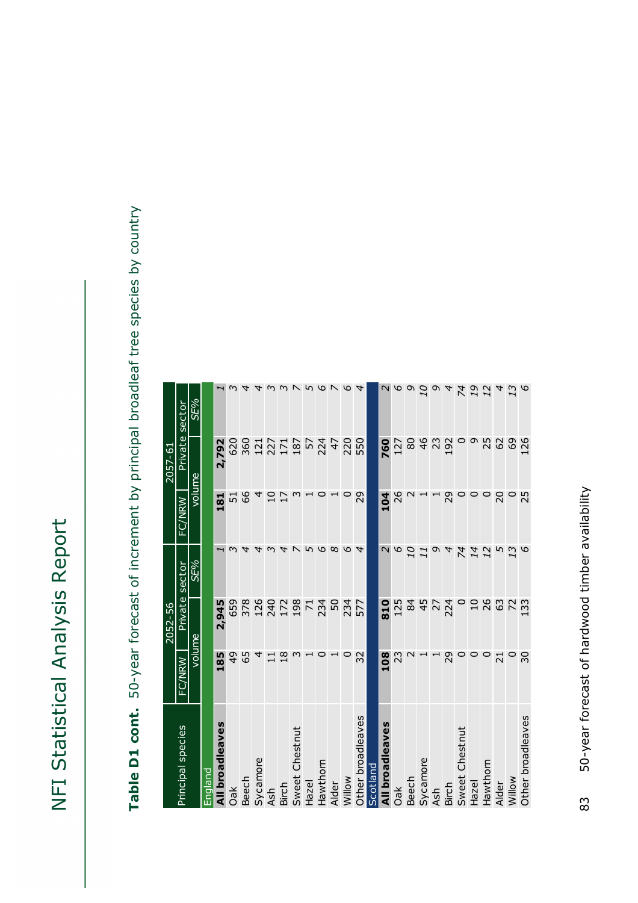50-year forecast of increment by principal broadleaf tree species by country Table D1 cont. 50-year forecast of increment by principal broadleaf tree species by country **Table D1 cont.** 

|                        |                       | $2052 - 56$   |                          |                                                                                                                      | 2057-61        |                          |
|------------------------|-----------------------|---------------|--------------------------|----------------------------------------------------------------------------------------------------------------------|----------------|--------------------------|
| Principal species      | <b>FC/NRW</b>         |               | Private sector           | FC/NRW                                                                                                               | Private sector |                          |
|                        | volume                |               | SE%                      | volume                                                                                                               |                | SE%                      |
| England                |                       |               |                          |                                                                                                                      |                |                          |
| <b>All broadleaves</b> | 185                   | 2,945         | Z                        | 181                                                                                                                  | 2,792          |                          |
| Oak                    | \$                    | 659           | $\omega$                 | $\frac{1}{66}$                                                                                                       | 620            |                          |
| <b>Beech</b>           | 59                    | 378           | 4                        |                                                                                                                      | 360            |                          |
| Sycamore               | 4                     | 126           | 4                        | 4                                                                                                                    | 121            |                          |
| Ash                    | 11                    | 240           |                          |                                                                                                                      | 227            | S                        |
| <b>Birch</b>           | $\frac{8}{18}$        | 172           | $\omega$ 4               | $\begin{array}{c}\n 2 & \text{if } \mathbf{u} & \mathbf{v} \\  0 & \text{if } \mathbf{u} & \mathbf{v}\n \end{array}$ | 171            | $\omega$                 |
| Sweet Chestnut         |                       | 198           | $\overline{\phantom{1}}$ |                                                                                                                      | 187            | $\overline{\phantom{0}}$ |
| Hazel                  | $\cup$ $\cup$ $\cup$  | 71            | 5                        |                                                                                                                      | 57             |                          |
| Hawthom                |                       | 234           | $\infty$                 |                                                                                                                      | 224            |                          |
| <b>Alder</b>           |                       | 50            |                          |                                                                                                                      | $\overline{4}$ | 50000                    |
| Willow                 | 0                     | 234           | G                        | $\circ$                                                                                                              | 220            |                          |
| Other broadleaves      | 32                    | 577           | 4                        | 29                                                                                                                   | 550            | $\overline{4}$           |
| Scotland               |                       |               |                          |                                                                                                                      |                |                          |
| <b>All broadleaves</b> | 108                   | 810           |                          | 104                                                                                                                  | 760            | $\overline{\mathsf{c}}$  |
| Oak                    | 23                    | 125           | $\sim$ $\sim$            | 26                                                                                                                   | 127            | $\mathbf \omega$         |
| <b>Beech</b>           | $\sim$ $\overline{a}$ | $\frac{8}{4}$ |                          | $\mathbf{\sim}$                                                                                                      | 80             | G                        |
| Sycamore               |                       | 45            | $\frac{17}{2}$           |                                                                                                                      | $\frac{4}{6}$  | 07                       |
| Ash                    |                       | 27            | $\omega$ 4               |                                                                                                                      | 23             | o                        |
| <b>Birch</b>           | 29                    | 224           |                          | 29                                                                                                                   | 192            | $\boldsymbol{4}$         |
| Sweet Chestnut         |                       | $\circ$       |                          |                                                                                                                      | $\circ$        |                          |
| Hazel                  |                       | $\Xi$         | <b>742</b>               | $\circ \circ \circ$                                                                                                  | $\sigma$       | <b>ZA72</b>              |
| Hawthom                | 0007                  | 26            |                          |                                                                                                                      | 25             |                          |
| <b>Alder</b>           |                       | 63            |                          | $\overline{c}$                                                                                                       | 62             | 4                        |
| Willow                 | $\circ$               |               | $\frac{5}{13}$           | $\circ$                                                                                                              | 69             | 13                       |
| Other broadleaves      | 8                     | 133           | o                        | 25                                                                                                                   | 126            | $\mathbf{\Omega}$        |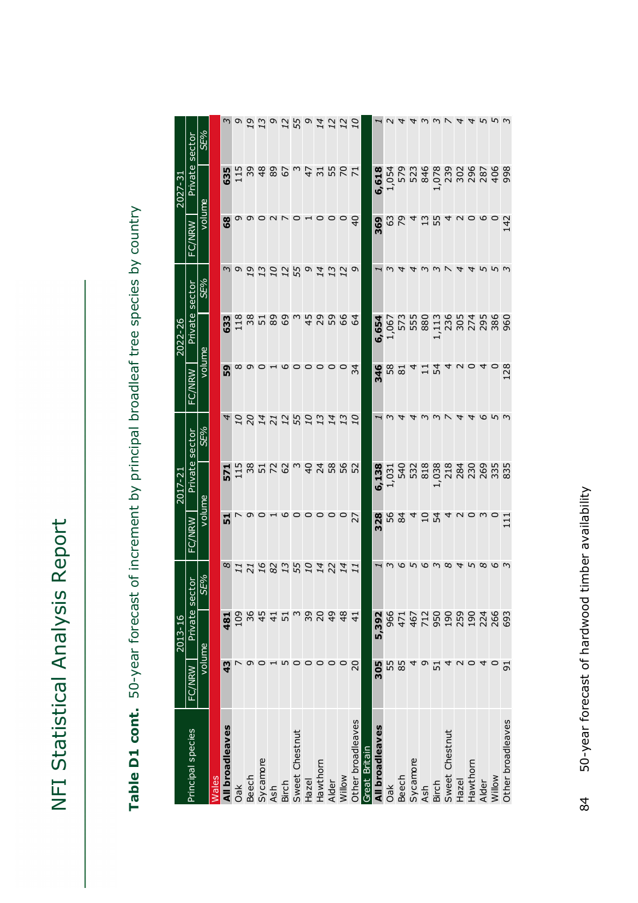NFI Statistical Analysis Report NFI Statistical Analysis Report

50-year forecast of increment by principal broadleaf tree species by country Table D1 cont. 50-year forecast of increment by principal broadleaf tree species by country **Table D1 cont.** 

|                        |               | 2013-16       |                 |                                      | 2017-21                                                                        |                     |                                                                                                | 2022-26                                                                                 |                                                                 |                                                                      | $2027 - 3$       |                           |
|------------------------|---------------|---------------|-----------------|--------------------------------------|--------------------------------------------------------------------------------|---------------------|------------------------------------------------------------------------------------------------|-----------------------------------------------------------------------------------------|-----------------------------------------------------------------|----------------------------------------------------------------------|------------------|---------------------------|
| Principal species      | FC/NRW        | Private sec   |                 | <b>FC/NRW</b>                        | Private                                                                        | sector              | <b>FC/NRW</b>                                                                                  | Private                                                                                 | sector                                                          | FC/NRW                                                               | <b>Private</b>   | sector                    |
|                        | volume        |               | ior<br>Lor<br>ω | volume                               |                                                                                | <b>SE%</b>          | volume                                                                                         |                                                                                         | <b>SE%</b>                                                      | volume                                                               |                  | SE%                       |
| Wales                  |               |               |                 |                                      |                                                                                |                     |                                                                                                |                                                                                         |                                                                 |                                                                      |                  |                           |
| <b>All broadleaves</b> | $\frac{3}{4}$ | 481           |                 | 51                                   |                                                                                |                     |                                                                                                |                                                                                         |                                                                 |                                                                      |                  |                           |
| Oak                    |               | 109           | 812482584241    |                                      | <b>ប្អ</b><br>អ្នកបន្ទាន់ និងនិង                                               | 458425855455        | $\frac{1}{2}$ $\infty$ $\infty$ $\infty$ $\infty$ $\infty$ $\infty$ $\infty$ $\infty$ $\infty$ | <b>633</b><br>118                                                                       | $\begin{array}{c}\n0 & 0 & 5 & 5 \\ 0 & 0 & 5 & 5\n\end{array}$ | 800000000000000                                                      | 25.5888099778857 | w o 5 5 o 5 5 6 o 5 5 5 5 |
| Beech                  |               |               |                 | 000000000000                         |                                                                                |                     |                                                                                                |                                                                                         |                                                                 |                                                                      |                  |                           |
| Sycamore               |               | 45            |                 |                                      |                                                                                |                     |                                                                                                |                                                                                         |                                                                 |                                                                      |                  |                           |
| Ash                    |               |               |                 |                                      |                                                                                |                     |                                                                                                |                                                                                         |                                                                 |                                                                      |                  |                           |
| Birch                  |               | 51            |                 |                                      |                                                                                |                     |                                                                                                | 8188 1998 84                                                                            |                                                                 |                                                                      |                  |                           |
| Sweet Chestnut         |               |               |                 |                                      |                                                                                |                     |                                                                                                |                                                                                         |                                                                 |                                                                      |                  |                           |
| Hazel                  |               | 99            |                 |                                      |                                                                                |                     |                                                                                                |                                                                                         |                                                                 |                                                                      |                  |                           |
| Hawthorn               |               | 20            |                 |                                      |                                                                                |                     |                                                                                                |                                                                                         |                                                                 |                                                                      |                  |                           |
| <b>Alder</b>           |               | $\frac{6}{7}$ |                 |                                      |                                                                                |                     |                                                                                                |                                                                                         |                                                                 |                                                                      |                  |                           |
| Willow                 |               | $\frac{8}{3}$ |                 |                                      |                                                                                |                     |                                                                                                |                                                                                         |                                                                 |                                                                      |                  |                           |
| Other broadleaves      | 20            | $\frac{4}{5}$ |                 |                                      |                                                                                |                     |                                                                                                |                                                                                         |                                                                 |                                                                      |                  |                           |
| Great Britain          |               |               |                 |                                      |                                                                                |                     |                                                                                                |                                                                                         |                                                                 |                                                                      |                  |                           |
| <b>All broadleaves</b> | 305           | 5,392         |                 | 328                                  | 6,138                                                                          |                     | 346                                                                                            | 6,654                                                                                   |                                                                 | 369                                                                  |                  |                           |
| Oak                    | 55            | 966           |                 |                                      |                                                                                |                     |                                                                                                |                                                                                         |                                                                 |                                                                      |                  |                           |
| <b>Beech</b>           | 85            | 471           | HMGHGMQ7HQGM    | ng <sub>4</sub> dg <sub>4</sub> vowo | $\begin{array}{l} 1.03 \\ 1.03 \\ 1.03 \\ 1.03 \\ 1.03 \\ 1.03 \\ \end{array}$ |                     | $884174400408$                                                                                 | $1,067$ $0,080$ $0,080$ $0,080$ $0,080$ $0,080$ $0,080$ $0,080$ $0,080$ $0,080$ $0,080$ |                                                                 | $\begin{array}{c}\n0 & 6 & 6 \\ 0 & 6 & 4 \\ 0 & 0 & 0\n\end{array}$ |                  |                           |
| Sycamore               |               |               |                 |                                      |                                                                                |                     |                                                                                                |                                                                                         |                                                                 |                                                                      |                  |                           |
| Ash                    |               |               |                 |                                      |                                                                                |                     |                                                                                                |                                                                                         |                                                                 |                                                                      |                  |                           |
| Birch                  |               | \$72898922    |                 |                                      |                                                                                | $\omega \omega \nu$ |                                                                                                |                                                                                         | $\omega \omega \vee 4$                                          |                                                                      |                  |                           |
| Sweet Chestnut         |               |               |                 |                                      |                                                                                |                     |                                                                                                |                                                                                         |                                                                 |                                                                      |                  | $\omega \vee 4$           |
| Hazel                  |               |               |                 |                                      |                                                                                | 4                   |                                                                                                |                                                                                         |                                                                 |                                                                      |                  |                           |
| Hawthorn               |               |               |                 |                                      |                                                                                | 4                   |                                                                                                |                                                                                         | 4                                                               |                                                                      |                  |                           |
| <b>Alder</b>           |               |               |                 |                                      |                                                                                |                     |                                                                                                |                                                                                         |                                                                 |                                                                      |                  |                           |
| Willow                 |               | 266<br>693    |                 |                                      |                                                                                | 0 IN M              |                                                                                                |                                                                                         | <b>555</b>                                                      |                                                                      |                  | n n w                     |
| Other broadleaves      | 51            |               |                 | 111                                  |                                                                                |                     |                                                                                                |                                                                                         |                                                                 |                                                                      |                  |                           |

50-year forecast of hardwood timber availability 84 50-year forecast of hardwood timber availability 84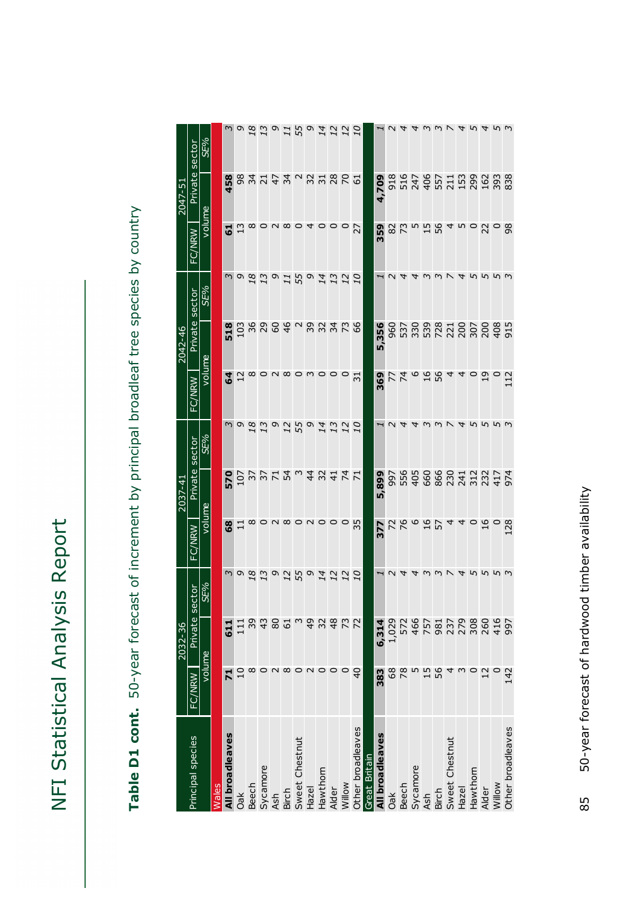50-year forecast of increment by principal broadleaf tree species by country Table D1 cont. 50-year forecast of increment by principal broadleaf tree species by country **Table D1 cont.** 

|                   |                | 2032-36              |               |             | $2037 - 4$             |           |                                                                                                                 | 2042-46        |                 |                                       | 2047-51        |                 |
|-------------------|----------------|----------------------|---------------|-------------|------------------------|-----------|-----------------------------------------------------------------------------------------------------------------|----------------|-----------------|---------------------------------------|----------------|-----------------|
| Principal species | FC/NRW         | Private sed          | tion<br>SE%   | FC/NRW      | Private sector         |           | FC/NRW                                                                                                          | Private sector |                 | FC/NRW                                | Private sector |                 |
|                   | volume         |                      |               | volume      |                        | SE%       | volume                                                                                                          |                | <b>SE%</b>      | volume                                |                | SE%             |
| Wales             |                |                      |               |             |                        |           |                                                                                                                 |                |                 |                                       |                |                 |
| All broadleaves   | 71             | $\frac{11}{11}$      |               |             |                        |           |                                                                                                                 | 518            | $\omega$        | 51                                    | 458            |                 |
| Oak               |                | $\overline{11}$      | n o           | 87000000000 | POULLE 4W47L           | n o d d o | $21$ $\frac{1}{2}$ $\infty$ $\circ$ $\sim$ $\infty$ $\circ$ $\sim$ $\sim$ $\circ$                               | 103            | o               | 13                                    |                | n o g g o       |
| <b>Beech</b>      |                | 99                   | $\frac{8}{1}$ |             |                        |           |                                                                                                                 |                | $^{28}$         | $\infty$                              | 83177828865    |                 |
| Sycamore          |                | $\frac{3}{4}$        |               |             |                        |           |                                                                                                                 |                | 13              |                                       |                |                 |
| Ash               |                | 80                   | Q)            |             |                        |           |                                                                                                                 |                | Q)              |                                       |                |                 |
| Birch             |                | 5                    |               |             |                        | 259       |                                                                                                                 | 8264 32456     |                 | $\circ \circ \circ \circ \circ \circ$ |                | 11              |
| Sweet Chestnut    |                |                      |               |             |                        |           |                                                                                                                 |                | 759             |                                       |                | 55<br>9         |
| Hazel             |                | \$                   | Ō             |             |                        |           |                                                                                                                 |                |                 |                                       |                |                 |
| Hawthorn          |                | 32                   | Ŀ             |             |                        | 14        |                                                                                                                 |                | $\overline{14}$ |                                       |                | $\overline{14}$ |
| <b>Alder</b>      |                | $\frac{8}{3}$        |               |             |                        | 13        |                                                                                                                 |                |                 |                                       |                |                 |
| Willow            |                | 72                   |               |             |                        |           |                                                                                                                 |                | $\frac{5}{2}$   |                                       |                | 120             |
| Other broadleaves | $\overline{0}$ |                      |               | 55          |                        | 20        | $\overline{51}$                                                                                                 |                |                 | 27                                    |                |                 |
| Great Britain     |                |                      |               |             |                        |           |                                                                                                                 |                |                 |                                       |                |                 |
| All broadleaves   | 383            | 6,314                |               | 377         | 5,899                  |           | 369                                                                                                             | 5,356          |                 | 359                                   | 4,709          |                 |
| Oak               | 68             | 1,029                |               |             |                        |           |                                                                                                                 | 960            |                 |                                       |                |                 |
| <b>Beech</b>      | $\frac{8}{2}$  |                      |               |             |                        |           |                                                                                                                 |                |                 | 873                                   |                |                 |
| Sycamore          |                | 54562798094575982597 |               | 58092440902 | 9599882352495585988254 |           | $\frac{1}{2}$ $\frac{1}{4}$ $\frac{1}{6}$ $\frac{1}{6}$ $\frac{1}{4}$ $\frac{1}{4}$ $\frac{1}{6}$ $\frac{1}{6}$ |                |                 |                                       |                |                 |
| <b>Ash</b>        |                |                      |               |             |                        |           |                                                                                                                 |                |                 |                                       |                |                 |
| Birch             | 56             |                      |               |             |                        |           |                                                                                                                 |                |                 | $\frac{15}{4}$                        |                |                 |
| Sweet Chestnut    |                |                      |               |             |                        |           |                                                                                                                 |                |                 |                                       |                |                 |
| Hazel             |                |                      |               |             |                        |           |                                                                                                                 |                |                 |                                       |                |                 |
| Hawthorn          |                |                      |               |             |                        |           |                                                                                                                 |                |                 | nono                                  |                |                 |
| <b>Alder</b>      |                |                      |               |             |                        |           |                                                                                                                 |                |                 |                                       |                |                 |
| Willow            |                |                      | 5<br>5<br>5   |             |                        |           |                                                                                                                 |                |                 |                                       |                |                 |
| Other broadleaves | 142            |                      |               |             |                        |           | 112                                                                                                             |                |                 | 98                                    |                |                 |

50-year forecast of hardwood timber availability 85 50-year forecast of hardwood timber availability 85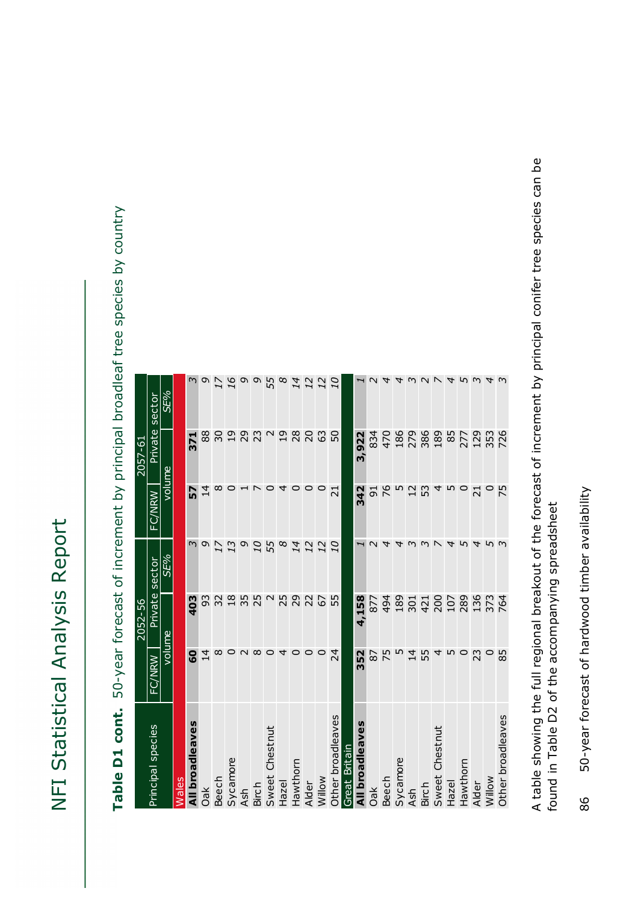|                          | -<br>גר<br>גר                                                                                                                                               |
|--------------------------|-------------------------------------------------------------------------------------------------------------------------------------------------------------|
|                          |                                                                                                                                                             |
|                          |                                                                                                                                                             |
|                          |                                                                                                                                                             |
|                          |                                                                                                                                                             |
|                          |                                                                                                                                                             |
|                          |                                                                                                                                                             |
|                          |                                                                                                                                                             |
|                          |                                                                                                                                                             |
|                          |                                                                                                                                                             |
|                          |                                                                                                                                                             |
|                          |                                                                                                                                                             |
|                          |                                                                                                                                                             |
|                          |                                                                                                                                                             |
|                          |                                                                                                                                                             |
|                          |                                                                                                                                                             |
|                          |                                                                                                                                                             |
|                          |                                                                                                                                                             |
|                          | )<br>)<br>)<br>)<br>)<br>)<br>)<br><br>)<br><br>                                                                                                            |
|                          |                                                                                                                                                             |
|                          |                                                                                                                                                             |
|                          |                                                                                                                                                             |
|                          |                                                                                                                                                             |
|                          |                                                                                                                                                             |
|                          |                                                                                                                                                             |
|                          |                                                                                                                                                             |
|                          | ור בעומרותרומה במפרס כמפרופה באור הא באור ה<br>S<br>D<br>D<br>D<br>D<br>D<br>D<br>D<br>D<br>D<br>D<br>D<br>D<br>D<br>D<br>D<br>D<br>D<br>D<br>cal<br>$\Box$ |
|                          |                                                                                                                                                             |
|                          |                                                                                                                                                             |
|                          |                                                                                                                                                             |
|                          |                                                                                                                                                             |
|                          |                                                                                                                                                             |
|                          |                                                                                                                                                             |
|                          |                                                                                                                                                             |
|                          |                                                                                                                                                             |
|                          | <b>シニン・コン・コーン リリンソー</b>                                                                                                                                     |
|                          |                                                                                                                                                             |
|                          |                                                                                                                                                             |
|                          |                                                                                                                                                             |
|                          |                                                                                                                                                             |
|                          |                                                                                                                                                             |
|                          |                                                                                                                                                             |
|                          |                                                                                                                                                             |
|                          |                                                                                                                                                             |
|                          | ו-מפאל ברפרפל מו ומרופמו<br>$\frac{1}{2}$                                                                                                                   |
|                          |                                                                                                                                                             |
| $\overline{\phantom{a}}$ | )                                                                                                                                                           |
| Ì.                       | ١                                                                                                                                                           |
|                          |                                                                                                                                                             |
|                          |                                                                                                                                                             |
|                          |                                                                                                                                                             |
|                          |                                                                                                                                                             |
|                          |                                                                                                                                                             |
|                          | <b>CONL.</b>                                                                                                                                                |
|                          |                                                                                                                                                             |
|                          | Ō<br>١                                                                                                                                                      |
|                          | J                                                                                                                                                           |
|                          | ī                                                                                                                                                           |
|                          | $\frac{a}{c}$                                                                                                                                               |
|                          | $\overline{\mathfrak{a}}$<br>⊨                                                                                                                              |

|                        |                | $2052 - 56$     |                |                          | 2057-61        |                |
|------------------------|----------------|-----------------|----------------|--------------------------|----------------|----------------|
| Principal species      | FC/NRW         | Private sector  |                | FC/NRW                   | Private sector |                |
|                        | volume         |                 | SE%            | volume                   |                | <b>SE%</b>     |
| Nales                  |                |                 |                |                          |                |                |
| All broadleaves        | $\overline{6}$ | 403             | $\omega$       | 57                       | 371            | ო              |
| Oak                    | $\overline{4}$ | 93              | G              | $\frac{1}{4}$            | 88             | o,             |
| <b>Beech</b>           | ∞              | 32              | 17             | ∞                        | 30             | 77             |
| Sycamore               | $\circ$        | $\frac{8}{1}$   | 13             | 0                        | $^{0}1$        | 97             |
| <b>Ash</b>             | $\sim$         | 35              | Q              |                          | 29             | G              |
| <b>Birch</b>           | $\infty$       | 25              | 70             | $\overline{\phantom{0}}$ |                | $\sigma$       |
| Sweet Chestnut         | $\circ$        | $\frac{25}{25}$ | 55             | $\circ$                  | $\frac{23}{2}$ | 55 8           |
| Hazel                  | 4              |                 | $\infty$       | 4                        |                |                |
| Hawthom                | $\circ$        | 29              | 14             | $\circ$                  | 28             | 14             |
| <b>Alder</b>           | $\circ$        | 22              | 12             | $\circ$                  | 20             | 12             |
| Willow                 | 0              | 67              | 12             | 0                        | 63             | 12             |
| Other broadleaves      | 24             | 55              | $\overline{c}$ | $\overline{z}$           | 50             | $\overline{c}$ |
| Great Britain          |                |                 |                |                          |                |                |
| <b>All broadleaves</b> | 352            | 158<br>4,       |                | 342                      | 3,922          |                |
| Oak                    | 87             | 877             |                | 50                       | 834            |                |
| Beech                  | 5 <sup>h</sup> | 494             |                | 76                       | 470            |                |
| Sycamore               |                | 189             | 4              | LO.                      | 186            |                |
| Ash                    | $\overline{4}$ | 301             |                | $\frac{2}{5}$            | 279            | ო              |
| <b>Birch</b>           | 55             | 421             | Μ              |                          | 386            | $\sim$ $\sim$  |
| Sweet Chestnut         | 4              | 200             |                | 4                        | 189            |                |
| Hazel                  | $\overline{5}$ | 107<br>289      | 4              | ഥ                        | 85             | $4\,p$         |
| Hawthom                |                |                 | m              | $\circ$                  | 277            |                |
| Alder                  | 23             | 136             | 4              | $\overline{c}$           | 129            | $\omega$       |
| Willow                 | 0              | 373             | L∩             | 0                        | 353            | 4              |
| Other broadleaves      | 85             | 764             | $\sim$         | 75                       | 726            | S              |

A table showing the full regional breakout of the forecast of increment by principal conifer tree species can be A table showing the full regional breakout of the forecast of increment by principal conifer tree species can be found in Table D2 of the accompanying spreadsheet found in Table D2 of the accompanying spreadsheet

50-year forecast of hardwood timber availability 86 50-year forecast of hardwood timber availability 86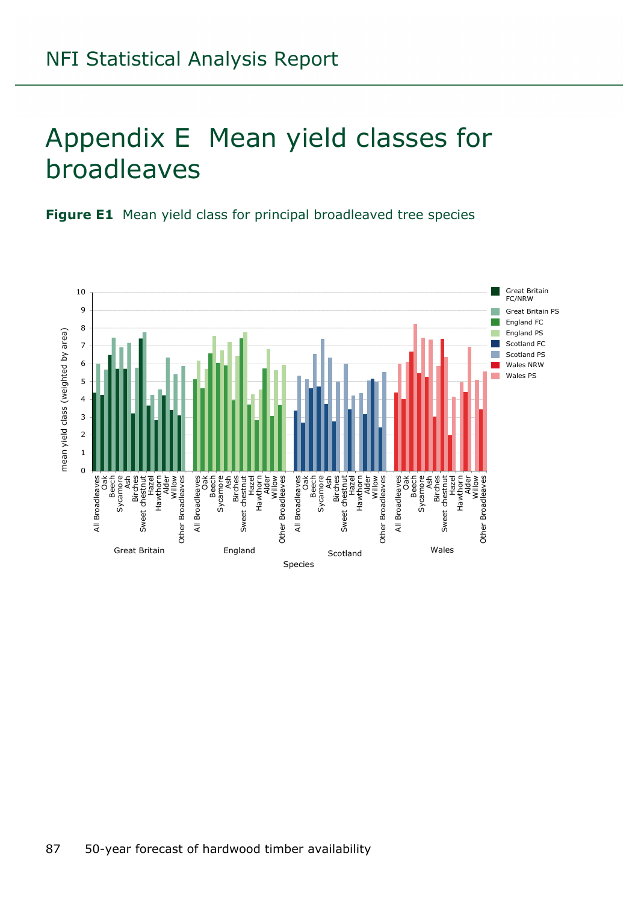# Appendix E Mean yield classes for broadleaves



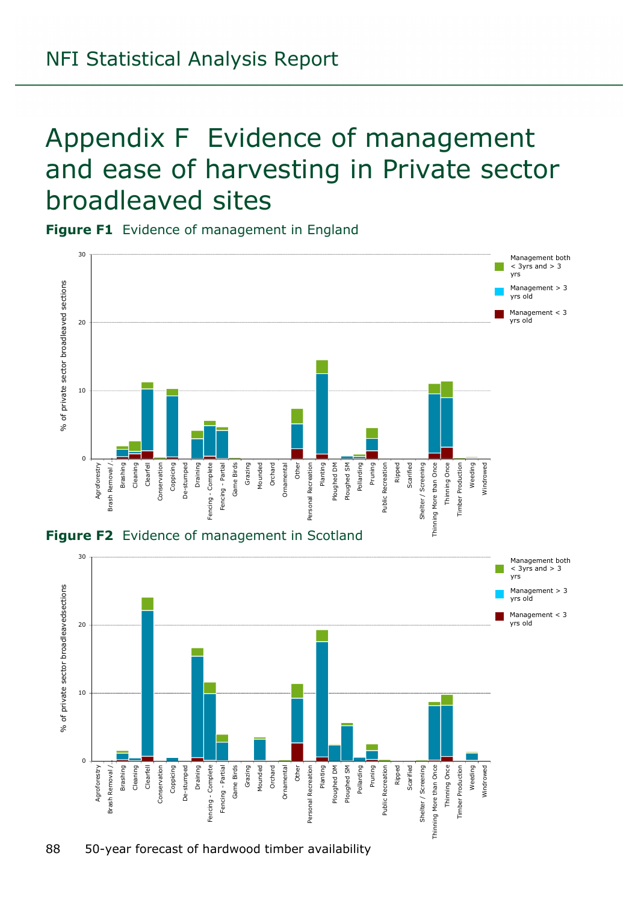# Appendix F Evidence of management and ease of harvesting in Private sector broadleaved sites

**Figure F1** Evidence of management in England



#### **Figure F2** Evidence of management in Scotland

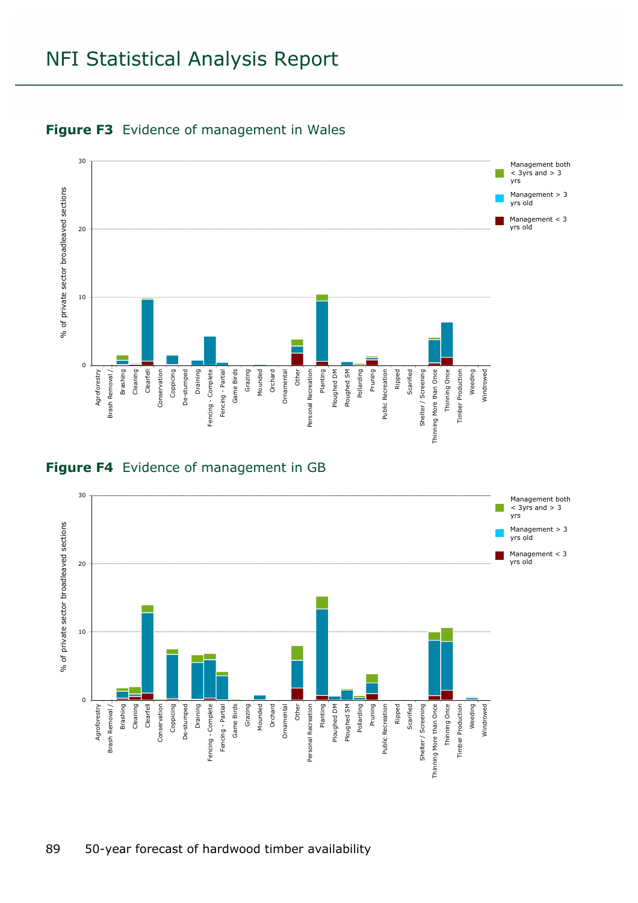

#### **Figure F3** Evidence of management in Wales

#### **Figure F4** Evidence of management in GB

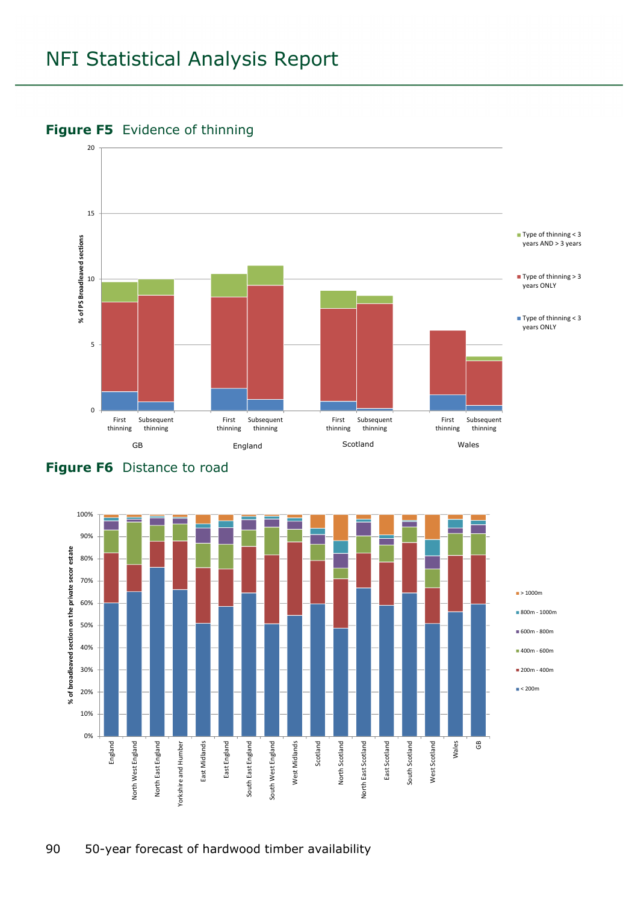

#### **Figure F5** Evidence of thinning



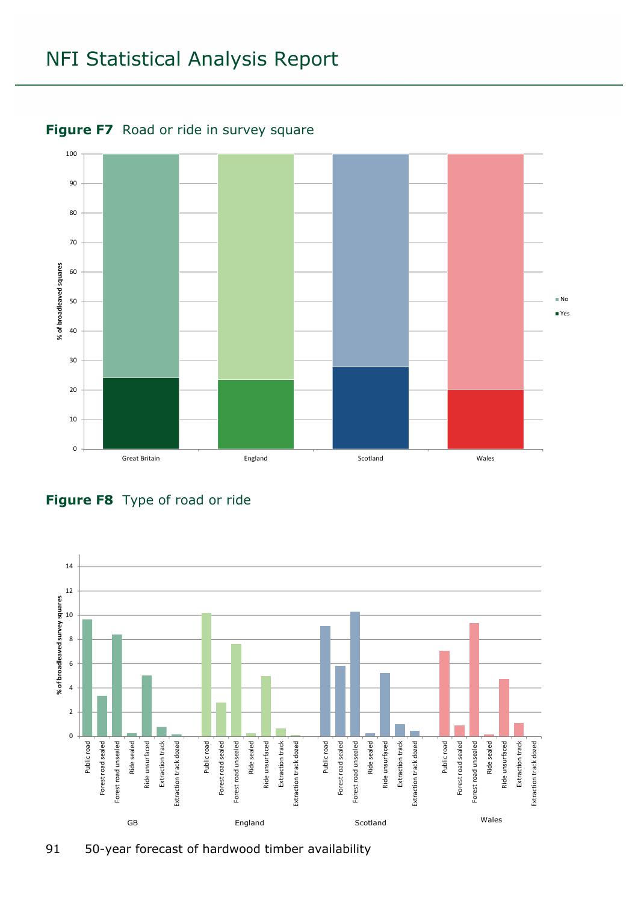

**Figure F7** Road or ride in survey square





91 50-year forecast of hardwood timber availability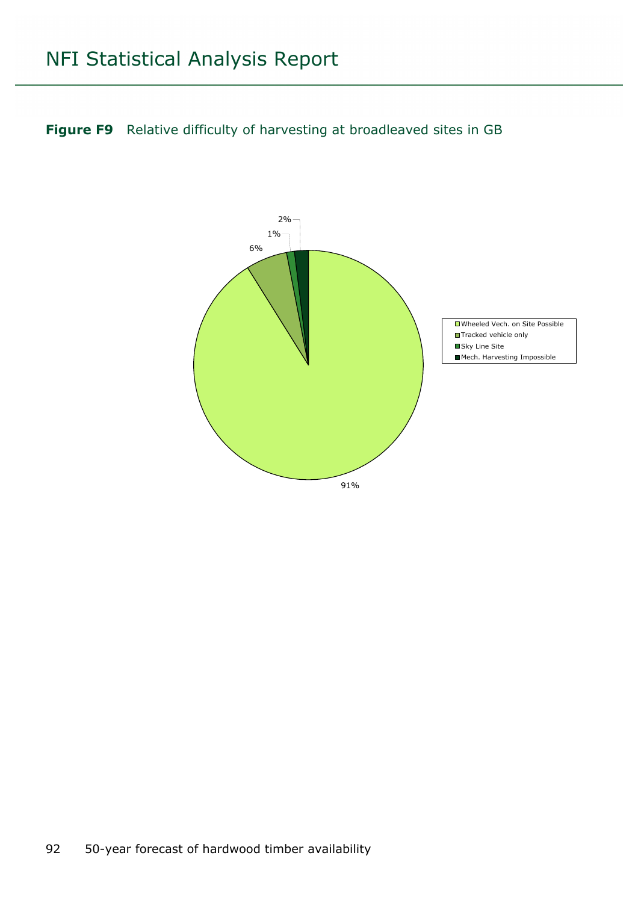**Figure F9** Relative difficulty of harvesting at broadleaved sites in GB

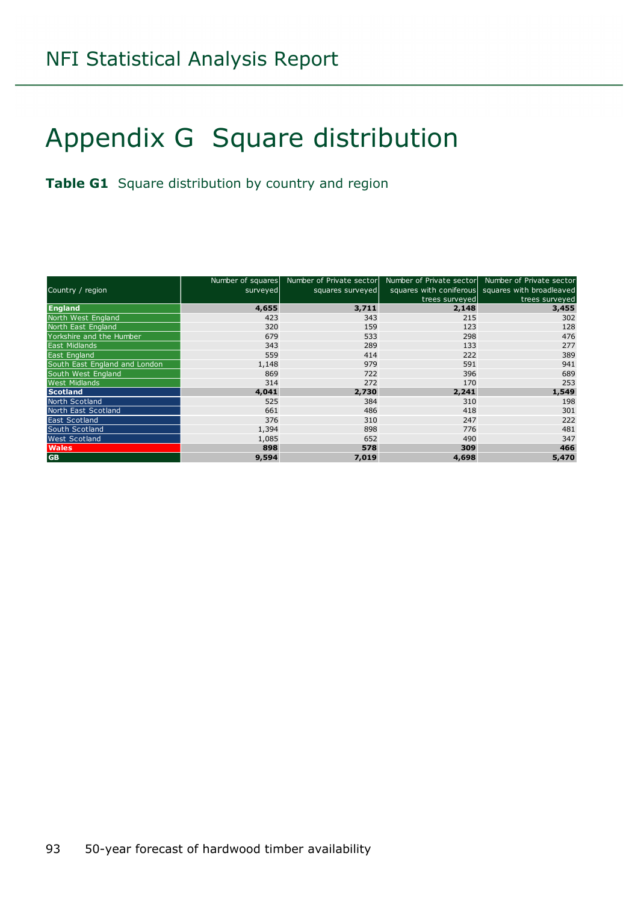# Appendix G Square distribution

**Table G1** Square distribution by country and region

|                               | Number of squares | Number of Private sector | Number of Private sector | Number of Private sector                         |
|-------------------------------|-------------------|--------------------------|--------------------------|--------------------------------------------------|
| Country / region              | surveyed          | squares surveyed         |                          | squares with coniferous squares with broadleaved |
|                               |                   |                          | trees surveyed           | trees surveyed                                   |
| <b>England</b>                | 4,655             | 3,711                    | 2,148                    | 3,455                                            |
| North West England            | 423               | 343                      | 215                      | 302                                              |
| North East England            | 320               | 159                      | 123                      | 128                                              |
| Yorkshire and the Humber      | 679               | 533                      | 298                      | 476                                              |
| East Midlands                 | 343               | 289                      | 133                      | 277                                              |
| East England                  | 559               | 414                      | 222                      | 389                                              |
| South East England and London | 1,148             | 979                      | 591                      | 941                                              |
| South West England            | 869               | 722                      | 396                      | 689                                              |
| <b>West Midlands</b>          | 314               | 272                      | 170                      | 253                                              |
| <b>Scotland</b>               | 4,041             | 2,730                    | 2,241                    | 1,549                                            |
| North Scotland                | 525               | 384                      | 310                      | 198                                              |
| North East Scotland           | 661               | 486                      | 418                      | 301                                              |
| East Scotland                 | 376               | 310                      | 247                      | 222                                              |
| South Scotland                | 1,394             | 898                      | 776                      | 481                                              |
| <b>West Scotland</b>          | 1,085             | 652                      | 490                      | 347                                              |
| <b>Wales</b>                  | 898               | 578                      | 309                      | 466                                              |
| GB                            | 9,594             | 7,019                    | 4,698                    | 5,470                                            |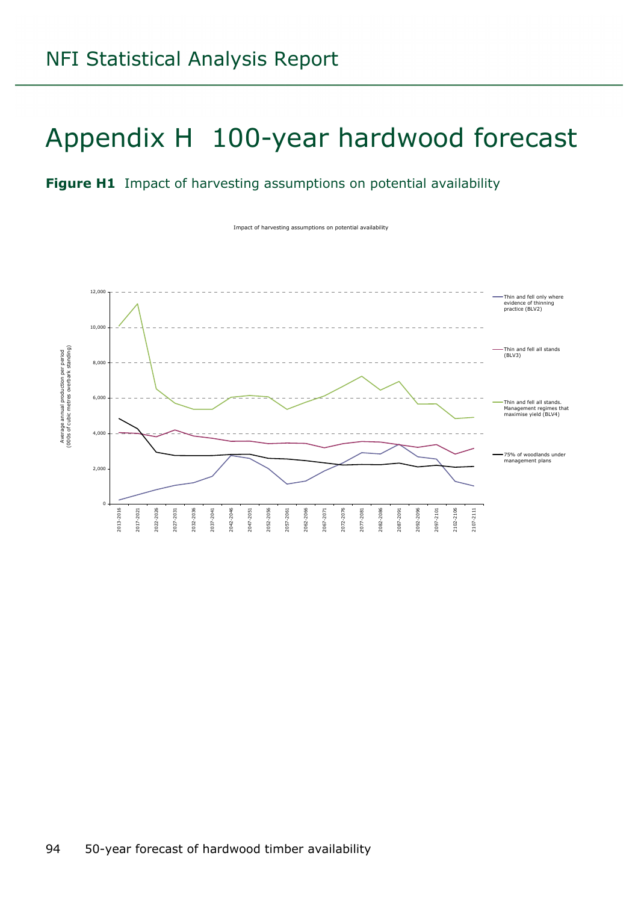# Appendix H 100-year hardwood forecast

### **Figure H1** Impact of harvesting assumptions on potential availability



#### Impact of harvesting assumptions on potential availability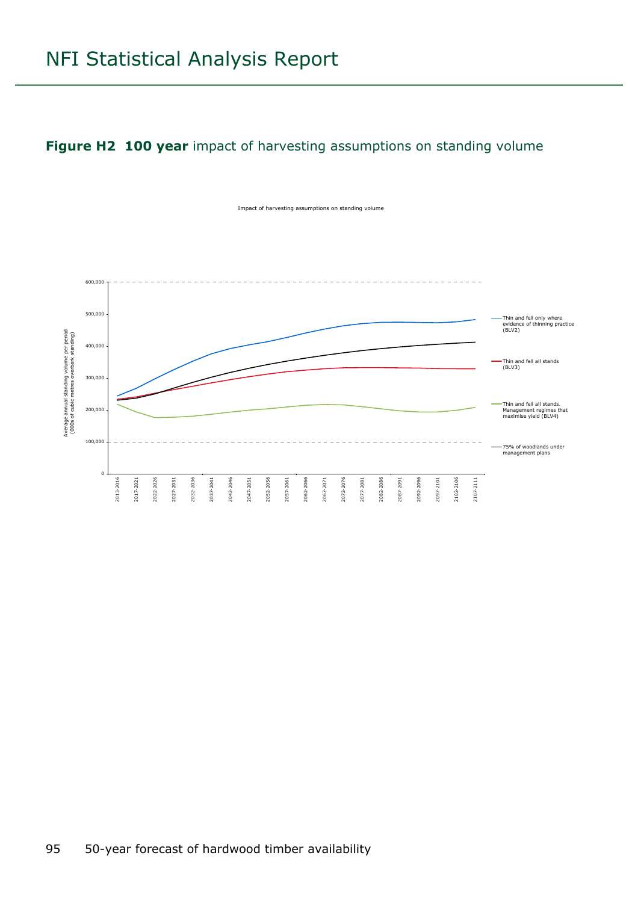#### **Figure H2 100 year** impact of harvesting assumptions on standing volume

Impact of harvesting assumptions on standing volume

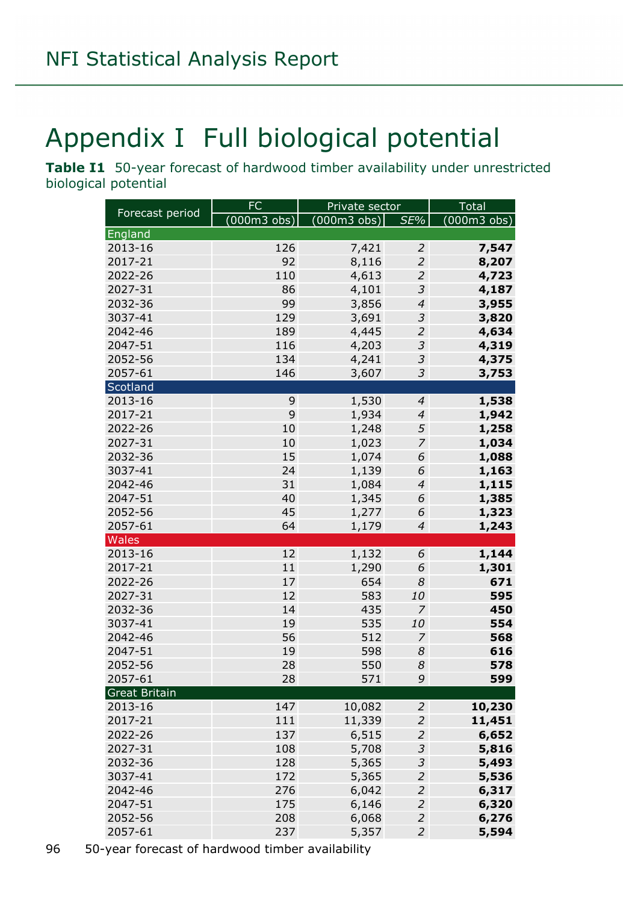# Appendix I Full biological potential

**Table I1** 50-year forecast of hardwood timber availability under unrestricted biological potential

|                 | <b>FC</b>    | Private sector |                          | <b>Total</b>  |
|-----------------|--------------|----------------|--------------------------|---------------|
| Forecast period | $000m3$ obs) | $(000m3$ obs)  | SE%                      | $(000m3$ obs) |
| England         |              |                |                          |               |
| 2013-16         | 126          | 7,421          | $\overline{2}$           | 7,547         |
| 2017-21         | 92           | 8,116          | $\overline{2}$           | 8,207         |
| 2022-26         | 110          | 4,613          | $\overline{2}$           | 4,723         |
| 2027-31         | 86           | 4,101          | 3                        | 4,187         |
| 2032-36         | 99           | 3,856          | $\overline{\mathcal{A}}$ | 3,955         |
| 3037-41         | 129          | 3,691          | 3                        | 3,820         |
| 2042-46         | 189          | 4,445          | $\overline{2}$           | 4,634         |
| 2047-51         | 116          | 4,203          | 3                        | 4,319         |
| 2052-56         | 134          | 4,241          | 3                        | 4,375         |
| 2057-61         | 146          | 3,607          | 3                        | 3,753         |
| Scotland        |              |                |                          |               |
| 2013-16         | 9            | 1,530          | $\overline{4}$           | 1,538         |
| 2017-21         | 9            | 1,934          | $\overline{4}$           | 1,942         |
| 2022-26         | 10           | 1,248          | 5                        | 1,258         |
| 2027-31         | 10           | 1,023          | $\overline{z}$           | 1,034         |
| 2032-36         | 15           | 1,074          | 6                        | 1,088         |
| 3037-41         | 24           | 1,139          | 6                        | 1,163         |
| 2042-46         | 31           | 1,084          | $\overline{\mathcal{A}}$ | 1,115         |
| 2047-51         | 40           | 1,345          | 6                        | 1,385         |
| 2052-56         | 45           | 1,277          | 6                        | 1,323         |
| 2057-61         | 64           | 1,179          | $\overline{4}$           | 1,243         |
| Wales           |              |                |                          |               |
| 2013-16         | 12           | 1,132          | 6                        | 1,144         |
| 2017-21         | 11           | 1,290          | 6                        | 1,301         |
| 2022-26         | 17           | 654            | 8                        | 671           |
| 2027-31         | 12           | 583            | 10                       | 595           |
| 2032-36         | 14           | 435            | $\overline{7}$           | 450           |
| 3037-41         | 19           | 535            | 10                       | 554           |
| 2042-46         | 56           | 512            | $\overline{7}$           | 568           |
| 2047-51         | 19           | 598            | 8                        | 616           |
| 2052-56         | 28           | 550            | 8                        | 578           |
| 2057-61         | 28           | 571            | 9                        | 599           |
| Great Britain   |              |                |                          |               |
| 2013-16         | 147          | 10,082         | $\overline{a}$           | 10,230        |
| 2017-21         | 111          | 11,339         | $\overline{a}$           | 11,451        |
| 2022-26         | 137          | 6,515          | $\overline{a}$           | 6,652         |
| 2027-31         | 108          | 5,708          | $\mathfrak{Z}$           | 5,816         |
| 2032-36         | 128          | 5,365          | 3                        | 5,493         |
| 3037-41         | 172          | 5,365          | $\overline{a}$           | 5,536         |
| 2042-46         | 276          | 6,042          | $\overline{a}$           | 6,317         |
| 2047-51         | 175          | 6,146          | $\overline{a}$           | 6,320         |
| 2052-56         | 208          | 6,068          | $\overline{a}$           | 6,276         |
| 2057-61         | 237          | 5,357          | $\overline{a}$           | 5,594         |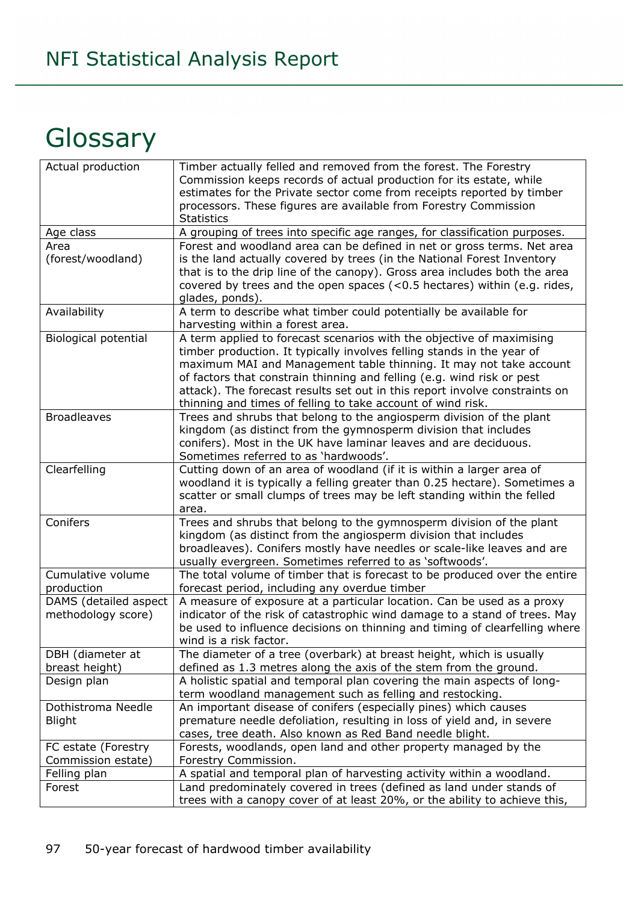# **Glossary**

| Actual production               | Timber actually felled and removed from the forest. The Forestry                                                            |
|---------------------------------|-----------------------------------------------------------------------------------------------------------------------------|
|                                 | Commission keeps records of actual production for its estate, while                                                         |
|                                 | estimates for the Private sector come from receipts reported by timber                                                      |
|                                 | processors. These figures are available from Forestry Commission                                                            |
|                                 | <b>Statistics</b>                                                                                                           |
| Age class                       | A grouping of trees into specific age ranges, for classification purposes.                                                  |
| Area                            | Forest and woodland area can be defined in net or gross terms. Net area                                                     |
| (forest/woodland)               | is the land actually covered by trees (in the National Forest Inventory                                                     |
|                                 | that is to the drip line of the canopy). Gross area includes both the area                                                  |
|                                 | covered by trees and the open spaces (<0.5 hectares) within (e.g. rides,                                                    |
|                                 | glades, ponds).                                                                                                             |
| Availability                    | A term to describe what timber could potentially be available for                                                           |
|                                 | harvesting within a forest area.                                                                                            |
| Biological potential            | A term applied to forecast scenarios with the objective of maximising                                                       |
|                                 | timber production. It typically involves felling stands in the year of                                                      |
|                                 | maximum MAI and Management table thinning. It may not take account                                                          |
|                                 | of factors that constrain thinning and felling (e.g. wind risk or pest                                                      |
|                                 | attack). The forecast results set out in this report involve constraints on                                                 |
|                                 | thinning and times of felling to take account of wind risk.                                                                 |
| <b>Broadleaves</b>              | Trees and shrubs that belong to the angiosperm division of the plant                                                        |
|                                 | kingdom (as distinct from the gymnosperm division that includes                                                             |
|                                 | conifers). Most in the UK have laminar leaves and are deciduous.                                                            |
|                                 | Sometimes referred to as 'hardwoods'.                                                                                       |
| Clearfelling                    | Cutting down of an area of woodland (if it is within a larger area of                                                       |
|                                 | woodland it is typically a felling greater than 0.25 hectare). Sometimes a                                                  |
|                                 | scatter or small clumps of trees may be left standing within the felled                                                     |
|                                 | area.                                                                                                                       |
| Conifers                        | Trees and shrubs that belong to the gymnosperm division of the plant                                                        |
|                                 | kingdom (as distinct from the angiosperm division that includes                                                             |
|                                 | broadleaves). Conifers mostly have needles or scale-like leaves and are                                                     |
|                                 | usually evergreen. Sometimes referred to as 'softwoods'.                                                                    |
| Cumulative volume<br>production | The total volume of timber that is forecast to be produced over the entire<br>forecast period, including any overdue timber |
| DAMS (detailed aspect           | A measure of exposure at a particular location. Can be used as a proxy                                                      |
|                                 | indicator of the risk of catastrophic wind damage to a stand of trees. May                                                  |
| methodology score)              | be used to influence decisions on thinning and timing of clearfelling where                                                 |
|                                 | wind is a risk factor.                                                                                                      |
| DBH (diameter at                | The diameter of a tree (overbark) at breast height, which is usually                                                        |
| breast height)                  | defined as 1.3 metres along the axis of the stem from the ground.                                                           |
| Design plan                     | A holistic spatial and temporal plan covering the main aspects of long-                                                     |
|                                 | term woodland management such as felling and restocking.                                                                    |
| Dothistroma Needle              | An important disease of conifers (especially pines) which causes                                                            |
| <b>Blight</b>                   | premature needle defoliation, resulting in loss of yield and, in severe                                                     |
|                                 | cases, tree death. Also known as Red Band needle blight.                                                                    |
| FC estate (Forestry             | Forests, woodlands, open land and other property managed by the                                                             |
| Commission estate)              | Forestry Commission.                                                                                                        |
| Felling plan                    | A spatial and temporal plan of harvesting activity within a woodland.                                                       |
| Forest                          | Land predominately covered in trees (defined as land under stands of                                                        |
|                                 | trees with a canopy cover of at least 20%, or the ability to achieve this,                                                  |
|                                 |                                                                                                                             |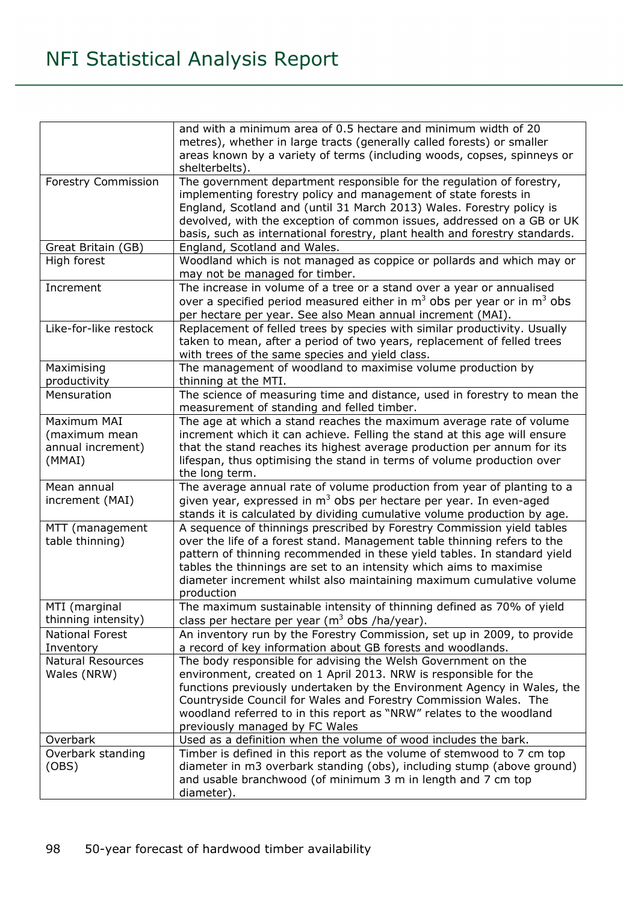|                                                             | and with a minimum area of 0.5 hectare and minimum width of 20<br>metres), whether in large tracts (generally called forests) or smaller<br>areas known by a variety of terms (including woods, copses, spinneys or<br>shelterbelts).                                                                                                                                                       |
|-------------------------------------------------------------|---------------------------------------------------------------------------------------------------------------------------------------------------------------------------------------------------------------------------------------------------------------------------------------------------------------------------------------------------------------------------------------------|
| <b>Forestry Commission</b>                                  | The government department responsible for the regulation of forestry,<br>implementing forestry policy and management of state forests in<br>England, Scotland and (until 31 March 2013) Wales. Forestry policy is<br>devolved, with the exception of common issues, addressed on a GB or UK<br>basis, such as international forestry, plant health and forestry standards.                  |
| Great Britain (GB)                                          | England, Scotland and Wales.                                                                                                                                                                                                                                                                                                                                                                |
| High forest                                                 | Woodland which is not managed as coppice or pollards and which may or<br>may not be managed for timber.                                                                                                                                                                                                                                                                                     |
| Increment                                                   | The increase in volume of a tree or a stand over a year or annualised<br>over a specified period measured either in $m3$ obs per year or in $m3$ obs<br>per hectare per year. See also Mean annual increment (MAI).                                                                                                                                                                         |
| Like-for-like restock                                       | Replacement of felled trees by species with similar productivity. Usually<br>taken to mean, after a period of two years, replacement of felled trees<br>with trees of the same species and yield class.                                                                                                                                                                                     |
| Maximising<br>productivity                                  | The management of woodland to maximise volume production by<br>thinning at the MTI.                                                                                                                                                                                                                                                                                                         |
| Mensuration                                                 | The science of measuring time and distance, used in forestry to mean the<br>measurement of standing and felled timber.                                                                                                                                                                                                                                                                      |
| Maximum MAI<br>(maximum mean<br>annual increment)<br>(MMAI) | The age at which a stand reaches the maximum average rate of volume<br>increment which it can achieve. Felling the stand at this age will ensure<br>that the stand reaches its highest average production per annum for its<br>lifespan, thus optimising the stand in terms of volume production over<br>the long term.                                                                     |
| Mean annual<br>increment (MAI)                              | The average annual rate of volume production from year of planting to a<br>given year, expressed in $m3$ obs per hectare per year. In even-aged<br>stands it is calculated by dividing cumulative volume production by age.                                                                                                                                                                 |
| MTT (management<br>table thinning)                          | A sequence of thinnings prescribed by Forestry Commission yield tables<br>over the life of a forest stand. Management table thinning refers to the<br>pattern of thinning recommended in these yield tables. In standard yield<br>tables the thinnings are set to an intensity which aims to maximise<br>diameter increment whilst also maintaining maximum cumulative volume<br>production |
| MTI (marginal<br>thinning intensity)                        | The maximum sustainable intensity of thinning defined as 70% of yield<br>class per hectare per year $(m^3$ obs /ha/year).                                                                                                                                                                                                                                                                   |
| <b>National Forest</b><br>Inventory                         | An inventory run by the Forestry Commission, set up in 2009, to provide<br>a record of key information about GB forests and woodlands.                                                                                                                                                                                                                                                      |
| <b>Natural Resources</b><br>Wales (NRW)                     | The body responsible for advising the Welsh Government on the<br>environment, created on 1 April 2013. NRW is responsible for the<br>functions previously undertaken by the Environment Agency in Wales, the<br>Countryside Council for Wales and Forestry Commission Wales. The<br>woodland referred to in this report as "NRW" relates to the woodland<br>previously managed by FC Wales  |
| Overbark                                                    | Used as a definition when the volume of wood includes the bark.                                                                                                                                                                                                                                                                                                                             |
| Overbark standing<br>(OBS)                                  | Timber is defined in this report as the volume of stemwood to 7 cm top<br>diameter in m3 overbark standing (obs), including stump (above ground)<br>and usable branchwood (of minimum 3 m in length and 7 cm top<br>diameter).                                                                                                                                                              |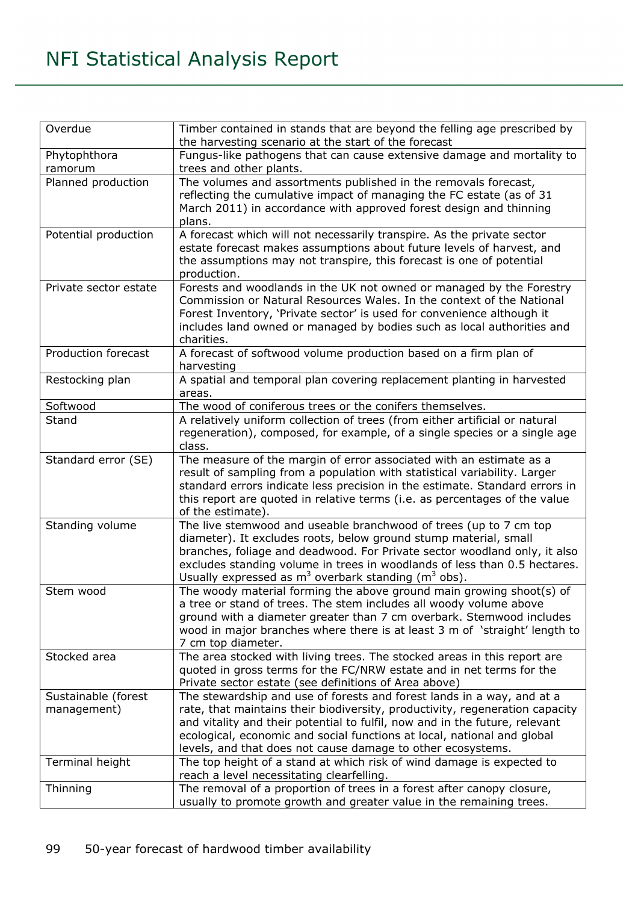| Overdue                            | Timber contained in stands that are beyond the felling age prescribed by                                                                                                                                                                                                                                                                                                        |
|------------------------------------|---------------------------------------------------------------------------------------------------------------------------------------------------------------------------------------------------------------------------------------------------------------------------------------------------------------------------------------------------------------------------------|
|                                    | the harvesting scenario at the start of the forecast                                                                                                                                                                                                                                                                                                                            |
| Phytophthora<br>ramorum            | Fungus-like pathogens that can cause extensive damage and mortality to<br>trees and other plants.                                                                                                                                                                                                                                                                               |
| Planned production                 | The volumes and assortments published in the removals forecast,<br>reflecting the cumulative impact of managing the FC estate (as of 31<br>March 2011) in accordance with approved forest design and thinning<br>plans.                                                                                                                                                         |
| Potential production               | A forecast which will not necessarily transpire. As the private sector<br>estate forecast makes assumptions about future levels of harvest, and<br>the assumptions may not transpire, this forecast is one of potential<br>production.                                                                                                                                          |
| Private sector estate              | Forests and woodlands in the UK not owned or managed by the Forestry<br>Commission or Natural Resources Wales. In the context of the National<br>Forest Inventory, 'Private sector' is used for convenience although it<br>includes land owned or managed by bodies such as local authorities and<br>charities.                                                                 |
| Production forecast                | A forecast of softwood volume production based on a firm plan of<br>harvesting                                                                                                                                                                                                                                                                                                  |
| Restocking plan                    | A spatial and temporal plan covering replacement planting in harvested<br>areas.                                                                                                                                                                                                                                                                                                |
| Softwood                           | The wood of coniferous trees or the conifers themselves.                                                                                                                                                                                                                                                                                                                        |
| Stand                              | A relatively uniform collection of trees (from either artificial or natural<br>regeneration), composed, for example, of a single species or a single age<br>class.                                                                                                                                                                                                              |
| Standard error (SE)                | The measure of the margin of error associated with an estimate as a<br>result of sampling from a population with statistical variability. Larger<br>standard errors indicate less precision in the estimate. Standard errors in<br>this report are quoted in relative terms (i.e. as percentages of the value<br>of the estimate).                                              |
| Standing volume                    | The live stemwood and useable branchwood of trees (up to $\frac{1}{7}$ cm top<br>diameter). It excludes roots, below ground stump material, small<br>branches, foliage and deadwood. For Private sector woodland only, it also<br>excludes standing volume in trees in woodlands of less than 0.5 hectares.<br>Usually expressed as $m^3$ overbark standing ( $m^3$ obs).       |
| Stem wood                          | The woody material forming the above ground main growing shoot(s) of<br>a tree or stand of trees. The stem includes all woody volume above<br>ground with a diameter greater than 7 cm overbark. Stemwood includes<br>wood in major branches where there is at least 3 m of 'straight' length to<br>7 cm top diameter.                                                          |
| Stocked area                       | The area stocked with living trees. The stocked areas in this report are<br>quoted in gross terms for the FC/NRW estate and in net terms for the<br>Private sector estate (see definitions of Area above)                                                                                                                                                                       |
| Sustainable (forest<br>management) | The stewardship and use of forests and forest lands in a way, and at a<br>rate, that maintains their biodiversity, productivity, regeneration capacity<br>and vitality and their potential to fulfil, now and in the future, relevant<br>ecological, economic and social functions at local, national and global<br>levels, and that does not cause damage to other ecosystems. |
| Terminal height                    | The top height of a stand at which risk of wind damage is expected to<br>reach a level necessitating clearfelling.                                                                                                                                                                                                                                                              |
| Thinning                           | The removal of a proportion of trees in a forest after canopy closure,<br>usually to promote growth and greater value in the remaining trees.                                                                                                                                                                                                                                   |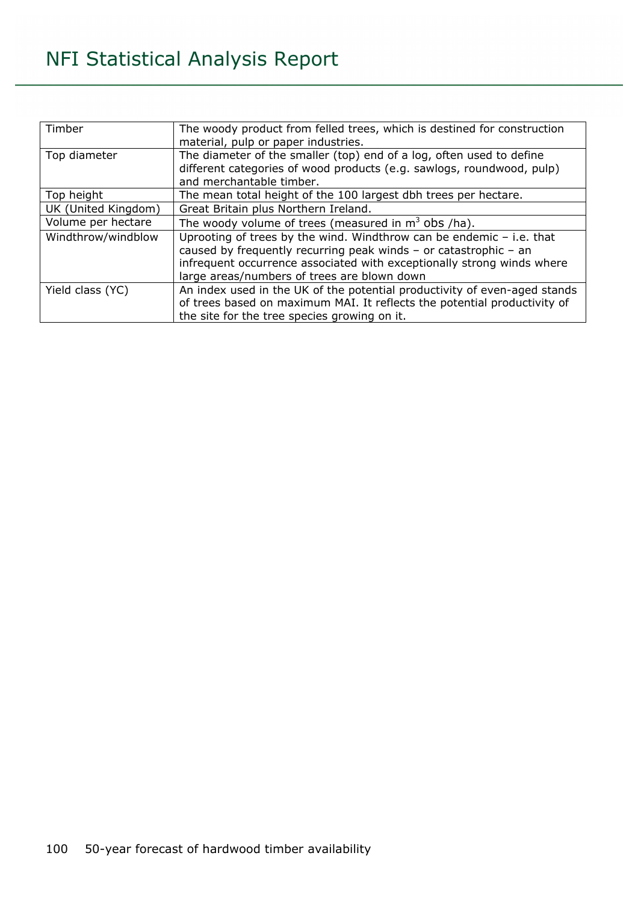| Timber              | The woody product from felled trees, which is destined for construction<br>material, pulp or paper industries.                                                                                                                                                      |
|---------------------|---------------------------------------------------------------------------------------------------------------------------------------------------------------------------------------------------------------------------------------------------------------------|
| Top diameter        | The diameter of the smaller (top) end of a log, often used to define<br>different categories of wood products (e.g. sawlogs, roundwood, pulp)<br>and merchantable timber.                                                                                           |
| Top height          | The mean total height of the 100 largest dbh trees per hectare.                                                                                                                                                                                                     |
| UK (United Kingdom) | Great Britain plus Northern Ireland.                                                                                                                                                                                                                                |
| Volume per hectare  | The woody volume of trees (measured in $m^3$ obs /ha).                                                                                                                                                                                                              |
| Windthrow/windblow  | Uprooting of trees by the wind. Windthrow can be endemic $-$ i.e. that<br>caused by frequently recurring peak winds - or catastrophic - an<br>infrequent occurrence associated with exceptionally strong winds where<br>large areas/numbers of trees are blown down |
| Yield class (YC)    | An index used in the UK of the potential productivity of even-aged stands<br>of trees based on maximum MAI. It reflects the potential productivity of<br>the site for the tree species growing on it.                                                               |